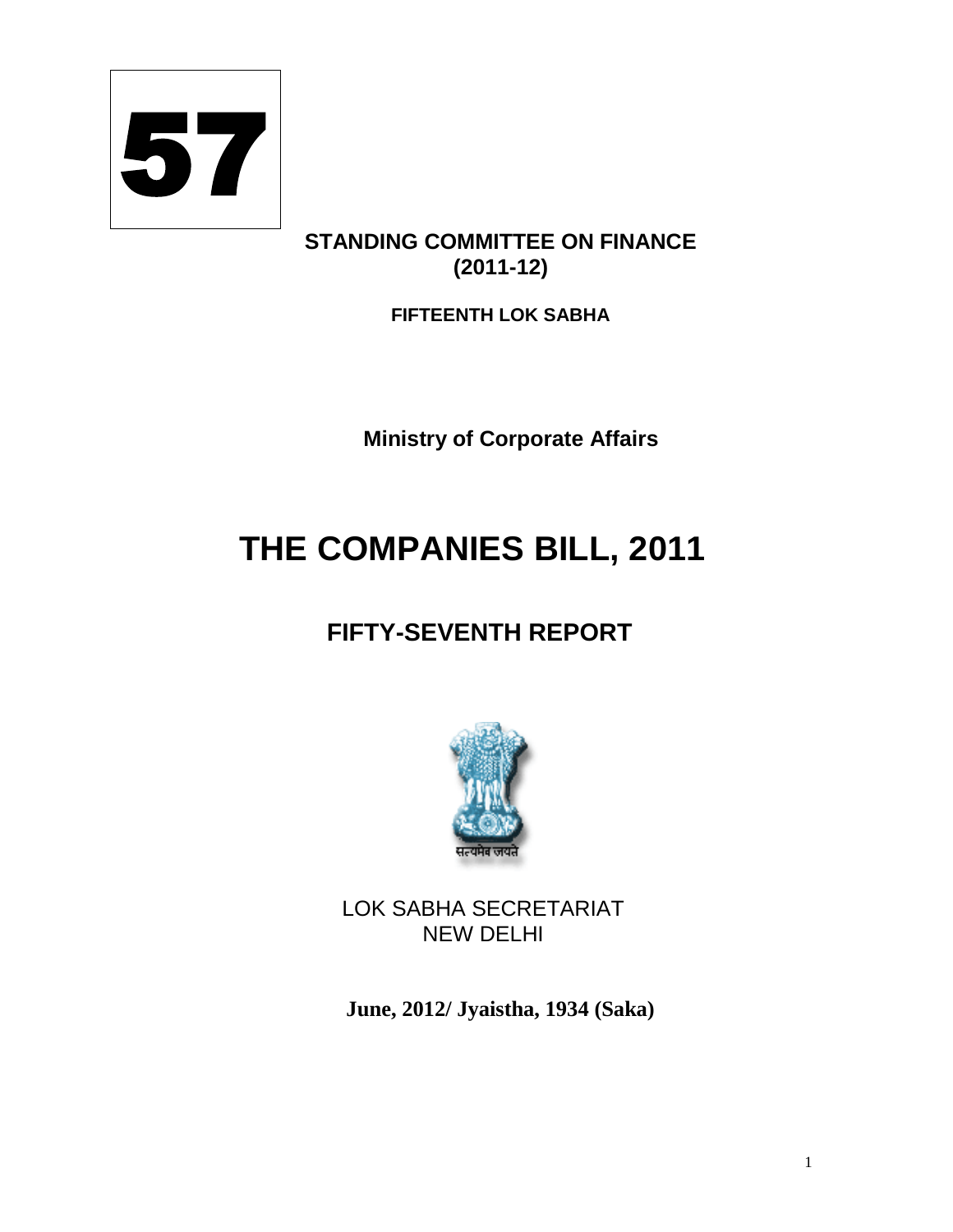

### **STANDING COMMITTEE ON FINANCE (2011-12)**

**FIFTEENTH LOK SABHA**

**Ministry of Corporate Affairs** 

# **THE COMPANIES BILL, 2011**

## **FIFTY-SEVENTH REPORT**



LOK SABHA SECRETARIAT NEW DELHI

**June, 2012/ Jyaistha, 1934 (Saka)**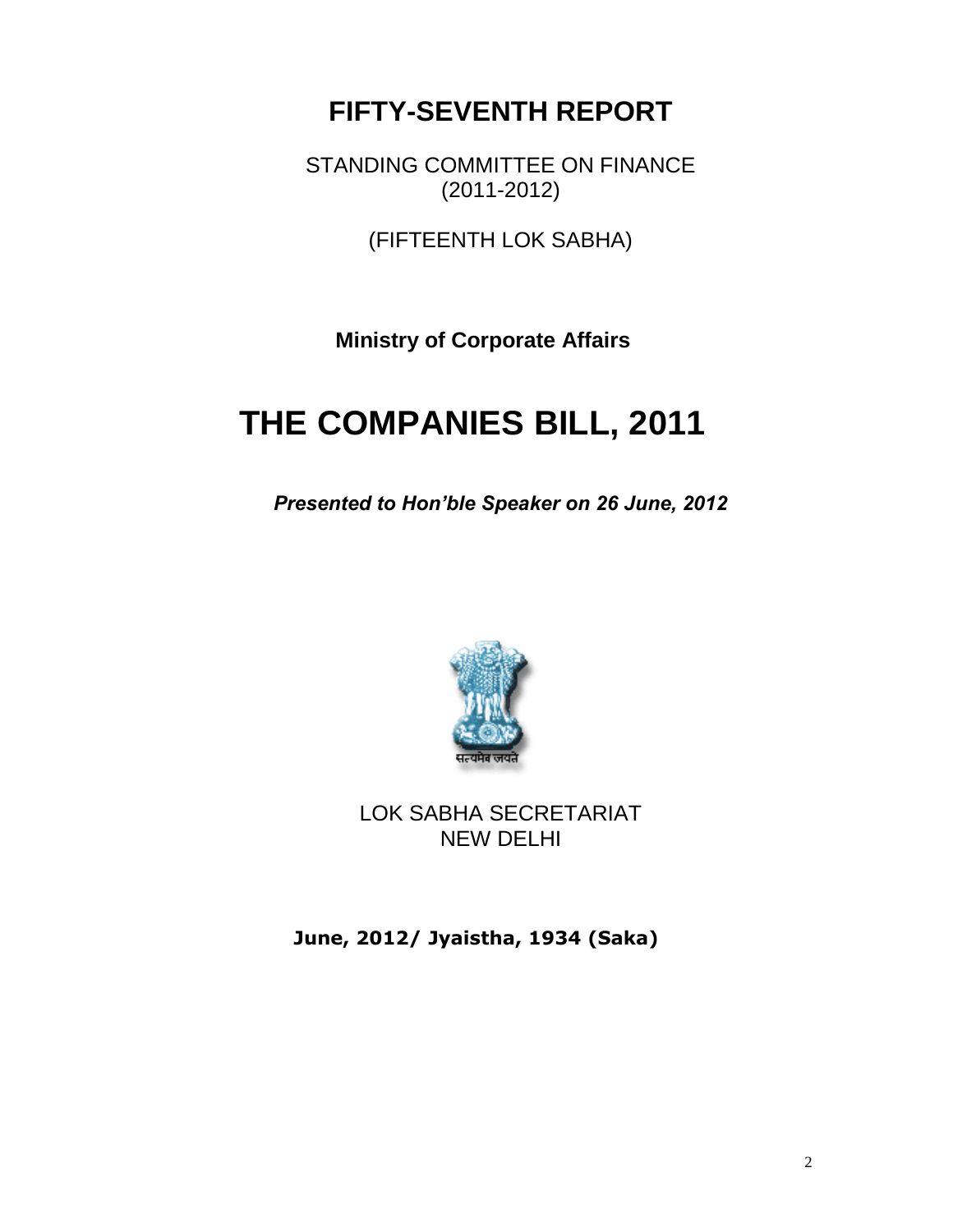**FIFTY-SEVENTH REPORT**

STANDING COMMITTEE ON FINANCE (2011-2012)

(FIFTEENTH LOK SABHA)

**Ministry of Corporate Affairs** 

## **THE COMPANIES BILL, 2011**

*Presented to Hon'ble Speaker on 26 June, 2012*



LOK SABHA SECRETARIAT NEW DELHI

**June, 2012/ Jyaistha, 1934 (Saka)**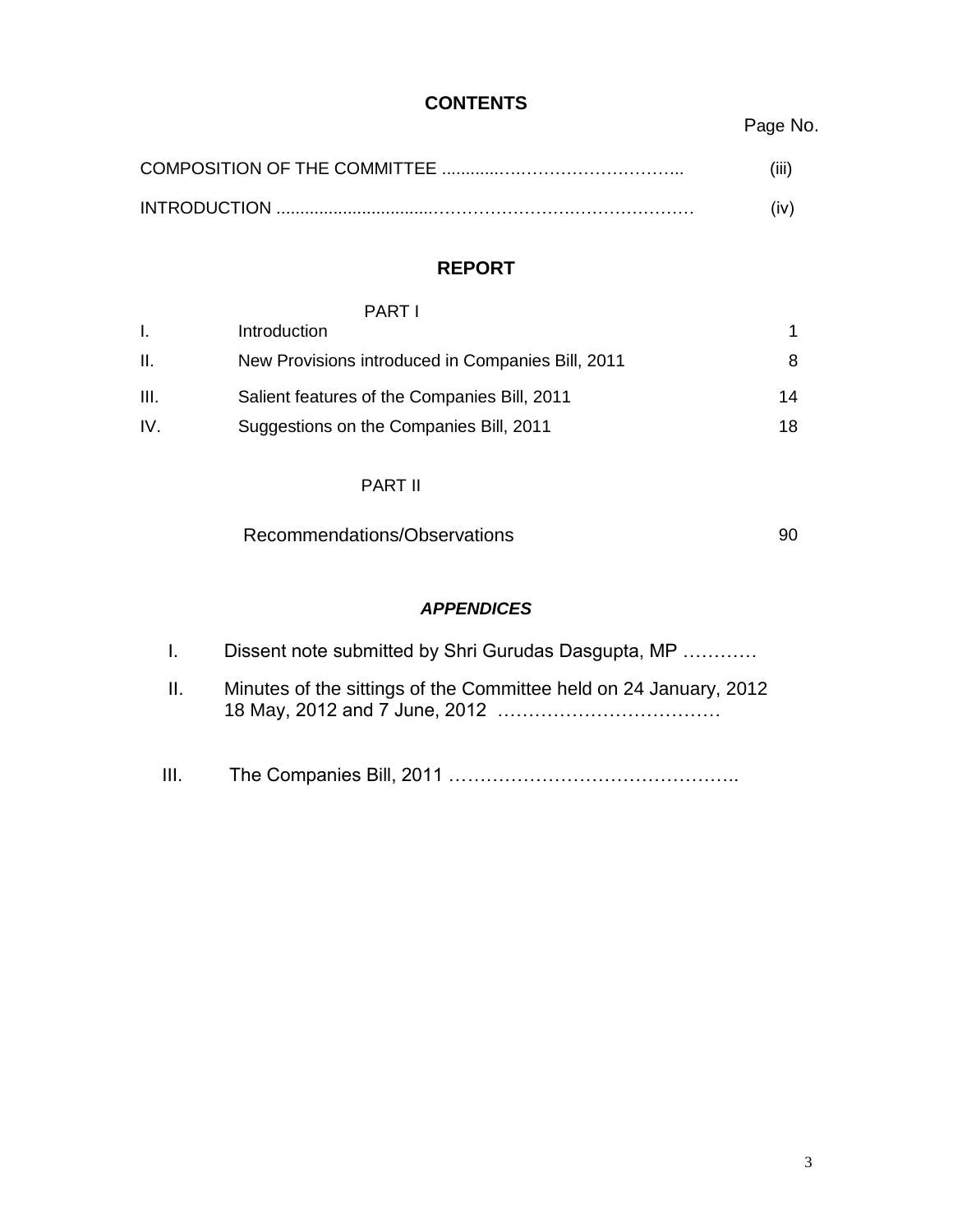#### **CONTENTS**

## Page No.

| INTRODUCTION |  |
|--------------|--|

#### **REPORT**

|      | <b>PART I</b>                                     |    |
|------|---------------------------------------------------|----|
|      | Introduction                                      |    |
| H.   | New Provisions introduced in Companies Bill, 2011 | 8  |
| III. | Salient features of the Companies Bill, 2011      | 14 |
| IV.  | Suggestions on the Companies Bill, 2011           | 18 |

#### PART II

| Recommendations/Observations |  |
|------------------------------|--|
|                              |  |

#### *APPENDICES*

| $\mathbf{L}$ | Dissent note submitted by Shri Gurudas Dasgupta, MP               |
|--------------|-------------------------------------------------------------------|
| H.           | Minutes of the sittings of the Committee held on 24 January, 2012 |
| III.         |                                                                   |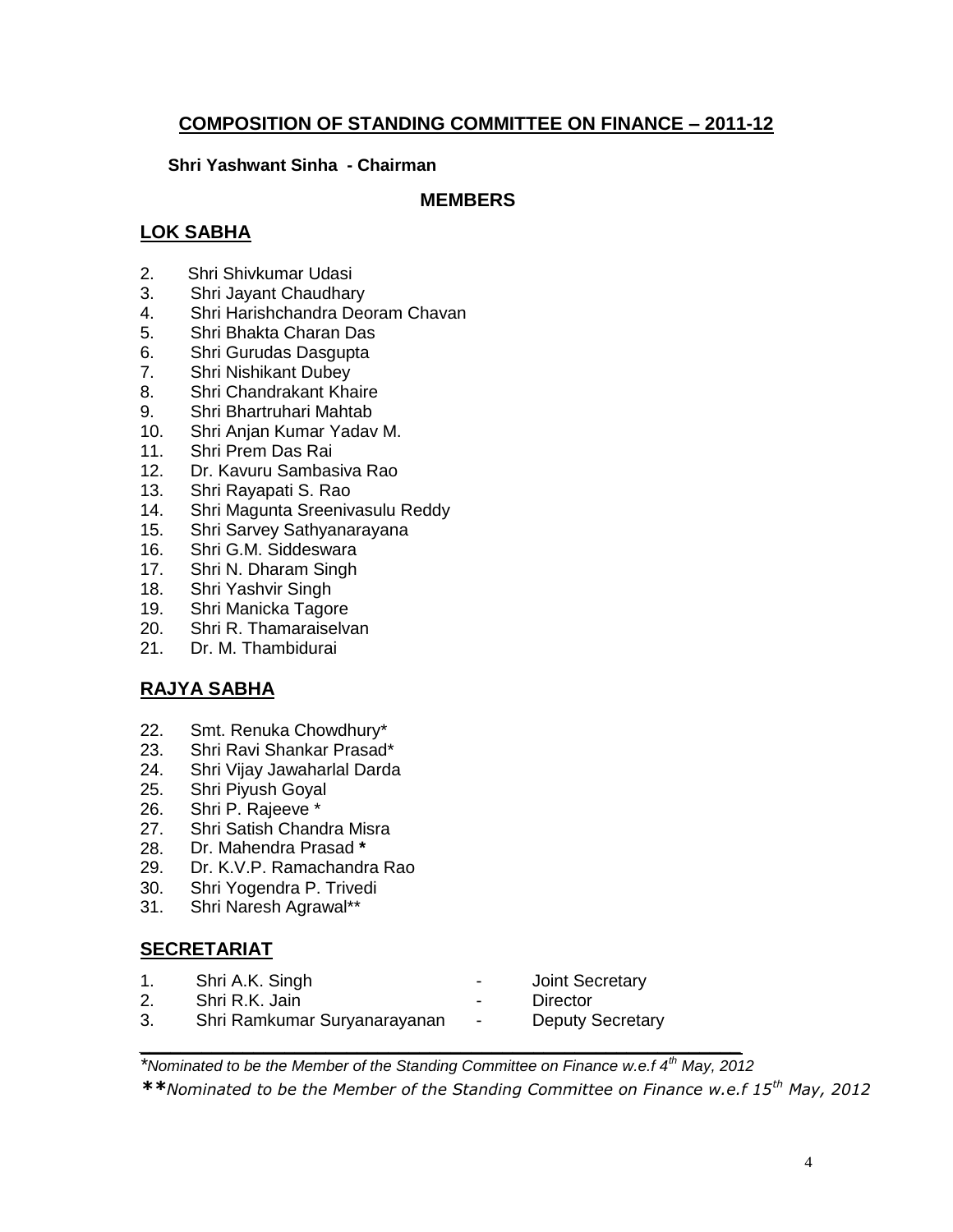#### **COMPOSITION OF STANDING COMMITTEE ON FINANCE – 2011-12**

#### **Shri Yashwant Sinha - Chairman**

#### **MEMBERS**

#### **LOK SABHA**

- 2. Shri Shivkumar Udasi
- 3. Shri Jayant Chaudhary
- 4. Shri Harishchandra Deoram Chavan
- 5. Shri Bhakta Charan Das
- 6. Shri Gurudas Dasgupta
- 7. Shri Nishikant Dubey
- 8. Shri Chandrakant Khaire
- 9. Shri Bhartruhari Mahtab
- 10. Shri Anjan Kumar Yadav M.
- 11. Shri Prem Das Rai
- 12. Dr. Kavuru Sambasiva Rao
- 13. Shri Rayapati S. Rao
- 14. Shri Magunta Sreenivasulu Reddy
- 15. Shri Sarvey Sathyanarayana
- 16. Shri G.M. Siddeswara
- 17. Shri N. Dharam Singh
- 18. Shri Yashvir Singh
- 19. Shri Manicka Tagore
- 20. Shri R. Thamaraiselvan
- 21. Dr. M. Thambidurai

#### **RAJYA SABHA**

- 22. Smt. Renuka Chowdhury\*
- 23. Shri Ravi Shankar Prasad\*
- 24. Shri Vijay Jawaharlal Darda
- 25. Shri Piyush Goyal
- 26. Shri P. Rajeeve \*
- 27. Shri Satish Chandra Misra
- 28. Dr. Mahendra Prasad **\***
- 29. Dr. K.V.P. Ramachandra Rao
- 30. Shri Yogendra P. Trivedi
- 31. Shri Naresh Agrawal\*\*

#### **SECRETARIAT**

1. Shri A.K. Singh **1. Shri A.K.** Singh **1. Shri A.K.** Singh 1. 2. Shri R.K. Jain **Canada Access 12. Shri R.K.** Jain 3. Shri Ramkumar Suryanarayanan - Deputy Secretary

*\_\_\_\_\_\_\_\_\_\_\_\_\_\_\_\_\_\_\_\_\_\_\_\_\_\_\_\_\_\_\_\_\_\_\_\_\_\_\_\_\_\_\_\_\_\_\_\_\_\_\_\_\_\_\_\_\_\_*

*\*Nominated to be the Member of the Standing Committee on Finance w.e.f 4th May, 2012 \*\*Nominated to be the Member of the Standing Committee on Finance w.e.f 15th May, 2012*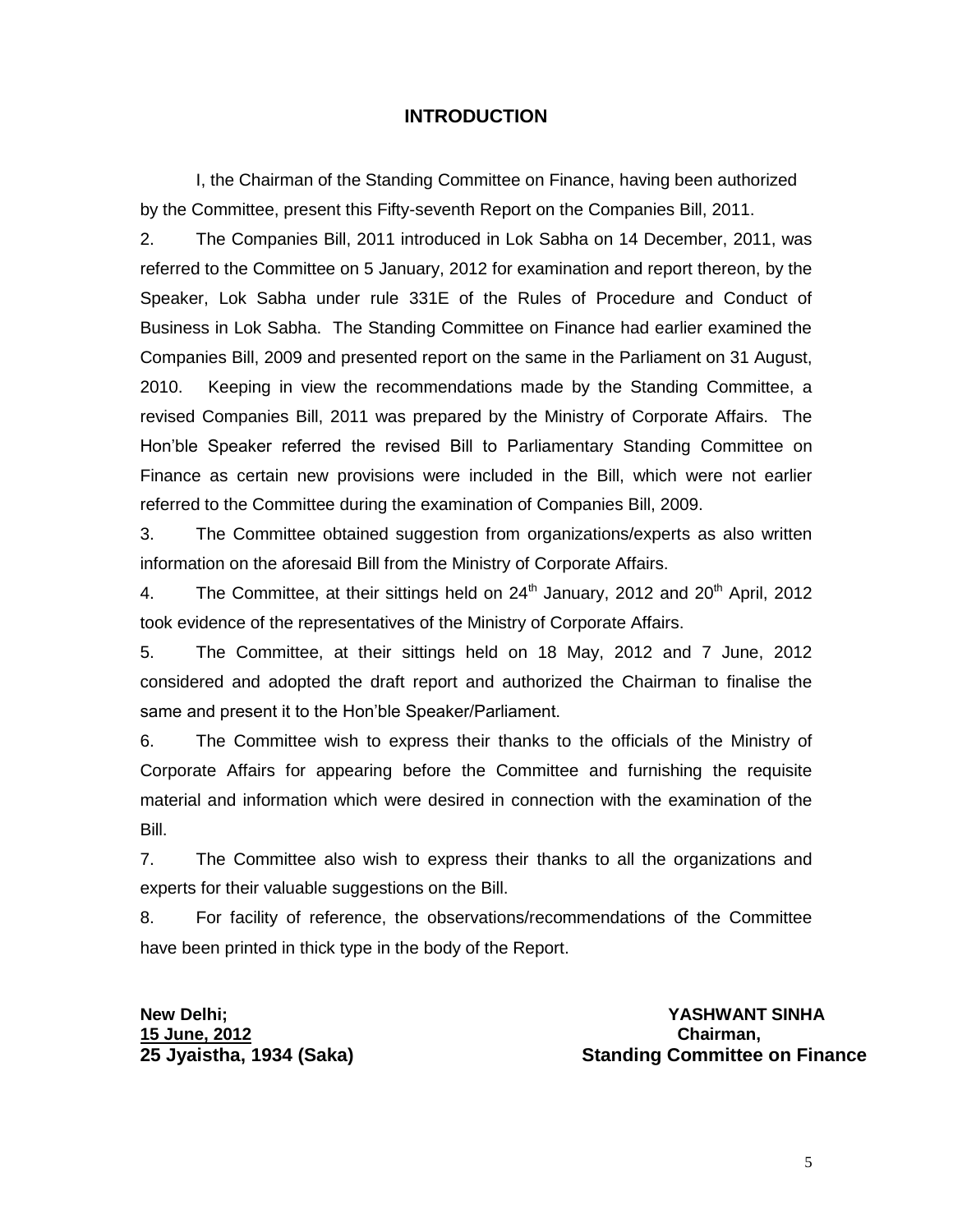#### **INTRODUCTION**

I, the Chairman of the Standing Committee on Finance, having been authorized by the Committee, present this Fifty-seventh Report on the Companies Bill, 2011.

2. The Companies Bill, 2011 introduced in Lok Sabha on 14 December, 2011, was referred to the Committee on 5 January, 2012 for examination and report thereon, by the Speaker, Lok Sabha under rule 331E of the Rules of Procedure and Conduct of Business in Lok Sabha. The Standing Committee on Finance had earlier examined the Companies Bill, 2009 and presented report on the same in the Parliament on 31 August, 2010. Keeping in view the recommendations made by the Standing Committee, a revised Companies Bill, 2011 was prepared by the Ministry of Corporate Affairs. The Hon'ble Speaker referred the revised Bill to Parliamentary Standing Committee on Finance as certain new provisions were included in the Bill, which were not earlier referred to the Committee during the examination of Companies Bill, 2009.

3. The Committee obtained suggestion from organizations/experts as also written information on the aforesaid Bill from the Ministry of Corporate Affairs.

4. The Committee, at their sittings held on  $24<sup>th</sup>$  January, 2012 and  $20<sup>th</sup>$  April, 2012 took evidence of the representatives of the Ministry of Corporate Affairs.

5. The Committee, at their sittings held on 18 May, 2012 and 7 June, 2012 considered and adopted the draft report and authorized the Chairman to finalise the same and present it to the Hon'ble Speaker/Parliament.

6. The Committee wish to express their thanks to the officials of the Ministry of Corporate Affairs for appearing before the Committee and furnishing the requisite material and information which were desired in connection with the examination of the Bill.

7. The Committee also wish to express their thanks to all the organizations and experts for their valuable suggestions on the Bill.

8. For facility of reference, the observations/recommendations of the Committee have been printed in thick type in the body of the Report.

**15 June, 2012 Chairman,**

**New Delhi; YASHWANT SINHA** 25 Jyaistha, 1934 (Saka) **Standing Committee on Finance** 

5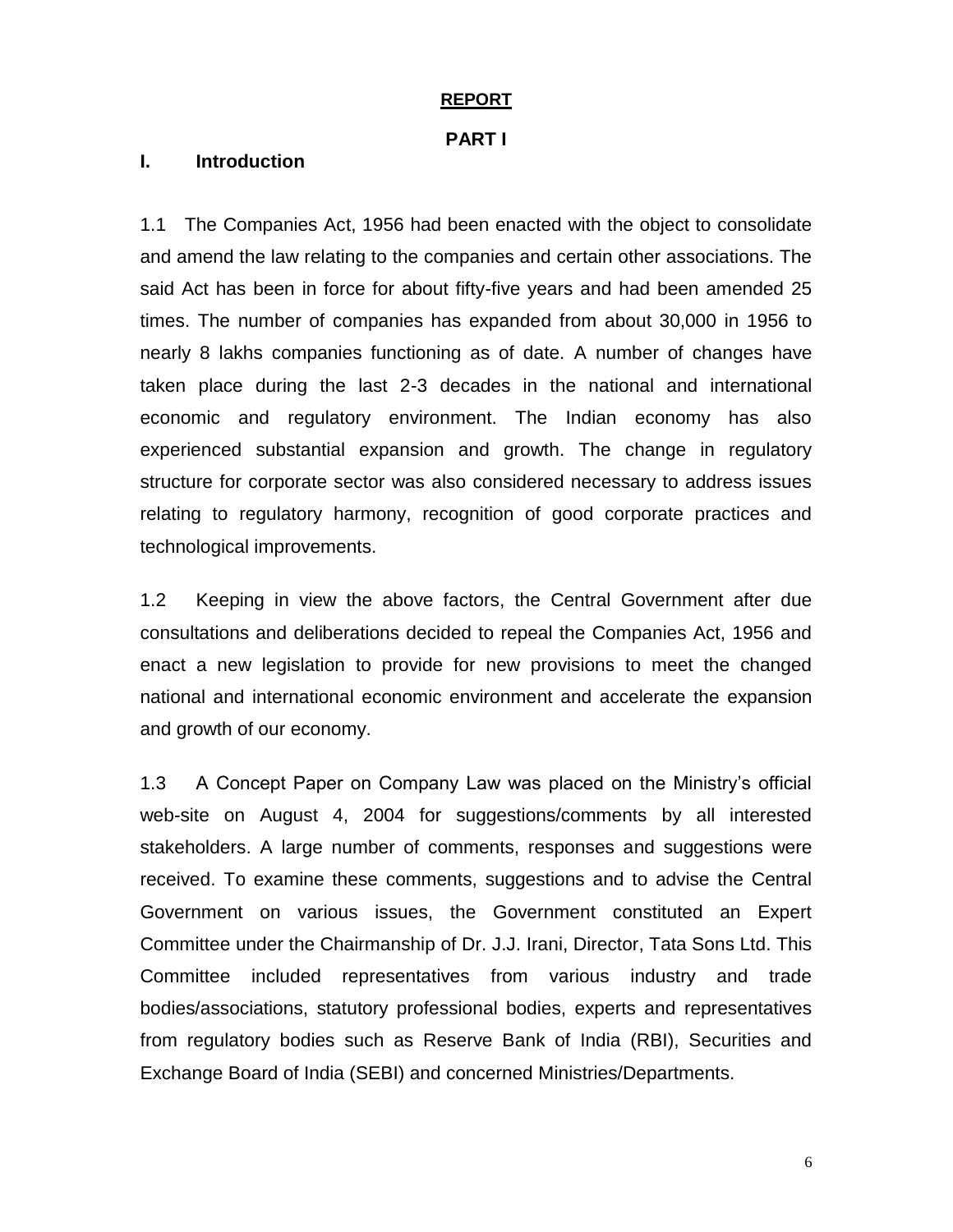#### **REPORT**

#### **PART I**

#### **I. Introduction**

1.1 The Companies Act, 1956 had been enacted with the object to consolidate and amend the law relating to the companies and certain other associations. The said Act has been in force for about fifty-five years and had been amended 25 times. The number of companies has expanded from about 30,000 in 1956 to nearly 8 lakhs companies functioning as of date. A number of changes have taken place during the last 2-3 decades in the national and international economic and regulatory environment. The Indian economy has also experienced substantial expansion and growth. The change in regulatory structure for corporate sector was also considered necessary to address issues relating to regulatory harmony, recognition of good corporate practices and technological improvements.

1.2 Keeping in view the above factors, the Central Government after due consultations and deliberations decided to repeal the Companies Act, 1956 and enact a new legislation to provide for new provisions to meet the changed national and international economic environment and accelerate the expansion and growth of our economy.

1.3 A Concept Paper on Company Law was placed on the Ministry's official web-site on August 4, 2004 for suggestions/comments by all interested stakeholders. A large number of comments, responses and suggestions were received. To examine these comments, suggestions and to advise the Central Government on various issues, the Government constituted an Expert Committee under the Chairmanship of Dr. J.J. Irani, Director, Tata Sons Ltd. This Committee included representatives from various industry and trade bodies/associations, statutory professional bodies, experts and representatives from regulatory bodies such as Reserve Bank of India (RBI), Securities and Exchange Board of India (SEBI) and concerned Ministries/Departments.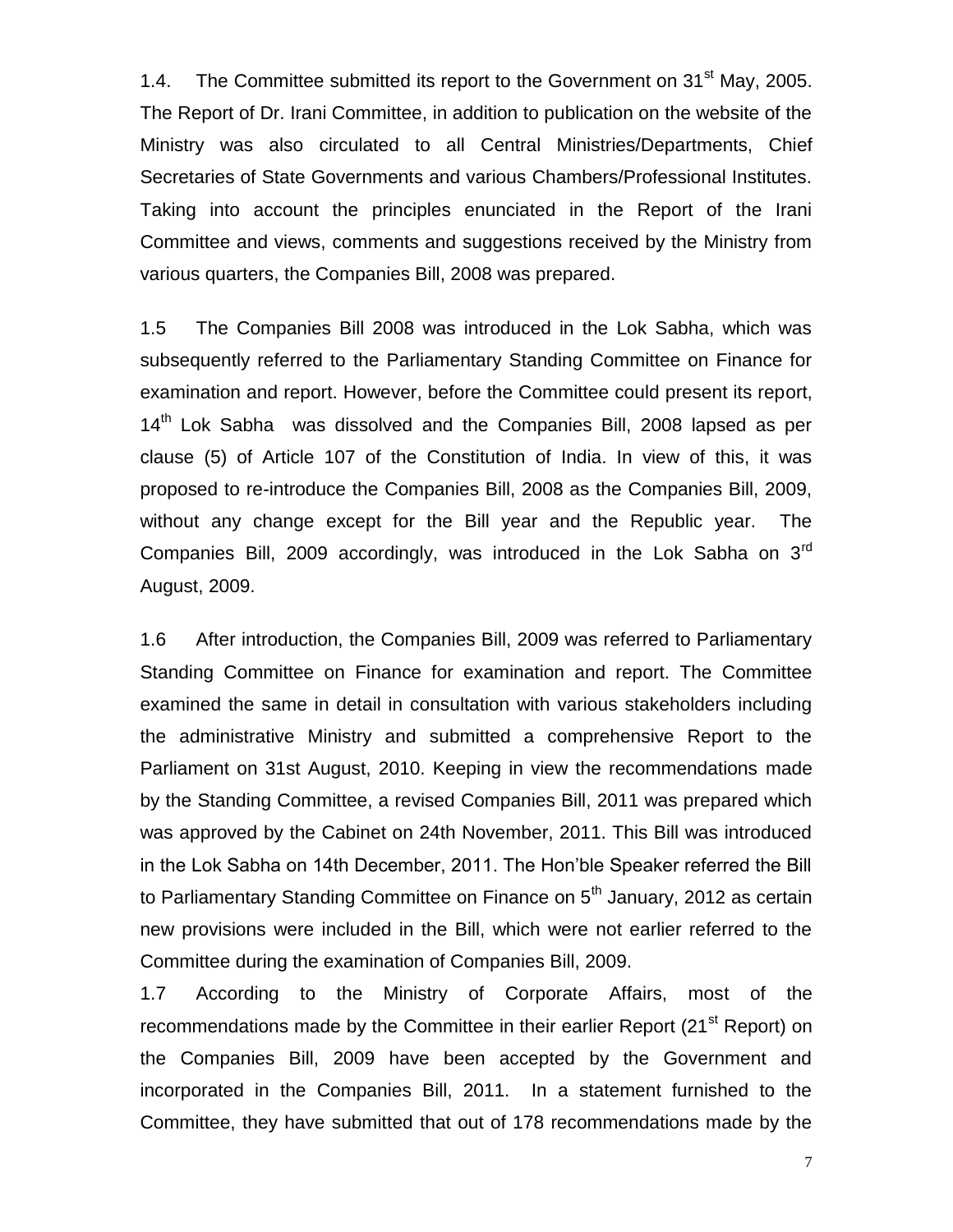1.4. The Committee submitted its report to the Government on 31<sup>st</sup> May, 2005. The Report of Dr. Irani Committee, in addition to publication on the website of the Ministry was also circulated to all Central Ministries/Departments, Chief Secretaries of State Governments and various Chambers/Professional Institutes. Taking into account the principles enunciated in the Report of the Irani Committee and views, comments and suggestions received by the Ministry from various quarters, the Companies Bill, 2008 was prepared.

1.5 The Companies Bill 2008 was introduced in the Lok Sabha, which was subsequently referred to the Parliamentary Standing Committee on Finance for examination and report. However, before the Committee could present its report, 14<sup>th</sup> Lok Sabha was dissolved and the Companies Bill, 2008 lapsed as per clause (5) of Article 107 of the Constitution of India. In view of this, it was proposed to re-introduce the Companies Bill, 2008 as the Companies Bill, 2009, without any change except for the Bill year and the Republic year. The Companies Bill, 2009 accordingly, was introduced in the Lok Sabha on  $3<sup>rd</sup>$ August, 2009.

1.6 After introduction, the Companies Bill, 2009 was referred to Parliamentary Standing Committee on Finance for examination and report. The Committee examined the same in detail in consultation with various stakeholders including the administrative Ministry and submitted a comprehensive Report to the Parliament on 31st August, 2010. Keeping in view the recommendations made by the Standing Committee, a revised Companies Bill, 2011 was prepared which was approved by the Cabinet on 24th November, 2011. This Bill was introduced in the Lok Sabha on 14th December, 2011. The Hon'ble Speaker referred the Bill to Parliamentary Standing Committee on Finance on 5<sup>th</sup> January, 2012 as certain new provisions were included in the Bill, which were not earlier referred to the Committee during the examination of Companies Bill, 2009.

1.7 According to the Ministry of Corporate Affairs, most of the recommendations made by the Committee in their earlier Report (21<sup>st</sup> Report) on the Companies Bill, 2009 have been accepted by the Government and incorporated in the Companies Bill, 2011. In a statement furnished to the Committee, they have submitted that out of 178 recommendations made by the

7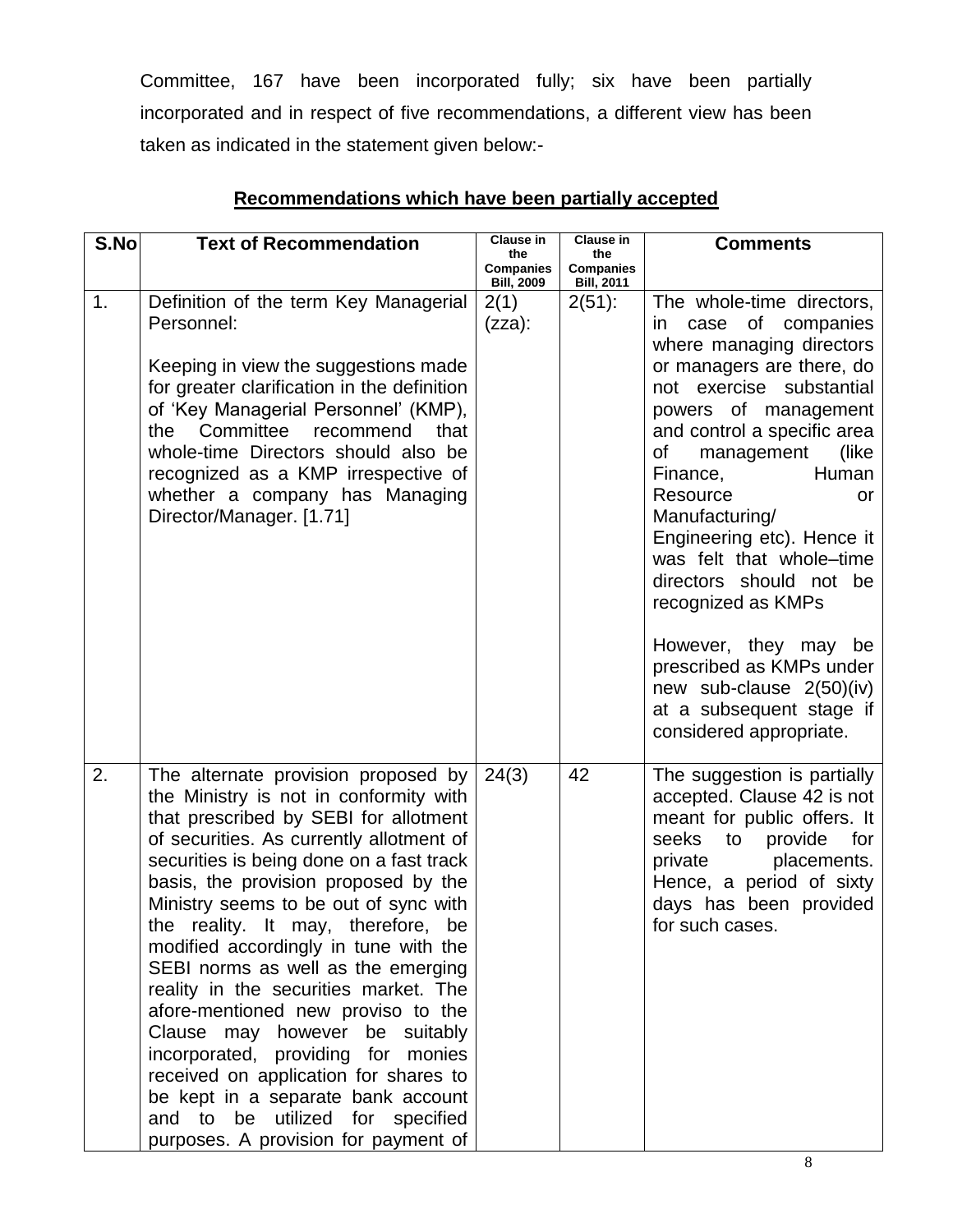Committee, 167 have been incorporated fully; six have been partially incorporated and in respect of five recommendations, a different view has been taken as indicated in the statement given below:-

| S.No | <b>Text of Recommendation</b>                                                                                                                                                                                                                                                                                                                                                                                                                                                                                                                                                                                                                                                                                                             | <b>Clause in</b><br>the<br><b>Companies</b><br><b>Bill, 2009</b> | <b>Clause in</b><br>the<br><b>Companies</b><br><b>Bill</b> , 2011 | <b>Comments</b>                                                                                                                                                                                                                                                                                                                                                                                                                                                                                                                            |
|------|-------------------------------------------------------------------------------------------------------------------------------------------------------------------------------------------------------------------------------------------------------------------------------------------------------------------------------------------------------------------------------------------------------------------------------------------------------------------------------------------------------------------------------------------------------------------------------------------------------------------------------------------------------------------------------------------------------------------------------------------|------------------------------------------------------------------|-------------------------------------------------------------------|--------------------------------------------------------------------------------------------------------------------------------------------------------------------------------------------------------------------------------------------------------------------------------------------------------------------------------------------------------------------------------------------------------------------------------------------------------------------------------------------------------------------------------------------|
| 1.   | Definition of the term Key Managerial<br>Personnel:<br>Keeping in view the suggestions made<br>for greater clarification in the definition<br>of 'Key Managerial Personnel' (KMP),<br>Committee<br>recommend<br>that<br>the<br>whole-time Directors should also be<br>recognized as a KMP irrespective of<br>whether a company has Managing<br>Director/Manager. [1.71]                                                                                                                                                                                                                                                                                                                                                                   | 2(1)<br>$(zza)$ :                                                | $2(51)$ :                                                         | The whole-time directors,<br>case of companies<br>in.<br>where managing directors<br>or managers are there, do<br>not exercise substantial<br>powers of management<br>and control a specific area<br>management<br>(like)<br>οf<br>Human<br>Finance,<br>Resource<br>or<br>Manufacturing/<br>Engineering etc). Hence it<br>was felt that whole-time<br>directors should not be<br>recognized as KMPs<br>However, they may be<br>prescribed as KMPs under<br>new sub-clause 2(50)(iv)<br>at a subsequent stage if<br>considered appropriate. |
| 2.   | The alternate provision proposed by<br>the Ministry is not in conformity with<br>that prescribed by SEBI for allotment<br>of securities. As currently allotment of<br>securities is being done on a fast track<br>basis, the provision proposed by the<br>Ministry seems to be out of sync with<br>the reality. It may, therefore,<br>be<br>modified accordingly in tune with the<br>SEBI norms as well as the emerging<br>reality in the securities market. The<br>afore-mentioned new proviso to the<br>Clause may however be suitably<br>incorporated, providing for monies<br>received on application for shares to<br>be kept in a separate bank account<br>and to be utilized for specified<br>purposes. A provision for payment of | 24(3)                                                            | 42                                                                | The suggestion is partially<br>accepted. Clause 42 is not<br>meant for public offers. It<br>seeks<br>to<br>provide<br>for<br>placements.<br>private<br>Hence, a period of sixty<br>days has been provided<br>for such cases.                                                                                                                                                                                                                                                                                                               |

### **Recommendations which have been partially accepted**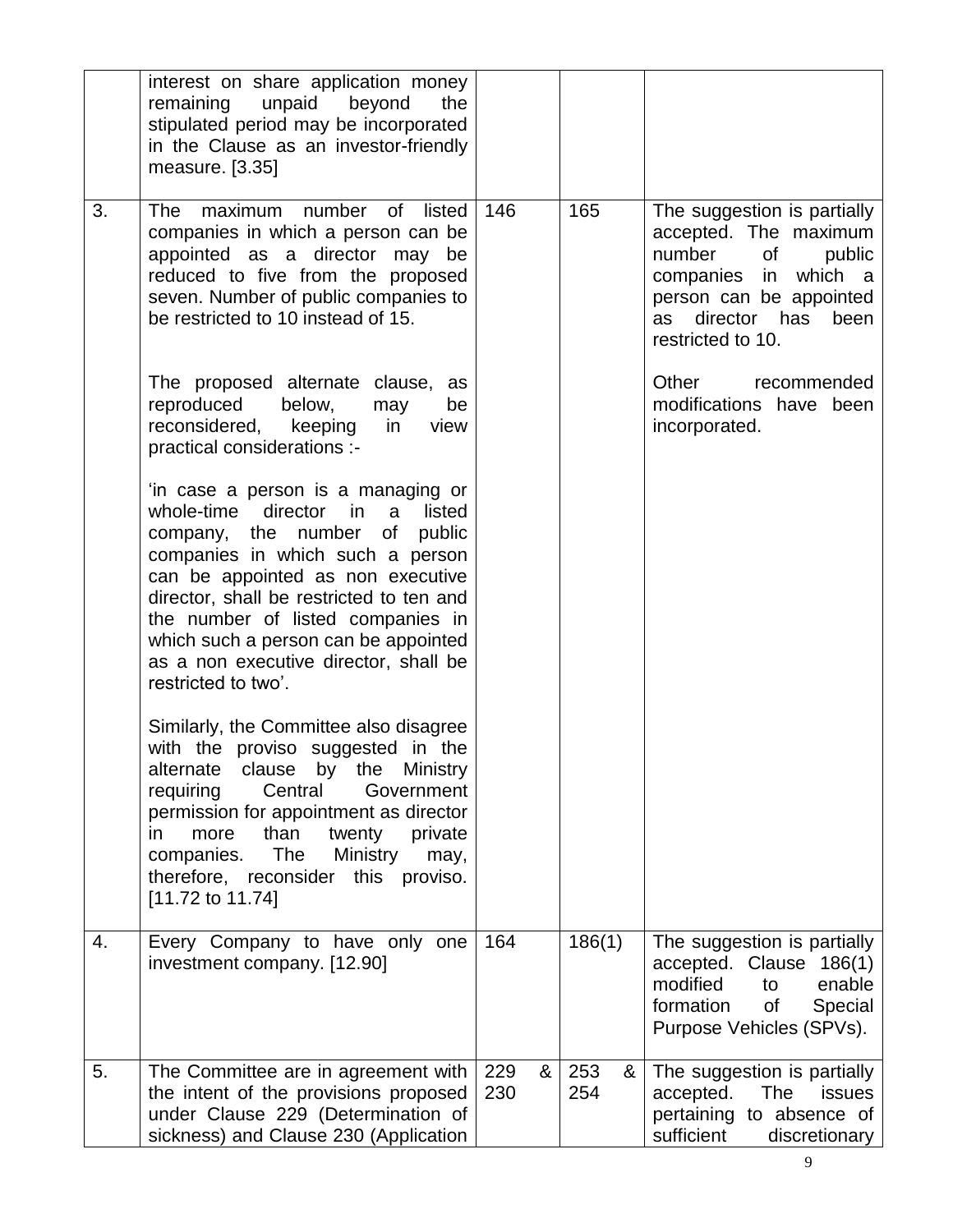|    | interest on share application money<br>remaining<br>unpaid<br>beyond<br>the<br>stipulated period may be incorporated<br>in the Clause as an investor-friendly<br>measure. [3.35]                                                                                                                                                                                                        |                 |                 |                                                                                                                                                                                      |
|----|-----------------------------------------------------------------------------------------------------------------------------------------------------------------------------------------------------------------------------------------------------------------------------------------------------------------------------------------------------------------------------------------|-----------------|-----------------|--------------------------------------------------------------------------------------------------------------------------------------------------------------------------------------|
| 3. | number<br>maximum<br>of listed<br>The<br>companies in which a person can be<br>appointed as a director may be<br>reduced to five from the proposed<br>seven. Number of public companies to<br>be restricted to 10 instead of 15.                                                                                                                                                        | 146             | 165             | The suggestion is partially<br>accepted. The maximum<br>number<br>of<br>public<br>companies in which a<br>person can be appointed<br>director has<br>as<br>been<br>restricted to 10. |
|    | The proposed alternate clause,<br>as<br>reproduced<br>below,<br>be<br>may<br>reconsidered, keeping<br>in<br>view<br>practical considerations :-                                                                                                                                                                                                                                         |                 |                 | Other<br>recommended<br>modifications have been<br>incorporated.                                                                                                                     |
|    | 'in case a person is a managing or<br>whole-time director<br>in<br>a<br>listed<br>company, the number<br>of<br>public<br>companies in which such a person<br>can be appointed as non executive<br>director, shall be restricted to ten and<br>the number of listed companies in<br>which such a person can be appointed<br>as a non executive director, shall be<br>restricted to two'. |                 |                 |                                                                                                                                                                                      |
|    | Similarly, the Committee also disagree<br>with the proviso suggested in the<br>alternate<br>clause<br>by the Ministry<br>requiring<br>Central<br>Government<br>permission for appointment as director<br>than<br>in<br>twenty<br>more<br>private<br>The<br>Ministry<br>companies.<br>may,<br>therefore, reconsider this proviso.<br>[11.72 to 11.74]                                    |                 |                 |                                                                                                                                                                                      |
| 4. | Every Company to have only one<br>investment company. [12.90]                                                                                                                                                                                                                                                                                                                           | 164             | 186(1)          | The suggestion is partially<br>accepted. Clause 186(1)<br>modified<br>enable<br>to<br>formation<br>of<br>Special<br>Purpose Vehicles (SPVs).                                         |
| 5. | The Committee are in agreement with<br>the intent of the provisions proposed<br>under Clause 229 (Determination of<br>sickness) and Clause 230 (Application                                                                                                                                                                                                                             | 229<br>&<br>230 | 253<br>&<br>254 | The suggestion is partially<br>accepted.<br>The<br>issues<br>pertaining to absence of<br>sufficient<br>discretionary                                                                 |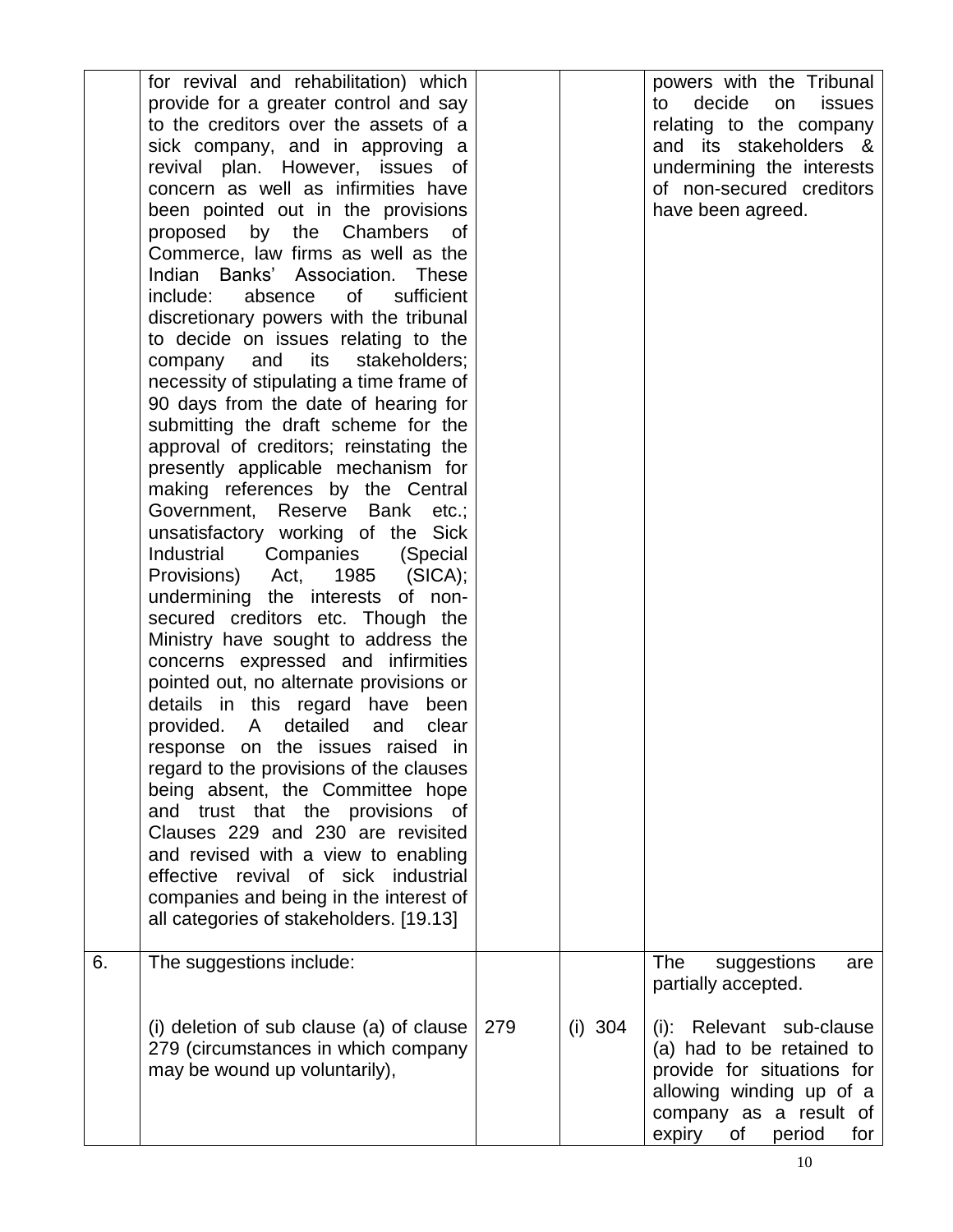|    | for revival and rehabilitation) which<br>provide for a greater control and say<br>to the creditors over the assets of a<br>sick company, and in approving a<br>revival plan. However, issues of<br>concern as well as infirmities have<br>been pointed out in the provisions<br>proposed by the Chambers of<br>Commerce, law firms as well as the<br>Indian Banks' Association. These<br>absence of sufficient<br>include:<br>discretionary powers with the tribunal<br>to decide on issues relating to the<br>company and its stakeholders;<br>necessity of stipulating a time frame of<br>90 days from the date of hearing for<br>submitting the draft scheme for the<br>approval of creditors; reinstating the<br>presently applicable mechanism for<br>making references by the Central<br>Government, Reserve Bank etc.;<br>unsatisfactory working of the Sick<br>Industrial<br>Companies (Special<br>Provisions) Act, 1985 (SICA);<br>undermining the interests of non-<br>secured creditors etc. Though the<br>Ministry have sought to address the<br>concerns expressed and infirmities<br>pointed out, no alternate provisions or<br>details in this regard have been<br>provided. A detailed and<br>clear<br>response on the issues raised in<br>regard to the provisions of the clauses<br>being absent, the Committee hope<br>and trust that the provisions of<br>Clauses 229 and 230 are revisited<br>and revised with a view to enabling<br>effective revival of sick industrial<br>companies and being in the interest of<br>all categories of stakeholders. [19.13] |     |         | powers with the Tribunal<br>decide<br><b>issues</b><br>to<br>on<br>relating to the company<br>and its stakeholders &<br>undermining the interests<br>of non-secured creditors<br>have been agreed. |
|----|-------------------------------------------------------------------------------------------------------------------------------------------------------------------------------------------------------------------------------------------------------------------------------------------------------------------------------------------------------------------------------------------------------------------------------------------------------------------------------------------------------------------------------------------------------------------------------------------------------------------------------------------------------------------------------------------------------------------------------------------------------------------------------------------------------------------------------------------------------------------------------------------------------------------------------------------------------------------------------------------------------------------------------------------------------------------------------------------------------------------------------------------------------------------------------------------------------------------------------------------------------------------------------------------------------------------------------------------------------------------------------------------------------------------------------------------------------------------------------------------------------------------------------------------------------------------------------------|-----|---------|----------------------------------------------------------------------------------------------------------------------------------------------------------------------------------------------------|
| 6. | The suggestions include:                                                                                                                                                                                                                                                                                                                                                                                                                                                                                                                                                                                                                                                                                                                                                                                                                                                                                                                                                                                                                                                                                                                                                                                                                                                                                                                                                                                                                                                                                                                                                            |     |         | The<br>suggestions<br>are<br>partially accepted.                                                                                                                                                   |
|    | (i) deletion of sub clause (a) of clause<br>279 (circumstances in which company<br>may be wound up voluntarily),                                                                                                                                                                                                                                                                                                                                                                                                                                                                                                                                                                                                                                                                                                                                                                                                                                                                                                                                                                                                                                                                                                                                                                                                                                                                                                                                                                                                                                                                    | 279 | (i) 304 | Relevant sub-clause<br>$(i)$ :<br>(a) had to be retained to<br>provide for situations for<br>allowing winding up of a<br>company as a result of<br>expiry of<br>period<br>for                      |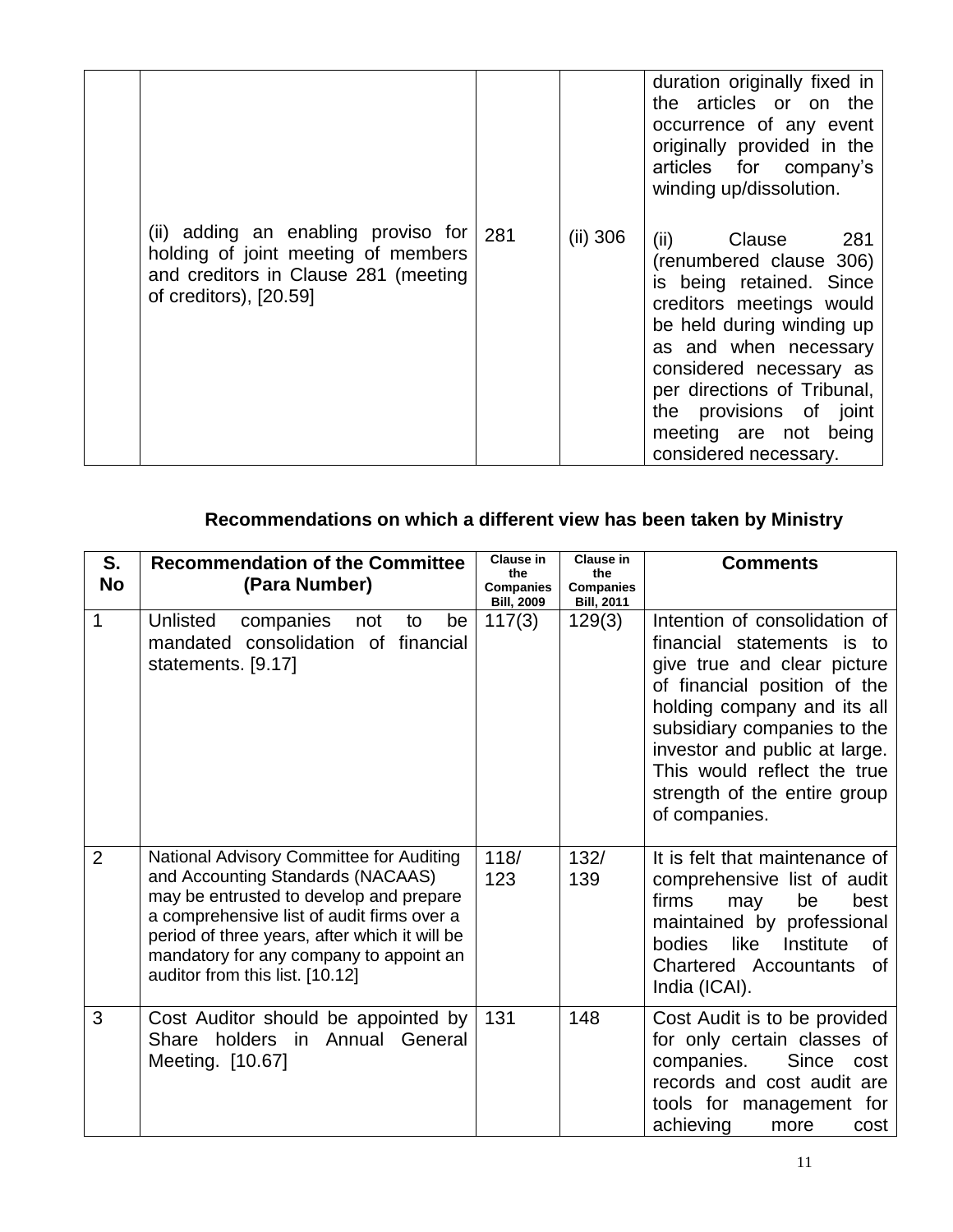|                                                                                                                                                    |            | duration originally fixed in<br>the articles or on the<br>occurrence of any event<br>originally provided in the<br>articles for company's<br>winding up/dissolution.                                                                                                                                  |
|----------------------------------------------------------------------------------------------------------------------------------------------------|------------|-------------------------------------------------------------------------------------------------------------------------------------------------------------------------------------------------------------------------------------------------------------------------------------------------------|
| (ii) adding an enabling proviso for   281<br>holding of joint meeting of members<br>and creditors in Clause 281 (meeting<br>of creditors), [20.59] | $(ii)$ 306 | 281<br>(ii)<br>Clause<br>(renumbered clause 306)<br>is being retained. Since<br>creditors meetings would<br>be held during winding up<br>as and when necessary<br>considered necessary as<br>per directions of Tribunal,<br>the provisions of joint<br>meeting are not being<br>considered necessary. |

## **Recommendations on which a different view has been taken by Ministry**

| S.<br><b>No</b> | <b>Recommendation of the Committee</b><br>(Para Number)                                                                                                                                                                                                                                               | <b>Clause in</b><br>the<br><b>Companies</b> | Clause in<br>the<br><b>Companies</b> | <b>Comments</b>                                                                                                                                                                                                                                                                                           |
|-----------------|-------------------------------------------------------------------------------------------------------------------------------------------------------------------------------------------------------------------------------------------------------------------------------------------------------|---------------------------------------------|--------------------------------------|-----------------------------------------------------------------------------------------------------------------------------------------------------------------------------------------------------------------------------------------------------------------------------------------------------------|
| $\mathbf{1}$    | Unlisted<br>companies<br>not<br>to<br>be<br>mandated consolidation of financial<br>statements. [9.17]                                                                                                                                                                                                 | <b>Bill, 2009</b><br>117(3)                 | <b>Bill, 2011</b><br>129(3)          | Intention of consolidation of<br>financial statements is to<br>give true and clear picture<br>of financial position of the<br>holding company and its all<br>subsidiary companies to the<br>investor and public at large.<br>This would reflect the true<br>strength of the entire group<br>of companies. |
| $\overline{2}$  | National Advisory Committee for Auditing<br>and Accounting Standards (NACAAS)<br>may be entrusted to develop and prepare<br>a comprehensive list of audit firms over a<br>period of three years, after which it will be<br>mandatory for any company to appoint an<br>auditor from this list. [10.12] | 118/<br>123                                 | 132/<br>139                          | It is felt that maintenance of<br>comprehensive list of audit<br>firms<br>be<br>best<br>may<br>maintained by professional<br>like<br>bodies<br>Institute<br>0f<br>Chartered Accountants<br>of<br>India (ICAI).                                                                                            |
| 3               | Cost Auditor should be appointed by<br>Share holders in<br>Annual General<br>Meeting. [10.67]                                                                                                                                                                                                         | 131                                         | 148                                  | Cost Audit is to be provided<br>for only certain classes of<br>companies.<br>Since cost<br>records and cost audit are<br>tools for management for<br>achieving<br>more<br>cost                                                                                                                            |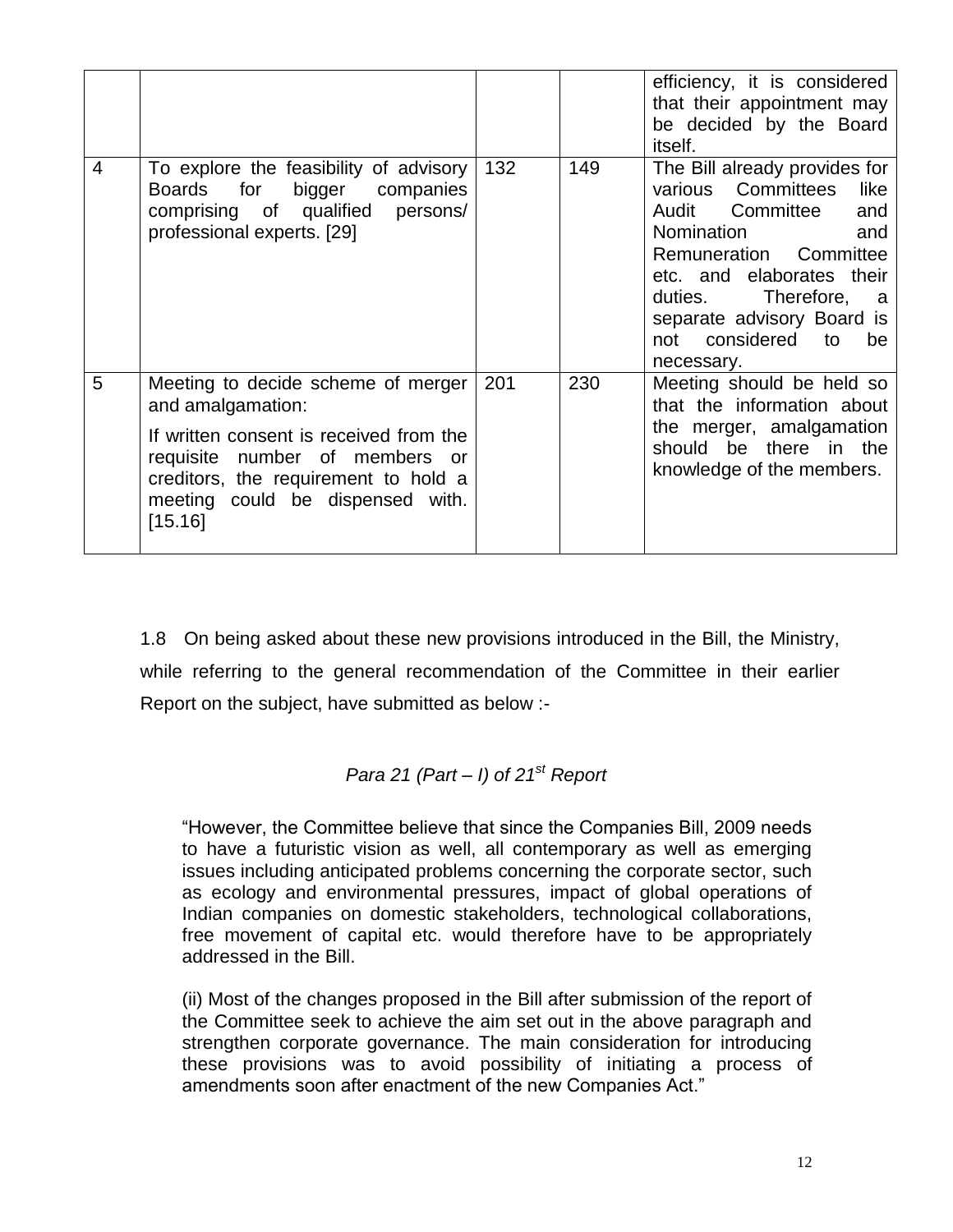|   |                                                                                                                                                                                                                             |     |     | efficiency, it is considered<br>that their appointment may<br>be decided by the Board<br>itself.                                                                                                                                                                        |
|---|-----------------------------------------------------------------------------------------------------------------------------------------------------------------------------------------------------------------------------|-----|-----|-------------------------------------------------------------------------------------------------------------------------------------------------------------------------------------------------------------------------------------------------------------------------|
| 4 | To explore the feasibility of advisory<br>Boards for<br>bigger companies<br>comprising of qualified persons/<br>professional experts. [29]                                                                                  | 132 | 149 | The Bill already provides for<br>various Committees<br>like<br>and<br>Audit Committee<br>Nomination<br>and<br>Remuneration Committee<br>etc. and elaborates their<br>duties. Therefore, a<br>separate advisory Board is<br>not considered to<br><b>be</b><br>necessary. |
| 5 | Meeting to decide scheme of merger<br>and amalgamation:<br>If written consent is received from the<br>requisite number of members or<br>creditors, the requirement to hold a<br>meeting could be dispensed with.<br>[15.16] | 201 | 230 | Meeting should be held so<br>that the information about<br>the merger, amalgamation<br>should be there in the<br>knowledge of the members.                                                                                                                              |

1.8 On being asked about these new provisions introduced in the Bill, the Ministry, while referring to the general recommendation of the Committee in their earlier Report on the subject, have submitted as below :-

*Para 21 (Part – I) of 21st Report*

"However, the Committee believe that since the Companies Bill, 2009 needs to have a futuristic vision as well, all contemporary as well as emerging issues including anticipated problems concerning the corporate sector, such as ecology and environmental pressures, impact of global operations of Indian companies on domestic stakeholders, technological collaborations, free movement of capital etc. would therefore have to be appropriately addressed in the Bill.

(ii) Most of the changes proposed in the Bill after submission of the report of the Committee seek to achieve the aim set out in the above paragraph and strengthen corporate governance. The main consideration for introducing these provisions was to avoid possibility of initiating a process of amendments soon after enactment of the new Companies Act."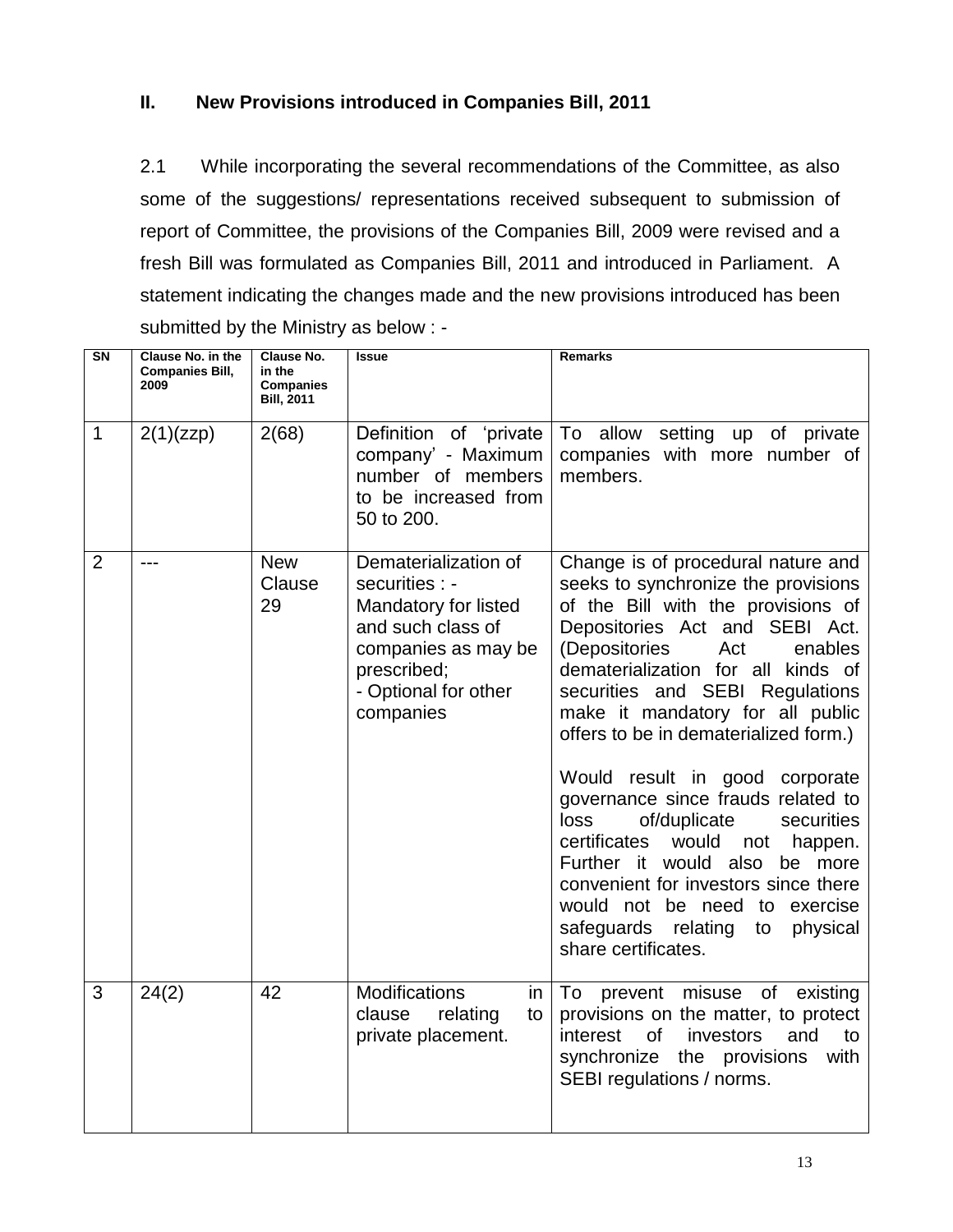#### **II. New Provisions introduced in Companies Bill, 2011**

2.1 While incorporating the several recommendations of the Committee, as also some of the suggestions/ representations received subsequent to submission of report of Committee, the provisions of the Companies Bill, 2009 were revised and a fresh Bill was formulated as Companies Bill, 2011 and introduced in Parliament. A statement indicating the changes made and the new provisions introduced has been submitted by the Ministry as below : -

| SN             | <b>Clause No. in the</b><br><b>Companies Bill,</b><br>2009 | <b>Clause No.</b><br>in the<br><b>Companies</b><br><b>Bill, 2011</b> | <b>Issue</b>                                                                                                                                                   | <b>Remarks</b>                                                                                                                                                                                                                                                                                                                                                                                                                                                                                                                                                                                                                                                                |
|----------------|------------------------------------------------------------|----------------------------------------------------------------------|----------------------------------------------------------------------------------------------------------------------------------------------------------------|-------------------------------------------------------------------------------------------------------------------------------------------------------------------------------------------------------------------------------------------------------------------------------------------------------------------------------------------------------------------------------------------------------------------------------------------------------------------------------------------------------------------------------------------------------------------------------------------------------------------------------------------------------------------------------|
| $\mathbf{1}$   | 2(1)(zzp)                                                  | 2(68)                                                                | Definition of 'private<br>company' - Maximum<br>number of members<br>to be increased from<br>50 to 200.                                                        | To allow<br>setting up<br>of private<br>companies with more number of<br>members.                                                                                                                                                                                                                                                                                                                                                                                                                                                                                                                                                                                             |
| $\overline{2}$ |                                                            | <b>New</b><br>Clause<br>29                                           | Dematerialization of<br>securities : -<br>Mandatory for listed<br>and such class of<br>companies as may be<br>prescribed;<br>- Optional for other<br>companies | Change is of procedural nature and<br>seeks to synchronize the provisions<br>of the Bill with the provisions of<br>Depositories Act and SEBI Act.<br>(Depositories<br>Act<br>enables<br>dematerialization for all kinds of<br>securities and SEBI Regulations<br>make it mandatory for all public<br>offers to be in dematerialized form.)<br>Would result in good corporate<br>governance since frauds related to<br>of/duplicate<br>securities<br>loss<br>would<br>certificates<br>happen.<br>not<br>Further it would also be more<br>convenient for investors since there<br>would not be need to exercise<br>safeguards relating<br>physical<br>to<br>share certificates. |
| 3              | 24(2)                                                      | 42                                                                   | <b>Modifications</b><br>in<br>relating<br>clause<br>to<br>private placement.                                                                                   | prevent misuse<br>of existing<br>To<br>provisions on the matter, to protect<br>interest<br>investors<br>and<br><b>of</b><br>to<br>synchronize the provisions<br>with<br>SEBI regulations / norms.                                                                                                                                                                                                                                                                                                                                                                                                                                                                             |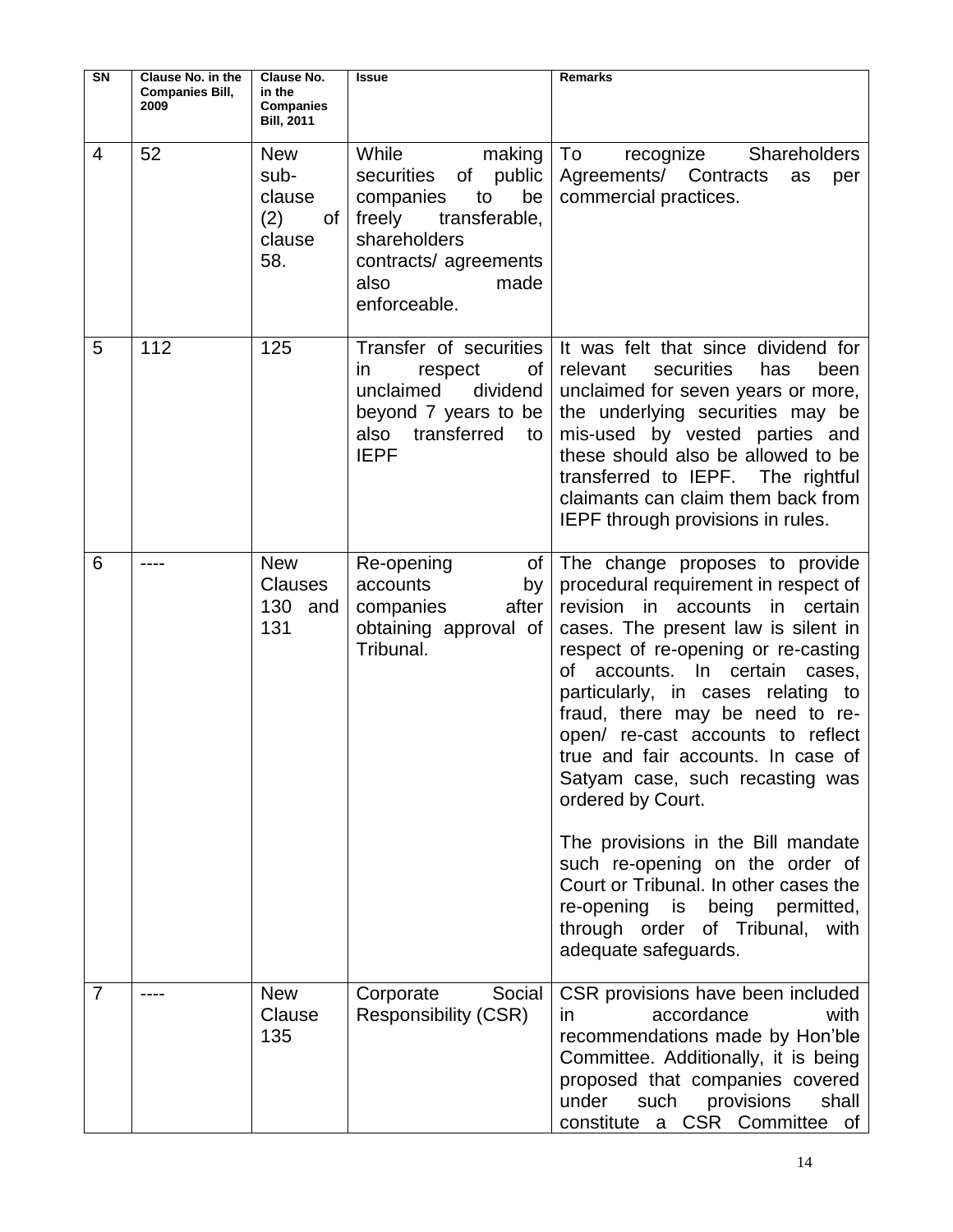| $\overline{\text{SN}}$ | <b>Clause No. in the</b><br><b>Companies Bill,</b><br>2009 | <b>Clause No.</b><br>in the<br><b>Companies</b><br><b>Bill, 2011</b> | <b>Issue</b>                                                                                                                                                            | <b>Remarks</b>                                                                                                                                                                                                                                                                                                                                                                                                                                                                                                                                                                                                                  |
|------------------------|------------------------------------------------------------|----------------------------------------------------------------------|-------------------------------------------------------------------------------------------------------------------------------------------------------------------------|---------------------------------------------------------------------------------------------------------------------------------------------------------------------------------------------------------------------------------------------------------------------------------------------------------------------------------------------------------------------------------------------------------------------------------------------------------------------------------------------------------------------------------------------------------------------------------------------------------------------------------|
| 4                      | 52                                                         | <b>New</b><br>sub-<br>clause<br>(2)<br>οf<br>clause<br>58.           | While<br>making<br>of public<br>securities<br>be<br>companies<br>to<br>transferable,<br>freely<br>shareholders<br>contracts/ agreements<br>also<br>made<br>enforceable. | <b>Shareholders</b><br>To<br>recognize<br>Agreements/ Contracts<br>as<br>per<br>commercial practices.                                                                                                                                                                                                                                                                                                                                                                                                                                                                                                                           |
| 5                      | 112                                                        | 125                                                                  | respect<br><i>in</i><br>of<br>unclaimed<br>dividend<br>beyond 7 years to be<br>transferred<br>also<br>to<br><b>IEPF</b>                                                 | Transfer of securities It was felt that since dividend for<br>securities<br>relevant<br>has<br>been<br>unclaimed for seven years or more,<br>the underlying securities may be<br>mis-used by vested parties and<br>these should also be allowed to be<br>transferred to IEPF. The rightful<br>claimants can claim them back from<br>IEPF through provisions in rules.                                                                                                                                                                                                                                                           |
| 6                      |                                                            | <b>New</b><br><b>Clauses</b><br>130<br>and<br>131                    | Re-opening<br>of<br>accounts<br>by<br>after<br>companies<br>obtaining approval of<br>Tribunal.                                                                          | The change proposes to provide<br>procedural requirement in respect of<br>revision in accounts in<br>certain<br>cases. The present law is silent in<br>respect of re-opening or re-casting<br>of accounts. In certain cases,<br>particularly, in cases relating to<br>fraud, there may be need to re-<br>open/ re-cast accounts to reflect<br>true and fair accounts. In case of<br>Satyam case, such recasting was<br>ordered by Court.<br>The provisions in the Bill mandate<br>such re-opening on the order of<br>Court or Tribunal. In other cases the<br>re-opening is being permitted,<br>through order of Tribunal, with |
| 7                      |                                                            | <b>New</b><br>Clause<br>135                                          | Social<br>Corporate<br><b>Responsibility (CSR)</b>                                                                                                                      | adequate safeguards.<br>CSR provisions have been included<br>accordance<br>in<br>with<br>recommendations made by Hon'ble<br>Committee. Additionally, it is being<br>proposed that companies covered<br>such<br>provisions<br>under<br>shall<br>constitute a CSR Committee of                                                                                                                                                                                                                                                                                                                                                    |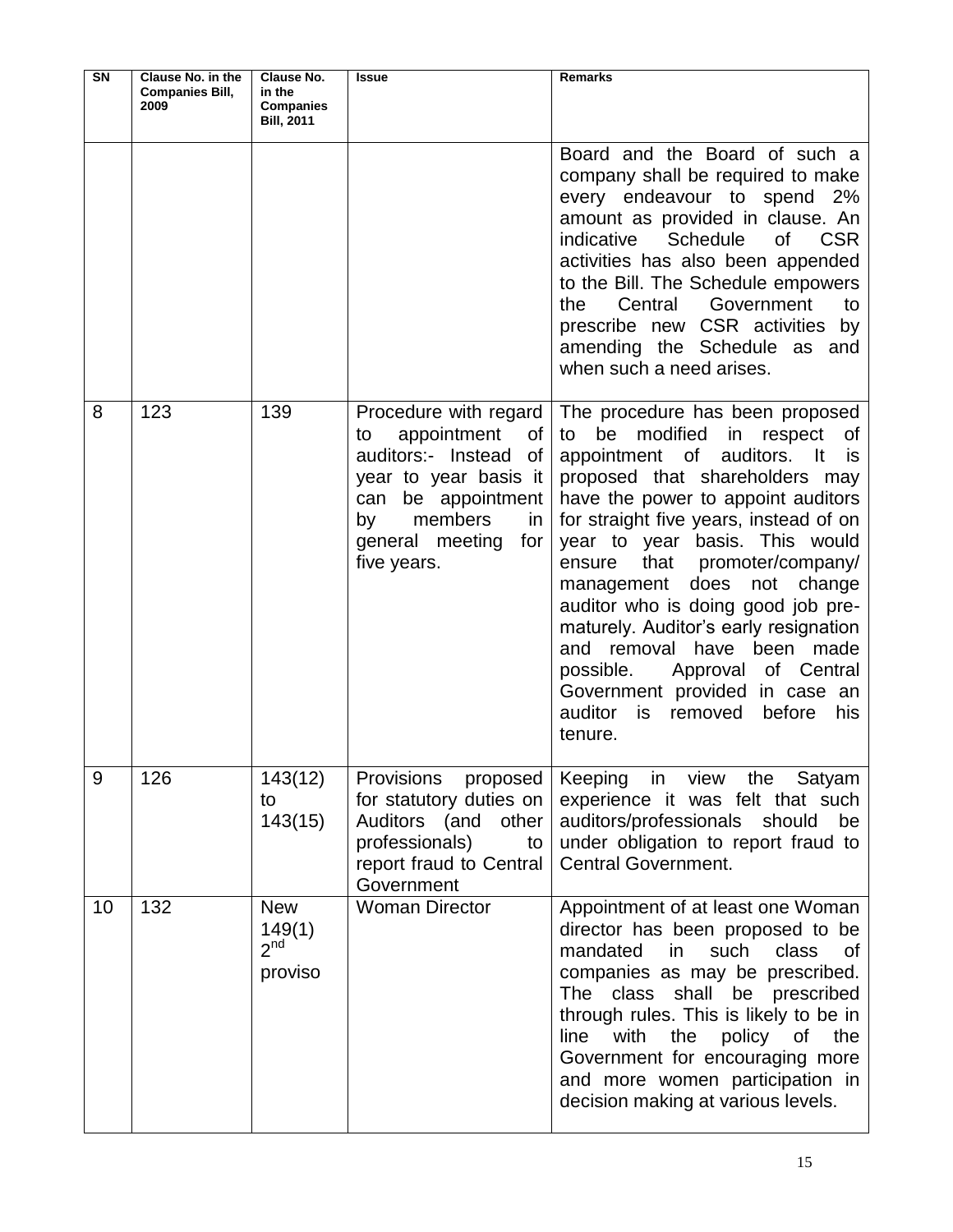| $\overline{\mathsf{SN}}$ | Clause No. in the<br><b>Companies Bill,</b><br>2009 | <b>Clause No.</b><br>in the<br><b>Companies</b><br><b>Bill, 2011</b> | <b>Issue</b>                                                                                                                                                                             | <b>Remarks</b>                                                                                                                                                                                                                                                                                                                                                                                                                                                                                                                                                                             |
|--------------------------|-----------------------------------------------------|----------------------------------------------------------------------|------------------------------------------------------------------------------------------------------------------------------------------------------------------------------------------|--------------------------------------------------------------------------------------------------------------------------------------------------------------------------------------------------------------------------------------------------------------------------------------------------------------------------------------------------------------------------------------------------------------------------------------------------------------------------------------------------------------------------------------------------------------------------------------------|
|                          |                                                     |                                                                      |                                                                                                                                                                                          | Board and the Board of such a<br>company shall be required to make<br>every endeavour to spend 2%<br>amount as provided in clause. An<br>indicative<br>Schedule<br><b>CSR</b><br>0f<br>activities has also been appended<br>to the Bill. The Schedule empowers<br>Central<br>Government<br>the<br>to<br>prescribe new CSR activities by<br>amending the Schedule as and<br>when such a need arises.                                                                                                                                                                                        |
| 8                        | 123                                                 | 139                                                                  | Procedure with regard<br>appointment<br>0f<br>to<br>auditors:- Instead of<br>year to year basis it<br>can be appointment<br>members<br>by<br>in<br>general meeting<br>for<br>five years. | The procedure has been proposed<br>be<br>modified<br>in respect of<br>to<br>appointment of auditors. It<br>is<br>proposed that shareholders may<br>have the power to appoint auditors<br>for straight five years, instead of on<br>year to year basis. This would<br>that<br>promoter/company/<br>ensure<br>management<br>does<br>not<br>change<br>auditor who is doing good job pre-<br>maturely. Auditor's early resignation<br>and removal have<br>been made<br>possible.<br>Approval of Central<br>Government provided in case an<br>auditor<br>removed before<br>his<br>is<br>tenure. |
| 9                        | 126                                                 | 143(12)<br>to<br>143(15)                                             | Provisions<br>proposed<br>for statutory duties on<br>Auditors (and other<br>professionals)<br>to<br>report fraud to Central<br>Government                                                | Keeping<br>in<br>view the<br>Satyam<br>experience it was felt that such<br>auditors/professionals should<br>be<br>under obligation to report fraud to<br><b>Central Government.</b>                                                                                                                                                                                                                                                                                                                                                                                                        |
| 10                       | 132                                                 | <b>New</b><br>149(1)<br>$2^{nd}$<br>proviso                          | <b>Woman Director</b>                                                                                                                                                                    | Appointment of at least one Woman<br>director has been proposed to be<br>mandated in<br>such<br>class<br>of<br>companies as may be prescribed.<br>The class<br>shall be<br>prescribed<br>through rules. This is likely to be in<br>line<br>with<br>the<br>policy<br>the<br>0f<br>Government for encouraging more<br>and more women participation in<br>decision making at various levels.                                                                                                                                                                                                  |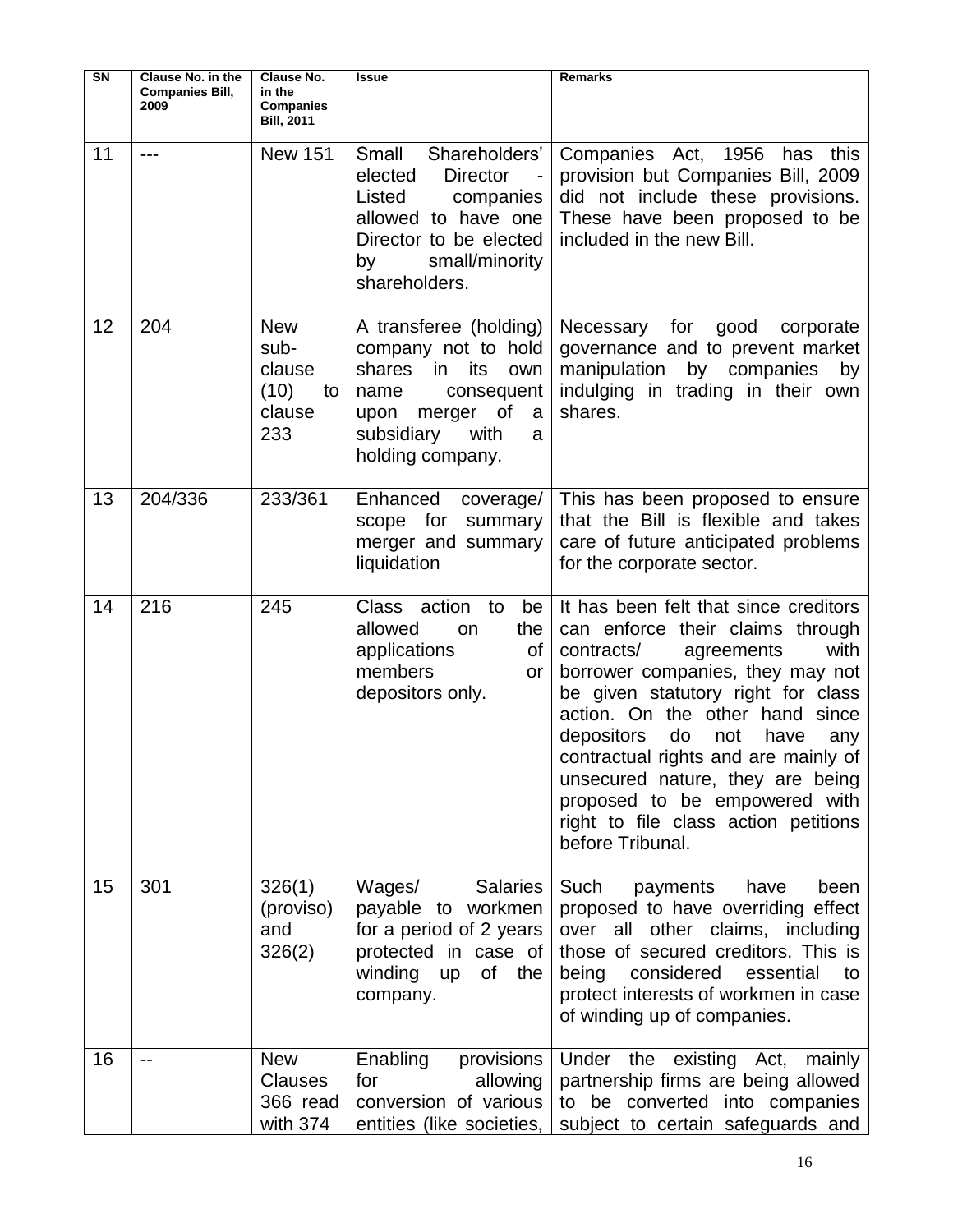| <b>SN</b> | Clause No. in the<br><b>Companies Bill,</b><br>2009 | <b>Clause No.</b><br>in the<br><b>Companies</b><br><b>Bill, 2011</b> | <b>Issue</b>                                                                                                                                                               | <b>Remarks</b>                                                                                                                                                                                                                                                                                                                                                                                                                                |
|-----------|-----------------------------------------------------|----------------------------------------------------------------------|----------------------------------------------------------------------------------------------------------------------------------------------------------------------------|-----------------------------------------------------------------------------------------------------------------------------------------------------------------------------------------------------------------------------------------------------------------------------------------------------------------------------------------------------------------------------------------------------------------------------------------------|
| 11        | $---$                                               | <b>New 151</b>                                                       | Small<br>Shareholders'<br>elected<br><b>Director</b><br>Listed<br>companies<br>allowed to have one<br>Director to be elected<br>small/minority<br>by<br>shareholders.      | Companies Act, 1956<br>has this<br>provision but Companies Bill, 2009<br>did not include these provisions.<br>These have been proposed to be<br>included in the new Bill.                                                                                                                                                                                                                                                                     |
| 12        | 204                                                 | <b>New</b><br>sub-<br>clause<br>(10)<br>to<br>clause<br>233          | A transferee (holding)<br>company not to hold<br>shares<br>in<br>its<br>own<br>name<br>consequent<br>merger of<br>upon<br>a<br>subsidiary<br>with<br>a<br>holding company. | for<br>Necessary<br>good<br>corporate<br>governance and to prevent market<br>manipulation by companies<br>by<br>indulging in trading in their own<br>shares.                                                                                                                                                                                                                                                                                  |
| 13        | 204/336                                             | 233/361                                                              | Enhanced<br>coverage/<br>scope for summary<br>merger and summary<br>liquidation                                                                                            | This has been proposed to ensure<br>that the Bill is flexible and takes<br>care of future anticipated problems<br>for the corporate sector.                                                                                                                                                                                                                                                                                                   |
| 14        | 216                                                 | 245                                                                  | Class action<br>to<br>be<br>allowed<br>the<br>on<br>applications<br>0f<br>members<br>or<br>depositors only.                                                                | It has been felt that since creditors<br>can enforce their claims through<br>with<br>contracts/<br>agreements<br>borrower companies, they may not<br>be given statutory right for class<br>action. On the other hand since<br>depositors<br>do<br>have<br>not<br>any<br>contractual rights and are mainly of<br>unsecured nature, they are being<br>proposed to be empowered with<br>right to file class action petitions<br>before Tribunal. |
| 15        | 301                                                 | 326(1)<br>(proviso)<br>and<br>326(2)                                 | <b>Salaries</b><br>Wages/<br>payable to workmen<br>for a period of 2 years<br>protected in case of<br>winding<br>of the<br><b>up</b><br>company.                           | Such<br>payments<br>have<br>been<br>proposed to have overriding effect<br>over all other claims, including<br>those of secured creditors. This is<br>considered<br>being<br>essential<br>to<br>protect interests of workmen in case<br>of winding up of companies.                                                                                                                                                                            |
| 16        |                                                     | <b>New</b><br><b>Clauses</b><br>366 read<br>with 374                 | Enabling<br>provisions<br>for<br>allowing<br>conversion of various<br>entities (like societies,                                                                            | Under the existing Act, mainly<br>partnership firms are being allowed<br>to be converted into companies<br>subject to certain safeguards and                                                                                                                                                                                                                                                                                                  |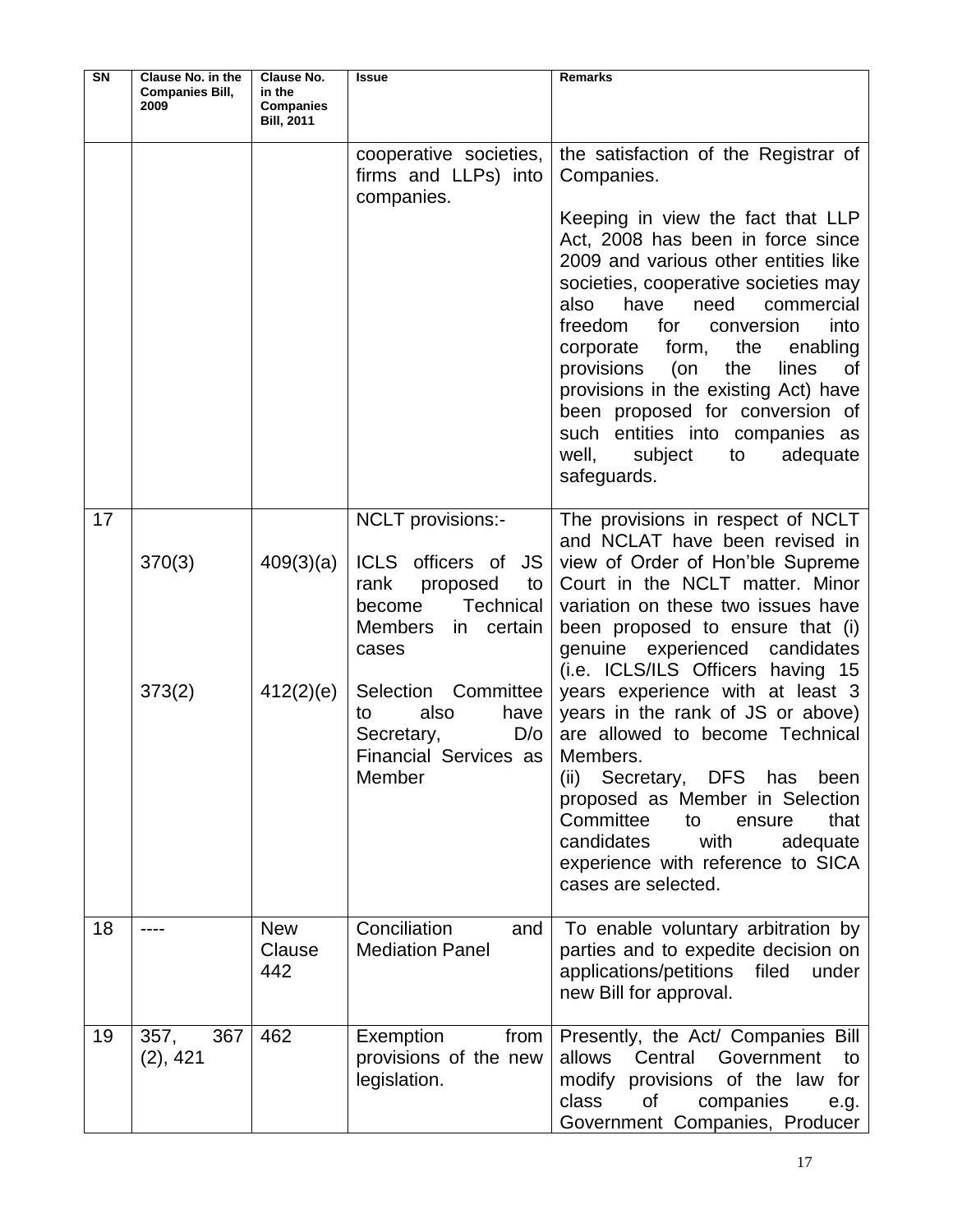| SN | Clause No. in the<br><b>Companies Bill,</b><br>2009 | <b>Clause No.</b><br>in the<br><b>Companies</b><br><b>Bill, 2011</b> | <b>Issue</b>                                                                                                                                 | <b>Remarks</b>                                                                                                                                                                                                                                                                                                                                                            |
|----|-----------------------------------------------------|----------------------------------------------------------------------|----------------------------------------------------------------------------------------------------------------------------------------------|---------------------------------------------------------------------------------------------------------------------------------------------------------------------------------------------------------------------------------------------------------------------------------------------------------------------------------------------------------------------------|
|    |                                                     |                                                                      | cooperative societies,<br>firms and LLPs) into<br>companies.                                                                                 | the satisfaction of the Registrar of<br>Companies.<br>Keeping in view the fact that LLP<br>Act, 2008 has been in force since<br>2009 and various other entities like                                                                                                                                                                                                      |
|    |                                                     |                                                                      |                                                                                                                                              | societies, cooperative societies may<br>commercial<br>also<br>have<br>need<br>for<br>conversion<br>freedom<br>into<br>form,<br>the<br>enabling<br>corporate<br>provisions<br>(on<br>the<br>lines<br>0f<br>provisions in the existing Act) have<br>been proposed for conversion of<br>such entities into companies as<br>well,<br>subject<br>to<br>adequate<br>safeguards. |
| 17 | 370(3)                                              | 409(3)(a)                                                            | NCLT provisions:-<br><b>ICLS</b><br>officers of JS<br>rank<br>proposed<br>to<br>Technical<br>become<br><b>Members</b><br>in certain<br>cases | The provisions in respect of NCLT<br>and NCLAT have been revised in<br>view of Order of Hon'ble Supreme<br>Court in the NCLT matter. Minor<br>variation on these two issues have<br>been proposed to ensure that (i)<br>genuine experienced candidates                                                                                                                    |
|    | 373(2)                                              | 412(2)(e)                                                            | Selection Committee<br>also<br>have<br>to<br>D/O<br>Secretary,<br>Financial Services as<br>Member                                            | (i.e. ICLS/ILS Officers having 15<br>years experience with at least 3<br>years in the rank of JS or above)<br>are allowed to become Technical<br>Members.<br>Secretary, DFS<br>has<br>been<br>(ii)<br>proposed as Member in Selection<br>Committee<br>that<br>to<br>ensure<br>with<br>candidates<br>adequate<br>experience with reference to SICA<br>cases are selected.  |
| 18 |                                                     | <b>New</b><br>Clause<br>442                                          | Conciliation<br>and<br><b>Mediation Panel</b>                                                                                                | To enable voluntary arbitration by<br>parties and to expedite decision on<br>filed<br>applications/petitions<br>under<br>new Bill for approval.                                                                                                                                                                                                                           |
| 19 | 357,<br>367<br>(2), 421                             | 462                                                                  | Exemption<br>from<br>provisions of the new<br>legislation.                                                                                   | Presently, the Act/ Companies Bill<br>allows<br>Central<br>Government<br>to<br>modify provisions of the law for<br>of<br>class<br>companies<br>e.g.<br>Government Companies, Producer                                                                                                                                                                                     |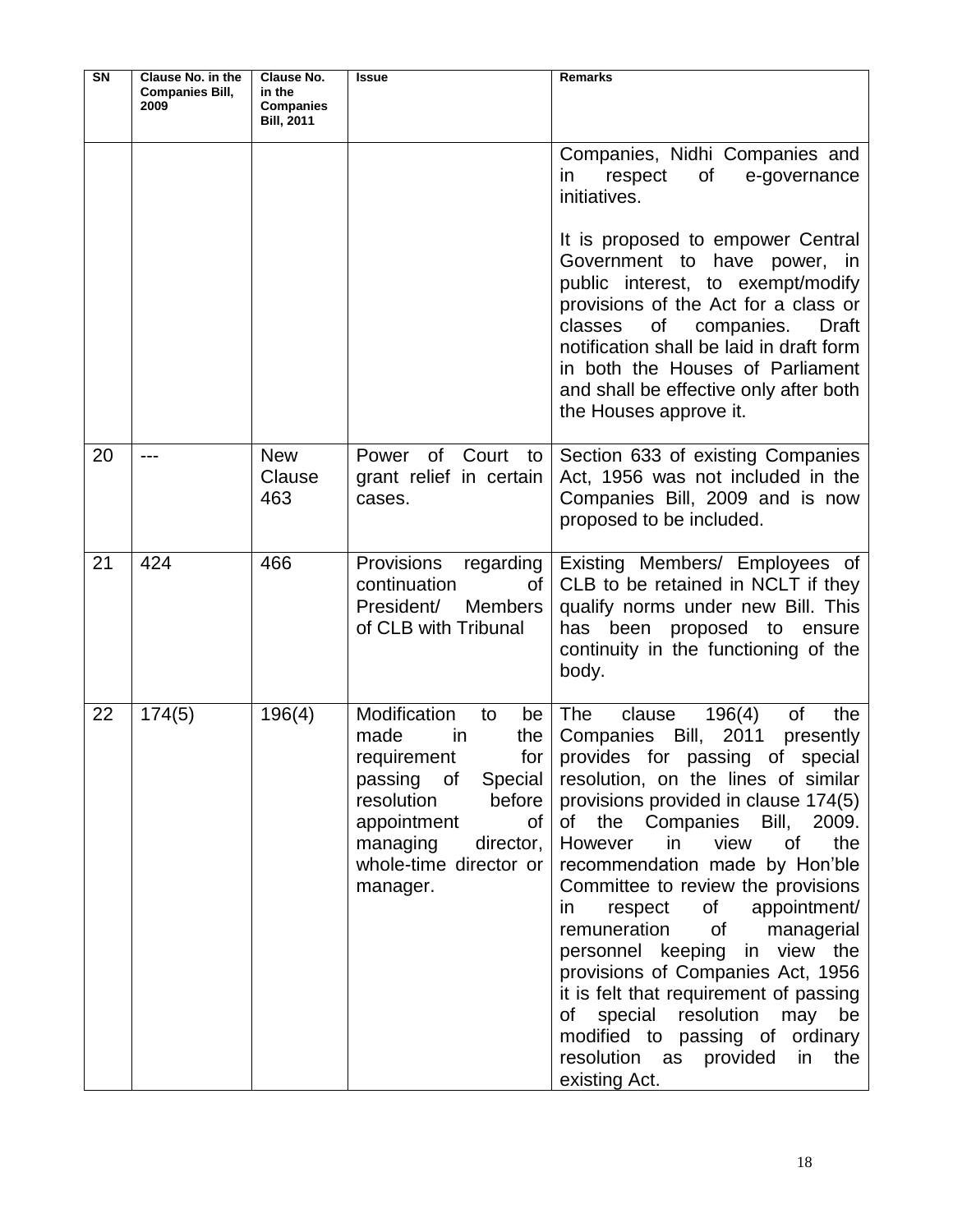| <b>SN</b> | Clause No. in the<br><b>Companies Bill,</b><br>2009 | <b>Clause No.</b><br>in the<br><b>Companies</b><br><b>Bill, 2011</b> | <b>Issue</b>                                                                                                                                                                                                     | <b>Remarks</b>                                                                                                                                                                                                                                                                                                                                                                                                                                                                                                                                                                                                                                                           |
|-----------|-----------------------------------------------------|----------------------------------------------------------------------|------------------------------------------------------------------------------------------------------------------------------------------------------------------------------------------------------------------|--------------------------------------------------------------------------------------------------------------------------------------------------------------------------------------------------------------------------------------------------------------------------------------------------------------------------------------------------------------------------------------------------------------------------------------------------------------------------------------------------------------------------------------------------------------------------------------------------------------------------------------------------------------------------|
|           |                                                     |                                                                      |                                                                                                                                                                                                                  | Companies, Nidhi Companies and<br>respect<br>of<br>in<br>e-governance<br>initiatives.                                                                                                                                                                                                                                                                                                                                                                                                                                                                                                                                                                                    |
|           |                                                     |                                                                      |                                                                                                                                                                                                                  | It is proposed to empower Central<br>Government to have power, in<br>public interest, to exempt/modify<br>provisions of the Act for a class or<br>classes<br>of<br>companies.<br>Draft<br>notification shall be laid in draft form<br>in both the Houses of Parliament<br>and shall be effective only after both<br>the Houses approve it.                                                                                                                                                                                                                                                                                                                               |
| 20        | ---                                                 | <b>New</b><br>Clause<br>463                                          | of Court to<br>Power<br>grant relief in certain<br>cases.                                                                                                                                                        | Section 633 of existing Companies<br>Act, 1956 was not included in the<br>Companies Bill, 2009 and is now<br>proposed to be included.                                                                                                                                                                                                                                                                                                                                                                                                                                                                                                                                    |
| 21        | 424                                                 | 466                                                                  | Provisions<br>regarding<br>continuation<br>of<br>President/<br><b>Members</b><br>of CLB with Tribunal                                                                                                            | Existing Members/ Employees of<br>CLB to be retained in NCLT if they<br>qualify norms under new Bill. This<br>has been<br>proposed to<br>ensure<br>continuity in the functioning of the<br>body.                                                                                                                                                                                                                                                                                                                                                                                                                                                                         |
| 22        | 174(5)                                              | 196(4)                                                               | Modification<br>to<br>be<br>made<br>the<br>in<br>for $\vert$<br>requirement<br>Special<br>passing of<br>before<br>resolution<br>appointment<br>οf<br>managing<br>director,<br>whole-time director or<br>manager. | 196(4)<br>The<br>clause<br>of<br>the<br>Companies Bill, 2011<br>presently<br>provides for passing of special<br>resolution, on the lines of similar<br>provisions provided in clause 174(5)<br>the Companies Bill,<br>2009.<br>0f<br>the<br>However<br>view<br>in<br>0f<br>recommendation made by Hon'ble<br>Committee to review the provisions<br>appointment/<br>respect<br>of<br>in<br>of<br>remuneration<br>managerial<br>personnel keeping in view the<br>provisions of Companies Act, 1956<br>it is felt that requirement of passing<br>special resolution may be<br>of<br>modified to passing of ordinary<br>resolution as provided<br>the<br>in<br>existing Act. |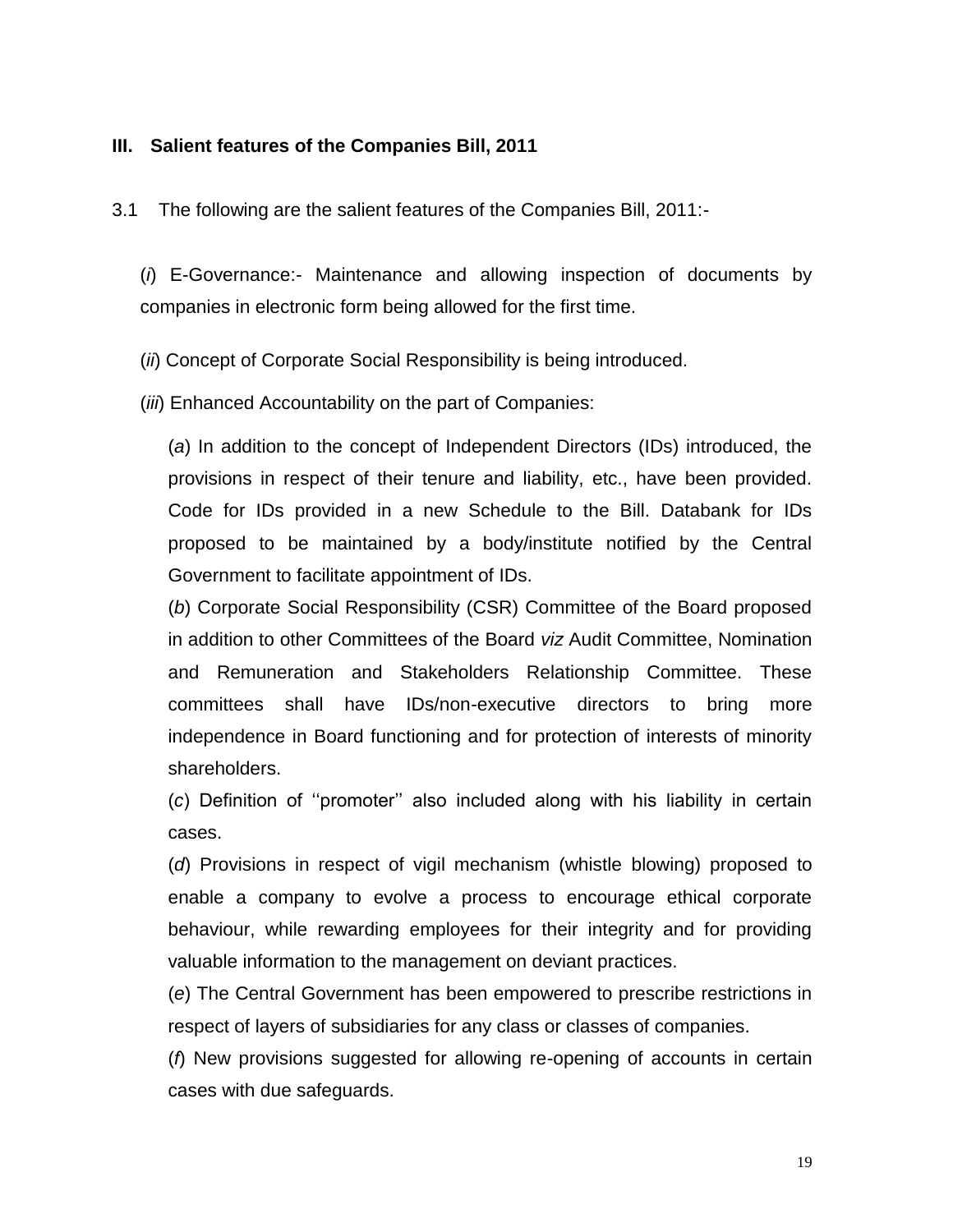#### **III. Salient features of the Companies Bill, 2011**

3.1 The following are the salient features of the Companies Bill, 2011:-

(*i*) E-Governance:- Maintenance and allowing inspection of documents by companies in electronic form being allowed for the first time.

(*ii*) Concept of Corporate Social Responsibility is being introduced.

(*iii*) Enhanced Accountability on the part of Companies:

(*a*) In addition to the concept of Independent Directors (IDs) introduced, the provisions in respect of their tenure and liability, etc., have been provided. Code for IDs provided in a new Schedule to the Bill. Databank for IDs proposed to be maintained by a body/institute notified by the Central Government to facilitate appointment of IDs.

(*b*) Corporate Social Responsibility (CSR) Committee of the Board proposed in addition to other Committees of the Board *viz* Audit Committee, Nomination and Remuneration and Stakeholders Relationship Committee. These committees shall have IDs/non-executive directors to bring more independence in Board functioning and for protection of interests of minority shareholders.

(*c*) Definition of ‗‗promoter'' also included along with his liability in certain cases.

(*d*) Provisions in respect of vigil mechanism (whistle blowing) proposed to enable a company to evolve a process to encourage ethical corporate behaviour, while rewarding employees for their integrity and for providing valuable information to the management on deviant practices.

(*e*) The Central Government has been empowered to prescribe restrictions in respect of layers of subsidiaries for any class or classes of companies.

(*f*) New provisions suggested for allowing re-opening of accounts in certain cases with due safeguards.

19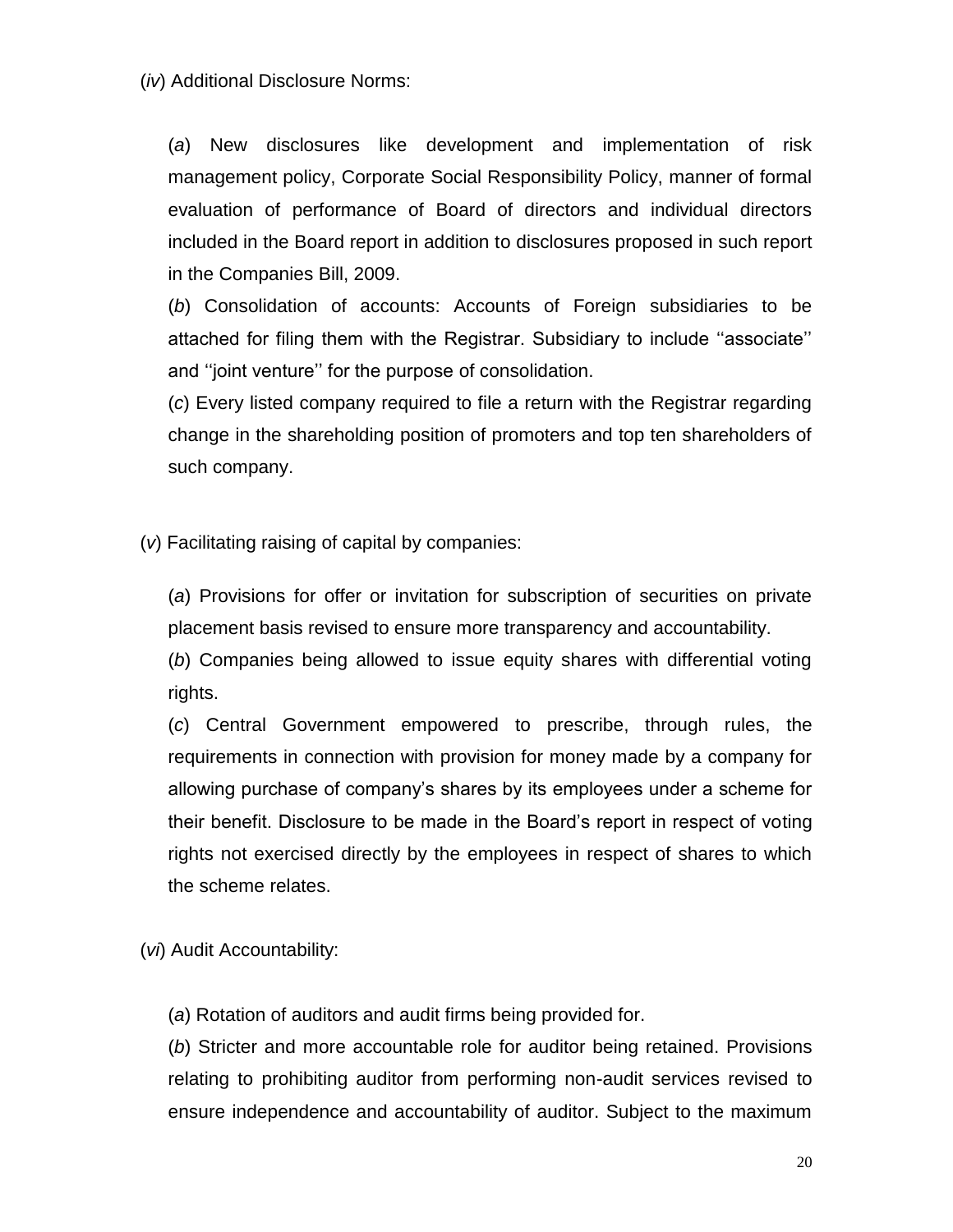(*iv*) Additional Disclosure Norms:

(*a*) New disclosures like development and implementation of risk management policy, Corporate Social Responsibility Policy, manner of formal evaluation of performance of Board of directors and individual directors included in the Board report in addition to disclosures proposed in such report in the Companies Bill, 2009.

(*b*) Consolidation of accounts: Accounts of Foreign subsidiaries to be attached for filing them with the Registrar. Subsidiary to include "associate" and "joint venture" for the purpose of consolidation.

(*c*) Every listed company required to file a return with the Registrar regarding change in the shareholding position of promoters and top ten shareholders of such company.

(*v*) Facilitating raising of capital by companies:

(*a*) Provisions for offer or invitation for subscription of securities on private placement basis revised to ensure more transparency and accountability.

(*b*) Companies being allowed to issue equity shares with differential voting rights.

(*c*) Central Government empowered to prescribe, through rules, the requirements in connection with provision for money made by a company for allowing purchase of company's shares by its employees under a scheme for their benefit. Disclosure to be made in the Board's report in respect of voting rights not exercised directly by the employees in respect of shares to which the scheme relates.

(*vi*) Audit Accountability:

(*a*) Rotation of auditors and audit firms being provided for.

(*b*) Stricter and more accountable role for auditor being retained. Provisions relating to prohibiting auditor from performing non-audit services revised to ensure independence and accountability of auditor. Subject to the maximum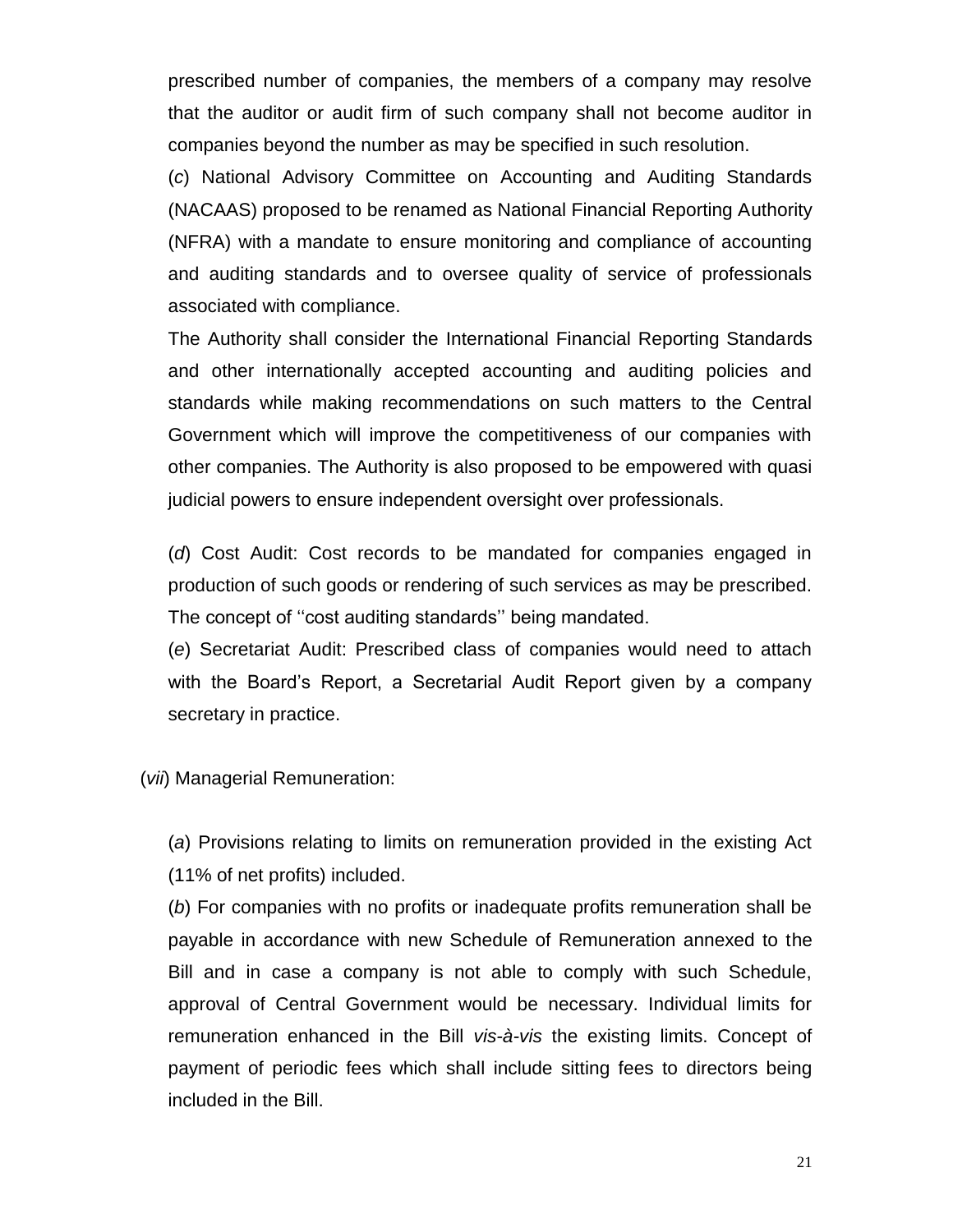prescribed number of companies, the members of a company may resolve that the auditor or audit firm of such company shall not become auditor in companies beyond the number as may be specified in such resolution.

(*c*) National Advisory Committee on Accounting and Auditing Standards (NACAAS) proposed to be renamed as National Financial Reporting Authority (NFRA) with a mandate to ensure monitoring and compliance of accounting and auditing standards and to oversee quality of service of professionals associated with compliance.

The Authority shall consider the International Financial Reporting Standards and other internationally accepted accounting and auditing policies and standards while making recommendations on such matters to the Central Government which will improve the competitiveness of our companies with other companies. The Authority is also proposed to be empowered with quasi judicial powers to ensure independent oversight over professionals.

(*d*) Cost Audit: Cost records to be mandated for companies engaged in production of such goods or rendering of such services as may be prescribed. The concept of "cost auditing standards" being mandated.

(*e*) Secretariat Audit: Prescribed class of companies would need to attach with the Board's Report, a Secretarial Audit Report given by a company secretary in practice.

(*vii*) Managerial Remuneration:

(*a*) Provisions relating to limits on remuneration provided in the existing Act (11% of net profits) included.

(*b*) For companies with no profits or inadequate profits remuneration shall be payable in accordance with new Schedule of Remuneration annexed to the Bill and in case a company is not able to comply with such Schedule, approval of Central Government would be necessary. Individual limits for remuneration enhanced in the Bill *vis-à-vis* the existing limits. Concept of payment of periodic fees which shall include sitting fees to directors being included in the Bill.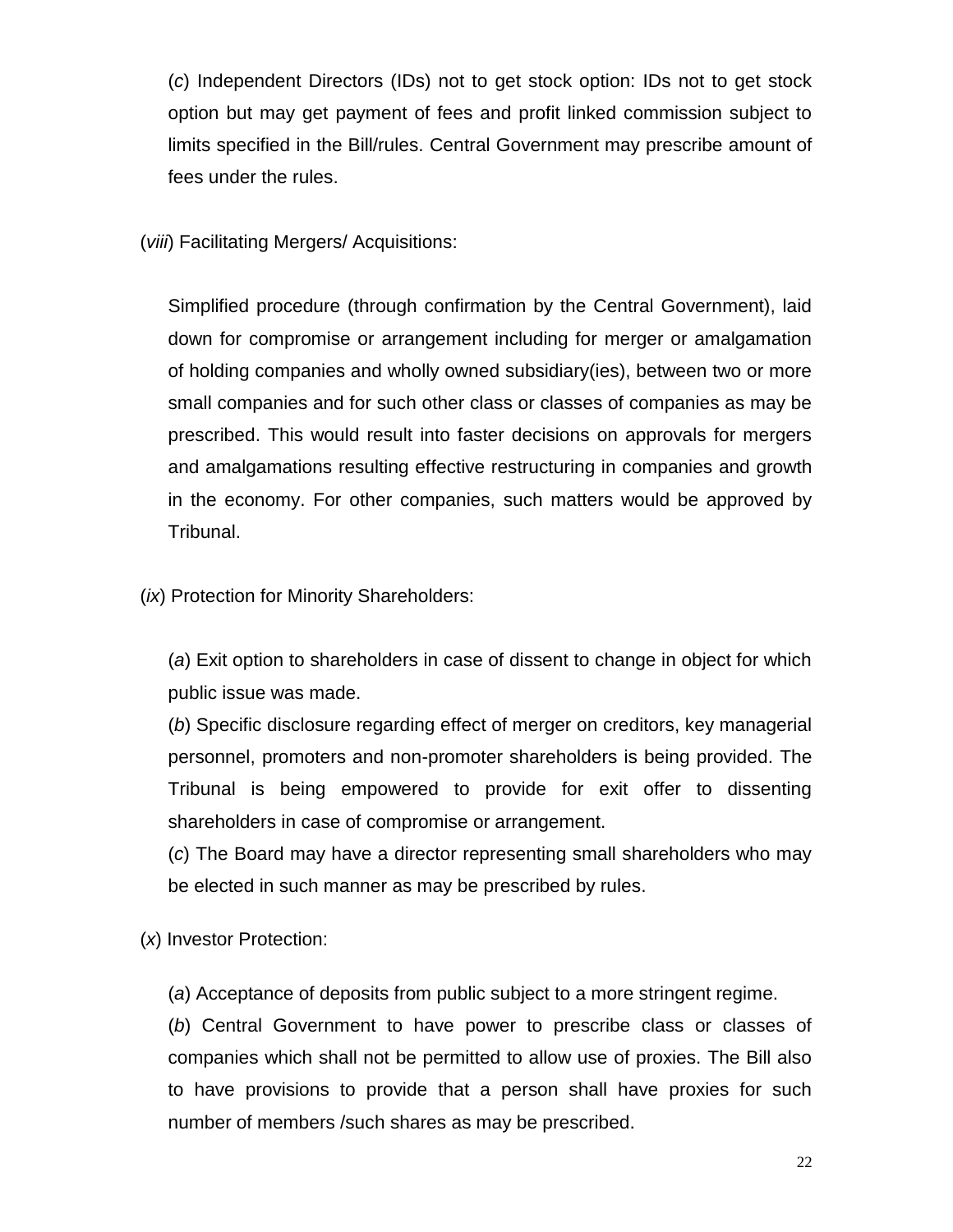(*c*) Independent Directors (IDs) not to get stock option: IDs not to get stock option but may get payment of fees and profit linked commission subject to limits specified in the Bill/rules. Central Government may prescribe amount of fees under the rules.

(*viii*) Facilitating Mergers/ Acquisitions:

Simplified procedure (through confirmation by the Central Government), laid down for compromise or arrangement including for merger or amalgamation of holding companies and wholly owned subsidiary(ies), between two or more small companies and for such other class or classes of companies as may be prescribed. This would result into faster decisions on approvals for mergers and amalgamations resulting effective restructuring in companies and growth in the economy. For other companies, such matters would be approved by Tribunal.

(*ix*) Protection for Minority Shareholders:

(*a*) Exit option to shareholders in case of dissent to change in object for which public issue was made.

(*b*) Specific disclosure regarding effect of merger on creditors, key managerial personnel, promoters and non-promoter shareholders is being provided. The Tribunal is being empowered to provide for exit offer to dissenting shareholders in case of compromise or arrangement.

(*c*) The Board may have a director representing small shareholders who may be elected in such manner as may be prescribed by rules.

(*x*) Investor Protection:

(*a*) Acceptance of deposits from public subject to a more stringent regime.

(*b*) Central Government to have power to prescribe class or classes of companies which shall not be permitted to allow use of proxies. The Bill also to have provisions to provide that a person shall have proxies for such number of members /such shares as may be prescribed.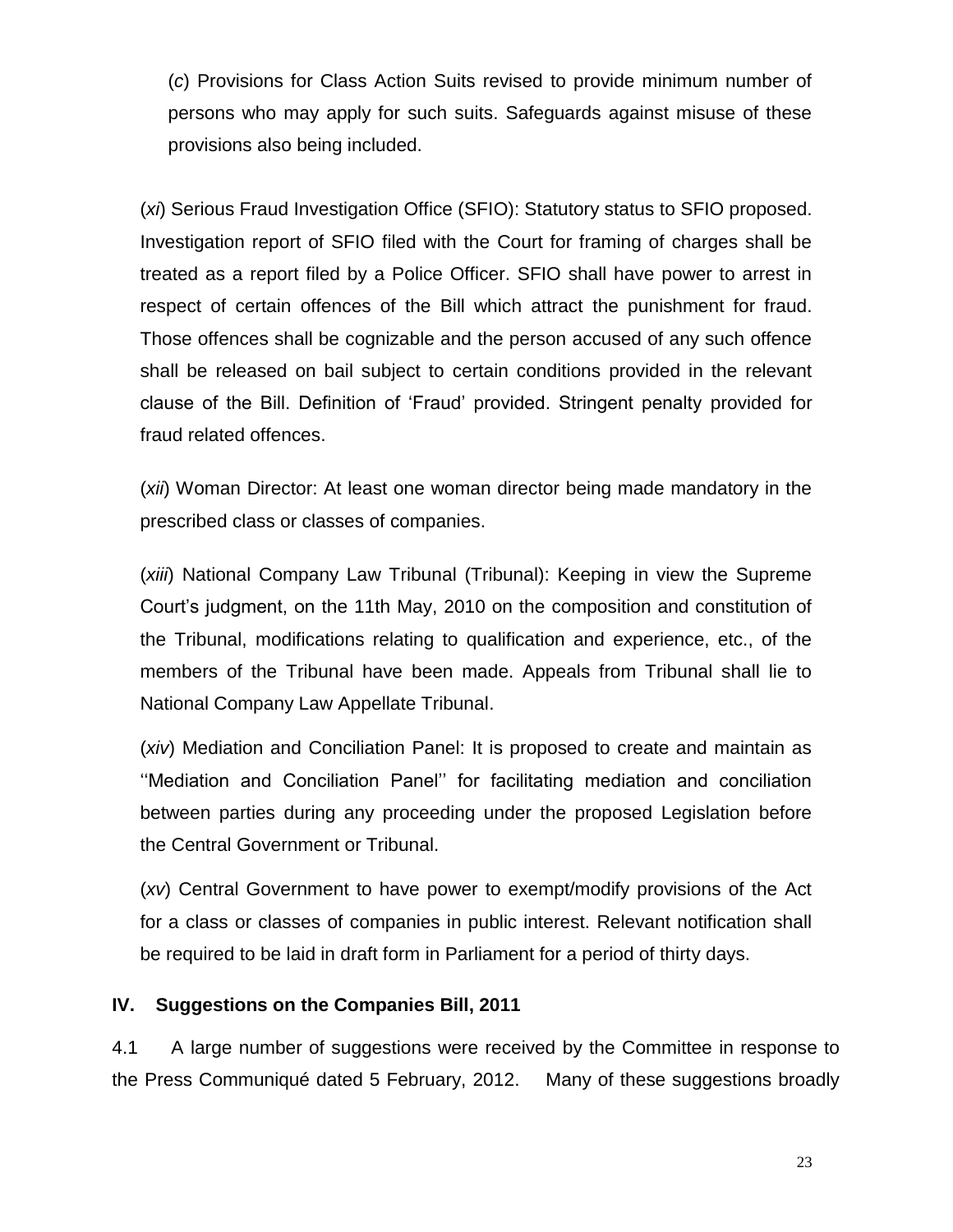(*c*) Provisions for Class Action Suits revised to provide minimum number of persons who may apply for such suits. Safeguards against misuse of these provisions also being included.

(*xi*) Serious Fraud Investigation Office (SFIO): Statutory status to SFIO proposed. Investigation report of SFIO filed with the Court for framing of charges shall be treated as a report filed by a Police Officer. SFIO shall have power to arrest in respect of certain offences of the Bill which attract the punishment for fraud. Those offences shall be cognizable and the person accused of any such offence shall be released on bail subject to certain conditions provided in the relevant clause of the Bill. Definition of ‗Fraud' provided. Stringent penalty provided for fraud related offences.

(*xii*) Woman Director: At least one woman director being made mandatory in the prescribed class or classes of companies.

(*xiii*) National Company Law Tribunal (Tribunal): Keeping in view the Supreme Court's judgment, on the 11th May, 2010 on the composition and constitution of the Tribunal, modifications relating to qualification and experience, etc., of the members of the Tribunal have been made. Appeals from Tribunal shall lie to National Company Law Appellate Tribunal.

(*xiv*) Mediation and Conciliation Panel: It is proposed to create and maintain as ‗‗Mediation and Conciliation Panel'' for facilitating mediation and conciliation between parties during any proceeding under the proposed Legislation before the Central Government or Tribunal.

(*xv*) Central Government to have power to exempt/modify provisions of the Act for a class or classes of companies in public interest. Relevant notification shall be required to be laid in draft form in Parliament for a period of thirty days.

#### **IV. Suggestions on the Companies Bill, 2011**

4.1 A large number of suggestions were received by the Committee in response to the Press Communiqué dated 5 February, 2012. Many of these suggestions broadly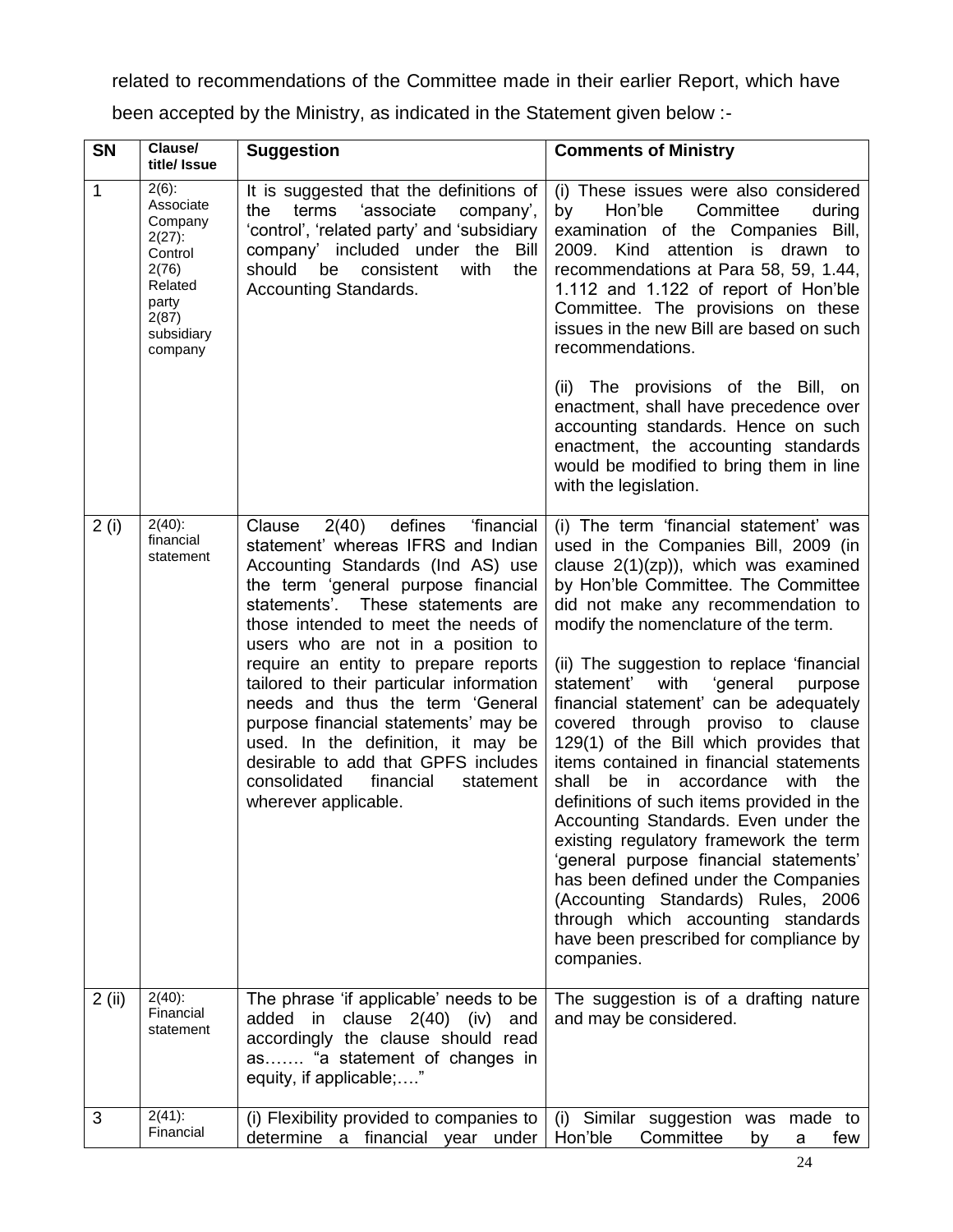related to recommendations of the Committee made in their earlier Report, which have been accepted by the Ministry, as indicated in the Statement given below :-

| <b>SN</b>    | Clause/<br>title/ Issue                                                                                                 | <b>Suggestion</b>                                                                                                                                                                                                                                                                                                                                                                                                                                                                                                                                                                           | <b>Comments of Ministry</b>                                                                                                                                                                                                                                                                                                                                                                                                                                                                                                                                                                                                                                                                                                                                                                                                                                                                                      |
|--------------|-------------------------------------------------------------------------------------------------------------------------|---------------------------------------------------------------------------------------------------------------------------------------------------------------------------------------------------------------------------------------------------------------------------------------------------------------------------------------------------------------------------------------------------------------------------------------------------------------------------------------------------------------------------------------------------------------------------------------------|------------------------------------------------------------------------------------------------------------------------------------------------------------------------------------------------------------------------------------------------------------------------------------------------------------------------------------------------------------------------------------------------------------------------------------------------------------------------------------------------------------------------------------------------------------------------------------------------------------------------------------------------------------------------------------------------------------------------------------------------------------------------------------------------------------------------------------------------------------------------------------------------------------------|
| $\mathbf{1}$ | $2(6)$ :<br>Associate<br>Company<br>$2(27)$ :<br>Control<br>2(76)<br>Related<br>party<br>2(87)<br>subsidiary<br>company | It is suggested that the definitions of<br>terms<br>'associate<br>the<br>company',<br>'control', 'related party' and 'subsidiary<br>company' included under the Bill<br>should<br>be<br>consistent<br>with<br>the<br>Accounting Standards.                                                                                                                                                                                                                                                                                                                                                  | (i) These issues were also considered<br>Hon'ble<br>Committee<br>by<br>during<br>examination of the Companies Bill,<br>attention is drawn to<br>2009.<br>Kind<br>recommendations at Para 58, 59, 1.44,<br>1.112 and 1.122 of report of Hon'ble<br>Committee. The provisions on these<br>issues in the new Bill are based on such<br>recommendations.<br>(ii) The provisions of the Bill, on<br>enactment, shall have precedence over<br>accounting standards. Hence on such<br>enactment, the accounting standards<br>would be modified to bring them in line<br>with the legislation.                                                                                                                                                                                                                                                                                                                           |
| 2(i)         | $2(40)$ :<br>financial<br>statement                                                                                     | 2(40)<br>defines<br>'financial<br>Clause<br>statement' whereas IFRS and Indian<br>Accounting Standards (Ind AS) use<br>the term 'general purpose financial<br>statements'. These statements are<br>those intended to meet the needs of<br>users who are not in a position to<br>require an entity to prepare reports<br>tailored to their particular information<br>needs and thus the term 'General<br>purpose financial statements' may be<br>used. In the definition, it may be<br>desirable to add that GPFS includes<br>consolidated<br>financial<br>statement<br>wherever applicable. | (i) The term 'financial statement' was<br>used in the Companies Bill, 2009 (in<br>clause $2(1)(zp)$ ), which was examined<br>by Hon'ble Committee. The Committee<br>did not make any recommendation to<br>modify the nomenclature of the term.<br>(ii) The suggestion to replace 'financial<br>statement'<br>with<br>'general<br>purpose<br>financial statement' can be adequately<br>covered through proviso to clause<br>129(1) of the Bill which provides that<br>items contained in financial statements<br>shall<br>be<br>in accordance<br>with<br>the<br>definitions of such items provided in the<br>Accounting Standards. Even under the<br>existing regulatory framework the term<br>'general purpose financial statements'<br>has been defined under the Companies<br>(Accounting Standards) Rules, 2006<br>through which accounting standards<br>have been prescribed for compliance by<br>companies. |
| $2$ (ii)     | $2(40)$ :<br>Financial<br>statement                                                                                     | The phrase 'if applicable' needs to be<br>added in<br>clause $2(40)$ (iv)<br>and<br>accordingly the clause should read<br>as "a statement of changes in<br>equity, if applicable;"                                                                                                                                                                                                                                                                                                                                                                                                          | The suggestion is of a drafting nature<br>and may be considered.                                                                                                                                                                                                                                                                                                                                                                                                                                                                                                                                                                                                                                                                                                                                                                                                                                                 |
| 3            | $2(41)$ :<br>Financial                                                                                                  | (i) Flexibility provided to companies to<br>determine a financial year under                                                                                                                                                                                                                                                                                                                                                                                                                                                                                                                | Similar<br>(i)<br>suggestion<br>made to<br>was<br>Hon'ble<br>Committee<br>few<br>by<br>a                                                                                                                                                                                                                                                                                                                                                                                                                                                                                                                                                                                                                                                                                                                                                                                                                         |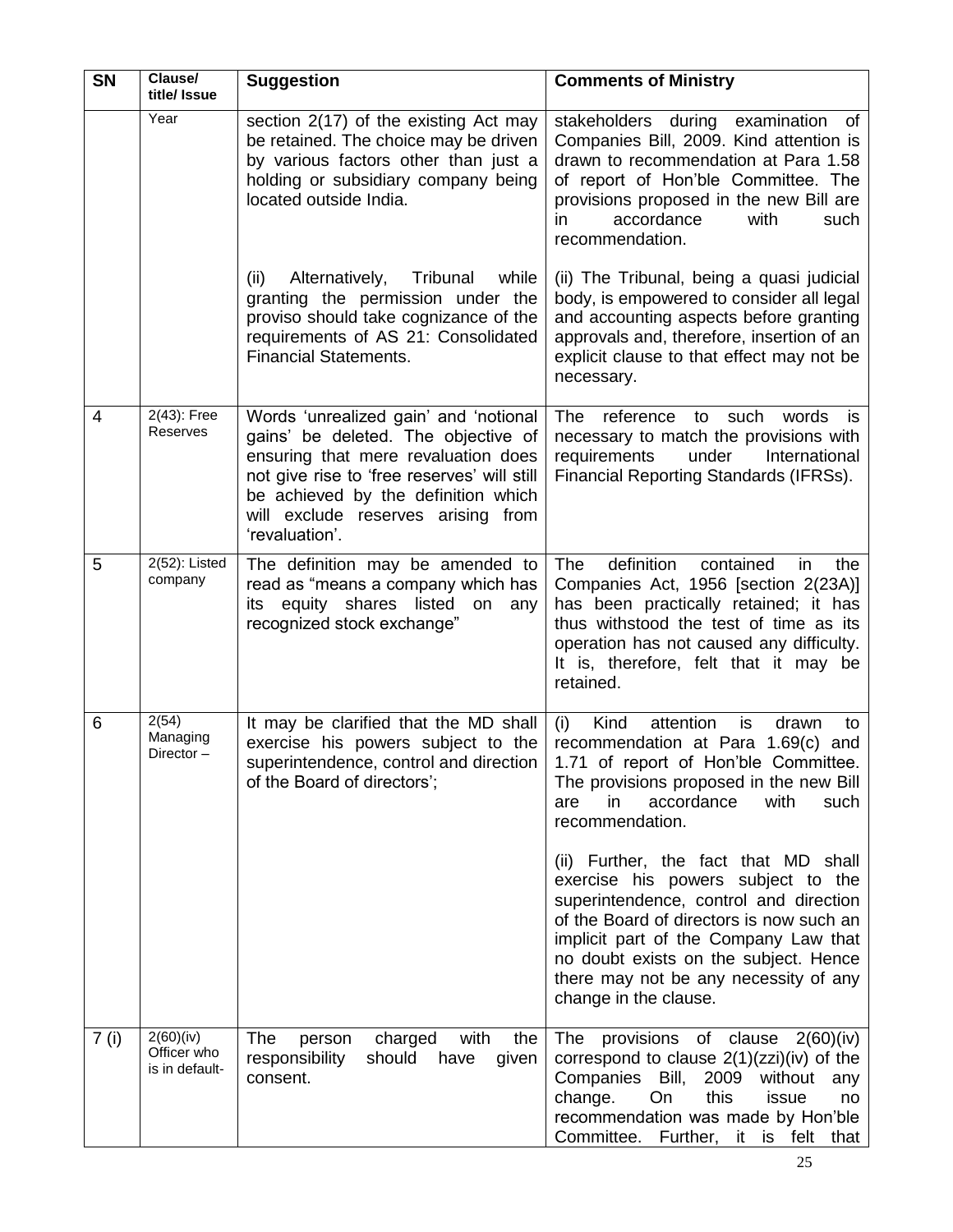| <b>SN</b> | Clause/<br>title/ Issue                    | <b>Suggestion</b>                                                                                                                                                                                                                                                 | <b>Comments of Ministry</b>                                                                                                                                                                                                                                                                                        |
|-----------|--------------------------------------------|-------------------------------------------------------------------------------------------------------------------------------------------------------------------------------------------------------------------------------------------------------------------|--------------------------------------------------------------------------------------------------------------------------------------------------------------------------------------------------------------------------------------------------------------------------------------------------------------------|
|           | Year                                       | section 2(17) of the existing Act may<br>be retained. The choice may be driven<br>by various factors other than just a<br>holding or subsidiary company being<br>located outside India.                                                                           | stakeholders during examination of<br>Companies Bill, 2009. Kind attention is<br>drawn to recommendation at Para 1.58<br>of report of Hon'ble Committee. The<br>provisions proposed in the new Bill are<br>accordance<br>with<br>such<br>in.<br>recommendation.                                                    |
|           |                                            | Alternatively,<br>Tribunal while<br>(ii)<br>granting the permission under the<br>proviso should take cognizance of the<br>requirements of AS 21: Consolidated<br><b>Financial Statements.</b>                                                                     | (ii) The Tribunal, being a quasi judicial<br>body, is empowered to consider all legal<br>and accounting aspects before granting<br>approvals and, therefore, insertion of an<br>explicit clause to that effect may not be<br>necessary.                                                                            |
| 4         | $2(43)$ : Free<br>Reserves                 | Words 'unrealized gain' and 'notional<br>gains' be deleted. The objective of<br>ensuring that mere revaluation does<br>not give rise to 'free reserves' will still<br>be achieved by the definition which<br>will exclude reserves arising from<br>'revaluation'. | The reference to<br>such<br>words is<br>necessary to match the provisions with<br>requirements<br>under<br>International<br>Financial Reporting Standards (IFRSs).                                                                                                                                                 |
| 5         | 2(52): Listed<br>company                   | The definition may be amended to<br>read as "means a company which has<br>its equity shares listed on any<br>recognized stock exchange"                                                                                                                           | definition<br>The<br>contained<br>in.<br>the<br>Companies Act, 1956 [section 2(23A)]<br>has been practically retained; it has<br>thus withstood the test of time as its<br>operation has not caused any difficulty.<br>It is, therefore, felt that it may be<br>retained.                                          |
| 6         | 2(54)<br>Managing<br>Director $-$          | It may be clarified that the MD shall<br>exercise his powers subject to the<br>superintendence, control and direction  <br>of the Board of directors';                                                                                                            | Kind<br>attention<br>is<br>(i)<br>drawn<br>to<br>recommendation at Para 1.69(c) and<br>1.71 of report of Hon'ble Committee.<br>The provisions proposed in the new Bill<br>in<br>accordance<br>with<br>are<br>such<br>recommendation.<br>(ii) Further, the fact that MD shall<br>exercise his powers subject to the |
|           |                                            |                                                                                                                                                                                                                                                                   | superintendence, control and direction<br>of the Board of directors is now such an<br>implicit part of the Company Law that<br>no doubt exists on the subject. Hence<br>there may not be any necessity of any<br>change in the clause.                                                                             |
| 7 (i)     | 2(60)(iv)<br>Officer who<br>is in default- | The<br>charged<br>with<br>person<br>the<br>responsibility<br>should have<br>given<br>consent.                                                                                                                                                                     | The provisions of clause $2(60)(iv)$<br>correspond to clause $2(1)(zzi)(iv)$ of the<br>Companies Bill,<br>2009<br>without any<br>change.<br>this<br>issue<br>On<br>no<br>recommendation was made by Hon'ble<br>Committee. Further, it is felt that                                                                 |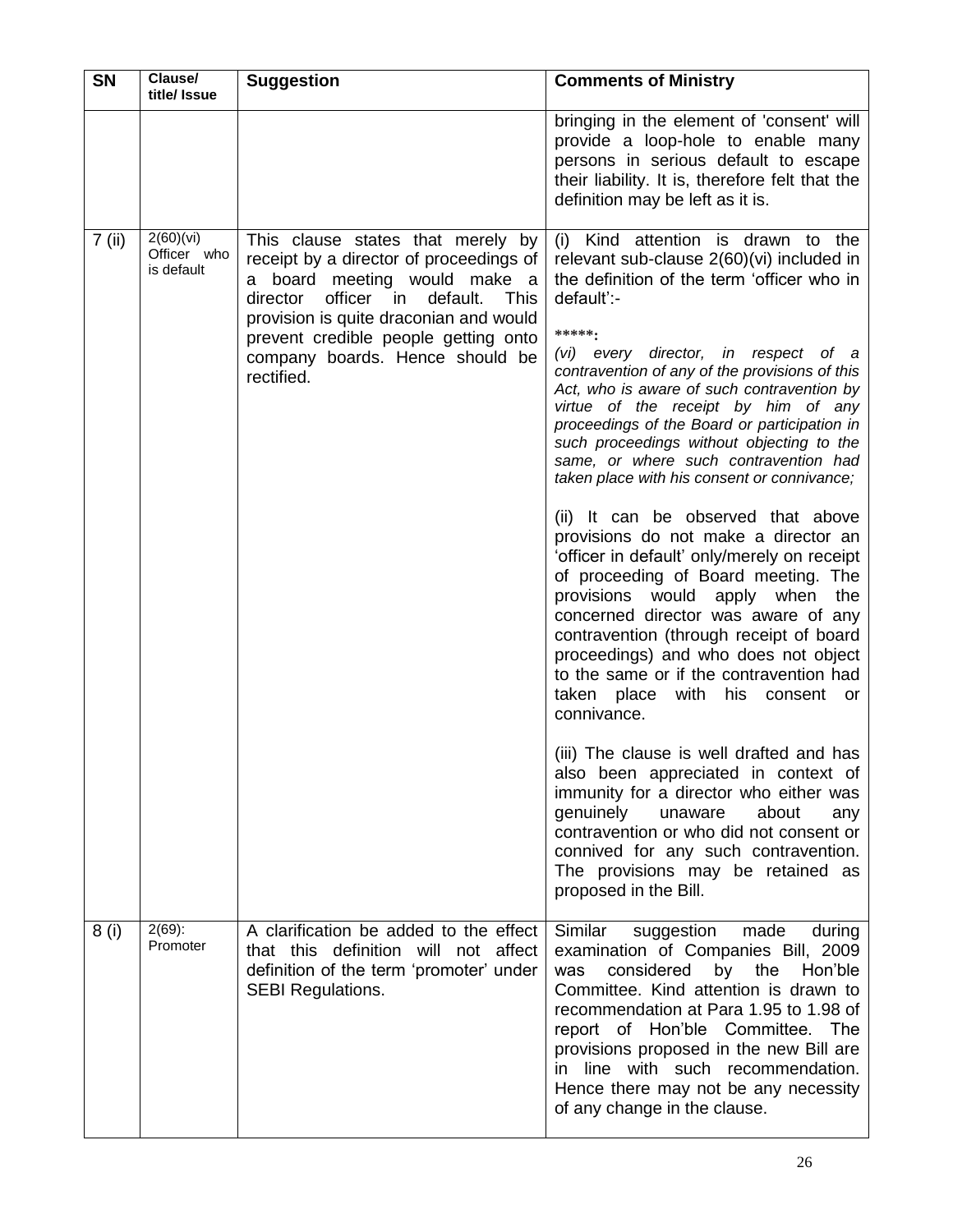| <b>SN</b> | Clause/<br>title/ Issue                | <b>Suggestion</b>                                                                                                                                                                                                                                                                          | <b>Comments of Ministry</b>                                                                                                                                                                                                                                                                                                                                                                                                                                                                                                                                                                                                                                                                                                                                                                                                                                                                                                                                                                                                                                                                                                                                                                                                                                                      |
|-----------|----------------------------------------|--------------------------------------------------------------------------------------------------------------------------------------------------------------------------------------------------------------------------------------------------------------------------------------------|----------------------------------------------------------------------------------------------------------------------------------------------------------------------------------------------------------------------------------------------------------------------------------------------------------------------------------------------------------------------------------------------------------------------------------------------------------------------------------------------------------------------------------------------------------------------------------------------------------------------------------------------------------------------------------------------------------------------------------------------------------------------------------------------------------------------------------------------------------------------------------------------------------------------------------------------------------------------------------------------------------------------------------------------------------------------------------------------------------------------------------------------------------------------------------------------------------------------------------------------------------------------------------|
|           |                                        |                                                                                                                                                                                                                                                                                            | bringing in the element of 'consent' will<br>provide a loop-hole to enable many<br>persons in serious default to escape<br>their liability. It is, therefore felt that the<br>definition may be left as it is.                                                                                                                                                                                                                                                                                                                                                                                                                                                                                                                                                                                                                                                                                                                                                                                                                                                                                                                                                                                                                                                                   |
| 7 (ii)    | 2(60)(vi)<br>Officer who<br>is default | This clause states that merely by<br>receipt by a director of proceedings of<br>a board meeting would make a<br>officer in default.<br>director<br>This<br>provision is quite draconian and would<br>prevent credible people getting onto<br>company boards. Hence should be<br>rectified. | (i) Kind attention is drawn to the<br>relevant sub-clause 2(60)(vi) included in<br>the definition of the term 'officer who in<br>default':-<br>*****.<br>every director, in respect of a<br>(vi)<br>contravention of any of the provisions of this<br>Act, who is aware of such contravention by<br>virtue of the receipt by him of any<br>proceedings of the Board or participation in<br>such proceedings without objecting to the<br>same, or where such contravention had<br>taken place with his consent or connivance;<br>(ii) It can be observed that above<br>provisions do not make a director an<br>'officer in default' only/merely on receipt<br>of proceeding of Board meeting. The<br>provisions would apply when<br>the<br>concerned director was aware of any<br>contravention (through receipt of board<br>proceedings) and who does not object<br>to the same or if the contravention had<br>taken place with his consent or<br>connivance.<br>(iii) The clause is well drafted and has<br>also been appreciated in context of<br>immunity for a director who either was<br>genuinely unaware<br>about<br>any<br>contravention or who did not consent or<br>connived for any such contravention.<br>The provisions may be retained as<br>proposed in the Bill. |
| 8 (i)     | $2(69)$ :<br>Promoter                  | A clarification be added to the effect<br>that this definition will not affect<br>definition of the term 'promoter' under<br><b>SEBI Regulations.</b>                                                                                                                                      | Similar<br>suggestion<br>made<br>during<br>examination of Companies Bill, 2009<br>considered<br>by the<br>Hon'ble<br>was<br>Committee. Kind attention is drawn to<br>recommendation at Para 1.95 to 1.98 of<br>report of Hon'ble Committee. The<br>provisions proposed in the new Bill are<br>in line with such recommendation.<br>Hence there may not be any necessity<br>of any change in the clause.                                                                                                                                                                                                                                                                                                                                                                                                                                                                                                                                                                                                                                                                                                                                                                                                                                                                          |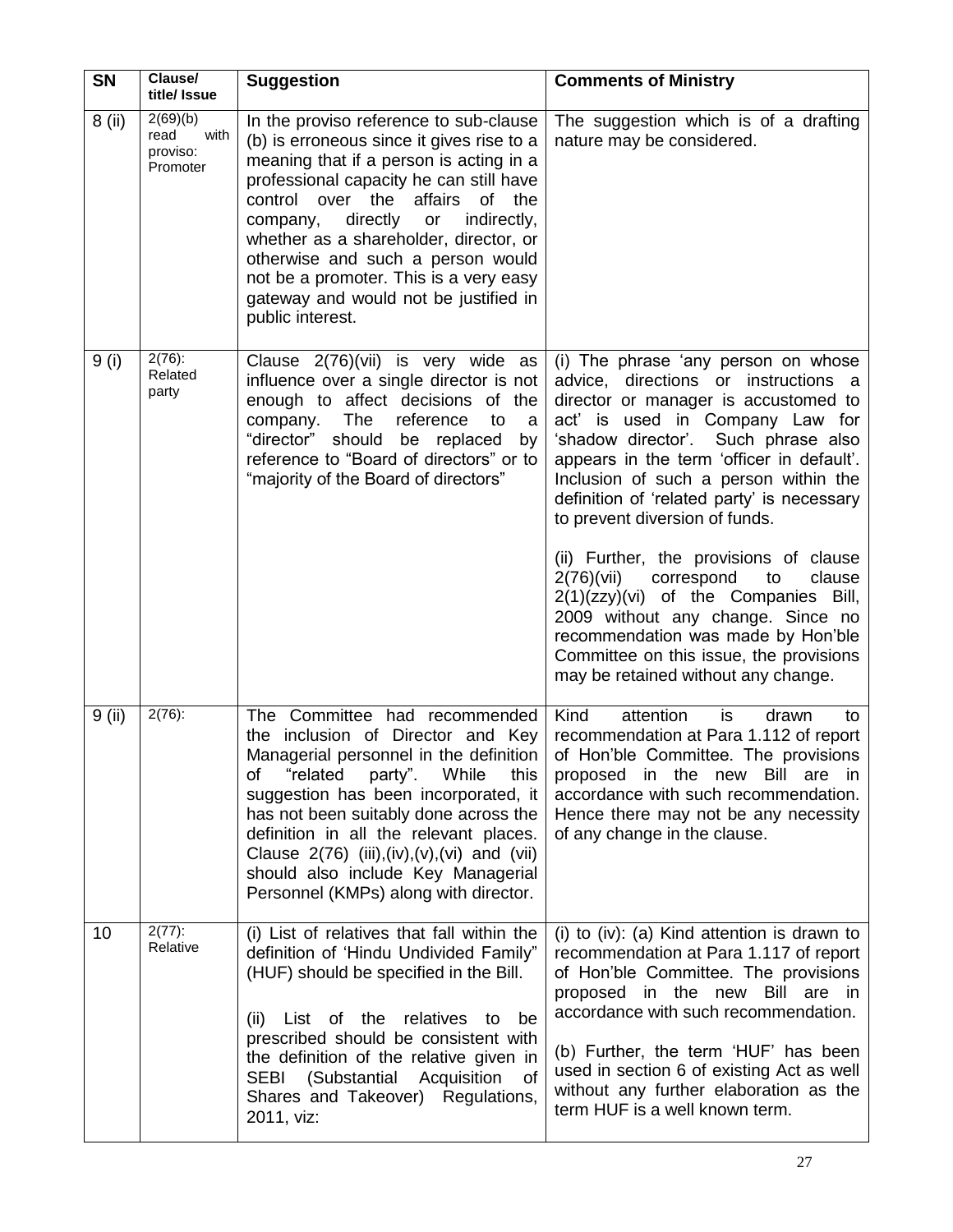| <b>SN</b> | Clause/<br>title/ Issue                          | <b>Suggestion</b>                                                                                                                                                                                                                                                                                                                                                                                                                                        | <b>Comments of Ministry</b>                                                                                                                                                                                                                                                                                                                                                                                                                                                                                                                                                                                                                                       |
|-----------|--------------------------------------------------|----------------------------------------------------------------------------------------------------------------------------------------------------------------------------------------------------------------------------------------------------------------------------------------------------------------------------------------------------------------------------------------------------------------------------------------------------------|-------------------------------------------------------------------------------------------------------------------------------------------------------------------------------------------------------------------------------------------------------------------------------------------------------------------------------------------------------------------------------------------------------------------------------------------------------------------------------------------------------------------------------------------------------------------------------------------------------------------------------------------------------------------|
| 8 (ii)    | 2(69)(b)<br>with<br>read<br>proviso:<br>Promoter | In the proviso reference to sub-clause<br>(b) is erroneous since it gives rise to a<br>meaning that if a person is acting in a<br>professional capacity he can still have<br>affairs<br>control over the<br>Ωf<br>the<br>directly<br>indirectly,<br>company,<br>or<br>whether as a shareholder, director, or<br>otherwise and such a person would<br>not be a promoter. This is a very easy<br>gateway and would not be justified in<br>public interest. | The suggestion which is of a drafting<br>nature may be considered.                                                                                                                                                                                                                                                                                                                                                                                                                                                                                                                                                                                                |
| 9(i)      | $2(76)$ :<br>Related<br>party                    | Clause 2(76)(vii) is very wide as<br>influence over a single director is not<br>enough to affect decisions of the<br>The<br>company.<br>reference<br>to<br>a<br>"director" should<br>be replaced<br>by<br>reference to "Board of directors" or to<br>"majority of the Board of directors"                                                                                                                                                                | (i) The phrase 'any person on whose<br>advice, directions or instructions a<br>director or manager is accustomed to<br>act' is used in Company Law for<br>'shadow director'.<br>Such phrase also<br>appears in the term 'officer in default'.<br>Inclusion of such a person within the<br>definition of 'related party' is necessary<br>to prevent diversion of funds.<br>(ii) Further, the provisions of clause<br>2(76)(vii)<br>correspond<br>to<br>clause<br>2(1)(zzy)(vi) of the Companies Bill,<br>2009 without any change. Since no<br>recommendation was made by Hon'ble<br>Committee on this issue, the provisions<br>may be retained without any change. |
| $9$ (ii)  | $2(76)$ :                                        | The Committee had recommended<br>the inclusion of Director and Key<br>Managerial personnel in the definition<br>"related<br>party". While<br>this<br>οf<br>suggestion has been incorporated, it<br>has not been suitably done across the<br>definition in all the relevant places.<br>Clause $2(76)$ (iii), (iv), (v), (vi) and (vii)<br>should also include Key Managerial<br>Personnel (KMPs) along with director.                                     | attention<br>Kind<br>is<br>drawn<br>to<br>recommendation at Para 1.112 of report<br>of Hon'ble Committee. The provisions<br>proposed in the new Bill are in<br>accordance with such recommendation.<br>Hence there may not be any necessity<br>of any change in the clause.                                                                                                                                                                                                                                                                                                                                                                                       |
| 10        | $2(77)$ :<br>Relative                            | (i) List of relatives that fall within the<br>definition of 'Hindu Undivided Family"<br>(HUF) should be specified in the Bill.<br>List of the relatives<br>(ii)<br>to<br>be<br>prescribed should be consistent with<br>the definition of the relative given in<br>SEBI (Substantial<br><b>of</b><br>Acquisition<br>Shares and Takeover) Regulations,<br>2011, viz:                                                                                       | (i) to (iv): (a) Kind attention is drawn to<br>recommendation at Para 1.117 of report<br>of Hon'ble Committee. The provisions<br>proposed in the new Bill are in<br>accordance with such recommendation.<br>(b) Further, the term 'HUF' has been<br>used in section 6 of existing Act as well<br>without any further elaboration as the<br>term HUF is a well known term.                                                                                                                                                                                                                                                                                         |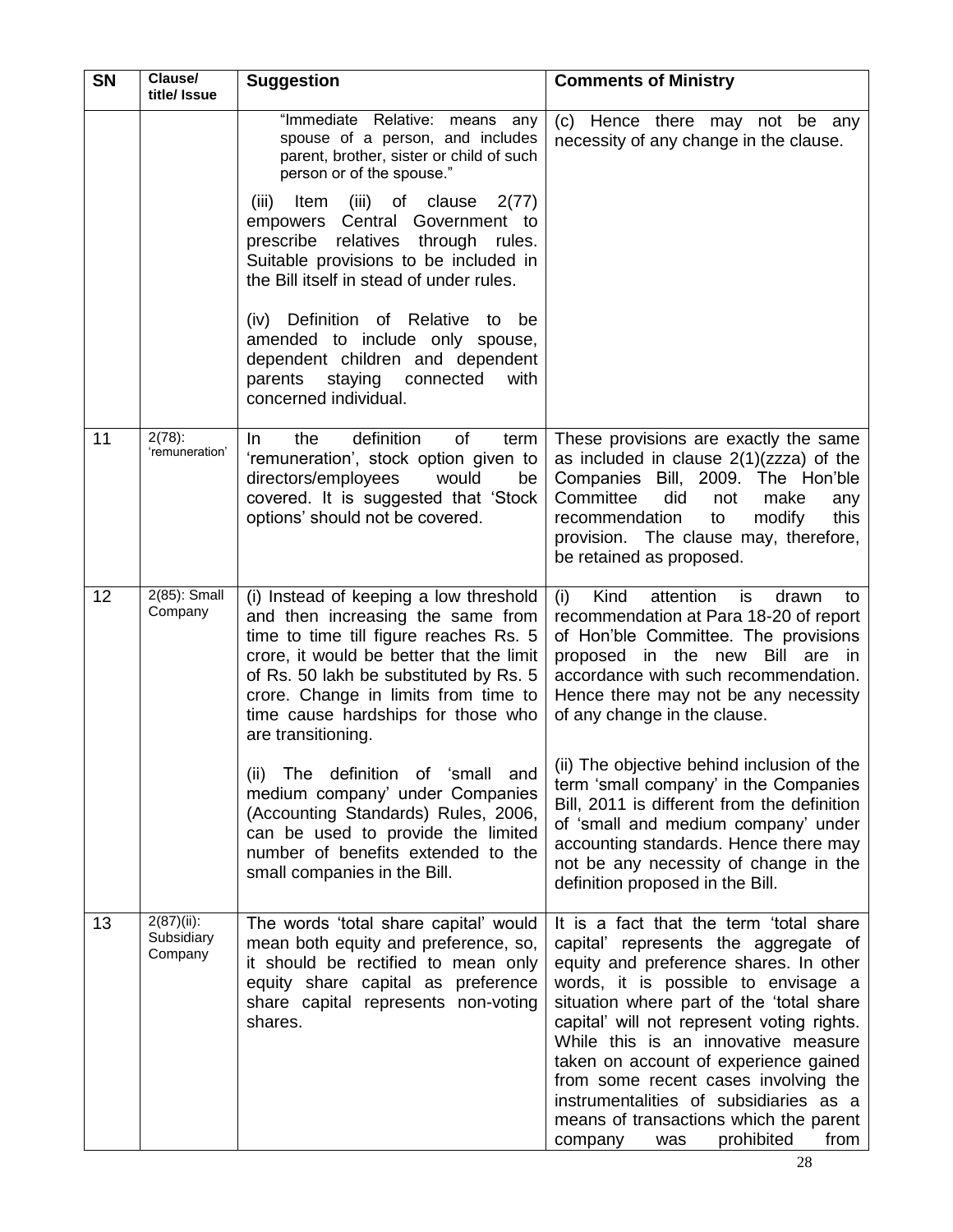| <b>SN</b> | Clause/<br>title/ Issue                | <b>Suggestion</b>                                                                                                                                                                                                                                                                                               | <b>Comments of Ministry</b>                                                                                                                                                                                                                                                                                                                                                                                                                                                                                    |
|-----------|----------------------------------------|-----------------------------------------------------------------------------------------------------------------------------------------------------------------------------------------------------------------------------------------------------------------------------------------------------------------|----------------------------------------------------------------------------------------------------------------------------------------------------------------------------------------------------------------------------------------------------------------------------------------------------------------------------------------------------------------------------------------------------------------------------------------------------------------------------------------------------------------|
|           |                                        | "Immediate Relative:<br>means<br>any<br>spouse of a person, and includes<br>parent, brother, sister or child of such<br>person or of the spouse."                                                                                                                                                               | (c) Hence there may not be any<br>necessity of any change in the clause.                                                                                                                                                                                                                                                                                                                                                                                                                                       |
|           |                                        | of clause 2(77)<br>Item<br>(iii)<br>(iii)<br>empowers Central Government to<br>prescribe relatives through rules.<br>Suitable provisions to be included in<br>the Bill itself in stead of under rules.                                                                                                          |                                                                                                                                                                                                                                                                                                                                                                                                                                                                                                                |
|           |                                        | Definition of Relative to be<br>(iv)<br>amended to include only spouse,<br>dependent children and dependent<br>staying<br>parents<br>connected<br>with<br>concerned individual.                                                                                                                                 |                                                                                                                                                                                                                                                                                                                                                                                                                                                                                                                |
| 11        | $2(78)$ :<br>'remuneration'            | definition<br>of<br>the<br>In.<br>term<br>'remuneration', stock option given to<br>directors/employees<br>would<br>be<br>covered. It is suggested that 'Stock<br>options' should not be covered.                                                                                                                | These provisions are exactly the same<br>as included in clause $2(1)(zzza)$ of the<br>Companies Bill, 2009. The Hon'ble<br>Committee<br>did<br>not<br>make<br>any<br>recommendation<br>modify<br>this<br>to<br>provision. The clause may, therefore,<br>be retained as proposed.                                                                                                                                                                                                                               |
| 12        | 2(85): Small<br>Company                | (i) Instead of keeping a low threshold<br>and then increasing the same from<br>time to time till figure reaches Rs. 5<br>crore, it would be better that the limit<br>of Rs. 50 lakh be substituted by Rs. 5<br>crore. Change in limits from time to<br>time cause hardships for those who<br>are transitioning. | attention<br>Kind<br>(i)<br>is<br>drawn<br>to<br>recommendation at Para 18-20 of report<br>of Hon'ble Committee. The provisions<br>proposed in the new Bill are in<br>accordance with such recommendation.<br>Hence there may not be any necessity<br>of any change in the clause.                                                                                                                                                                                                                             |
|           |                                        | (ii) The definition of 'small and<br>medium company' under Companies<br>(Accounting Standards) Rules, 2006,<br>can be used to provide the limited<br>number of benefits extended to the<br>small companies in the Bill.                                                                                         | (ii) The objective behind inclusion of the<br>term 'small company' in the Companies<br>Bill, 2011 is different from the definition<br>of 'small and medium company' under<br>accounting standards. Hence there may<br>not be any necessity of change in the<br>definition proposed in the Bill.                                                                                                                                                                                                                |
| 13        | $2(87)(ii)$ :<br>Subsidiary<br>Company | The words 'total share capital' would<br>mean both equity and preference, so,<br>it should be rectified to mean only<br>equity share capital as preference<br>share capital represents non-voting<br>shares.                                                                                                    | It is a fact that the term 'total share<br>capital' represents the aggregate of<br>equity and preference shares. In other<br>words, it is possible to envisage a<br>situation where part of the 'total share<br>capital' will not represent voting rights.<br>While this is an innovative measure<br>taken on account of experience gained<br>from some recent cases involving the<br>instrumentalities of subsidiaries as a<br>means of transactions which the parent<br>prohibited<br>from<br>company<br>was |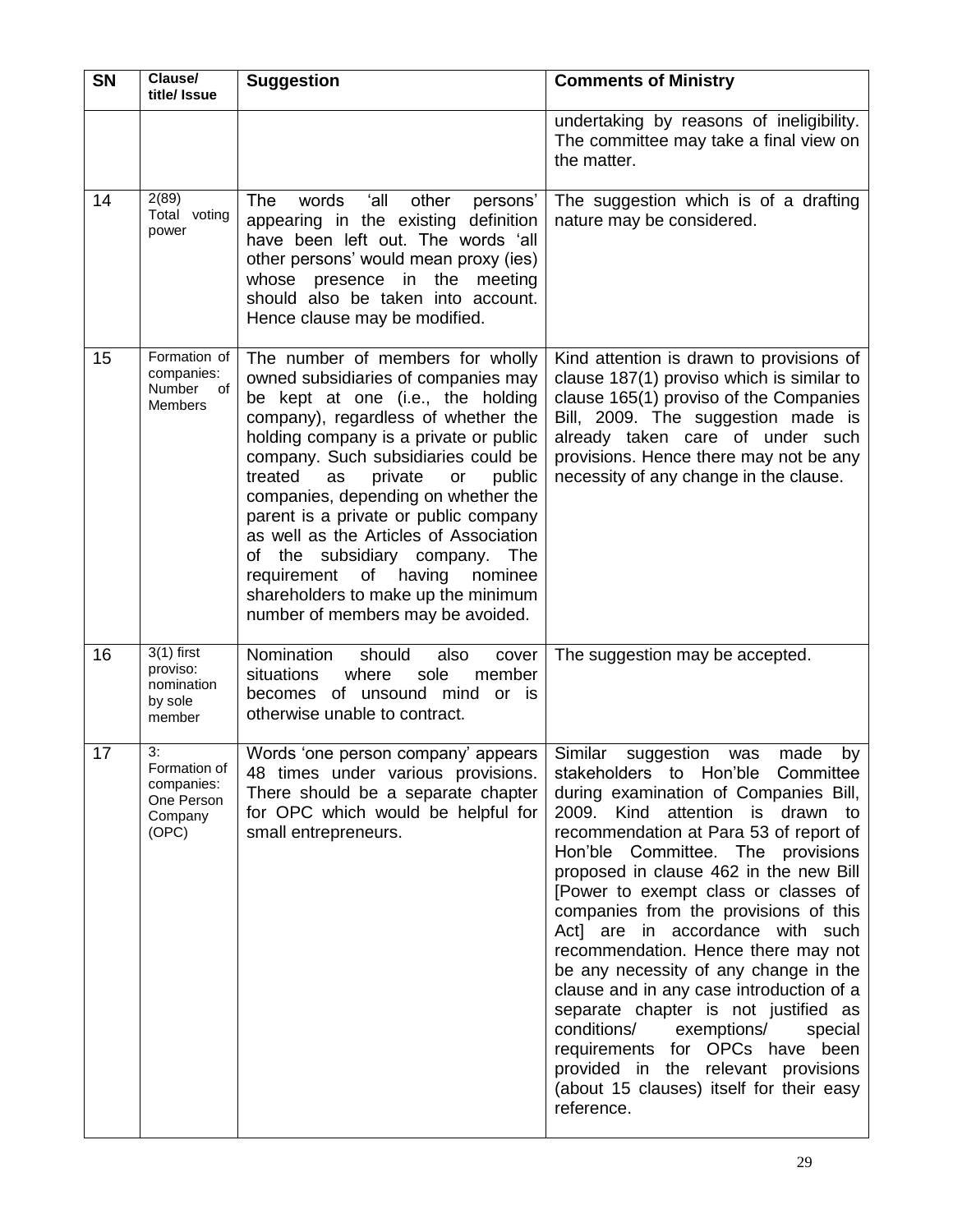| <b>SN</b> | Clause/<br>title/ Issue                                            | <b>Suggestion</b>                                                                                                                                                                                                                                                                                                                                                                                                                                                                                                                                                           | <b>Comments of Ministry</b>                                                                                                                                                                                                                                                                                                                                                                                                                                                                                                                                                                                                                                                                                                                                 |
|-----------|--------------------------------------------------------------------|-----------------------------------------------------------------------------------------------------------------------------------------------------------------------------------------------------------------------------------------------------------------------------------------------------------------------------------------------------------------------------------------------------------------------------------------------------------------------------------------------------------------------------------------------------------------------------|-------------------------------------------------------------------------------------------------------------------------------------------------------------------------------------------------------------------------------------------------------------------------------------------------------------------------------------------------------------------------------------------------------------------------------------------------------------------------------------------------------------------------------------------------------------------------------------------------------------------------------------------------------------------------------------------------------------------------------------------------------------|
|           |                                                                    |                                                                                                                                                                                                                                                                                                                                                                                                                                                                                                                                                                             | undertaking by reasons of ineligibility.<br>The committee may take a final view on<br>the matter.                                                                                                                                                                                                                                                                                                                                                                                                                                                                                                                                                                                                                                                           |
| 14        | 2(89)<br>Total voting<br>power                                     | 'all<br>other<br><b>The</b><br>words<br>persons'<br>appearing in the existing definition<br>have been left out. The words 'all<br>other persons' would mean proxy (ies)<br>whose presence in the meeting<br>should also be taken into account.<br>Hence clause may be modified.                                                                                                                                                                                                                                                                                             | The suggestion which is of a drafting<br>nature may be considered.                                                                                                                                                                                                                                                                                                                                                                                                                                                                                                                                                                                                                                                                                          |
| 15        | Formation of<br>companies:<br>Number<br>οf<br><b>Members</b>       | The number of members for wholly<br>owned subsidiaries of companies may<br>be kept at one (i.e., the holding<br>company), regardless of whether the<br>holding company is a private or public<br>company. Such subsidiaries could be<br>treated<br>private<br>public<br>as<br>or<br>companies, depending on whether the<br>parent is a private or public company<br>as well as the Articles of Association<br>subsidiary company.<br>of<br>the<br>The<br>requirement<br>having<br>nominee<br>οf<br>shareholders to make up the minimum<br>number of members may be avoided. | Kind attention is drawn to provisions of<br>clause 187(1) proviso which is similar to<br>clause 165(1) proviso of the Companies<br>Bill, 2009. The suggestion made is<br>already taken care of under such<br>provisions. Hence there may not be any<br>necessity of any change in the clause.                                                                                                                                                                                                                                                                                                                                                                                                                                                               |
| 16        | $3(1)$ first<br>proviso:<br>nomination<br>by sole<br>member        | <b>Nomination</b><br>should<br>also<br>cover<br>member<br>situations<br>where<br>sole<br>becomes of unsound mind<br>or is<br>otherwise unable to contract.                                                                                                                                                                                                                                                                                                                                                                                                                  | The suggestion may be accepted.                                                                                                                                                                                                                                                                                                                                                                                                                                                                                                                                                                                                                                                                                                                             |
| 17        | 3:<br>Formation of<br>companies:<br>One Person<br>Company<br>(OPC) | Words 'one person company' appears<br>48 times under various provisions.<br>There should be a separate chapter<br>for OPC which would be helpful for<br>small entrepreneurs.                                                                                                                                                                                                                                                                                                                                                                                                | Similar<br>suggestion<br>made<br>by<br>was<br>stakeholders to Hon'ble Committee<br>during examination of Companies Bill,<br>2009. Kind attention is drawn to<br>recommendation at Para 53 of report of<br>Hon'ble Committee. The provisions<br>proposed in clause 462 in the new Bill<br>[Power to exempt class or classes of<br>companies from the provisions of this<br>Act] are in accordance with such<br>recommendation. Hence there may not<br>be any necessity of any change in the<br>clause and in any case introduction of a<br>separate chapter is not justified as<br>conditions/<br>exemptions/<br>special<br>requirements for OPCs have been<br>provided in the relevant provisions<br>(about 15 clauses) itself for their easy<br>reference. |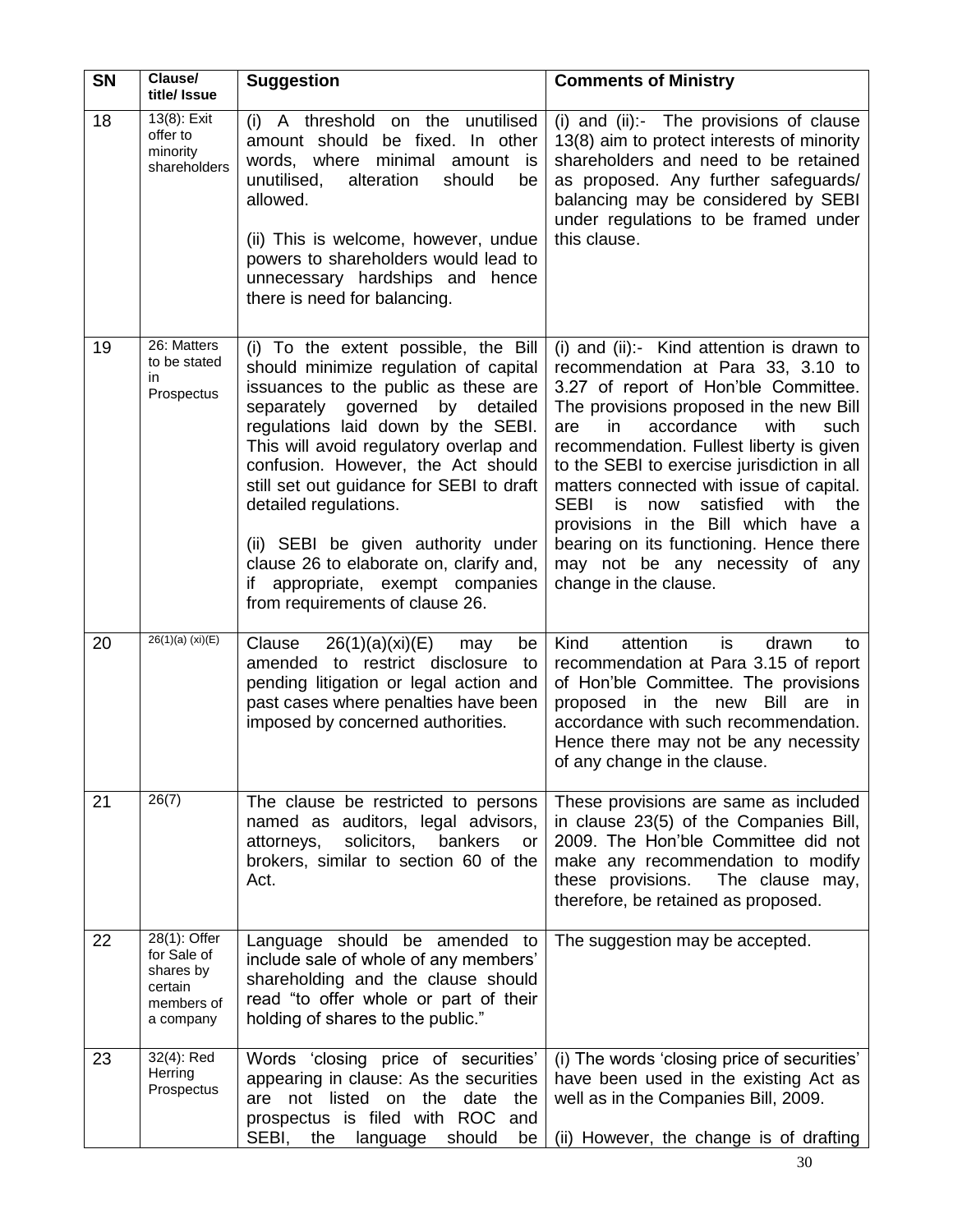| <b>SN</b> | Clause/<br>title/ Issue                                                        | <b>Suggestion</b>                                                                                                                                                                                                                                                                                                                                                                                                                                                                                                       | <b>Comments of Ministry</b>                                                                                                                                                                                                                                                                                                                                                                                                                                                                                                                    |
|-----------|--------------------------------------------------------------------------------|-------------------------------------------------------------------------------------------------------------------------------------------------------------------------------------------------------------------------------------------------------------------------------------------------------------------------------------------------------------------------------------------------------------------------------------------------------------------------------------------------------------------------|------------------------------------------------------------------------------------------------------------------------------------------------------------------------------------------------------------------------------------------------------------------------------------------------------------------------------------------------------------------------------------------------------------------------------------------------------------------------------------------------------------------------------------------------|
| 18        | 13(8): Exit<br>offer to<br>minority<br>shareholders                            | (i) A threshold on the unutilised<br>amount should be fixed. In other<br>words, where minimal amount is<br>unutilised,<br>alteration<br>should<br>be<br>allowed.<br>(ii) This is welcome, however, undue<br>powers to shareholders would lead to<br>unnecessary hardships and hence<br>there is need for balancing.                                                                                                                                                                                                     | (i) and (ii):- The provisions of clause<br>13(8) aim to protect interests of minority<br>shareholders and need to be retained<br>as proposed. Any further safeguards/<br>balancing may be considered by SEBI<br>under regulations to be framed under<br>this clause.                                                                                                                                                                                                                                                                           |
| 19        | 26: Matters<br>to be stated<br>in<br>Prospectus                                | To the extent possible, the Bill<br>(i)<br>should minimize regulation of capital<br>issuances to the public as these are<br>separately governed<br>by<br>detailed<br>regulations laid down by the SEBI.<br>This will avoid regulatory overlap and<br>confusion. However, the Act should<br>still set out guidance for SEBI to draft<br>detailed regulations.<br>(ii) SEBI be given authority under<br>clause 26 to elaborate on, clarify and,<br>appropriate, exempt companies<br>if<br>from requirements of clause 26. | (i) and (ii):- Kind attention is drawn to<br>recommendation at Para 33, 3.10 to<br>3.27 of report of Hon'ble Committee.<br>The provisions proposed in the new Bill<br>accordance<br>with<br>such<br>are<br>in.<br>recommendation. Fullest liberty is given<br>to the SEBI to exercise jurisdiction in all<br>matters connected with issue of capital.<br>SEBI is<br>satisfied<br>now<br>with the<br>provisions in the Bill which have a<br>bearing on its functioning. Hence there<br>may not be any necessity of any<br>change in the clause. |
| 20        | $26(1)(a)$ (xi)(E)                                                             | 26(1)(a)(xi)(E)<br>Clause<br>may<br>be<br>amended to restrict disclosure<br>to t<br>pending litigation or legal action and<br>past cases where penalties have been<br>imposed by concerned authorities.                                                                                                                                                                                                                                                                                                                 | attention<br>Kind<br>is<br>drawn<br>to<br>recommendation at Para 3.15 of report<br>of Hon'ble Committee. The provisions<br>proposed in the new Bill are in<br>accordance with such recommendation.<br>Hence there may not be any necessity<br>of any change in the clause.                                                                                                                                                                                                                                                                     |
| 21        | 26(7)                                                                          | The clause be restricted to persons<br>named as auditors, legal advisors,<br>solicitors,<br>bankers<br>attorneys,<br><b>or</b><br>brokers, similar to section 60 of the<br>Act.                                                                                                                                                                                                                                                                                                                                         | These provisions are same as included<br>in clause 23(5) of the Companies Bill,<br>2009. The Hon'ble Committee did not<br>make any recommendation to modify<br>The clause may,<br>these provisions.<br>therefore, be retained as proposed.                                                                                                                                                                                                                                                                                                     |
| 22        | 28(1): Offer<br>for Sale of<br>shares by<br>certain<br>members of<br>a company | Language should be amended to<br>include sale of whole of any members'<br>shareholding and the clause should<br>read "to offer whole or part of their<br>holding of shares to the public."                                                                                                                                                                                                                                                                                                                              | The suggestion may be accepted.                                                                                                                                                                                                                                                                                                                                                                                                                                                                                                                |
| 23        | $32(4)$ : Red<br>Herring<br>Prospectus                                         | Words 'closing price of securities'<br>appearing in clause: As the securities<br>not listed on the<br>date<br>are<br>the<br>prospectus is filed with ROC<br>and<br>SEBI,<br>the<br>should<br>language<br>be                                                                                                                                                                                                                                                                                                             | (i) The words 'closing price of securities'<br>have been used in the existing Act as<br>well as in the Companies Bill, 2009.<br>(ii) However, the change is of drafting                                                                                                                                                                                                                                                                                                                                                                        |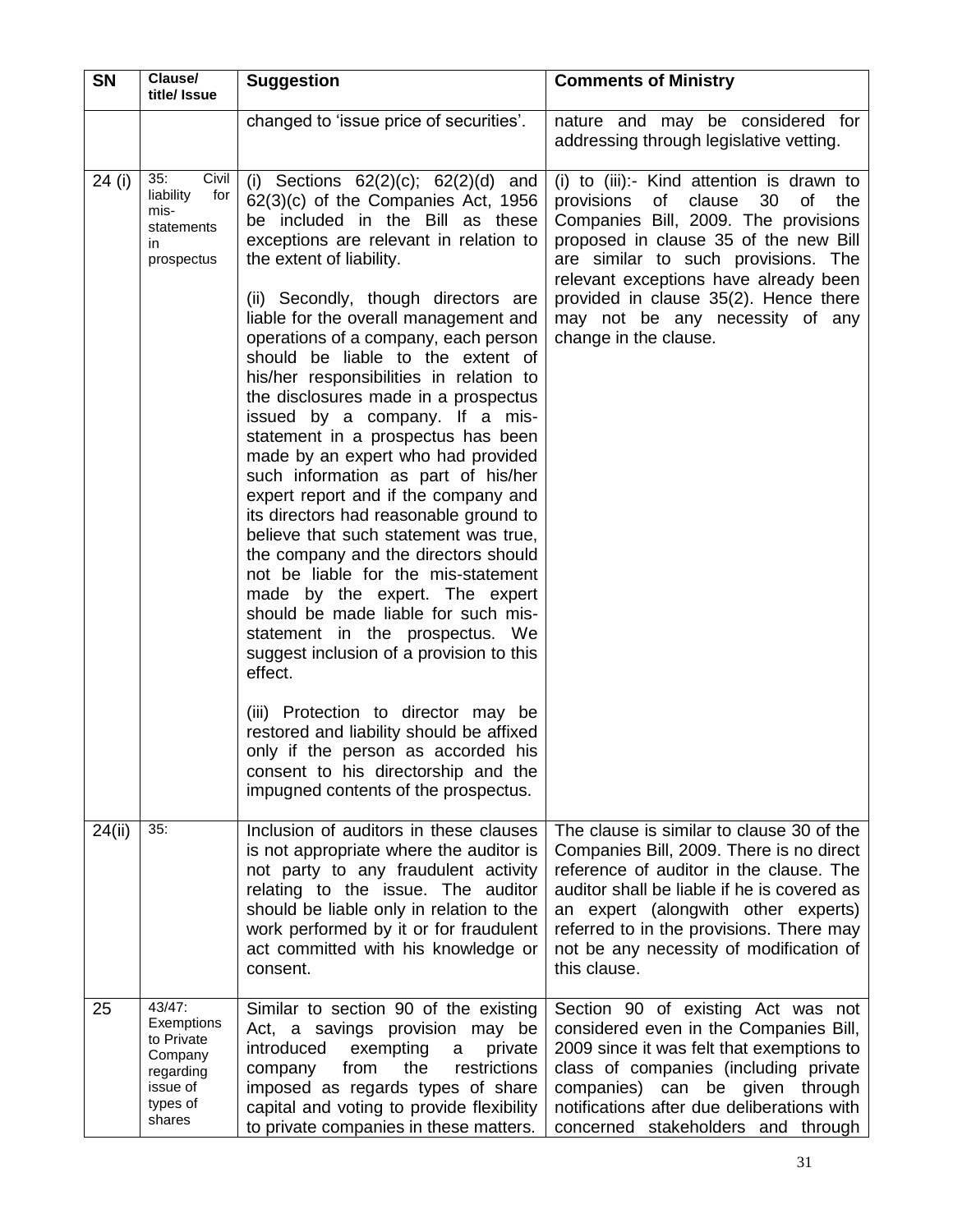| <b>SN</b> | Clause/<br>title/ Issue                                                                      | <b>Suggestion</b>                                                                                                                                                                                                                                                                                                                                                                                                                                                                                                                                                                                                                                                                                                                                                                                                                                                                                                                                                                                                                                                                                                                                                                     | <b>Comments of Ministry</b>                                                                                                                                                                                                                                                                                                                                      |
|-----------|----------------------------------------------------------------------------------------------|---------------------------------------------------------------------------------------------------------------------------------------------------------------------------------------------------------------------------------------------------------------------------------------------------------------------------------------------------------------------------------------------------------------------------------------------------------------------------------------------------------------------------------------------------------------------------------------------------------------------------------------------------------------------------------------------------------------------------------------------------------------------------------------------------------------------------------------------------------------------------------------------------------------------------------------------------------------------------------------------------------------------------------------------------------------------------------------------------------------------------------------------------------------------------------------|------------------------------------------------------------------------------------------------------------------------------------------------------------------------------------------------------------------------------------------------------------------------------------------------------------------------------------------------------------------|
|           |                                                                                              | changed to 'issue price of securities'.                                                                                                                                                                                                                                                                                                                                                                                                                                                                                                                                                                                                                                                                                                                                                                                                                                                                                                                                                                                                                                                                                                                                               | nature and may be considered for<br>addressing through legislative vetting.                                                                                                                                                                                                                                                                                      |
| 24 (i)    | Civil<br>35:<br>liability<br>for<br>mis-<br>statements<br>in.<br>prospectus                  | (i) Sections $62(2)(c)$ ; $62(2)(d)$ and<br>$62(3)(c)$ of the Companies Act, 1956<br>be included in the Bill as these<br>exceptions are relevant in relation to<br>the extent of liability.<br>(ii) Secondly, though directors are<br>liable for the overall management and<br>operations of a company, each person<br>should be liable to the extent of<br>his/her responsibilities in relation to<br>the disclosures made in a prospectus<br>issued by a company. If a mis-<br>statement in a prospectus has been<br>made by an expert who had provided<br>such information as part of his/her<br>expert report and if the company and<br>its directors had reasonable ground to<br>believe that such statement was true,<br>the company and the directors should<br>not be liable for the mis-statement<br>made by the expert. The expert<br>should be made liable for such mis-<br>statement in the prospectus. We<br>suggest inclusion of a provision to this<br>effect.<br>(iii) Protection to director may be<br>restored and liability should be affixed<br>only if the person as accorded his<br>consent to his directorship and the<br>impugned contents of the prospectus. | (i) to (iii):- Kind attention is drawn to<br>provisions<br>of<br>clause<br>30<br>of<br>the<br>Companies Bill, 2009. The provisions<br>proposed in clause 35 of the new Bill<br>are similar to such provisions. The<br>relevant exceptions have already been<br>provided in clause 35(2). Hence there<br>may not be any necessity of any<br>change in the clause. |
| 24(ii)    | 35:                                                                                          | Inclusion of auditors in these clauses<br>is not appropriate where the auditor is<br>not party to any fraudulent activity<br>relating to the issue. The auditor<br>should be liable only in relation to the<br>work performed by it or for fraudulent<br>act committed with his knowledge or<br>consent.                                                                                                                                                                                                                                                                                                                                                                                                                                                                                                                                                                                                                                                                                                                                                                                                                                                                              | The clause is similar to clause 30 of the<br>Companies Bill, 2009. There is no direct<br>reference of auditor in the clause. The<br>auditor shall be liable if he is covered as<br>an expert (alongwith other experts)<br>referred to in the provisions. There may<br>not be any necessity of modification of<br>this clause.                                    |
| 25        | 43/47:<br>Exemptions<br>to Private<br>Company<br>regarding<br>issue of<br>types of<br>shares | Similar to section 90 of the existing<br>Act, a savings provision may be<br>introduced<br>exempting<br>private<br>a<br>from<br>the<br>restrictions<br>company<br>imposed as regards types of share<br>capital and voting to provide flexibility<br>to private companies in these matters.                                                                                                                                                                                                                                                                                                                                                                                                                                                                                                                                                                                                                                                                                                                                                                                                                                                                                             | Section 90 of existing Act was not<br>considered even in the Companies Bill,<br>2009 since it was felt that exemptions to<br>class of companies (including private<br>can be given through<br>companies)<br>notifications after due deliberations with<br>concerned stakeholders and through                                                                     |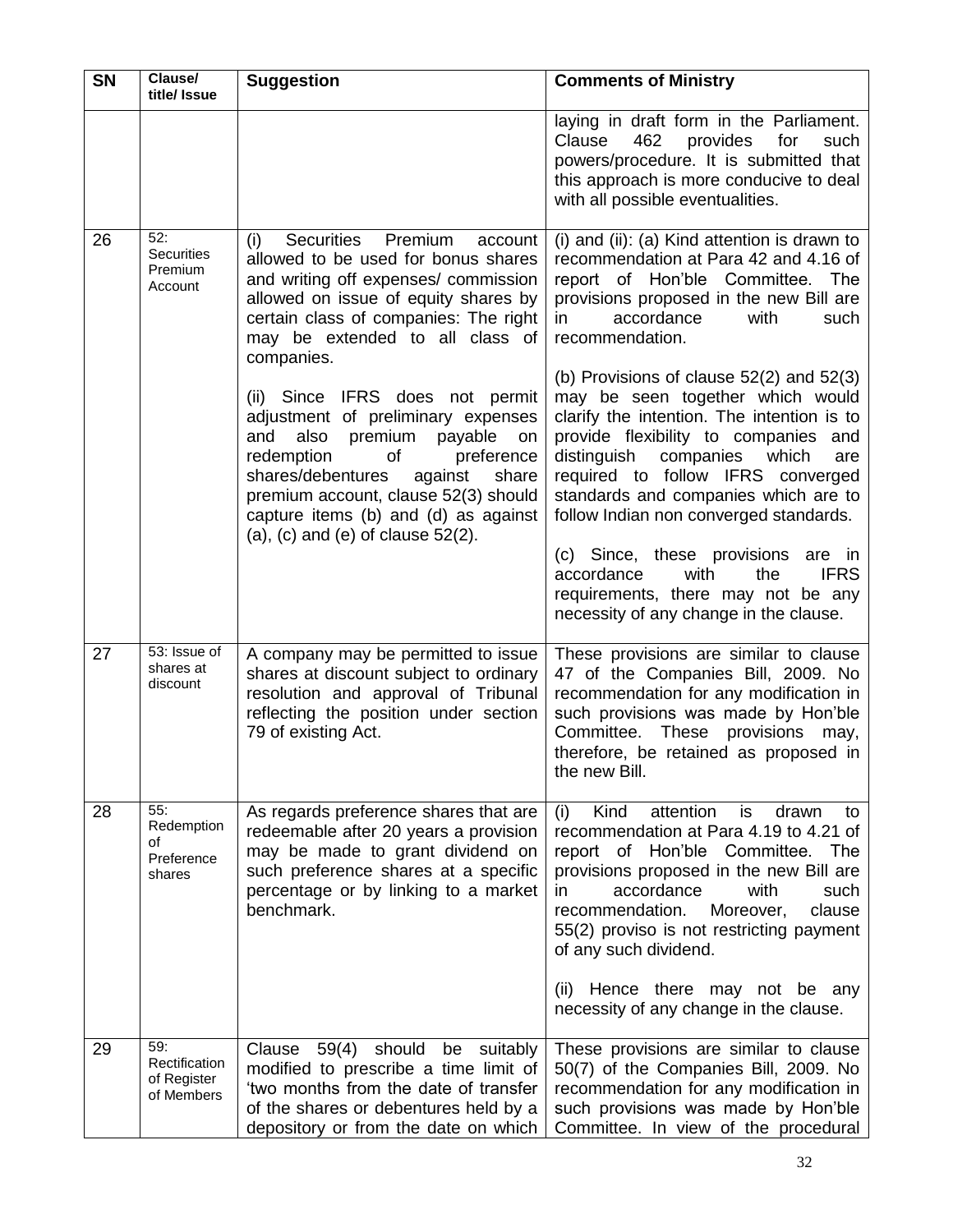| <b>SN</b> | Clause/<br>title/ Issue                           | <b>Suggestion</b>                                                                                                                                                                                                                                                                                                          | <b>Comments of Ministry</b>                                                                                                                                                                                                                                                                                                                                                                             |
|-----------|---------------------------------------------------|----------------------------------------------------------------------------------------------------------------------------------------------------------------------------------------------------------------------------------------------------------------------------------------------------------------------------|---------------------------------------------------------------------------------------------------------------------------------------------------------------------------------------------------------------------------------------------------------------------------------------------------------------------------------------------------------------------------------------------------------|
|           |                                                   |                                                                                                                                                                                                                                                                                                                            | laying in draft form in the Parliament.<br>Clause<br>462<br>provides<br>for<br>such<br>powers/procedure. It is submitted that<br>this approach is more conducive to deal<br>with all possible eventualities.                                                                                                                                                                                            |
| 26        | 52:<br>Securities<br>Premium<br>Account           | <b>Securities</b><br>Premium<br>(i)<br>account<br>allowed to be used for bonus shares<br>and writing off expenses/ commission<br>allowed on issue of equity shares by<br>certain class of companies: The right<br>may be extended to all class of<br>companies.                                                            | (i) and (ii): (a) Kind attention is drawn to<br>recommendation at Para 42 and 4.16 of<br>report of Hon'ble Committee.<br>The<br>provisions proposed in the new Bill are<br>accordance<br>in<br>with<br>such<br>recommendation.                                                                                                                                                                          |
|           |                                                   | (ii) Since IFRS does not permit<br>adjustment of preliminary expenses<br>also<br>premium<br>and<br>payable<br>on<br>redemption<br>of<br>preference<br>shares/debentures<br>against<br>share<br>premium account, clause 52(3) should<br>capture items (b) and (d) as against<br>$(a)$ , $(c)$ and $(e)$ of clause $52(2)$ . | (b) Provisions of clause $52(2)$ and $52(3)$<br>may be seen together which would<br>clarify the intention. The intention is to<br>provide flexibility to companies and<br>distinguish<br>companies<br>which<br>are<br>required to follow IFRS converged<br>standards and companies which are to<br>follow Indian non converged standards.                                                               |
|           |                                                   |                                                                                                                                                                                                                                                                                                                            | (c) Since, these provisions<br>are in<br>with<br>the<br><b>IFRS</b><br>accordance<br>requirements, there may not be any<br>necessity of any change in the clause.                                                                                                                                                                                                                                       |
| 27        | 53: Issue of<br>shares at<br>discount             | A company may be permitted to issue<br>shares at discount subject to ordinary<br>resolution and approval of Tribunal<br>reflecting the position under section<br>79 of existing Act.                                                                                                                                       | These provisions are similar to clause<br>47 of the Companies Bill, 2009. No<br>recommendation for any modification in<br>such provisions was made by Hon'ble<br>Committee.<br>These provisions<br>may,<br>therefore, be retained as proposed in<br>the new Bill.                                                                                                                                       |
| 28        | 55:<br>Redemption<br>οf<br>Preference<br>shares   | As regards preference shares that are<br>redeemable after 20 years a provision<br>may be made to grant dividend on<br>such preference shares at a specific<br>percentage or by linking to a market<br>benchmark.                                                                                                           | Kind<br>attention<br>(i)<br>is<br>drawn<br>to<br>recommendation at Para 4.19 to 4.21 of<br>report of Hon'ble Committee. The<br>provisions proposed in the new Bill are<br>accordance<br>with<br>such<br>in.<br>recommendation.<br>clause<br>Moreover,<br>55(2) proviso is not restricting payment<br>of any such dividend.<br>(ii) Hence there may not be any<br>necessity of any change in the clause. |
| 29        | 59.<br>Rectification<br>of Register<br>of Members | 59(4)<br>should be<br>Clause<br>suitably<br>modified to prescribe a time limit of<br>'two months from the date of transfer<br>of the shares or debentures held by a<br>depository or from the date on which                                                                                                                | These provisions are similar to clause<br>50(7) of the Companies Bill, 2009. No<br>recommendation for any modification in<br>such provisions was made by Hon'ble<br>Committee. In view of the procedural                                                                                                                                                                                                |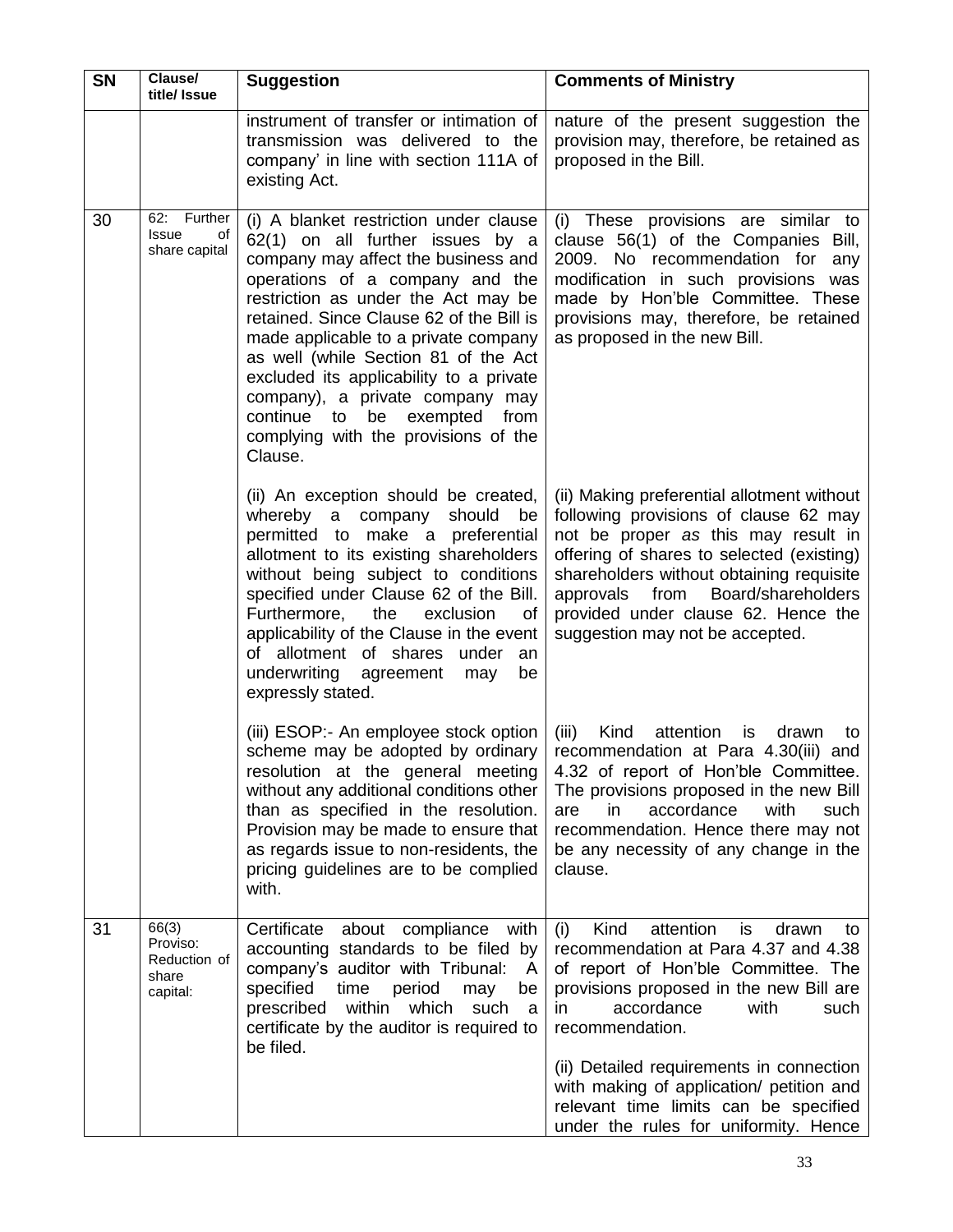| <b>SN</b> | Clause/<br>title/ Issue                                | <b>Suggestion</b>                                                                                                                                                                                                                                                                                                                                                                                                                                                                                 | <b>Comments of Ministry</b>                                                                                                                                                                                                                                                                                                              |
|-----------|--------------------------------------------------------|---------------------------------------------------------------------------------------------------------------------------------------------------------------------------------------------------------------------------------------------------------------------------------------------------------------------------------------------------------------------------------------------------------------------------------------------------------------------------------------------------|------------------------------------------------------------------------------------------------------------------------------------------------------------------------------------------------------------------------------------------------------------------------------------------------------------------------------------------|
|           |                                                        | instrument of transfer or intimation of<br>transmission was delivered to the<br>company' in line with section 111A of<br>existing Act.                                                                                                                                                                                                                                                                                                                                                            | nature of the present suggestion the<br>provision may, therefore, be retained as<br>proposed in the Bill.                                                                                                                                                                                                                                |
| 30        | 62: Further<br><b>Issue</b><br>οf<br>share capital     | (i) A blanket restriction under clause<br>62(1) on all further issues by a<br>company may affect the business and<br>operations of a company and the<br>restriction as under the Act may be<br>retained. Since Clause 62 of the Bill is<br>made applicable to a private company<br>as well (while Section 81 of the Act<br>excluded its applicability to a private<br>company), a private company may<br>exempted<br>continue to<br>be<br>from<br>complying with the provisions of the<br>Clause. | (i) These provisions are similar to<br>clause 56(1) of the Companies Bill,<br>2009. No recommendation for<br>any<br>modification in such provisions was<br>made by Hon'ble Committee. These<br>provisions may, therefore, be retained<br>as proposed in the new Bill.                                                                    |
|           |                                                        | (ii) An exception should be created,<br>whereby a company<br>should<br>be<br>permitted to make a preferential<br>allotment to its existing shareholders<br>without being subject to conditions<br>specified under Clause 62 of the Bill.<br>Furthermore, the<br>exclusion<br><b>of</b><br>applicability of the Clause in the event<br>of allotment of shares under<br>an<br>underwriting<br>agreement<br>be<br>may<br>expressly stated.                                                           | (ii) Making preferential allotment without<br>following provisions of clause 62 may<br>not be proper as this may result in<br>offering of shares to selected (existing)<br>shareholders without obtaining requisite<br>Board/shareholders<br>approvals<br>from<br>provided under clause 62. Hence the<br>suggestion may not be accepted. |
|           |                                                        | (iii) ESOP:- An employee stock option<br>scheme may be adopted by ordinary<br>resolution at the general meeting<br>without any additional conditions other<br>than as specified in the resolution.<br>Provision may be made to ensure that<br>as regards issue to non-residents, the<br>pricing guidelines are to be complied<br>with.                                                                                                                                                            | Kind<br>attention<br>(iii)<br>drawn<br>IS<br>to<br>recommendation at Para 4.30(iii) and<br>4.32 of report of Hon'ble Committee.<br>The provisions proposed in the new Bill<br>accordance<br>in<br>with<br>such<br>are<br>recommendation. Hence there may not<br>be any necessity of any change in the<br>clause.                         |
| 31        | 66(3)<br>Proviso:<br>Reduction of<br>share<br>capital: | about compliance<br>Certificate<br>with<br>accounting standards to be filed by<br>company's auditor with Tribunal:<br>- A<br>specified<br>time<br>period<br>may<br>be<br>within<br>prescribed<br>which<br>such<br>a<br>certificate by the auditor is required to<br>be filed.                                                                                                                                                                                                                     | attention<br>drawn<br>(i)<br>Kind<br>is<br>to<br>recommendation at Para 4.37 and 4.38<br>of report of Hon'ble Committee. The<br>provisions proposed in the new Bill are<br>accordance<br>with<br>such<br>in<br>recommendation.                                                                                                           |
|           |                                                        |                                                                                                                                                                                                                                                                                                                                                                                                                                                                                                   | (ii) Detailed requirements in connection<br>with making of application/ petition and<br>relevant time limits can be specified<br>under the rules for uniformity. Hence                                                                                                                                                                   |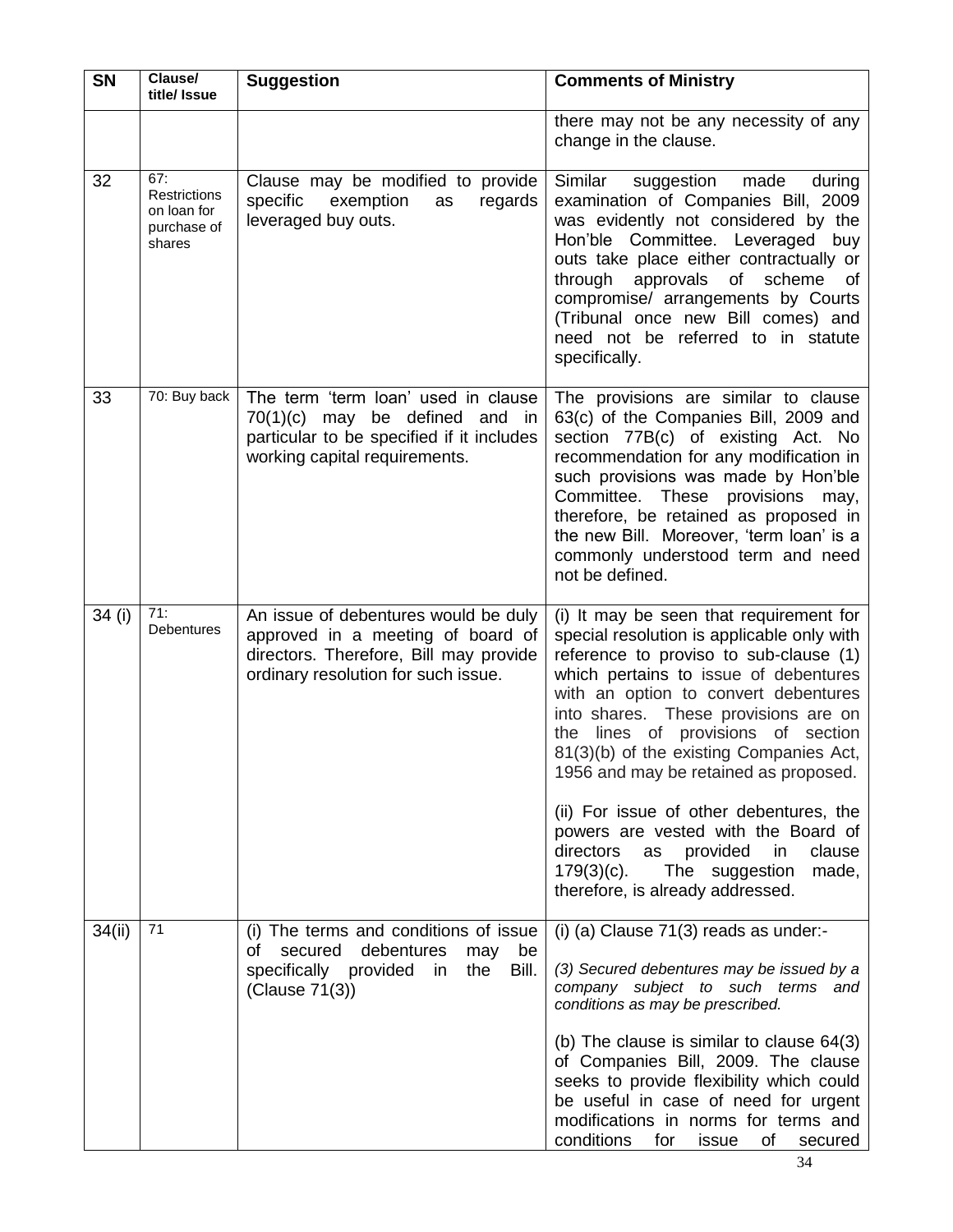| <b>SN</b> | Clause/<br>title/ Issue                                            | <b>Suggestion</b>                                                                                                                                          | <b>Comments of Ministry</b>                                                                                                                                                                                                                                                                                                                                                                                                                                                                                                                                                                            |
|-----------|--------------------------------------------------------------------|------------------------------------------------------------------------------------------------------------------------------------------------------------|--------------------------------------------------------------------------------------------------------------------------------------------------------------------------------------------------------------------------------------------------------------------------------------------------------------------------------------------------------------------------------------------------------------------------------------------------------------------------------------------------------------------------------------------------------------------------------------------------------|
|           |                                                                    |                                                                                                                                                            | there may not be any necessity of any<br>change in the clause.                                                                                                                                                                                                                                                                                                                                                                                                                                                                                                                                         |
| 32        | 67:<br><b>Restrictions</b><br>on loan for<br>purchase of<br>shares | Clause may be modified to provide<br>specific<br>exemption<br>regards<br>as<br>leveraged buy outs.                                                         | Similar<br>suggestion<br>made<br>during<br>examination of Companies Bill, 2009<br>was evidently not considered by the<br>Hon'ble Committee. Leveraged buy<br>outs take place either contractually or<br>through approvals of scheme<br>of<br>compromise/ arrangements by Courts<br>(Tribunal once new Bill comes) and<br>need not be referred to in statute<br>specifically.                                                                                                                                                                                                                           |
| 33        | 70: Buy back                                                       | The term 'term loan' used in clause<br>$70(1)(c)$ may be defined and in<br>particular to be specified if it includes<br>working capital requirements.      | The provisions are similar to clause<br>63(c) of the Companies Bill, 2009 and<br>section 77B(c) of existing Act. No<br>recommendation for any modification in<br>such provisions was made by Hon'ble<br>Committee.<br>These provisions<br>may,<br>therefore, be retained as proposed in<br>the new Bill. Moreover, 'term loan' is a<br>commonly understood term and need<br>not be defined.                                                                                                                                                                                                            |
| 34 (i)    | 71:<br>Debentures                                                  | An issue of debentures would be duly<br>approved in a meeting of board of<br>directors. Therefore, Bill may provide<br>ordinary resolution for such issue. | (i) It may be seen that requirement for<br>special resolution is applicable only with<br>reference to proviso to sub-clause (1)<br>which pertains to issue of debentures<br>with an option to convert debentures<br>into shares. These provisions are on<br>lines of provisions of section<br>the<br>81(3)(b) of the existing Companies Act,<br>1956 and may be retained as proposed.<br>(ii) For issue of other debentures, the<br>powers are vested with the Board of<br>directors<br>provided<br>clause<br>in<br>as<br>$179(3)(c)$ .<br>The suggestion<br>made,<br>therefore, is already addressed. |
| 34(ii)    | 71                                                                 | (i) The terms and conditions of issue<br>secured<br>debentures<br>οf<br>may<br>be<br>specifically provided in<br>Bill.<br>the<br>(Clause 71(3))            | (i) (a) Clause 71(3) reads as under:-<br>(3) Secured debentures may be issued by a<br>company subject to such terms<br>and<br>conditions as may be prescribed.<br>(b) The clause is similar to clause $64(3)$<br>of Companies Bill, 2009. The clause<br>seeks to provide flexibility which could<br>be useful in case of need for urgent<br>modifications in norms for terms and<br>conditions<br>for<br>of<br>issue<br>secured                                                                                                                                                                        |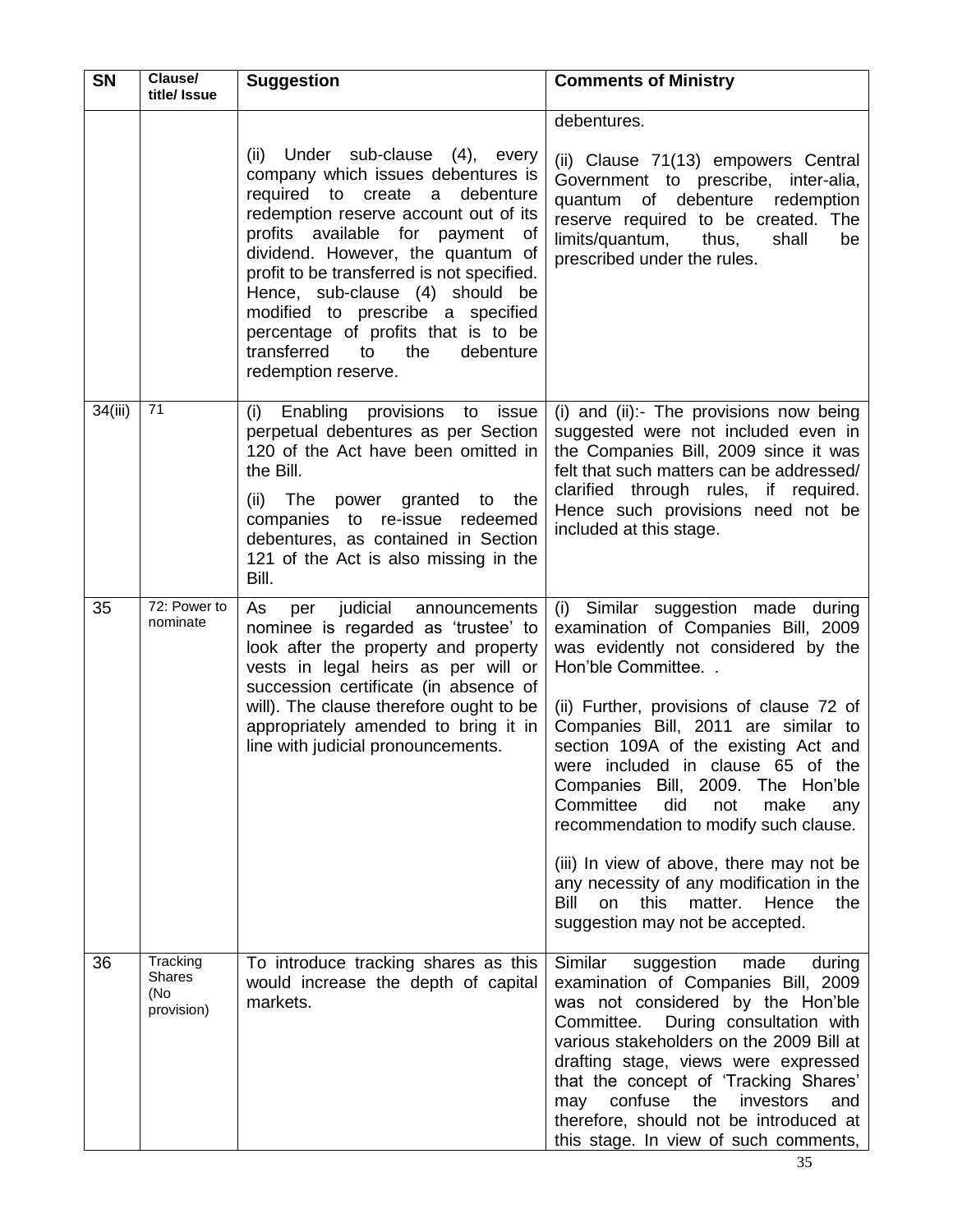| <b>SN</b> | Clause/<br>title/ Issue                 | <b>Suggestion</b>                                                                                                                                                                                                                                                                                                                                                                                                                                       | <b>Comments of Ministry</b>                                                                                                                                                                                                                                                                                                                                                                                                                                                                                                                                                                               |
|-----------|-----------------------------------------|---------------------------------------------------------------------------------------------------------------------------------------------------------------------------------------------------------------------------------------------------------------------------------------------------------------------------------------------------------------------------------------------------------------------------------------------------------|-----------------------------------------------------------------------------------------------------------------------------------------------------------------------------------------------------------------------------------------------------------------------------------------------------------------------------------------------------------------------------------------------------------------------------------------------------------------------------------------------------------------------------------------------------------------------------------------------------------|
|           |                                         |                                                                                                                                                                                                                                                                                                                                                                                                                                                         | debentures.                                                                                                                                                                                                                                                                                                                                                                                                                                                                                                                                                                                               |
|           |                                         | (ii) Under sub-clause (4), every<br>company which issues debentures is<br>required to create a debenture<br>redemption reserve account out of its<br>profits available for payment of<br>dividend. However, the quantum of<br>profit to be transferred is not specified.<br>Hence, sub-clause (4) should be<br>modified to prescribe a specified<br>percentage of profits that is to be<br>transferred<br>the<br>debenture<br>to<br>redemption reserve. | (ii) Clause 71(13) empowers Central<br>Government to prescribe, inter-alia,<br>quantum of debenture redemption<br>reserve required to be created. The<br>limits/quantum,<br>thus,<br>shall<br>be<br>prescribed under the rules.                                                                                                                                                                                                                                                                                                                                                                           |
| 34(iii)   | 71                                      | Enabling provisions to issue<br>(i)<br>perpetual debentures as per Section<br>120 of the Act have been omitted in<br>the Bill.<br>(ii) The power granted to the<br>companies to re-issue redeemed<br>debentures, as contained in Section<br>121 of the Act is also missing in the<br>Bill.                                                                                                                                                              | (i) and (ii):- The provisions now being<br>suggested were not included even in<br>the Companies Bill, 2009 since it was<br>felt that such matters can be addressed/<br>clarified through rules, if required.<br>Hence such provisions need not be<br>included at this stage.                                                                                                                                                                                                                                                                                                                              |
| 35        | $\overline{7}$ 2: Power to<br>nominate  | judicial announcements<br>As<br>per<br>nominee is regarded as 'trustee' to<br>look after the property and property<br>vests in legal heirs as per will or<br>succession certificate (in absence of<br>will). The clause therefore ought to be<br>appropriately amended to bring it in<br>line with judicial pronouncements.                                                                                                                             | (i) Similar suggestion made during<br>examination of Companies Bill, 2009<br>was evidently not considered by the<br>Hon'ble Committee<br>(ii) Further, provisions of clause 72 of<br>Companies Bill, 2011 are similar to<br>section 109A of the existing Act and<br>were included in clause 65 of the<br>Companies Bill, 2009. The Hon'ble<br>Committee<br>did<br>make<br>not<br>any<br>recommendation to modify such clause.<br>(iii) In view of above, there may not be<br>any necessity of any modification in the<br>Bill<br>this<br>matter.<br>Hence<br>on<br>the<br>suggestion may not be accepted. |
| 36        | Tracking<br>Shares<br>(No<br>provision) | To introduce tracking shares as this<br>would increase the depth of capital<br>markets.                                                                                                                                                                                                                                                                                                                                                                 | Similar<br>suggestion<br>made<br>during<br>examination of Companies Bill, 2009<br>was not considered by the Hon'ble<br>During consultation with<br>Committee.<br>various stakeholders on the 2009 Bill at<br>drafting stage, views were expressed<br>that the concept of 'Tracking Shares'<br>confuse<br>the<br>investors<br>may<br>and<br>therefore, should not be introduced at<br>this stage. In view of such comments,                                                                                                                                                                                |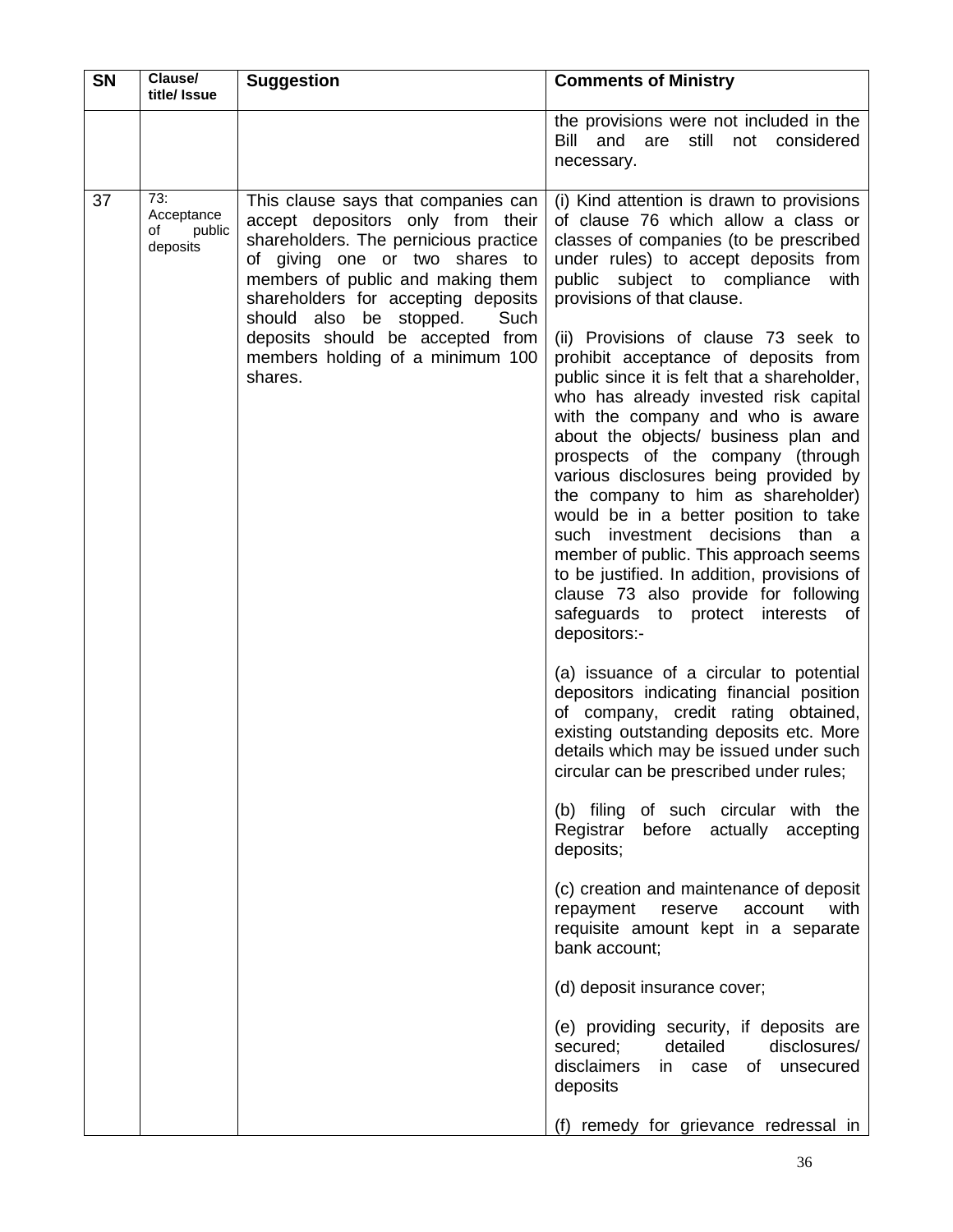| <b>SN</b> | Clause/<br>title/ Issue                       | <b>Suggestion</b>                                                                                                                                                                                                                                                                                                                                     | <b>Comments of Ministry</b>                                                                                                                                                                                                                                                                                                                                                                                                                                                                                                                                                                                                                                                                                                                                                                                                                                                                                                                                                                                                                                                                                                                                                                                                                                                                                                                                                                                                                                                                                                                                                                                                |
|-----------|-----------------------------------------------|-------------------------------------------------------------------------------------------------------------------------------------------------------------------------------------------------------------------------------------------------------------------------------------------------------------------------------------------------------|----------------------------------------------------------------------------------------------------------------------------------------------------------------------------------------------------------------------------------------------------------------------------------------------------------------------------------------------------------------------------------------------------------------------------------------------------------------------------------------------------------------------------------------------------------------------------------------------------------------------------------------------------------------------------------------------------------------------------------------------------------------------------------------------------------------------------------------------------------------------------------------------------------------------------------------------------------------------------------------------------------------------------------------------------------------------------------------------------------------------------------------------------------------------------------------------------------------------------------------------------------------------------------------------------------------------------------------------------------------------------------------------------------------------------------------------------------------------------------------------------------------------------------------------------------------------------------------------------------------------------|
|           |                                               |                                                                                                                                                                                                                                                                                                                                                       | the provisions were not included in the<br>and are still not considered<br>Bill<br>necessary.                                                                                                                                                                                                                                                                                                                                                                                                                                                                                                                                                                                                                                                                                                                                                                                                                                                                                                                                                                                                                                                                                                                                                                                                                                                                                                                                                                                                                                                                                                                              |
| 37        | 73:<br>Acceptance<br>οf<br>public<br>deposits | This clause says that companies can<br>accept depositors only from their<br>shareholders. The pernicious practice<br>of giving one or two shares to<br>members of public and making them<br>shareholders for accepting deposits<br>should also be stopped.<br>Such<br>deposits should be accepted from<br>members holding of a minimum 100<br>shares. | (i) Kind attention is drawn to provisions<br>of clause 76 which allow a class or<br>classes of companies (to be prescribed<br>under rules) to accept deposits from<br>public subject to compliance<br>with<br>provisions of that clause.<br>(ii) Provisions of clause 73 seek to<br>prohibit acceptance of deposits from<br>public since it is felt that a shareholder,<br>who has already invested risk capital<br>with the company and who is aware<br>about the objects/ business plan and<br>prospects of the company (through<br>various disclosures being provided by<br>the company to him as shareholder)<br>would be in a better position to take<br>such investment decisions than a<br>member of public. This approach seems<br>to be justified. In addition, provisions of<br>clause 73 also provide for following<br>safeguards to<br>protect<br>interests<br>of<br>depositors:-<br>(a) issuance of a circular to potential<br>depositors indicating financial position<br>of company, credit rating obtained,<br>existing outstanding deposits etc. More<br>details which may be issued under such<br>circular can be prescribed under rules;<br>(b) filing of such circular with the<br>before actually<br>Registrar<br>accepting<br>deposits;<br>(c) creation and maintenance of deposit<br>with<br>repayment<br>reserve<br>account<br>requisite amount kept in a separate<br>bank account;<br>(d) deposit insurance cover;<br>(e) providing security, if deposits are<br>detailed<br>disclosures/<br>secured;<br>disclaimers<br>in case of unsecured<br>deposits<br>(f) remedy for grievance redressal in |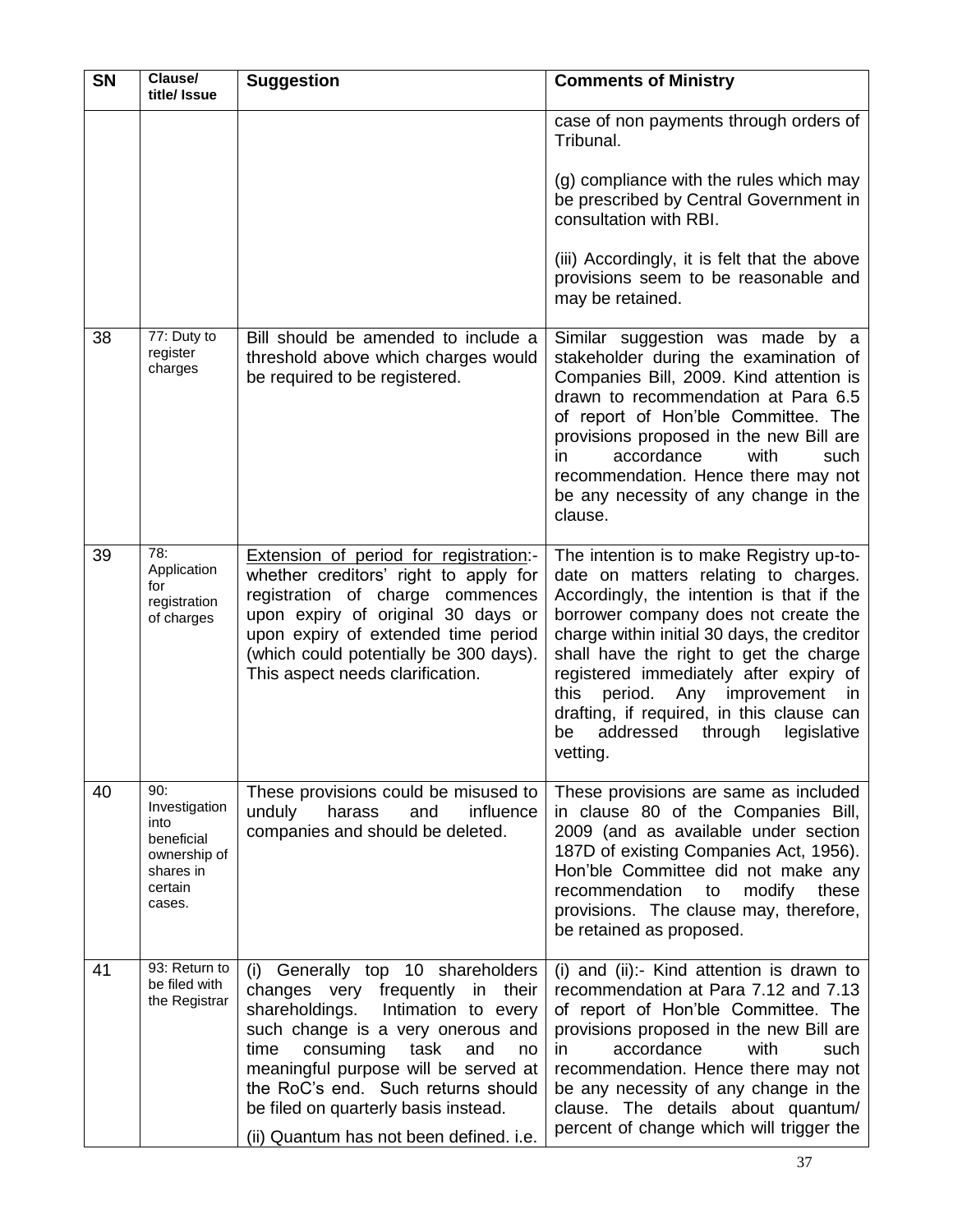| <b>SN</b> | Clause/<br>title/ Issue                                                                      | <b>Suggestion</b>                                                                                                                                                                                                                                                                                                                                                 | <b>Comments of Ministry</b>                                                                                                                                                                                                                                                                                                                                                                                                                                          |
|-----------|----------------------------------------------------------------------------------------------|-------------------------------------------------------------------------------------------------------------------------------------------------------------------------------------------------------------------------------------------------------------------------------------------------------------------------------------------------------------------|----------------------------------------------------------------------------------------------------------------------------------------------------------------------------------------------------------------------------------------------------------------------------------------------------------------------------------------------------------------------------------------------------------------------------------------------------------------------|
|           |                                                                                              |                                                                                                                                                                                                                                                                                                                                                                   | case of non payments through orders of<br>Tribunal.                                                                                                                                                                                                                                                                                                                                                                                                                  |
|           |                                                                                              |                                                                                                                                                                                                                                                                                                                                                                   | (g) compliance with the rules which may<br>be prescribed by Central Government in<br>consultation with RBI.                                                                                                                                                                                                                                                                                                                                                          |
|           |                                                                                              |                                                                                                                                                                                                                                                                                                                                                                   | (iii) Accordingly, it is felt that the above<br>provisions seem to be reasonable and<br>may be retained.                                                                                                                                                                                                                                                                                                                                                             |
| 38        | 77: Duty to<br>register<br>charges                                                           | Bill should be amended to include a<br>threshold above which charges would<br>be required to be registered.                                                                                                                                                                                                                                                       | Similar suggestion was made by a<br>stakeholder during the examination of<br>Companies Bill, 2009. Kind attention is<br>drawn to recommendation at Para 6.5<br>of report of Hon'ble Committee. The<br>provisions proposed in the new Bill are<br>accordance<br>with<br>in<br>such<br>recommendation. Hence there may not<br>be any necessity of any change in the<br>clause.                                                                                         |
| 39        | 78:<br>Application<br>for<br>registration<br>of charges                                      | Extension of period for registration:-<br>whether creditors' right to apply for<br>registration of charge commences<br>upon expiry of original 30 days or<br>upon expiry of extended time period<br>(which could potentially be 300 days).<br>This aspect needs clarification.                                                                                    | The intention is to make Registry up-to-<br>date on matters relating to charges.<br>Accordingly, the intention is that if the<br>borrower company does not create the<br>charge within initial 30 days, the creditor<br>shall have the right to get the charge<br>registered immediately after expiry of<br>Any improvement<br>this<br>period.<br>$\mathsf{I}$<br>drafting, if required, in this clause can<br>addressed<br>through<br>be<br>legislative<br>vetting. |
| 40        | 90:<br>Investigation<br>into<br>beneficial<br>ownership of<br>shares in<br>certain<br>cases. | These provisions could be misused to<br>unduly<br>harass<br>and<br>influence<br>companies and should be deleted.                                                                                                                                                                                                                                                  | These provisions are same as included<br>in clause 80 of the Companies Bill,<br>2009 (and as available under section<br>187D of existing Companies Act, 1956).<br>Hon'ble Committee did not make any<br>these<br>recommendation<br>modify<br>to<br>provisions. The clause may, therefore,<br>be retained as proposed.                                                                                                                                                |
| 41        | 93: Return to<br>be filed with<br>the Registrar                                              | (i)<br>Generally top 10 shareholders<br>changes very frequently in their<br>shareholdings.<br>Intimation to every<br>such change is a very onerous and<br>consuming<br>task<br>and<br>time<br>no<br>meaningful purpose will be served at<br>the RoC's end. Such returns should<br>be filed on quarterly basis instead.<br>(ii) Quantum has not been defined. i.e. | (i) and (ii):- Kind attention is drawn to<br>recommendation at Para 7.12 and 7.13<br>of report of Hon'ble Committee. The<br>provisions proposed in the new Bill are<br>accordance<br>with<br>in.<br>such<br>recommendation. Hence there may not<br>be any necessity of any change in the<br>clause. The details about quantum/<br>percent of change which will trigger the                                                                                           |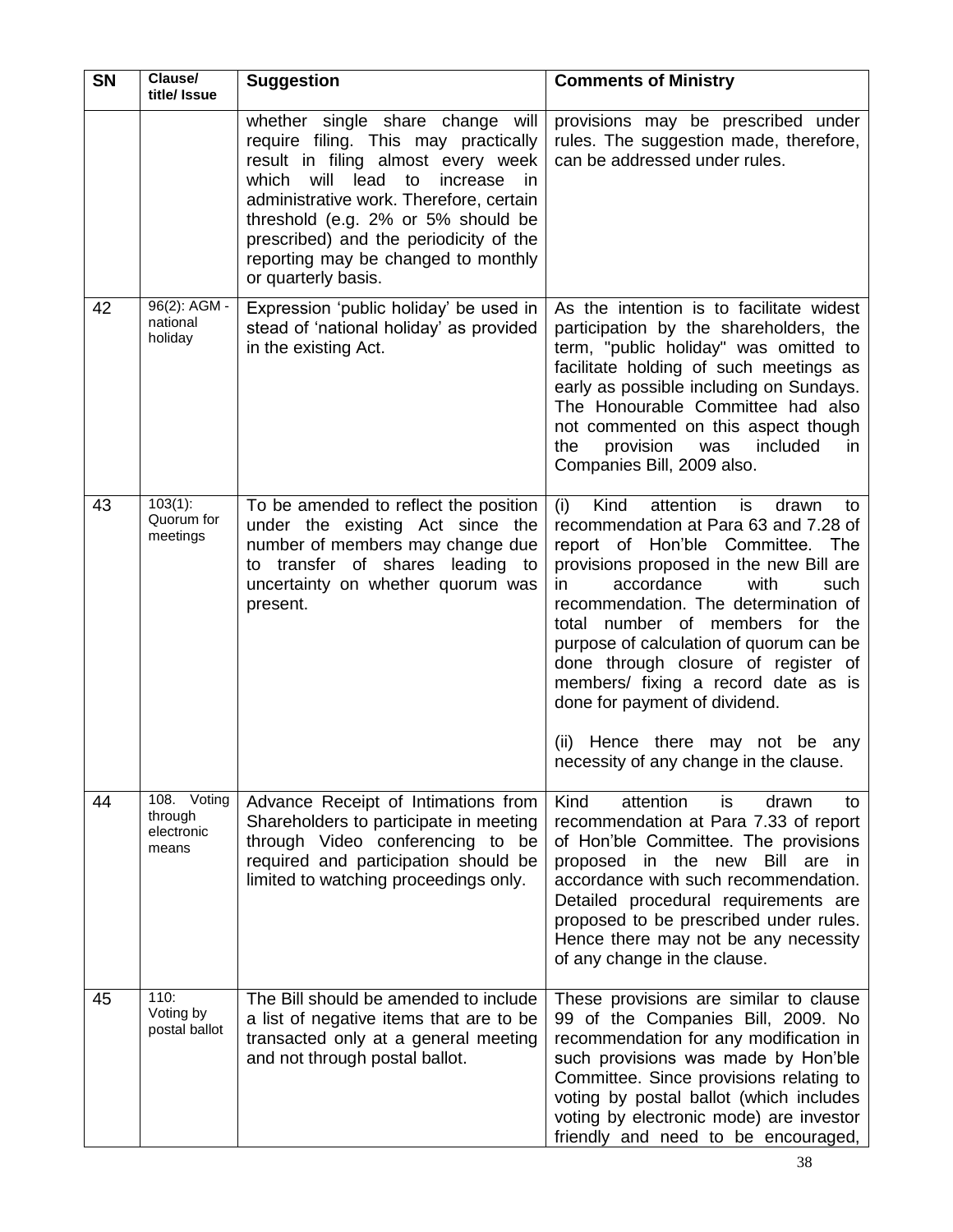| <b>SN</b> | Clause/<br>title/ Issue                       | <b>Suggestion</b>                                                                                                                                                                                                                                                                                                                                         | <b>Comments of Ministry</b>                                                                                                                                                                                                                                                                                                                                                                                                                                                                                                     |
|-----------|-----------------------------------------------|-----------------------------------------------------------------------------------------------------------------------------------------------------------------------------------------------------------------------------------------------------------------------------------------------------------------------------------------------------------|---------------------------------------------------------------------------------------------------------------------------------------------------------------------------------------------------------------------------------------------------------------------------------------------------------------------------------------------------------------------------------------------------------------------------------------------------------------------------------------------------------------------------------|
|           |                                               | whether single share change will<br>require filing. This may practically<br>result in filing almost every week<br>lead<br>which<br>will<br>to<br>increase<br>in.<br>administrative work. Therefore, certain<br>threshold (e.g. 2% or 5% should be<br>prescribed) and the periodicity of the<br>reporting may be changed to monthly<br>or quarterly basis. | provisions may be prescribed under<br>rules. The suggestion made, therefore,<br>can be addressed under rules.                                                                                                                                                                                                                                                                                                                                                                                                                   |
| 42        | 96(2): AGM -<br>national<br>holiday           | Expression 'public holiday' be used in<br>stead of 'national holiday' as provided<br>in the existing Act.                                                                                                                                                                                                                                                 | As the intention is to facilitate widest<br>participation by the shareholders, the<br>term, "public holiday" was omitted to<br>facilitate holding of such meetings as<br>early as possible including on Sundays.<br>The Honourable Committee had also<br>not commented on this aspect though<br>provision<br>included<br>the<br>was<br>in.<br>Companies Bill, 2009 also.                                                                                                                                                        |
| 43        | $103(1)$ :<br>Quorum for<br>meetings          | To be amended to reflect the position<br>under the existing Act since the<br>number of members may change due<br>to transfer of shares leading to<br>uncertainty on whether quorum was<br>present.                                                                                                                                                        | attention<br>(i)<br>Kind<br>is<br>drawn<br>to<br>recommendation at Para 63 and 7.28 of<br>report of Hon'ble Committee. The<br>provisions proposed in the new Bill are<br>accordance<br>with<br>such<br>in.<br>recommendation. The determination of<br>total number of members for the<br>purpose of calculation of quorum can be<br>done through closure of register of<br>members/ fixing a record date as is<br>done for payment of dividend.<br>Hence there may not be any<br>(ii)<br>necessity of any change in the clause. |
| 44        | 108. Voting<br>through<br>electronic<br>means | Advance Receipt of Intimations from<br>Shareholders to participate in meeting<br>through Video conferencing to be<br>required and participation should be<br>limited to watching proceedings only.                                                                                                                                                        | Kind<br>attention<br>is<br>drawn<br>to<br>recommendation at Para 7.33 of report<br>of Hon'ble Committee. The provisions<br>proposed in the new<br>Bill are in<br>accordance with such recommendation.<br>Detailed procedural requirements are<br>proposed to be prescribed under rules.<br>Hence there may not be any necessity<br>of any change in the clause.                                                                                                                                                                 |
| 45        | 110:<br>Voting by<br>postal ballot            | The Bill should be amended to include<br>a list of negative items that are to be<br>transacted only at a general meeting<br>and not through postal ballot.                                                                                                                                                                                                | These provisions are similar to clause<br>99 of the Companies Bill, 2009. No<br>recommendation for any modification in<br>such provisions was made by Hon'ble<br>Committee. Since provisions relating to<br>voting by postal ballot (which includes<br>voting by electronic mode) are investor<br>friendly and need to be encouraged,                                                                                                                                                                                           |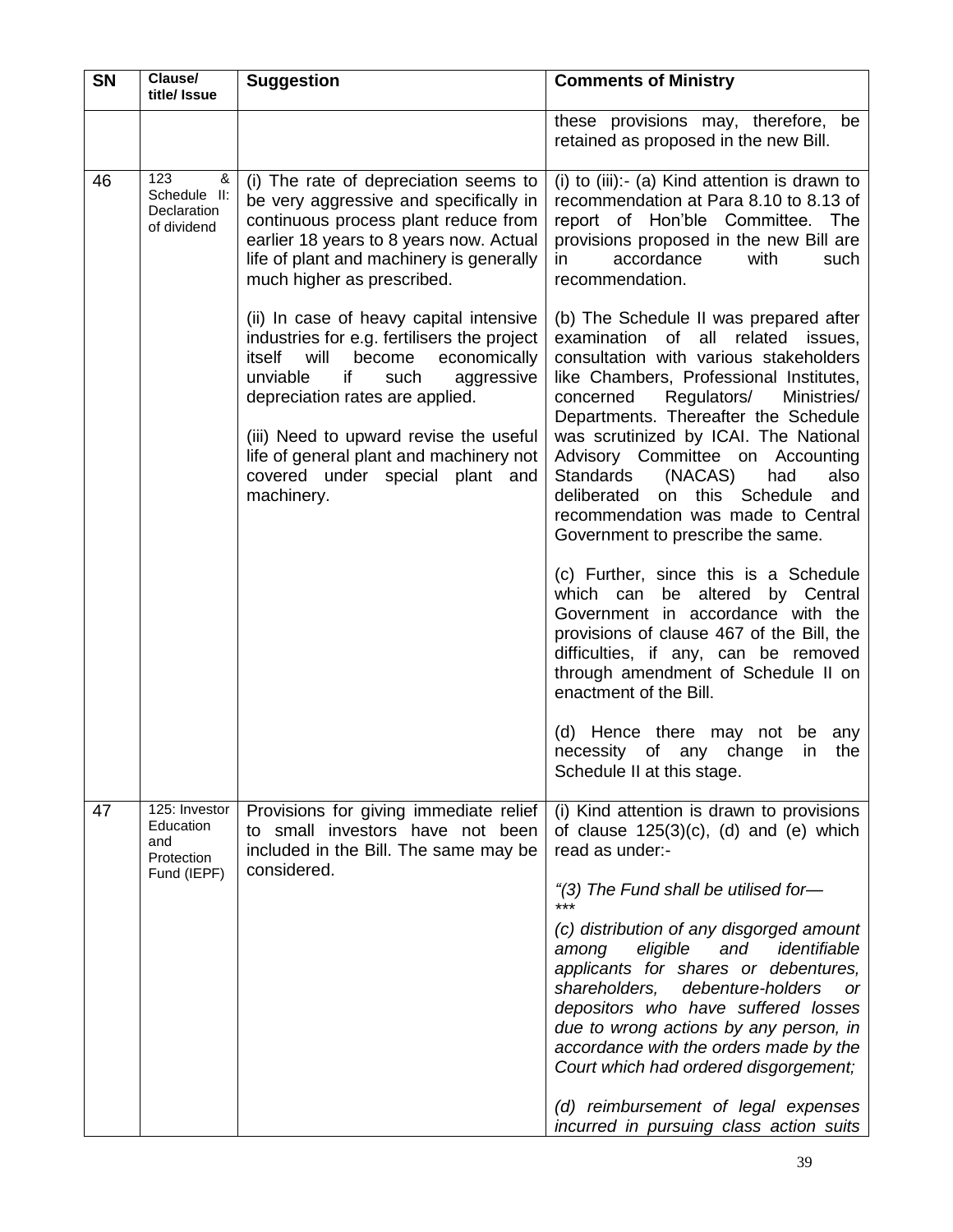| <b>SN</b> | Clause/<br>title/ Issue                                        | <b>Suggestion</b>                                                                                                                                                                                                                                                                                                                                   | <b>Comments of Ministry</b>                                                                                                                                                                                                                                                                                                                                                                                                                                                                                     |
|-----------|----------------------------------------------------------------|-----------------------------------------------------------------------------------------------------------------------------------------------------------------------------------------------------------------------------------------------------------------------------------------------------------------------------------------------------|-----------------------------------------------------------------------------------------------------------------------------------------------------------------------------------------------------------------------------------------------------------------------------------------------------------------------------------------------------------------------------------------------------------------------------------------------------------------------------------------------------------------|
|           |                                                                |                                                                                                                                                                                                                                                                                                                                                     | these provisions may, therefore, be<br>retained as proposed in the new Bill.                                                                                                                                                                                                                                                                                                                                                                                                                                    |
| 46        | 123<br>&<br>Schedule II:<br>Declaration<br>of dividend         | (i) The rate of depreciation seems to<br>be very aggressive and specifically in<br>continuous process plant reduce from<br>earlier 18 years to 8 years now. Actual<br>life of plant and machinery is generally<br>much higher as prescribed.                                                                                                        | (i) to (iii):- (a) Kind attention is drawn to<br>recommendation at Para 8.10 to 8.13 of<br>report of Hon'ble Committee. The<br>provisions proposed in the new Bill are<br>accordance<br>with<br>in.<br>such<br>recommendation.                                                                                                                                                                                                                                                                                  |
|           |                                                                | (ii) In case of heavy capital intensive<br>industries for e.g. fertilisers the project<br>will<br>become<br>economically<br>itself<br>if<br>unviable<br>such<br>aggressive<br>depreciation rates are applied.<br>(iii) Need to upward revise the useful<br>life of general plant and machinery not<br>covered under special plant and<br>machinery. | (b) The Schedule II was prepared after<br>examination of all related issues,<br>consultation with various stakeholders<br>like Chambers, Professional Institutes,<br>Regulators/<br>concerned<br>Ministries/<br>Departments. Thereafter the Schedule<br>was scrutinized by ICAI. The National<br>Advisory Committee on Accounting<br>Standards (NACAS)<br>had<br>also<br>on this Schedule<br>deliberated<br>and<br>recommendation was made to Central<br>Government to prescribe the same.                      |
|           |                                                                |                                                                                                                                                                                                                                                                                                                                                     | (c) Further, since this is a Schedule<br>which can<br>altered<br>by Central<br>be<br>Government in accordance with the<br>provisions of clause 467 of the Bill, the<br>difficulties, if any, can be removed<br>through amendment of Schedule II on<br>enactment of the Bill.<br>(d) Hence there may not be<br>any                                                                                                                                                                                               |
|           |                                                                |                                                                                                                                                                                                                                                                                                                                                     | necessity of any change<br>the<br>in<br>Schedule II at this stage.                                                                                                                                                                                                                                                                                                                                                                                                                                              |
| 47        | 125: Investor<br>Education<br>and<br>Protection<br>Fund (IEPF) | Provisions for giving immediate relief<br>to small investors have not been<br>included in the Bill. The same may be<br>considered.                                                                                                                                                                                                                  | (i) Kind attention is drawn to provisions<br>of clause $125(3)(c)$ , (d) and (e) which<br>read as under:-<br>"(3) The Fund shall be utilised for-<br>***<br>(c) distribution of any disgorged amount<br>eligible<br>and<br>identifiable<br>among<br>applicants for shares or debentures,<br>shareholders,<br>debenture-holders<br><b>or</b><br>depositors who have suffered losses<br>due to wrong actions by any person, in<br>accordance with the orders made by the<br>Court which had ordered disgorgement; |
|           |                                                                |                                                                                                                                                                                                                                                                                                                                                     | (d) reimbursement of legal expenses<br>incurred in pursuing class action suits                                                                                                                                                                                                                                                                                                                                                                                                                                  |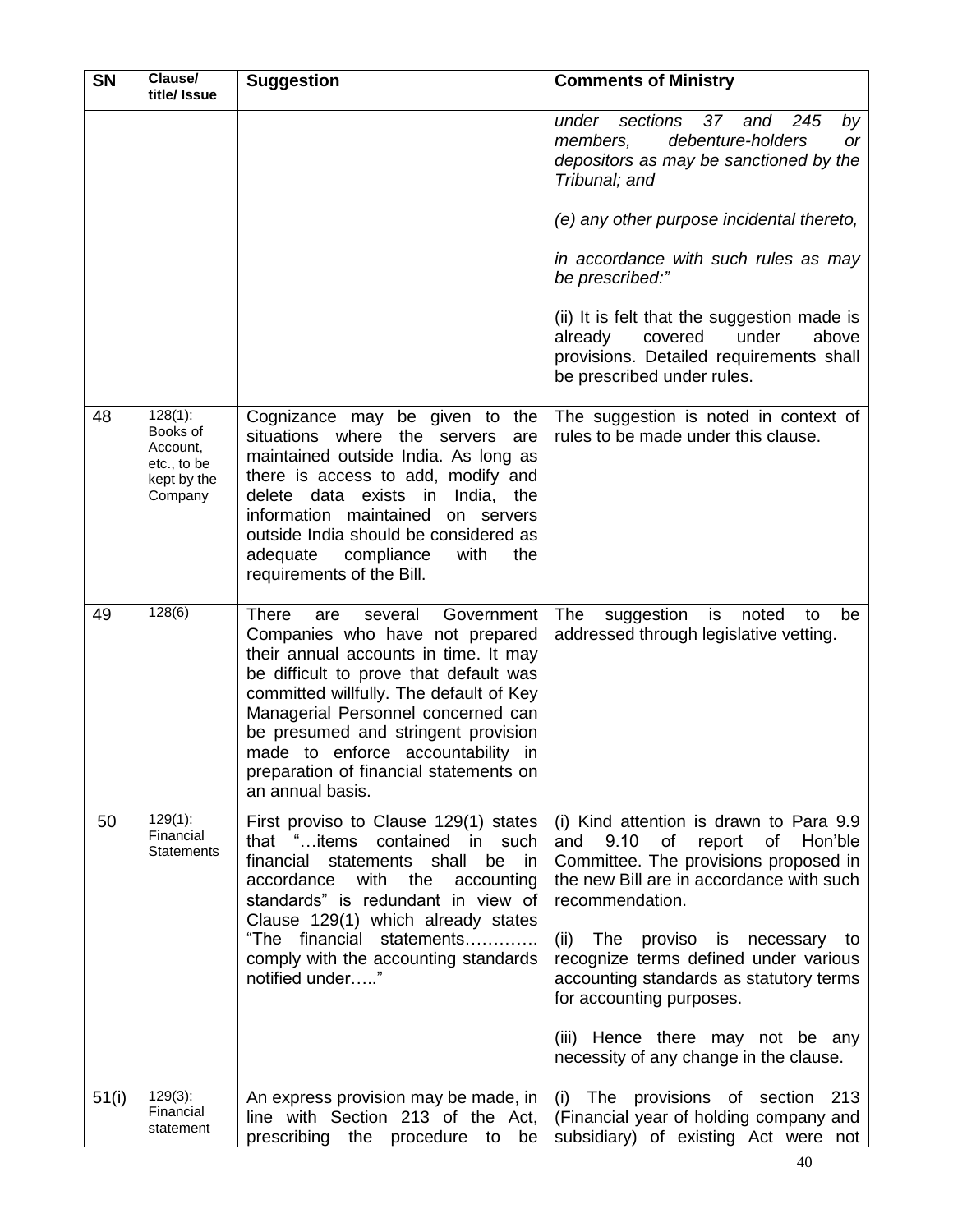| <b>SN</b> | Clause/<br>title/ Issue                                                     | <b>Suggestion</b>                                                                                                                                                                                                                                                                                                                                                                      | <b>Comments of Ministry</b>                                                                                                                                                                                                                                                                                                                               |
|-----------|-----------------------------------------------------------------------------|----------------------------------------------------------------------------------------------------------------------------------------------------------------------------------------------------------------------------------------------------------------------------------------------------------------------------------------------------------------------------------------|-----------------------------------------------------------------------------------------------------------------------------------------------------------------------------------------------------------------------------------------------------------------------------------------------------------------------------------------------------------|
|           |                                                                             |                                                                                                                                                                                                                                                                                                                                                                                        | under<br>sections<br>37<br>and<br>245<br>by<br>debenture-holders<br>members,<br>or<br>depositors as may be sanctioned by the<br>Tribunal; and                                                                                                                                                                                                             |
|           |                                                                             |                                                                                                                                                                                                                                                                                                                                                                                        | (e) any other purpose incidental thereto,                                                                                                                                                                                                                                                                                                                 |
|           |                                                                             |                                                                                                                                                                                                                                                                                                                                                                                        | in accordance with such rules as may<br>be prescribed:"                                                                                                                                                                                                                                                                                                   |
|           |                                                                             |                                                                                                                                                                                                                                                                                                                                                                                        | (ii) It is felt that the suggestion made is<br>already<br>covered<br>under<br>above<br>provisions. Detailed requirements shall<br>be prescribed under rules.                                                                                                                                                                                              |
| 48        | $128(1)$ :<br>Books of<br>Account,<br>etc., to be<br>kept by the<br>Company | Cognizance may be given to the<br>situations where the servers<br>are<br>maintained outside India. As long as<br>there is access to add, modify and<br>delete data exists in<br>India,<br>the<br>information maintained<br>on servers<br>outside India should be considered as<br>adequate<br>compliance<br>with<br>the<br>requirements of the Bill.                                   | The suggestion is noted in context of<br>rules to be made under this clause.                                                                                                                                                                                                                                                                              |
| 49        | 128(6)                                                                      | There<br>several<br>Government<br>are<br>Companies who have not prepared<br>their annual accounts in time. It may<br>be difficult to prove that default was<br>committed willfully. The default of Key<br>Managerial Personnel concerned can<br>be presumed and stringent provision<br>made to enforce accountability in<br>preparation of financial statements on<br>an annual basis. | The<br>suggestion<br>is<br>noted<br>be<br>to<br>addressed through legislative vetting.                                                                                                                                                                                                                                                                    |
| 50        | $129(1)$ :<br>Financial<br><b>Statements</b>                                | First proviso to Clause 129(1) states<br>that "items contained in such<br>financial statements<br>shall be<br>in<br>with<br>accordance<br>the<br>accounting<br>standards" is redundant in view of<br>Clause 129(1) which already states<br>"The financial statements<br>comply with the accounting standards<br>notified under"                                                        | (i) Kind attention is drawn to Para 9.9<br>9.10<br>of report<br>of<br>Hon'ble<br>and<br>Committee. The provisions proposed in<br>the new Bill are in accordance with such<br>recommendation.<br>(ii)<br>The<br>proviso is<br>necessary to<br>recognize terms defined under various<br>accounting standards as statutory terms<br>for accounting purposes. |
|           |                                                                             |                                                                                                                                                                                                                                                                                                                                                                                        | (iii) Hence there may not be any<br>necessity of any change in the clause.                                                                                                                                                                                                                                                                                |
| 51(i)     | $129(3)$ :<br>Financial<br>statement                                        | An express provision may be made, in  <br>line with Section 213 of the Act,<br>prescribing the procedure to be                                                                                                                                                                                                                                                                         | (i) The provisions of section 213<br>(Financial year of holding company and<br>subsidiary) of existing Act were not                                                                                                                                                                                                                                       |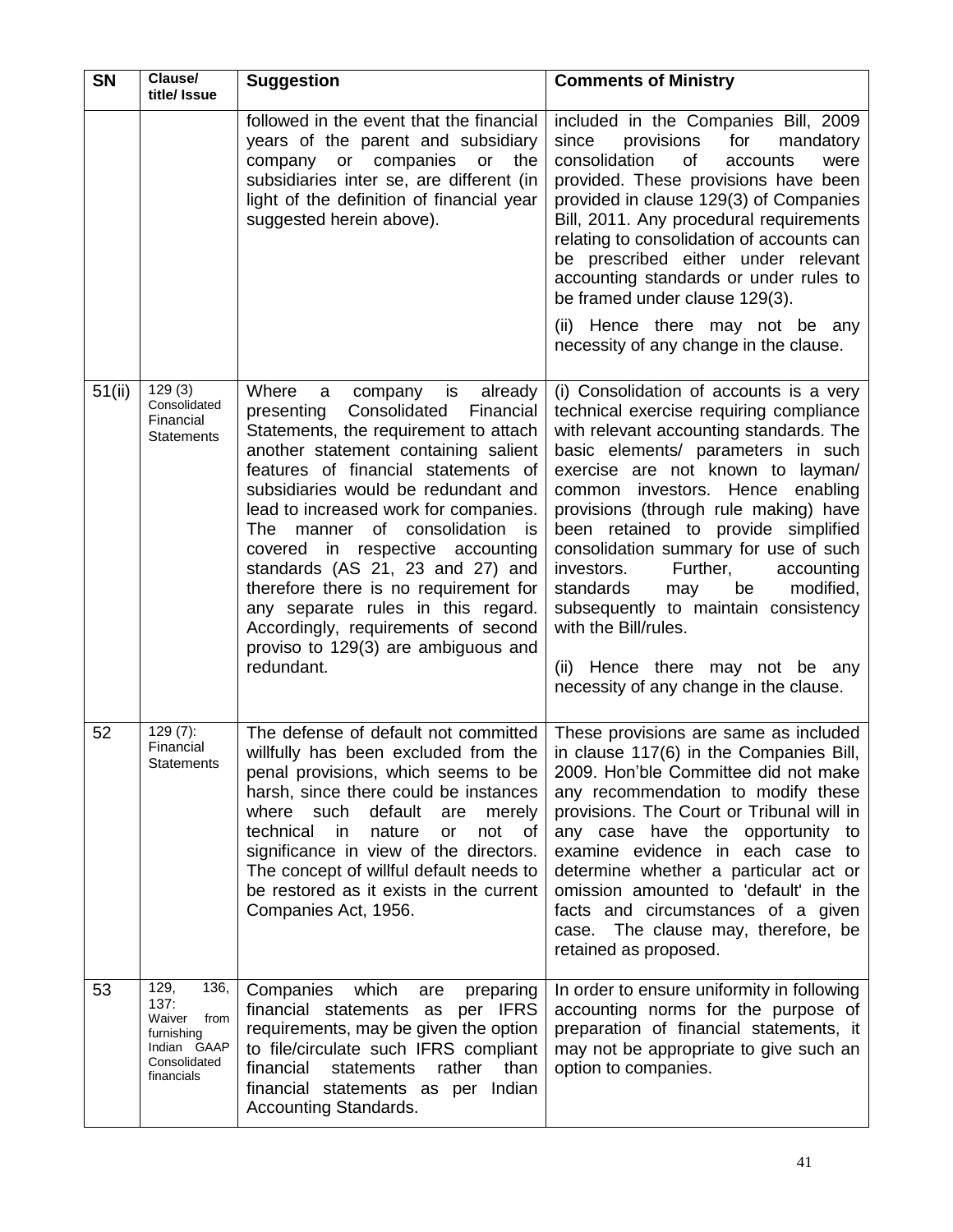| <b>SN</b> | Clause/<br>title/ Issue                                                                           | <b>Suggestion</b>                                                                                                                                                                                                                                                                                                                                                                                                                                                                                                                                                                    | <b>Comments of Ministry</b>                                                                                                                                                                                                                                                                                                                                                                                                                                                                                                                                                                             |
|-----------|---------------------------------------------------------------------------------------------------|--------------------------------------------------------------------------------------------------------------------------------------------------------------------------------------------------------------------------------------------------------------------------------------------------------------------------------------------------------------------------------------------------------------------------------------------------------------------------------------------------------------------------------------------------------------------------------------|---------------------------------------------------------------------------------------------------------------------------------------------------------------------------------------------------------------------------------------------------------------------------------------------------------------------------------------------------------------------------------------------------------------------------------------------------------------------------------------------------------------------------------------------------------------------------------------------------------|
|           |                                                                                                   | followed in the event that the financial<br>years of the parent and subsidiary<br>company or companies<br>the<br>or<br>subsidiaries inter se, are different (in<br>light of the definition of financial year<br>suggested herein above).                                                                                                                                                                                                                                                                                                                                             | included in the Companies Bill, 2009<br>provisions<br>for<br>since<br>mandatory<br>consolidation<br>0f<br>were<br>accounts<br>provided. These provisions have been<br>provided in clause 129(3) of Companies<br>Bill, 2011. Any procedural requirements<br>relating to consolidation of accounts can<br>be prescribed either under relevant<br>accounting standards or under rules to<br>be framed under clause 129(3).<br>(ii) Hence there may not be any<br>necessity of any change in the clause.                                                                                                    |
| 51(i)     | 129(3)<br>Consolidated<br>Financial<br><b>Statements</b>                                          | Where<br>company<br>is<br>already<br>a<br>Consolidated<br>Financial<br>presenting<br>Statements, the requirement to attach<br>another statement containing salient<br>features of financial statements of<br>subsidiaries would be redundant and<br>lead to increased work for companies.<br>The manner of consolidation<br>is is<br>covered in respective accounting<br>standards (AS 21, 23 and 27) and<br>therefore there is no requirement for<br>any separate rules in this regard.<br>Accordingly, requirements of second<br>proviso to 129(3) are ambiguous and<br>redundant. | (i) Consolidation of accounts is a very<br>technical exercise requiring compliance<br>with relevant accounting standards. The<br>basic elements/ parameters in such<br>exercise are not known to layman/<br>common investors. Hence<br>enabling<br>provisions (through rule making) have<br>been retained to provide simplified<br>consolidation summary for use of such<br>Further,<br>investors.<br>accounting<br>be<br>standards<br>modified,<br>may<br>subsequently to maintain consistency<br>with the Bill/rules.<br>(ii)<br>Hence there may not be any<br>necessity of any change in the clause. |
| 52        | $129(7)$ :<br>Financial<br>Statements                                                             | The defense of default not committed<br>willfully has been excluded from the<br>penal provisions, which seems to be<br>harsh, since there could be instances<br>where such default<br>are<br>merely<br>technical in<br>nature<br>not<br>or<br>of<br>significance in view of the directors.<br>The concept of willful default needs to<br>be restored as it exists in the current<br>Companies Act, 1956.                                                                                                                                                                             | These provisions are same as included<br>in clause 117(6) in the Companies Bill,<br>2009. Hon'ble Committee did not make<br>any recommendation to modify these<br>provisions. The Court or Tribunal will in<br>any case have the opportunity to<br>examine evidence in each case to<br>determine whether a particular act or<br>omission amounted to 'default' in the<br>facts and circumstances of a given<br>case. The clause may, therefore, be<br>retained as proposed.                                                                                                                             |
| 53        | 129,<br>136,<br>137:<br>Waiver<br>from<br>furnishing<br>Indian GAAP<br>Consolidated<br>financials | Companies<br>which<br>preparing<br>are<br>financial statements as per IFRS<br>requirements, may be given the option<br>to file/circulate such IFRS compliant<br>financial<br>statements<br>rather<br>than<br>financial statements as per Indian<br><b>Accounting Standards.</b>                                                                                                                                                                                                                                                                                                      | In order to ensure uniformity in following<br>accounting norms for the purpose of<br>preparation of financial statements, it<br>may not be appropriate to give such an<br>option to companies.                                                                                                                                                                                                                                                                                                                                                                                                          |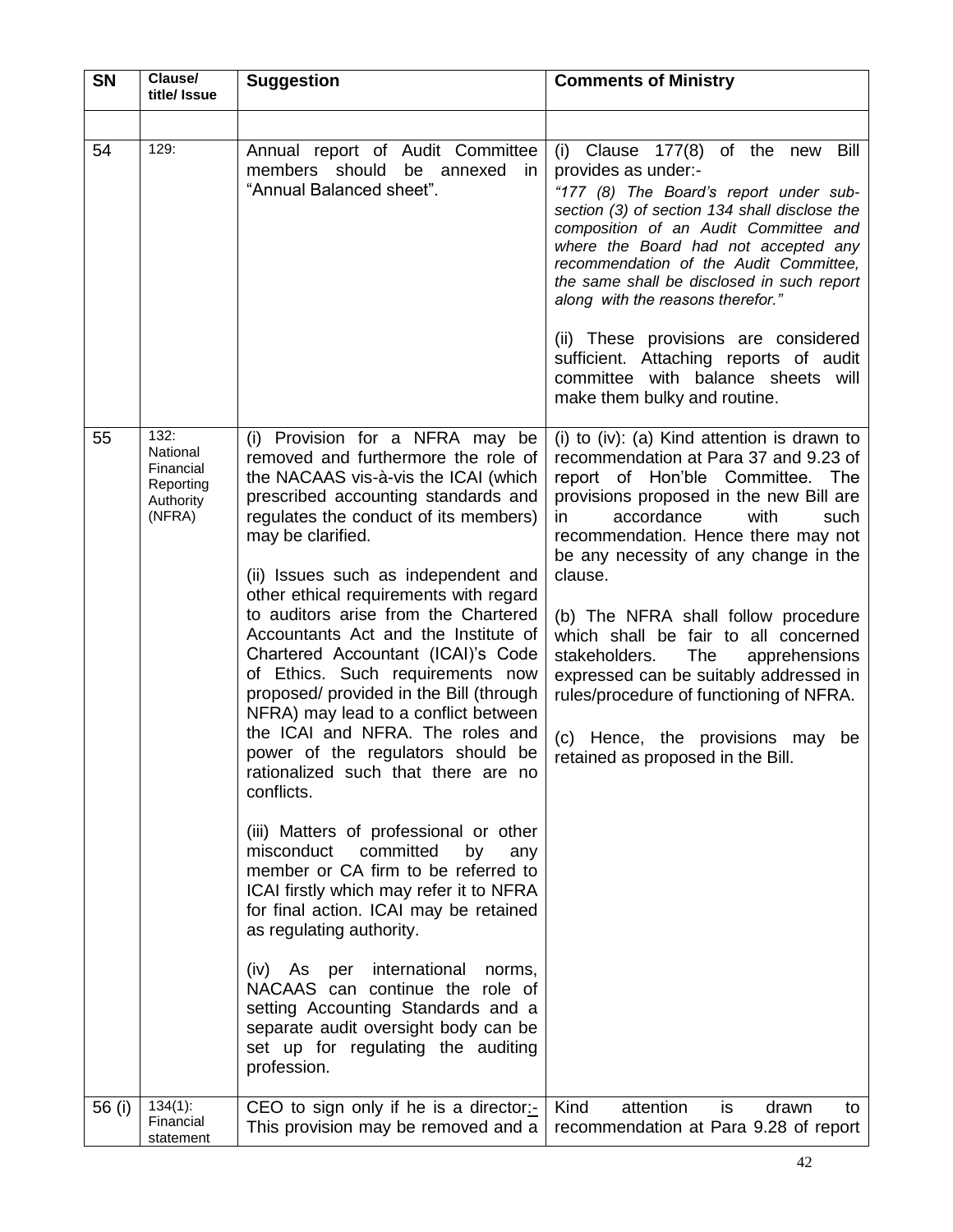| 129:<br>54<br>Annual report of Audit Committee<br>members should be annexed<br>provides as under:-<br><i>in</i><br>"Annual Balanced sheet".<br>recommendation of the Audit Committee,<br>along with the reasons therefor."<br>(ii) These provisions are considered                                                                                                                                                                                                                                                                                                                                                                                                                                                                                                                                                                                                                                                                                                                                                                                                                                                                                                                                                                                                                                                                                                                                                                                                                                                                           | <b>SN</b> | Clause/<br>title/ Issue | <b>Suggestion</b> | <b>Comments of Ministry</b>                                                                                                                                                                                                                                                                                                                                                 |
|----------------------------------------------------------------------------------------------------------------------------------------------------------------------------------------------------------------------------------------------------------------------------------------------------------------------------------------------------------------------------------------------------------------------------------------------------------------------------------------------------------------------------------------------------------------------------------------------------------------------------------------------------------------------------------------------------------------------------------------------------------------------------------------------------------------------------------------------------------------------------------------------------------------------------------------------------------------------------------------------------------------------------------------------------------------------------------------------------------------------------------------------------------------------------------------------------------------------------------------------------------------------------------------------------------------------------------------------------------------------------------------------------------------------------------------------------------------------------------------------------------------------------------------------|-----------|-------------------------|-------------------|-----------------------------------------------------------------------------------------------------------------------------------------------------------------------------------------------------------------------------------------------------------------------------------------------------------------------------------------------------------------------------|
|                                                                                                                                                                                                                                                                                                                                                                                                                                                                                                                                                                                                                                                                                                                                                                                                                                                                                                                                                                                                                                                                                                                                                                                                                                                                                                                                                                                                                                                                                                                                              |           |                         |                   |                                                                                                                                                                                                                                                                                                                                                                             |
|                                                                                                                                                                                                                                                                                                                                                                                                                                                                                                                                                                                                                                                                                                                                                                                                                                                                                                                                                                                                                                                                                                                                                                                                                                                                                                                                                                                                                                                                                                                                              |           |                         |                   | (i) Clause 177(8) of the new Bill<br>"177 (8) The Board's report under sub-<br>section (3) of section 134 shall disclose the<br>composition of an Audit Committee and<br>where the Board had not accepted any<br>the same shall be disclosed in such report<br>sufficient. Attaching reports of audit<br>committee with balance sheets will<br>make them bulky and routine. |
|                                                                                                                                                                                                                                                                                                                                                                                                                                                                                                                                                                                                                                                                                                                                                                                                                                                                                                                                                                                                                                                                                                                                                                                                                                                                                                                                                                                                                                                                                                                                              |           |                         |                   |                                                                                                                                                                                                                                                                                                                                                                             |
| 132:<br>55<br>(i) Provision for a NFRA may be<br>National<br>removed and furthermore the role of<br>Financial<br>the NACAAS vis-à-vis the ICAI (which<br>report of Hon'ble Committee.<br>Reporting<br>prescribed accounting standards and<br>provisions proposed in the new Bill are<br>Authority<br>regulates the conduct of its members)<br>accordance<br>with<br>(NFRA)<br>in.<br>may be clarified.<br>clause.<br>(ii) Issues such as independent and<br>other ethical requirements with regard<br>to auditors arise from the Chartered<br>(b) The NFRA shall follow procedure<br>Accountants Act and the Institute of<br>which shall be fair to all concerned<br>Chartered Accountant (ICAI)'s Code<br>stakeholders.<br>The<br>apprehensions<br>of Ethics. Such requirements now<br>proposed/ provided in the Bill (through<br>rules/procedure of functioning of NFRA.<br>NFRA) may lead to a conflict between<br>the ICAI and NFRA. The roles and<br>power of the regulators should be<br>retained as proposed in the Bill.<br>rationalized such that there are no<br>conflicts.<br>(iii) Matters of professional or other<br>misconduct<br>committed<br>by<br>any<br>member or CA firm to be referred to<br>ICAI firstly which may refer it to NFRA<br>for final action. ICAI may be retained<br>as regulating authority.<br>(iv) As per international<br>norms,<br>NACAAS can continue the role of<br>setting Accounting Standards and a<br>separate audit oversight body can be<br>set up for regulating the auditing<br>profession. |           |                         |                   | (i) to (iv): (a) Kind attention is drawn to<br>recommendation at Para 37 and 9.23 of<br>The<br>such<br>recommendation. Hence there may not<br>be any necessity of any change in the<br>expressed can be suitably addressed in<br>(c) Hence, the provisions may be                                                                                                           |
| $134(1)$ :<br>CEO to sign only if he is a director:-<br>Kind<br>attention<br>56 (i)<br>is<br>drawn<br>Financial<br>This provision may be removed and a                                                                                                                                                                                                                                                                                                                                                                                                                                                                                                                                                                                                                                                                                                                                                                                                                                                                                                                                                                                                                                                                                                                                                                                                                                                                                                                                                                                       |           |                         |                   | to<br>recommendation at Para 9.28 of report                                                                                                                                                                                                                                                                                                                                 |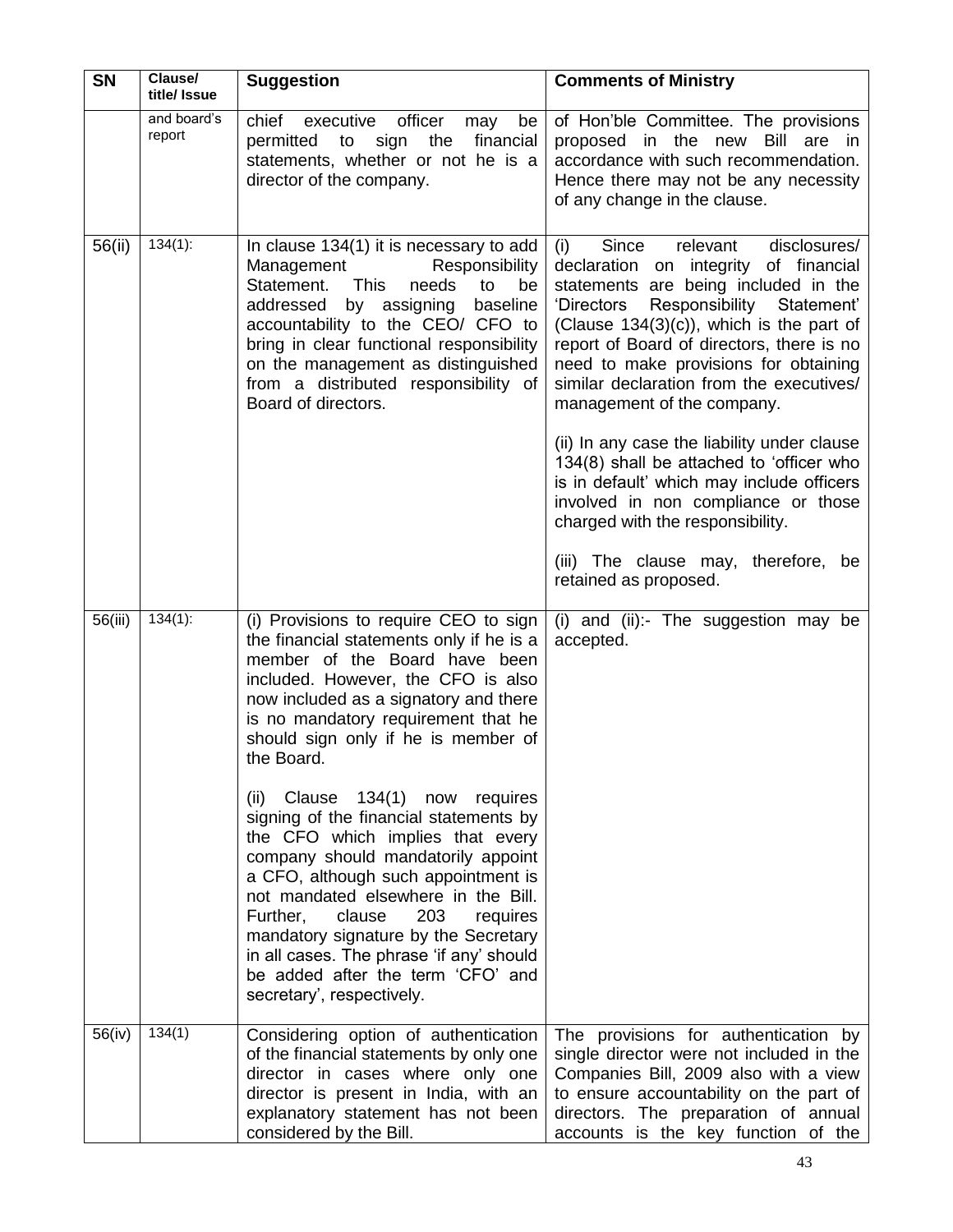| <b>SN</b> | Clause/<br>title/ Issue | <b>Suggestion</b>                                                                                                                                                                                                                                                                                                                                                                                                                   | <b>Comments of Ministry</b>                                                                                                                                                                                                                                                                                                                                                            |
|-----------|-------------------------|-------------------------------------------------------------------------------------------------------------------------------------------------------------------------------------------------------------------------------------------------------------------------------------------------------------------------------------------------------------------------------------------------------------------------------------|----------------------------------------------------------------------------------------------------------------------------------------------------------------------------------------------------------------------------------------------------------------------------------------------------------------------------------------------------------------------------------------|
|           | and board's<br>report   | officer<br>executive<br>chief<br>be<br>may<br>the<br>financial<br>permitted to<br>sign<br>statements, whether or not he is a<br>director of the company.                                                                                                                                                                                                                                                                            | of Hon'ble Committee. The provisions<br>proposed in the new Bill are in<br>accordance with such recommendation.<br>Hence there may not be any necessity<br>of any change in the clause.                                                                                                                                                                                                |
| 56(ii)    | $134(1)$ :              | In clause 134(1) it is necessary to add<br>Responsibility<br>Management<br>Statement.<br>This<br>needs<br>to<br>be<br>by assigning<br>baseline<br>addressed<br>accountability to the CEO/ CFO to<br>bring in clear functional responsibility<br>on the management as distinguished<br>from a distributed responsibility of<br>Board of directors.                                                                                   | disclosures/<br>Since<br>relevant<br>(i)<br>declaration on integrity<br>of financial<br>statements are being included in the<br>Responsibility Statement'<br>'Directors<br>(Clause $134(3)(c)$ ), which is the part of<br>report of Board of directors, there is no<br>need to make provisions for obtaining<br>similar declaration from the executives/<br>management of the company. |
|           |                         |                                                                                                                                                                                                                                                                                                                                                                                                                                     | (ii) In any case the liability under clause<br>134(8) shall be attached to 'officer who<br>is in default' which may include officers<br>involved in non compliance or those<br>charged with the responsibility.                                                                                                                                                                        |
|           |                         |                                                                                                                                                                                                                                                                                                                                                                                                                                     | (iii) The clause may, therefore, be<br>retained as proposed.                                                                                                                                                                                                                                                                                                                           |
| 56(iii)   | $134(1)$ :              | (i) Provisions to require CEO to sign<br>the financial statements only if he is a<br>member of the Board have been<br>included. However, the CFO is also<br>now included as a signatory and there<br>is no mandatory requirement that he<br>should sign only if he is member of<br>the Board.                                                                                                                                       | (i) and (ii):- The suggestion may be<br>accepted.                                                                                                                                                                                                                                                                                                                                      |
|           |                         | Clause 134(1) now requires<br>(ii)<br>signing of the financial statements by<br>the CFO which implies that every<br>company should mandatorily appoint<br>a CFO, although such appointment is<br>not mandated elsewhere in the Bill.<br>203<br>Further,<br>clause<br>requires<br>mandatory signature by the Secretary<br>in all cases. The phrase 'if any' should<br>be added after the term 'CFO' and<br>secretary', respectively. |                                                                                                                                                                                                                                                                                                                                                                                        |
| 56(iv)    | 134(1)                  | Considering option of authentication<br>of the financial statements by only one<br>director in cases where only one<br>director is present in India, with an<br>explanatory statement has not been<br>considered by the Bill.                                                                                                                                                                                                       | The provisions for authentication by<br>single director were not included in the<br>Companies Bill, 2009 also with a view<br>to ensure accountability on the part of<br>directors. The preparation of annual<br>accounts is the key function of the                                                                                                                                    |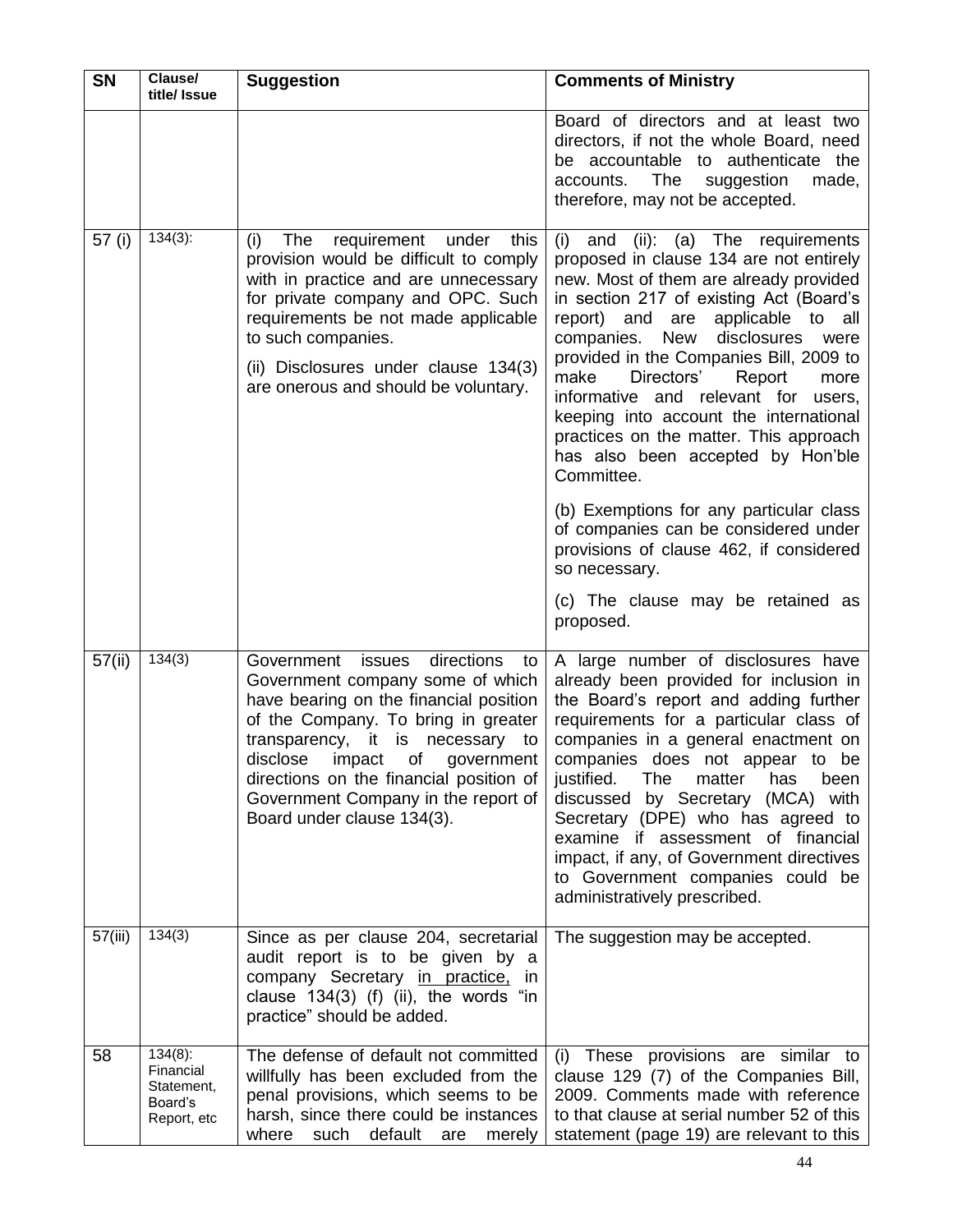| <b>SN</b> | Clause/<br>title/ Issue                                         | <b>Suggestion</b>                                                                                                                                                                                                                                                                                                                                              | <b>Comments of Ministry</b>                                                                                                                                                                                                                                                                                                                                                                                                                                                                                                                   |
|-----------|-----------------------------------------------------------------|----------------------------------------------------------------------------------------------------------------------------------------------------------------------------------------------------------------------------------------------------------------------------------------------------------------------------------------------------------------|-----------------------------------------------------------------------------------------------------------------------------------------------------------------------------------------------------------------------------------------------------------------------------------------------------------------------------------------------------------------------------------------------------------------------------------------------------------------------------------------------------------------------------------------------|
|           |                                                                 |                                                                                                                                                                                                                                                                                                                                                                | Board of directors and at least two<br>directors, if not the whole Board, need<br>be accountable to authenticate the<br>The<br>accounts.<br>suggestion<br>made,<br>therefore, may not be accepted.                                                                                                                                                                                                                                                                                                                                            |
| 57 (i)    | $134(3)$ :                                                      | (i)<br>The<br>under<br>requirement<br>this<br>provision would be difficult to comply<br>with in practice and are unnecessary<br>for private company and OPC. Such<br>requirements be not made applicable<br>to such companies.<br>(ii) Disclosures under clause 134(3)<br>are onerous and should be voluntary.                                                 | $(iii)$ :<br>(a)<br>The<br>(i)<br>and<br>requirements<br>proposed in clause 134 are not entirely<br>new. Most of them are already provided<br>in section 217 of existing Act (Board's<br>report) and are<br>applicable to all<br>New<br>disclosures<br>companies.<br>were<br>provided in the Companies Bill, 2009 to<br>make<br>Directors'<br>Report<br>more<br>informative and relevant for<br>users,<br>keeping into account the international<br>practices on the matter. This approach<br>has also been accepted by Hon'ble<br>Committee. |
|           |                                                                 |                                                                                                                                                                                                                                                                                                                                                                | (b) Exemptions for any particular class<br>of companies can be considered under<br>provisions of clause 462, if considered<br>so necessary.                                                                                                                                                                                                                                                                                                                                                                                                   |
|           |                                                                 |                                                                                                                                                                                                                                                                                                                                                                | (c) The clause may be retained as<br>proposed.                                                                                                                                                                                                                                                                                                                                                                                                                                                                                                |
| 57(ii)    | 134(3)                                                          | directions<br>Government<br>issues<br>to<br>Government company some of which<br>have bearing on the financial position<br>of the Company. To bring in greater<br>transparency, it is<br>necessary to<br>disclose<br>impact<br>οf<br>government<br>directions on the financial position of<br>Government Company in the report of<br>Board under clause 134(3). | A large number of disclosures have<br>already been provided for inclusion in<br>the Board's report and adding further<br>requirements for a particular class of<br>companies in a general enactment on<br>companies does not appear to be<br>justified.<br>The<br>matter<br>has<br>been<br>by Secretary (MCA) with<br>discussed<br>Secretary (DPE) who has agreed to<br>examine if assessment of financial<br>impact, if any, of Government directives<br>to Government companies could be<br>administratively prescribed.                    |
| 57(iii)   | 134(3)                                                          | Since as per clause 204, secretarial<br>audit report is to be given by a<br>company Secretary in practice,<br><sub>in</sub><br>clause 134(3) (f) (ii), the words "in<br>practice" should be added.                                                                                                                                                             | The suggestion may be accepted.                                                                                                                                                                                                                                                                                                                                                                                                                                                                                                               |
| 58        | $134(8)$ :<br>Financial<br>Statement,<br>Board's<br>Report, etc | The defense of default not committed<br>willfully has been excluded from the<br>penal provisions, which seems to be<br>harsh, since there could be instances<br>default<br>where<br>such<br>are<br>merely                                                                                                                                                      | (i) These provisions are similar to<br>clause 129 (7) of the Companies Bill,<br>2009. Comments made with reference<br>to that clause at serial number 52 of this<br>statement (page 19) are relevant to this                                                                                                                                                                                                                                                                                                                                  |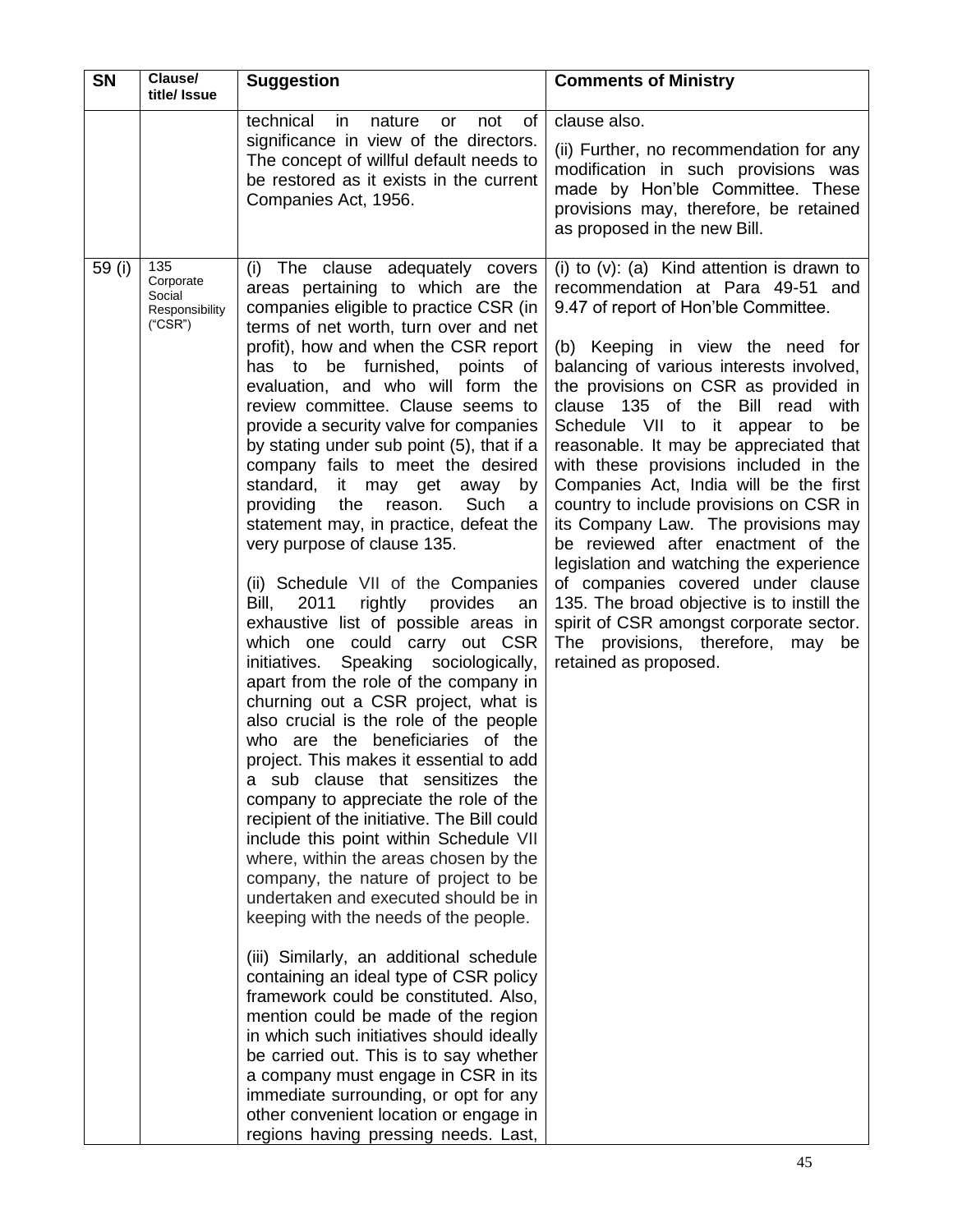| SN     | Clause/<br>title/ Issue                                 | <b>Suggestion</b>                                                                                                                                                                                                                                                                                                                                                                                                                                                                                                                                                                                                                                                                                                                                                                                                                                                                                                                                                                                                                                                                                                                                                                                                                                                                                                                                                                                                                                                                                                                                                                                                                                                                                                                                                                    | <b>Comments of Ministry</b>                                                                                                                                                                                                                                                                                                                                                                                                                                                                                                                                                                                                                                                                                                                                                                                             |
|--------|---------------------------------------------------------|--------------------------------------------------------------------------------------------------------------------------------------------------------------------------------------------------------------------------------------------------------------------------------------------------------------------------------------------------------------------------------------------------------------------------------------------------------------------------------------------------------------------------------------------------------------------------------------------------------------------------------------------------------------------------------------------------------------------------------------------------------------------------------------------------------------------------------------------------------------------------------------------------------------------------------------------------------------------------------------------------------------------------------------------------------------------------------------------------------------------------------------------------------------------------------------------------------------------------------------------------------------------------------------------------------------------------------------------------------------------------------------------------------------------------------------------------------------------------------------------------------------------------------------------------------------------------------------------------------------------------------------------------------------------------------------------------------------------------------------------------------------------------------------|-------------------------------------------------------------------------------------------------------------------------------------------------------------------------------------------------------------------------------------------------------------------------------------------------------------------------------------------------------------------------------------------------------------------------------------------------------------------------------------------------------------------------------------------------------------------------------------------------------------------------------------------------------------------------------------------------------------------------------------------------------------------------------------------------------------------------|
|        |                                                         | technical<br>of<br>in.<br>nature<br>not<br>or<br>significance in view of the directors.<br>The concept of willful default needs to<br>be restored as it exists in the current<br>Companies Act, 1956.                                                                                                                                                                                                                                                                                                                                                                                                                                                                                                                                                                                                                                                                                                                                                                                                                                                                                                                                                                                                                                                                                                                                                                                                                                                                                                                                                                                                                                                                                                                                                                                | clause also.<br>(ii) Further, no recommendation for any<br>modification in such provisions was<br>made by Hon'ble Committee. These<br>provisions may, therefore, be retained<br>as proposed in the new Bill.                                                                                                                                                                                                                                                                                                                                                                                                                                                                                                                                                                                                            |
| 59 (i) | 135<br>Corporate<br>Social<br>Responsibility<br>("CSR") | (i) The clause adequately covers<br>areas pertaining to which are the<br>companies eligible to practice CSR (in<br>terms of net worth, turn over and net<br>profit), how and when the CSR report<br>has to be furnished, points of<br>evaluation, and who will form the<br>review committee. Clause seems to<br>provide a security valve for companies<br>by stating under sub point (5), that if a<br>company fails to meet the desired<br>standard, it may get away<br>by<br>providing<br>the<br>reason.<br>Such<br>a<br>statement may, in practice, defeat the<br>very purpose of clause 135.<br>(ii) Schedule VII of the Companies<br>rightly<br>provides<br>Bill,<br>2011<br>an<br>exhaustive list of possible areas in<br>which one could carry out CSR<br>initiatives. Speaking sociologically,<br>apart from the role of the company in<br>churning out a CSR project, what is<br>also crucial is the role of the people<br>who are the beneficiaries of the<br>project. This makes it essential to add<br>a sub clause that sensitizes the<br>company to appreciate the role of the<br>recipient of the initiative. The Bill could<br>include this point within Schedule VII<br>where, within the areas chosen by the<br>company, the nature of project to be<br>undertaken and executed should be in<br>keeping with the needs of the people.<br>(iii) Similarly, an additional schedule<br>containing an ideal type of CSR policy<br>framework could be constituted. Also,<br>mention could be made of the region<br>in which such initiatives should ideally<br>be carried out. This is to say whether<br>a company must engage in CSR in its<br>immediate surrounding, or opt for any<br>other convenient location or engage in<br>regions having pressing needs. Last, | (i) to $(v)$ : (a) Kind attention is drawn to<br>recommendation at Para 49-51 and<br>9.47 of report of Hon'ble Committee.<br>(b) Keeping in view the need for<br>balancing of various interests involved,<br>the provisions on CSR as provided in<br>clause 135 of the Bill read with<br>Schedule VII to it appear to<br>be<br>reasonable. It may be appreciated that<br>with these provisions included in the<br>Companies Act, India will be the first<br>country to include provisions on CSR in<br>its Company Law. The provisions may<br>be reviewed after enactment of the<br>legislation and watching the experience<br>of companies covered under clause<br>135. The broad objective is to instill the<br>spirit of CSR amongst corporate sector.<br>The provisions, therefore, may be<br>retained as proposed. |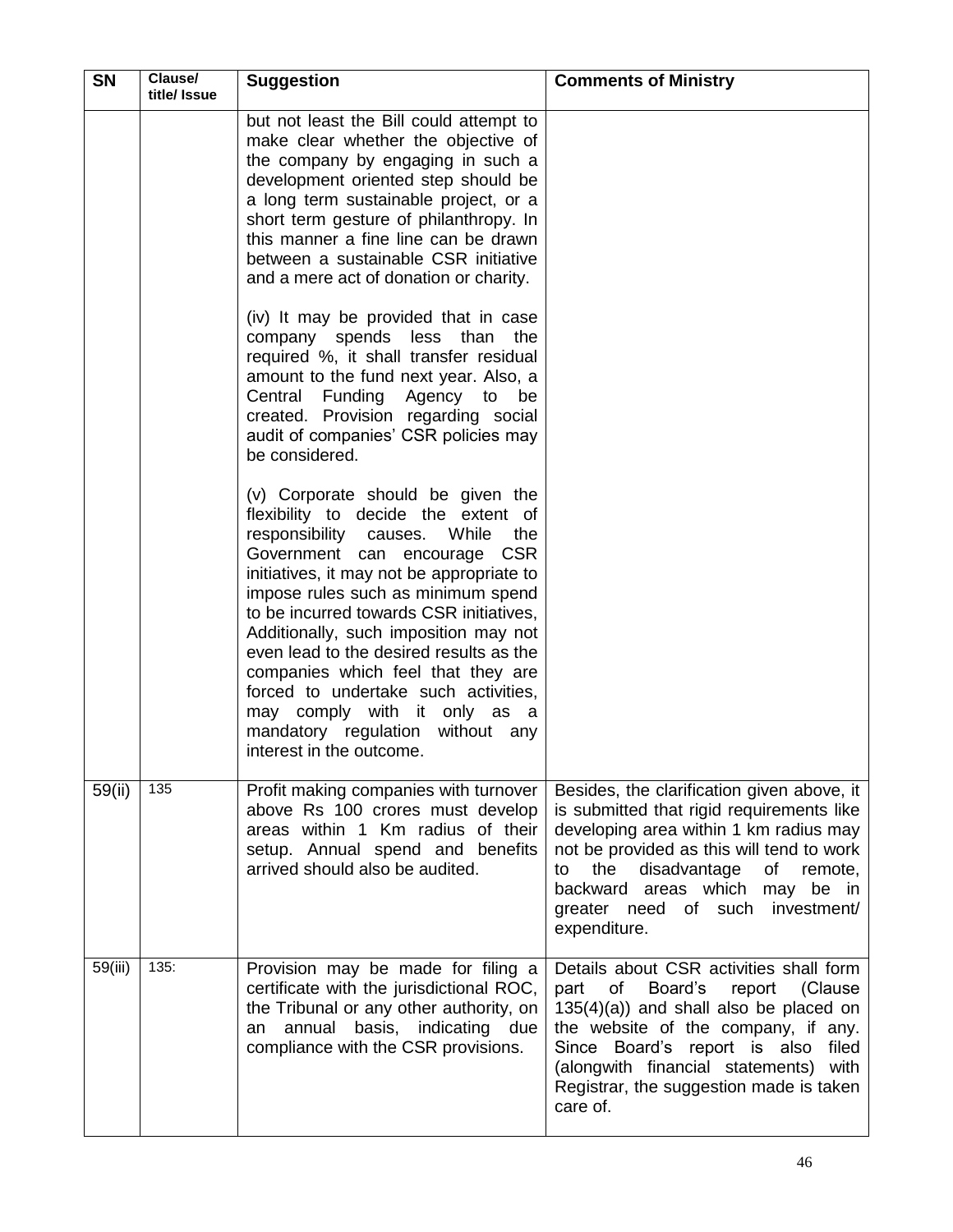| <b>SN</b> | Clause/<br>title/ Issue | <b>Suggestion</b>                                                                                                                                                                                                                                                                                                                                                                                                                                                                                                                                           | <b>Comments of Ministry</b>                                                                                                                                                                                                                                                                                         |
|-----------|-------------------------|-------------------------------------------------------------------------------------------------------------------------------------------------------------------------------------------------------------------------------------------------------------------------------------------------------------------------------------------------------------------------------------------------------------------------------------------------------------------------------------------------------------------------------------------------------------|---------------------------------------------------------------------------------------------------------------------------------------------------------------------------------------------------------------------------------------------------------------------------------------------------------------------|
|           |                         | but not least the Bill could attempt to<br>make clear whether the objective of<br>the company by engaging in such a<br>development oriented step should be<br>a long term sustainable project, or a<br>short term gesture of philanthropy. In<br>this manner a fine line can be drawn<br>between a sustainable CSR initiative<br>and a mere act of donation or charity.                                                                                                                                                                                     |                                                                                                                                                                                                                                                                                                                     |
|           |                         | (iv) It may be provided that in case<br>company spends less than<br>the<br>required %, it shall transfer residual<br>amount to the fund next year. Also, a<br>Central Funding Agency to<br>be<br>created. Provision regarding social<br>audit of companies' CSR policies may<br>be considered.                                                                                                                                                                                                                                                              |                                                                                                                                                                                                                                                                                                                     |
|           |                         | (v) Corporate should be given the<br>flexibility to decide the extent of<br>responsibility<br>While<br>causes.<br>the<br>Government can encourage<br>CSR<br>initiatives, it may not be appropriate to<br>impose rules such as minimum spend<br>to be incurred towards CSR initiatives,<br>Additionally, such imposition may not<br>even lead to the desired results as the<br>companies which feel that they are<br>forced to undertake such activities,<br>may comply with it only as a<br>mandatory regulation<br>without any<br>interest in the outcome. |                                                                                                                                                                                                                                                                                                                     |
| 59(ii)    | 135                     | Profit making companies with turnover<br>above Rs 100 crores must develop<br>areas within 1 Km radius of their<br>setup. Annual spend and benefits<br>arrived should also be audited.                                                                                                                                                                                                                                                                                                                                                                       | Besides, the clarification given above, it<br>is submitted that rigid requirements like<br>developing area within 1 km radius may<br>not be provided as this will tend to work<br>the<br>disadvantage<br>of<br>to<br>remote,<br>backward areas which may be in<br>greater need of such investment/<br>expenditure.  |
| 59(iii)   | 135:                    | Provision may be made for filing a<br>certificate with the jurisdictional ROC,<br>the Tribunal or any other authority, on<br>basis,<br>annual<br>indicating<br>due<br>an<br>compliance with the CSR provisions.                                                                                                                                                                                                                                                                                                                                             | Details about CSR activities shall form<br>part<br>Board's<br>(Clause<br>of<br>report<br>$135(4)(a)$ and shall also be placed on<br>the website of the company, if any.<br>Since Board's report is also<br>filed<br>(alongwith financial statements)<br>with<br>Registrar, the suggestion made is taken<br>care of. |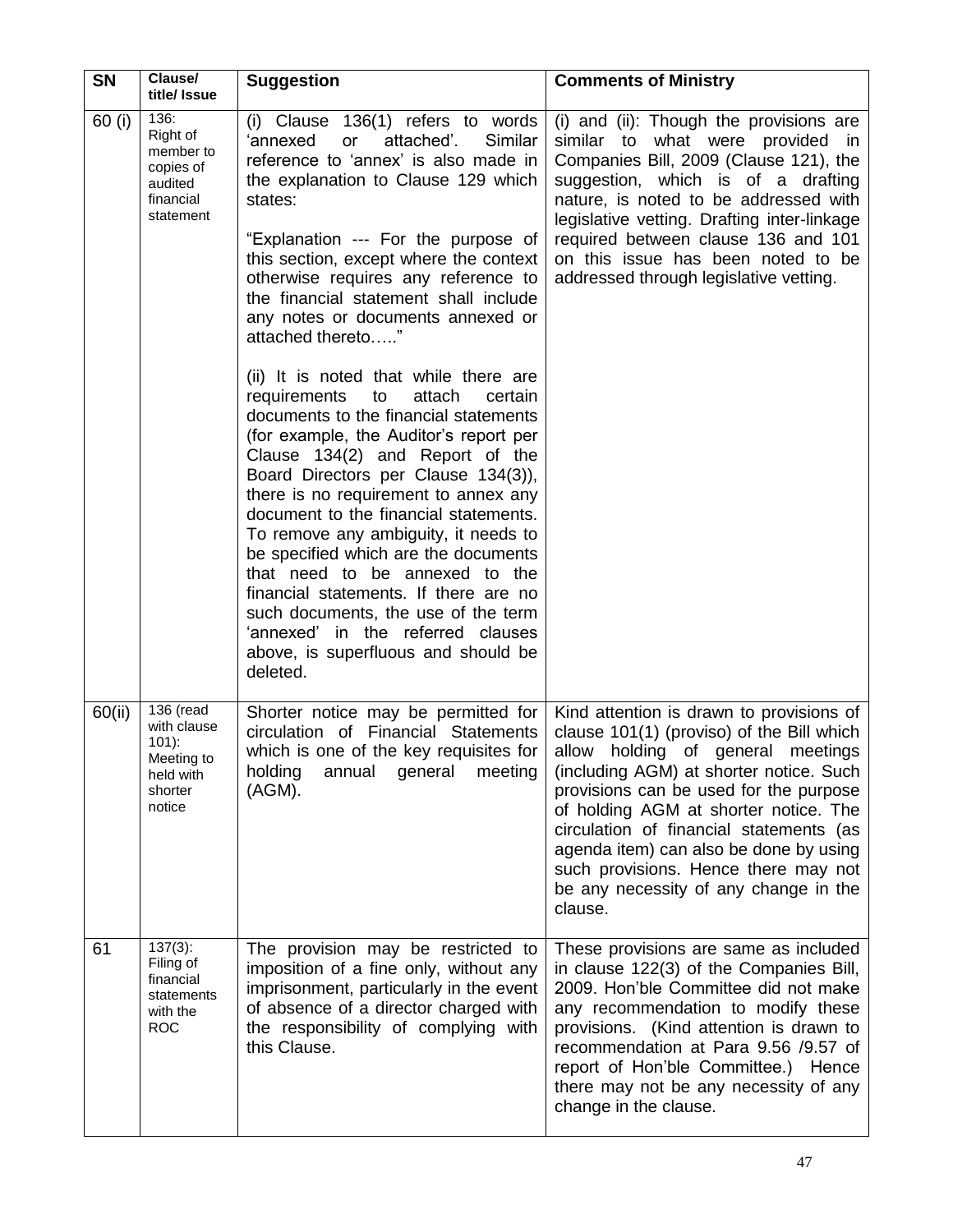| <b>SN</b> | Clause/<br>title/ Issue                                                             | <b>Suggestion</b>                                                                                                                                                                                                                                                                                                                                                                                                                                                                                                                                                                                                        | <b>Comments of Ministry</b>                                                                                                                                                                                                                                                                                                                                                                                                               |
|-----------|-------------------------------------------------------------------------------------|--------------------------------------------------------------------------------------------------------------------------------------------------------------------------------------------------------------------------------------------------------------------------------------------------------------------------------------------------------------------------------------------------------------------------------------------------------------------------------------------------------------------------------------------------------------------------------------------------------------------------|-------------------------------------------------------------------------------------------------------------------------------------------------------------------------------------------------------------------------------------------------------------------------------------------------------------------------------------------------------------------------------------------------------------------------------------------|
| 60 (i)    | 136:<br>Right of<br>member to<br>copies of<br>audited<br>financial<br>statement     | (i) Clause 136(1) refers to words<br>'annexed<br>attached'.<br>Similar<br>or<br>reference to 'annex' is also made in<br>the explanation to Clause 129 which<br>states:<br>"Explanation --- For the purpose of<br>this section, except where the context<br>otherwise requires any reference to<br>the financial statement shall include<br>any notes or documents annexed or<br>attached thereto"                                                                                                                                                                                                                        | (i) and (ii): Though the provisions are<br>similar to what were provided in<br>Companies Bill, 2009 (Clause 121), the<br>suggestion, which is of a drafting<br>nature, is noted to be addressed with<br>legislative vetting. Drafting inter-linkage<br>required between clause 136 and 101<br>on this issue has been noted to be<br>addressed through legislative vetting.                                                                |
|           |                                                                                     | (ii) It is noted that while there are<br>requirements<br>to<br>attach<br>certain<br>documents to the financial statements<br>(for example, the Auditor's report per<br>Clause 134(2) and Report of the<br>Board Directors per Clause 134(3)),<br>there is no requirement to annex any<br>document to the financial statements.<br>To remove any ambiguity, it needs to<br>be specified which are the documents<br>that need to be annexed to the<br>financial statements. If there are no<br>such documents, the use of the term<br>'annexed' in the referred clauses<br>above, is superfluous and should be<br>deleted. |                                                                                                                                                                                                                                                                                                                                                                                                                                           |
| 60(ii)    | 136 (read<br>with clause<br>$101$ :<br>Meeting to<br>held with<br>shorter<br>notice | Shorter notice may be permitted for<br>circulation of Financial Statements<br>which is one of the key requisites for<br>holding<br>annual<br>general<br>meeting<br>(AGM).                                                                                                                                                                                                                                                                                                                                                                                                                                                | Kind attention is drawn to provisions of<br>clause 101(1) (proviso) of the Bill which<br>allow holding of general meetings<br>(including AGM) at shorter notice. Such<br>provisions can be used for the purpose<br>of holding AGM at shorter notice. The<br>circulation of financial statements (as<br>agenda item) can also be done by using<br>such provisions. Hence there may not<br>be any necessity of any change in the<br>clause. |
| 61        | $137(3)$ :<br>Filing of<br>financial<br>statements<br>with the<br><b>ROC</b>        | The provision may be restricted to<br>imposition of a fine only, without any<br>imprisonment, particularly in the event<br>of absence of a director charged with<br>the responsibility of complying with<br>this Clause.                                                                                                                                                                                                                                                                                                                                                                                                 | These provisions are same as included<br>in clause 122(3) of the Companies Bill,<br>2009. Hon'ble Committee did not make<br>any recommendation to modify these<br>provisions. (Kind attention is drawn to<br>recommendation at Para 9.56 /9.57 of<br>report of Hon'ble Committee.) Hence<br>there may not be any necessity of any<br>change in the clause.                                                                                |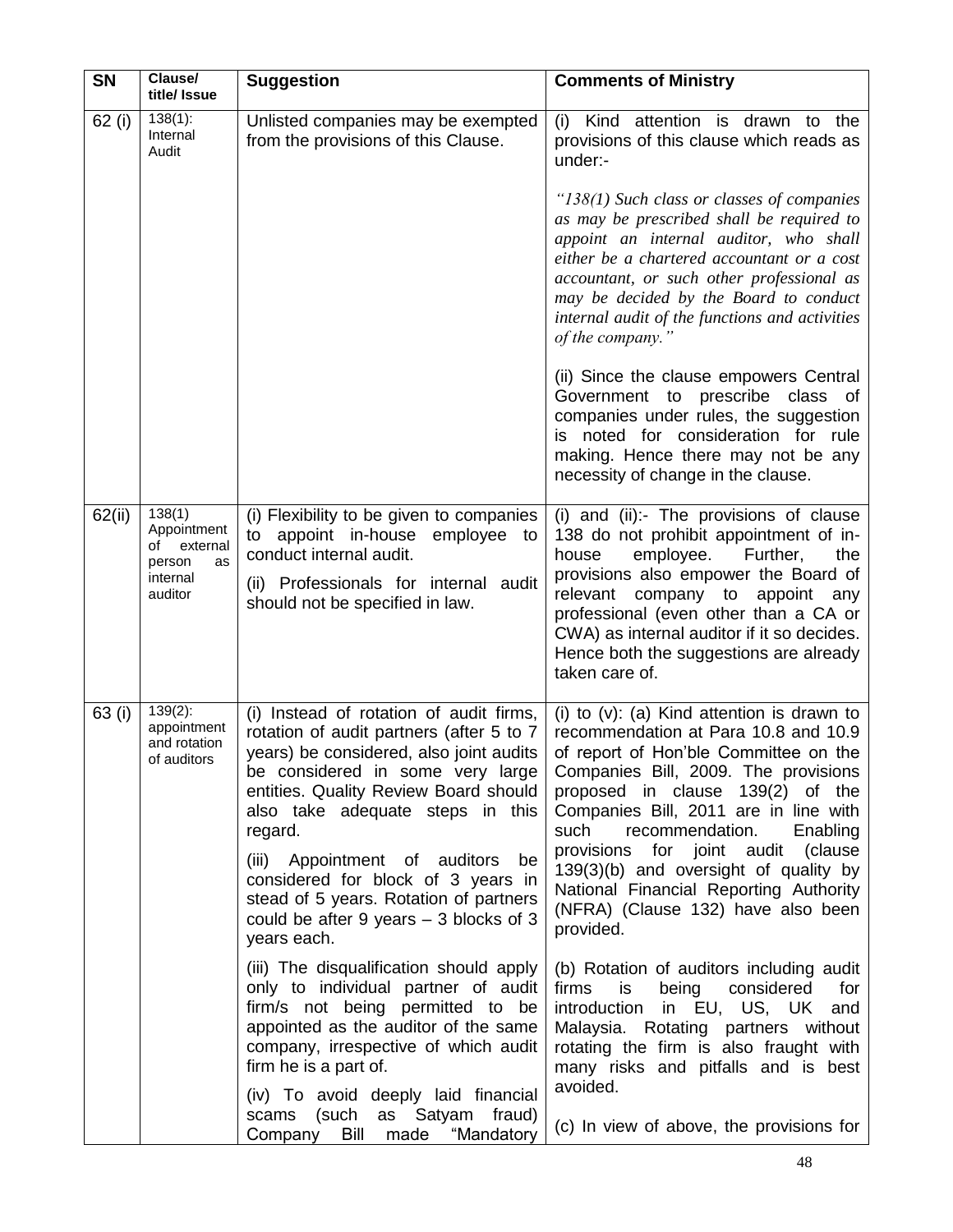| <b>SN</b> | Clause/<br>title/ Issue                                             | <b>Suggestion</b>                                                                                                                                                                                                                                          | <b>Comments of Ministry</b>                                                                                                                                                                                                                                                                                                                      |
|-----------|---------------------------------------------------------------------|------------------------------------------------------------------------------------------------------------------------------------------------------------------------------------------------------------------------------------------------------------|--------------------------------------------------------------------------------------------------------------------------------------------------------------------------------------------------------------------------------------------------------------------------------------------------------------------------------------------------|
| 62 (i)    | $138(1)$ :<br>Internal<br>Audit                                     | Unlisted companies may be exempted<br>from the provisions of this Clause.                                                                                                                                                                                  | (i)<br>Kind attention is drawn to the<br>provisions of this clause which reads as<br>under:-                                                                                                                                                                                                                                                     |
|           |                                                                     |                                                                                                                                                                                                                                                            | " $138(1)$ Such class or classes of companies"<br>as may be prescribed shall be required to<br>appoint an internal auditor, who shall<br>either be a chartered accountant or a cost<br>accountant, or such other professional as<br>may be decided by the Board to conduct<br>internal audit of the functions and activities<br>of the company." |
|           |                                                                     |                                                                                                                                                                                                                                                            | (ii) Since the clause empowers Central<br>Government to prescribe<br>class of<br>companies under rules, the suggestion<br>is noted for consideration for rule<br>making. Hence there may not be any<br>necessity of change in the clause.                                                                                                        |
| 62(ii)    | 138(1)<br>Appointment<br>οf<br>external<br>person<br>as<br>internal | (i) Flexibility to be given to companies<br>to appoint in-house employee<br>to<br>conduct internal audit.                                                                                                                                                  | (i) and (ii):- The provisions of clause<br>138 do not prohibit appointment of in-<br>employee.<br>house<br>Further,<br>the<br>provisions also empower the Board of                                                                                                                                                                               |
|           | auditor                                                             | (ii) Professionals for internal audit<br>should not be specified in law.                                                                                                                                                                                   | relevant<br>company to appoint any<br>professional (even other than a CA or<br>CWA) as internal auditor if it so decides.<br>Hence both the suggestions are already<br>taken care of.                                                                                                                                                            |
| 63 (i)    | $139(2)$ :<br>appointment<br>and rotation<br>of auditors            | (i) Instead of rotation of audit firms,<br>rotation of audit partners (after 5 to 7<br>years) be considered, also joint audits<br>be considered in some very large<br>entities. Quality Review Board should<br>also take adequate steps in this<br>regard. | (i) to $(v)$ : (a) Kind attention is drawn to<br>recommendation at Para 10.8 and 10.9<br>of report of Hon'ble Committee on the<br>Companies Bill, 2009. The provisions<br>proposed in clause 139(2) of the<br>Companies Bill, 2011 are in line with<br>recommendation.<br>such<br>Enabling                                                       |
|           |                                                                     | (iii) Appointment of auditors<br>be<br>considered for block of 3 years in<br>stead of 5 years. Rotation of partners<br>could be after 9 years $-3$ blocks of 3<br>years each.                                                                              | provisions for joint audit<br>(clause<br>139(3)(b) and oversight of quality by<br>National Financial Reporting Authority<br>(NFRA) (Clause 132) have also been<br>provided.                                                                                                                                                                      |
|           |                                                                     | (iii) The disqualification should apply<br>only to individual partner of audit<br>firm/s not being permitted to be<br>appointed as the auditor of the same<br>company, irrespective of which audit<br>firm he is a part of.                                | (b) Rotation of auditors including audit<br>being<br>considered<br>for<br>firms<br>is<br>introduction in EU, US, UK<br>and<br>Malaysia. Rotating partners without<br>rotating the firm is also fraught with<br>many risks and pitfalls and is best                                                                                               |
|           |                                                                     | (iv) To avoid deeply laid financial<br>scams (such as Satyam fraud)<br>Bill<br>made<br>"Mandatory<br>Company                                                                                                                                               | avoided.<br>(c) In view of above, the provisions for                                                                                                                                                                                                                                                                                             |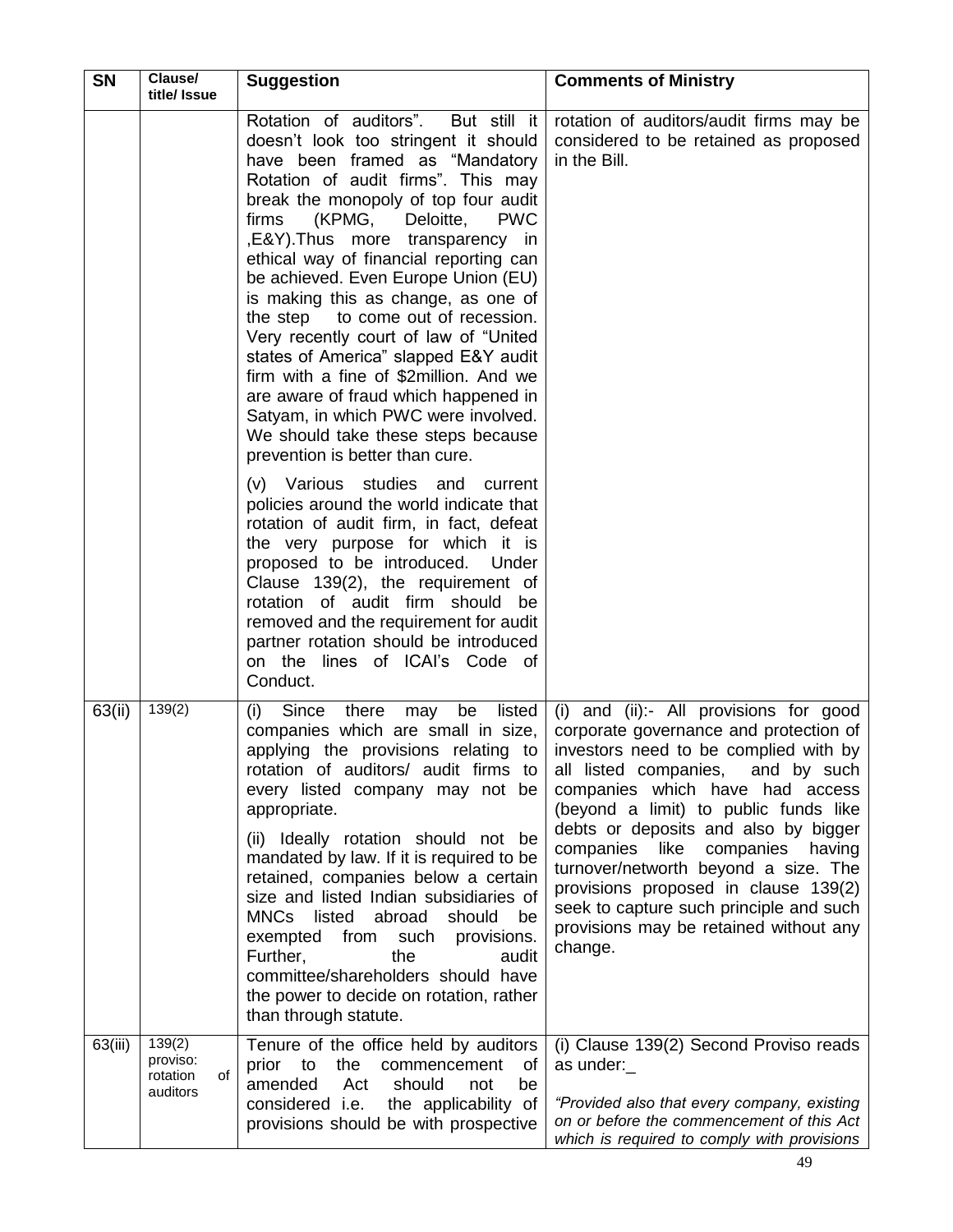| <b>SN</b> | Clause/<br>title/ Issue                          | <b>Suggestion</b>                                                                                                                                                                                                                                                                                                                                                                                                                                                                                                                                                                                                                                                                                                                 | <b>Comments of Ministry</b>                                                                                                                                                                                                                                                                                                                                                                                                                                                                                 |
|-----------|--------------------------------------------------|-----------------------------------------------------------------------------------------------------------------------------------------------------------------------------------------------------------------------------------------------------------------------------------------------------------------------------------------------------------------------------------------------------------------------------------------------------------------------------------------------------------------------------------------------------------------------------------------------------------------------------------------------------------------------------------------------------------------------------------|-------------------------------------------------------------------------------------------------------------------------------------------------------------------------------------------------------------------------------------------------------------------------------------------------------------------------------------------------------------------------------------------------------------------------------------------------------------------------------------------------------------|
|           |                                                  | Rotation of auditors".<br>But still it<br>doesn't look too stringent it should<br>have been framed as "Mandatory<br>Rotation of audit firms". This may<br>break the monopoly of top four audit<br>(KPMG,<br><b>PWC</b><br>firms<br>Deloitte,<br>,E&Y). Thus more transparency in<br>ethical way of financial reporting can<br>be achieved. Even Europe Union (EU)<br>is making this as change, as one of<br>the step to come out of recession.<br>Very recently court of law of "United<br>states of America" slapped E&Y audit<br>firm with a fine of \$2million. And we<br>are aware of fraud which happened in<br>Satyam, in which PWC were involved.<br>We should take these steps because<br>prevention is better than cure. | rotation of auditors/audit firms may be<br>considered to be retained as proposed<br>in the Bill.                                                                                                                                                                                                                                                                                                                                                                                                            |
|           |                                                  | (v) Various studies and current<br>policies around the world indicate that<br>rotation of audit firm, in fact, defeat<br>the very purpose for which it is<br>proposed to be introduced.<br>Under<br>Clause 139(2), the requirement of<br>rotation of audit firm should<br>be<br>removed and the requirement for audit<br>partner rotation should be introduced<br>on the lines of ICAI's Code of<br>Conduct.                                                                                                                                                                                                                                                                                                                      |                                                                                                                                                                                                                                                                                                                                                                                                                                                                                                             |
| 63(ii)    | 139(2)                                           | there<br>listed<br>(i)<br>Since<br>may<br>be<br>companies which are small in size,<br>applying the provisions relating to<br>rotation of auditors/ audit firms to<br>every listed company may not be<br>appropriate.<br>(ii) Ideally rotation should not be<br>mandated by law. If it is required to be<br>retained, companies below a certain<br>size and listed Indian subsidiaries of<br>MNCs listed<br>abroad<br>should<br>be<br>exempted from such<br>provisions.<br>Further,<br>the<br>audit<br>committee/shareholders should have<br>the power to decide on rotation, rather<br>than through statute.                                                                                                                      | (i) and (ii):- All provisions for good<br>corporate governance and protection of<br>investors need to be complied with by<br>all listed companies,<br>and by such<br>companies which have had access<br>(beyond a limit) to public funds like<br>debts or deposits and also by bigger<br>companies like companies<br>having<br>turnover/networth beyond a size. The<br>provisions proposed in clause 139(2)<br>seek to capture such principle and such<br>provisions may be retained without any<br>change. |
| 63(iii)   | 139(2)<br>proviso:<br>of<br>rotation<br>auditors | Tenure of the office held by auditors<br>the<br>of<br>prior to<br>commencement<br>amended<br>Act<br>should<br>not<br>be<br>considered <i>i.e.</i><br>the applicability of<br>provisions should be with prospective                                                                                                                                                                                                                                                                                                                                                                                                                                                                                                                | (i) Clause 139(2) Second Proviso reads<br>as under:<br>"Provided also that every company, existing<br>on or before the commencement of this Act<br>which is required to comply with provisions                                                                                                                                                                                                                                                                                                              |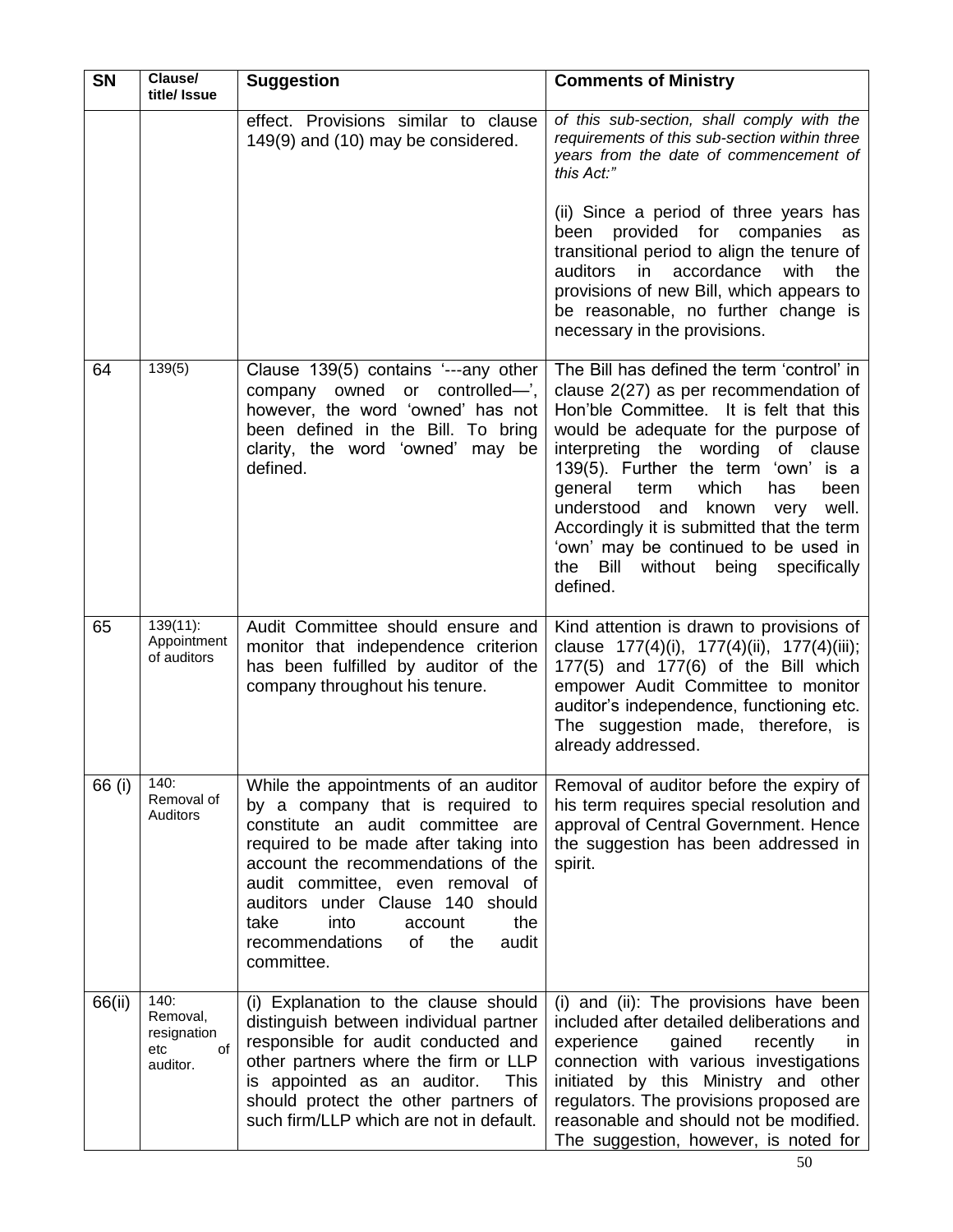| <b>SN</b> | Clause/<br>title/ Issue                                  | <b>Suggestion</b>                                                                                                                                                                                                                                                                                                                                             | <b>Comments of Ministry</b>                                                                                                                                                                                                                                                                                                                                                                                                                                                                 |
|-----------|----------------------------------------------------------|---------------------------------------------------------------------------------------------------------------------------------------------------------------------------------------------------------------------------------------------------------------------------------------------------------------------------------------------------------------|---------------------------------------------------------------------------------------------------------------------------------------------------------------------------------------------------------------------------------------------------------------------------------------------------------------------------------------------------------------------------------------------------------------------------------------------------------------------------------------------|
|           |                                                          | effect. Provisions similar to clause<br>149(9) and (10) may be considered.                                                                                                                                                                                                                                                                                    | of this sub-section, shall comply with the<br>requirements of this sub-section within three<br>years from the date of commencement of<br>this Act:"<br>(ii) Since a period of three years has<br>been provided for companies<br>as<br>transitional period to align the tenure of<br>accordance<br>with<br>auditors<br>in<br>the<br>provisions of new Bill, which appears to<br>be reasonable, no further change is<br>necessary in the provisions.                                          |
| 64        | 139(5)                                                   | Clause 139(5) contains '---any other<br>company owned or<br>controlled—',<br>however, the word 'owned' has not<br>been defined in the Bill. To bring<br>clarity, the word 'owned' may be<br>defined.                                                                                                                                                          | The Bill has defined the term 'control' in<br>clause 2(27) as per recommendation of<br>Hon'ble Committee. It is felt that this<br>would be adequate for the purpose of<br>interpreting the wording of clause<br>139(5). Further the term 'own' is a<br>general<br>which<br>has<br>been<br>term<br>understood<br>and known<br>well.<br>very<br>Accordingly it is submitted that the term<br>'own' may be continued to be used in<br>Bill<br>without being<br>the<br>specifically<br>defined. |
| 65        | $139(11)$ :<br>Appointment<br>of auditors                | Audit Committee should ensure and<br>monitor that independence criterion<br>has been fulfilled by auditor of the<br>company throughout his tenure.                                                                                                                                                                                                            | Kind attention is drawn to provisions of<br>clause 177(4)(i), 177(4)(ii), 177(4)(iii);<br>177(5) and 177(6) of the Bill which<br>empower Audit Committee to monitor<br>auditor's independence, functioning etc.<br>The suggestion made, therefore, is<br>already addressed.                                                                                                                                                                                                                 |
| 66 (i)    | 140:<br>Removal of<br><b>Auditors</b>                    | While the appointments of an auditor<br>by a company that is required to<br>constitute an audit committee are<br>required to be made after taking into<br>account the recommendations of the<br>audit committee, even removal of<br>auditors under Clause 140 should<br>into<br>take<br>the<br>account<br>recommendations<br>0f<br>the<br>audit<br>committee. | Removal of auditor before the expiry of<br>his term requires special resolution and<br>approval of Central Government. Hence<br>the suggestion has been addressed in<br>spirit.                                                                                                                                                                                                                                                                                                             |
| 66(ii)    | 140:<br>Removal,<br>resignation<br>of<br>etc<br>auditor. | (i) Explanation to the clause should<br>distinguish between individual partner<br>responsible for audit conducted and<br>other partners where the firm or LLP<br>is appointed as an auditor.<br><b>This</b><br>should protect the other partners of<br>such firm/LLP which are not in default.                                                                | (i) and (ii): The provisions have been<br>included after detailed deliberations and<br>gained<br>experience<br>recently<br>in<br>connection with various investigations<br>initiated by this Ministry and other<br>regulators. The provisions proposed are<br>reasonable and should not be modified.<br>The suggestion, however, is noted for                                                                                                                                               |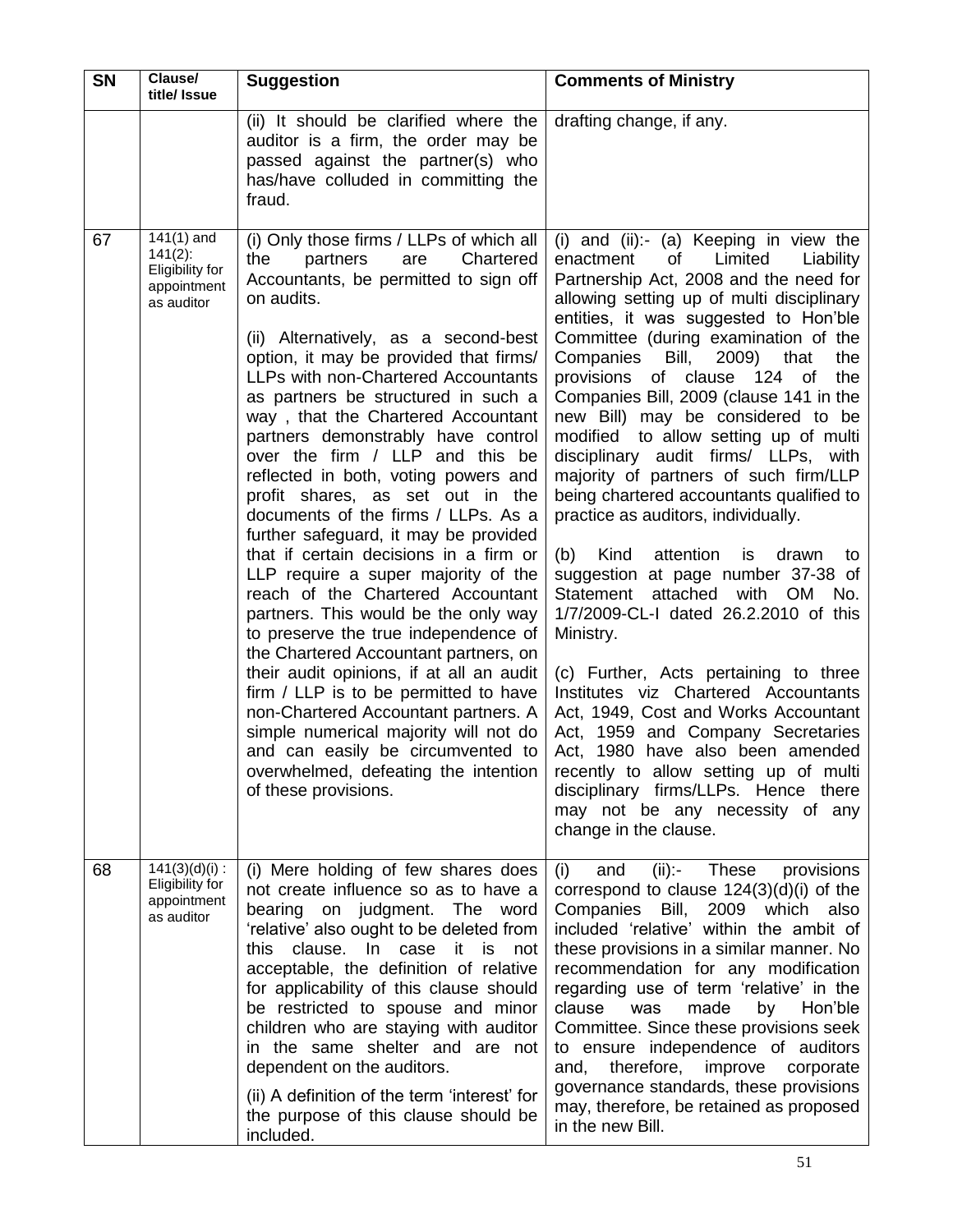| <b>SN</b> | Clause/<br>title/ Issue                                                    | <b>Suggestion</b>                                                                                                                                                                                                                                                                                                                                                                                                                                                                                                                                                                                                                                                                                                                                                                                                                                                                                                                                                                                                                                                                                           | <b>Comments of Ministry</b>                                                                                                                                                                                                                                                                                                                                                                                                                                                                                                                                                                                                                                                                                                                                                                                                                                                                                                                                                                                                                                                                                                                                               |
|-----------|----------------------------------------------------------------------------|-------------------------------------------------------------------------------------------------------------------------------------------------------------------------------------------------------------------------------------------------------------------------------------------------------------------------------------------------------------------------------------------------------------------------------------------------------------------------------------------------------------------------------------------------------------------------------------------------------------------------------------------------------------------------------------------------------------------------------------------------------------------------------------------------------------------------------------------------------------------------------------------------------------------------------------------------------------------------------------------------------------------------------------------------------------------------------------------------------------|---------------------------------------------------------------------------------------------------------------------------------------------------------------------------------------------------------------------------------------------------------------------------------------------------------------------------------------------------------------------------------------------------------------------------------------------------------------------------------------------------------------------------------------------------------------------------------------------------------------------------------------------------------------------------------------------------------------------------------------------------------------------------------------------------------------------------------------------------------------------------------------------------------------------------------------------------------------------------------------------------------------------------------------------------------------------------------------------------------------------------------------------------------------------------|
|           |                                                                            | (ii) It should be clarified where the<br>auditor is a firm, the order may be<br>passed against the partner(s) who<br>has/have colluded in committing the<br>fraud.                                                                                                                                                                                                                                                                                                                                                                                                                                                                                                                                                                                                                                                                                                                                                                                                                                                                                                                                          | drafting change, if any.                                                                                                                                                                                                                                                                                                                                                                                                                                                                                                                                                                                                                                                                                                                                                                                                                                                                                                                                                                                                                                                                                                                                                  |
| 67        | $141(1)$ and<br>$141(2)$ :<br>Eligibility for<br>appointment<br>as auditor | (i) Only those firms / LLPs of which all<br>the<br>Chartered<br>partners<br>are<br>Accountants, be permitted to sign off<br>on audits.<br>(ii) Alternatively, as a second-best<br>option, it may be provided that firms/<br>LLPs with non-Chartered Accountants<br>as partners be structured in such a<br>way, that the Chartered Accountant<br>partners demonstrably have control<br>over the firm / LLP and this be<br>reflected in both, voting powers and<br>profit shares, as set out in the<br>documents of the firms / LLPs. As a<br>further safeguard, it may be provided<br>that if certain decisions in a firm or<br>LLP require a super majority of the<br>reach of the Chartered Accountant<br>partners. This would be the only way<br>to preserve the true independence of<br>the Chartered Accountant partners, on<br>their audit opinions, if at all an audit<br>firm / LLP is to be permitted to have<br>non-Chartered Accountant partners. A<br>simple numerical majority will not do<br>and can easily be circumvented to<br>overwhelmed, defeating the intention<br>of these provisions. | (i) and $(ii):$ (a) Keeping in view the<br>enactment<br>of<br>Limited<br>Liability<br>Partnership Act, 2008 and the need for<br>allowing setting up of multi disciplinary<br>entities, it was suggested to Hon'ble<br>Committee (during examination of the<br>Companies Bill, 2009)<br>that<br>the<br>provisions of clause 124 of<br>the<br>Companies Bill, 2009 (clause 141 in the<br>new Bill) may be considered to be<br>modified to allow setting up of multi<br>disciplinary audit firms/ LLPs, with<br>majority of partners of such firm/LLP<br>being chartered accountants qualified to<br>practice as auditors, individually.<br>Kind<br>attention<br>(b)<br>is<br>drawn<br>to<br>suggestion at page number 37-38 of<br>Statement<br>attached with OM<br>No.<br>1/7/2009-CL-I dated 26.2.2010 of this<br>Ministry.<br>(c) Further, Acts pertaining to three<br>Institutes viz Chartered Accountants<br>Act, 1949, Cost and Works Accountant<br>Act, 1959 and Company Secretaries<br>Act, 1980 have also been amended<br>recently to allow setting up of multi<br>disciplinary firms/LLPs. Hence there<br>may not be any necessity of any<br>change in the clause. |
| 68        | 141(3)(d)(i):<br>Eligibility for<br>appointment<br>as auditor              | (i) Mere holding of few shares does<br>not create influence so as to have a<br>bearing on judgment. The word<br>'relative' also ought to be deleted from<br>this clause. In case it is<br>not<br>acceptable, the definition of relative<br>for applicability of this clause should<br>be restricted to spouse and minor<br>children who are staying with auditor<br>in the same shelter and are not<br>dependent on the auditors.<br>(ii) A definition of the term 'interest' for<br>the purpose of this clause should be<br>included.                                                                                                                                                                                                                                                                                                                                                                                                                                                                                                                                                                      | These<br>(i)<br>(ii):<br>provisions<br>and<br>correspond to clause $124(3)(d)(i)$ of the<br>2009<br>Companies Bill,<br>which<br>also<br>included 'relative' within the ambit of<br>these provisions in a similar manner. No<br>recommendation for any modification<br>regarding use of term 'relative' in the<br>clause<br>Hon'ble<br>made<br>by<br>was<br>Committee. Since these provisions seek<br>to ensure independence of auditors<br>improve<br>therefore,<br>corporate<br>and,<br>governance standards, these provisions<br>may, therefore, be retained as proposed<br>in the new Bill.                                                                                                                                                                                                                                                                                                                                                                                                                                                                                                                                                                            |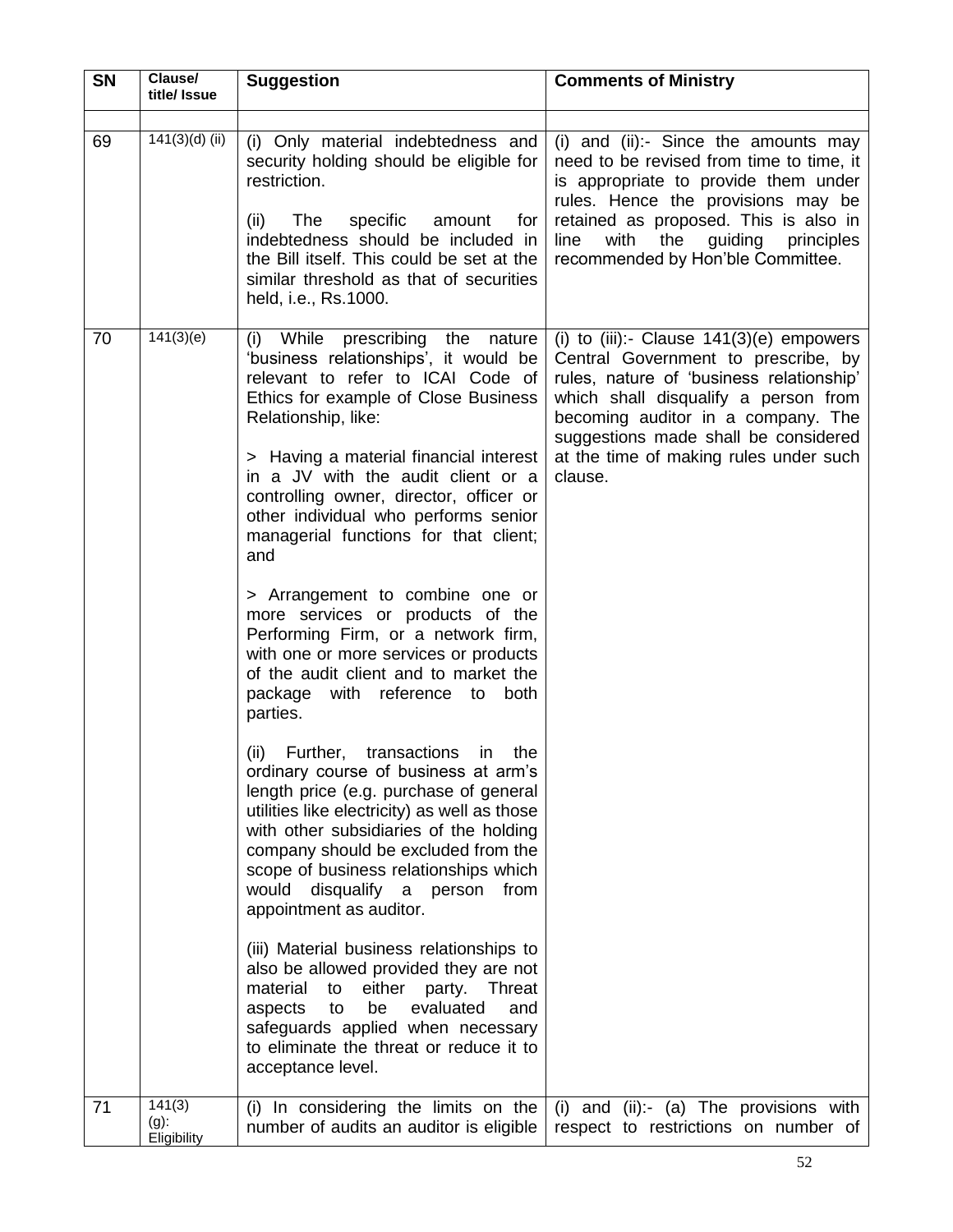| SN | Clause/<br>title/ Issue          | <b>Suggestion</b>                                                                                                                                                                                                                                                                                                                                                                                                                                                                                                                                                                                                                                                                                                                                                                                                                                                                                                                                                                                                                                                                                                                                                                                                                                                                                                                     | <b>Comments of Ministry</b>                                                                                                                                                                                                                                                                              |
|----|----------------------------------|---------------------------------------------------------------------------------------------------------------------------------------------------------------------------------------------------------------------------------------------------------------------------------------------------------------------------------------------------------------------------------------------------------------------------------------------------------------------------------------------------------------------------------------------------------------------------------------------------------------------------------------------------------------------------------------------------------------------------------------------------------------------------------------------------------------------------------------------------------------------------------------------------------------------------------------------------------------------------------------------------------------------------------------------------------------------------------------------------------------------------------------------------------------------------------------------------------------------------------------------------------------------------------------------------------------------------------------|----------------------------------------------------------------------------------------------------------------------------------------------------------------------------------------------------------------------------------------------------------------------------------------------------------|
| 69 | $141(3)(d)$ (ii)                 | (i) Only material indebtedness and<br>security holding should be eligible for<br>restriction.<br>The<br>specific<br>(ii)<br>amount<br>for<br>indebtedness should be included in<br>the Bill itself. This could be set at the<br>similar threshold as that of securities<br>held, i.e., Rs.1000.                                                                                                                                                                                                                                                                                                                                                                                                                                                                                                                                                                                                                                                                                                                                                                                                                                                                                                                                                                                                                                       | (i) and (ii):- Since the amounts may<br>need to be revised from time to time, it<br>is appropriate to provide them under<br>rules. Hence the provisions may be<br>retained as proposed. This is also in<br>with<br>the<br>guiding<br>line<br>principles<br>recommended by Hon'ble Committee.             |
| 70 | 141(3)(e)                        | While<br>prescribing<br>the<br>(i)<br>nature<br>'business relationships', it would be<br>relevant to refer to ICAI Code of<br>Ethics for example of Close Business<br>Relationship, like:<br>> Having a material financial interest<br>in a JV with the audit client or a<br>controlling owner, director, officer or<br>other individual who performs senior<br>managerial functions for that client;<br>and<br>> Arrangement to combine one or<br>more services or products of the<br>Performing Firm, or a network firm,<br>with one or more services or products<br>of the audit client and to market the<br>package with reference<br>both<br>to<br>parties.<br>transactions<br>(ii)<br>Further,<br>the<br>in<br>ordinary course of business at arm's<br>length price (e.g. purchase of general<br>utilities like electricity) as well as those<br>with other subsidiaries of the holding<br>company should be excluded from the<br>scope of business relationships which<br>disqualify a person<br>would<br>from<br>appointment as auditor.<br>(iii) Material business relationships to<br>also be allowed provided they are not<br>material<br>either<br>party.<br>to<br>Threat<br>be<br>evaluated<br>aspects<br>to<br>and<br>safeguards applied when necessary<br>to eliminate the threat or reduce it to<br>acceptance level. | (i) to (iii):- Clause $141(3)(e)$ empowers<br>Central Government to prescribe, by<br>rules, nature of 'business relationship'<br>which shall disqualify a person from<br>becoming auditor in a company. The<br>suggestions made shall be considered<br>at the time of making rules under such<br>clause. |
| 71 | 141(3)<br>$(g)$ :<br>Eligibility | (i) In considering the limits on the<br>number of audits an auditor is eligible                                                                                                                                                                                                                                                                                                                                                                                                                                                                                                                                                                                                                                                                                                                                                                                                                                                                                                                                                                                                                                                                                                                                                                                                                                                       | (i) and $(ii):$ (a) The provisions with<br>respect to restrictions on number of                                                                                                                                                                                                                          |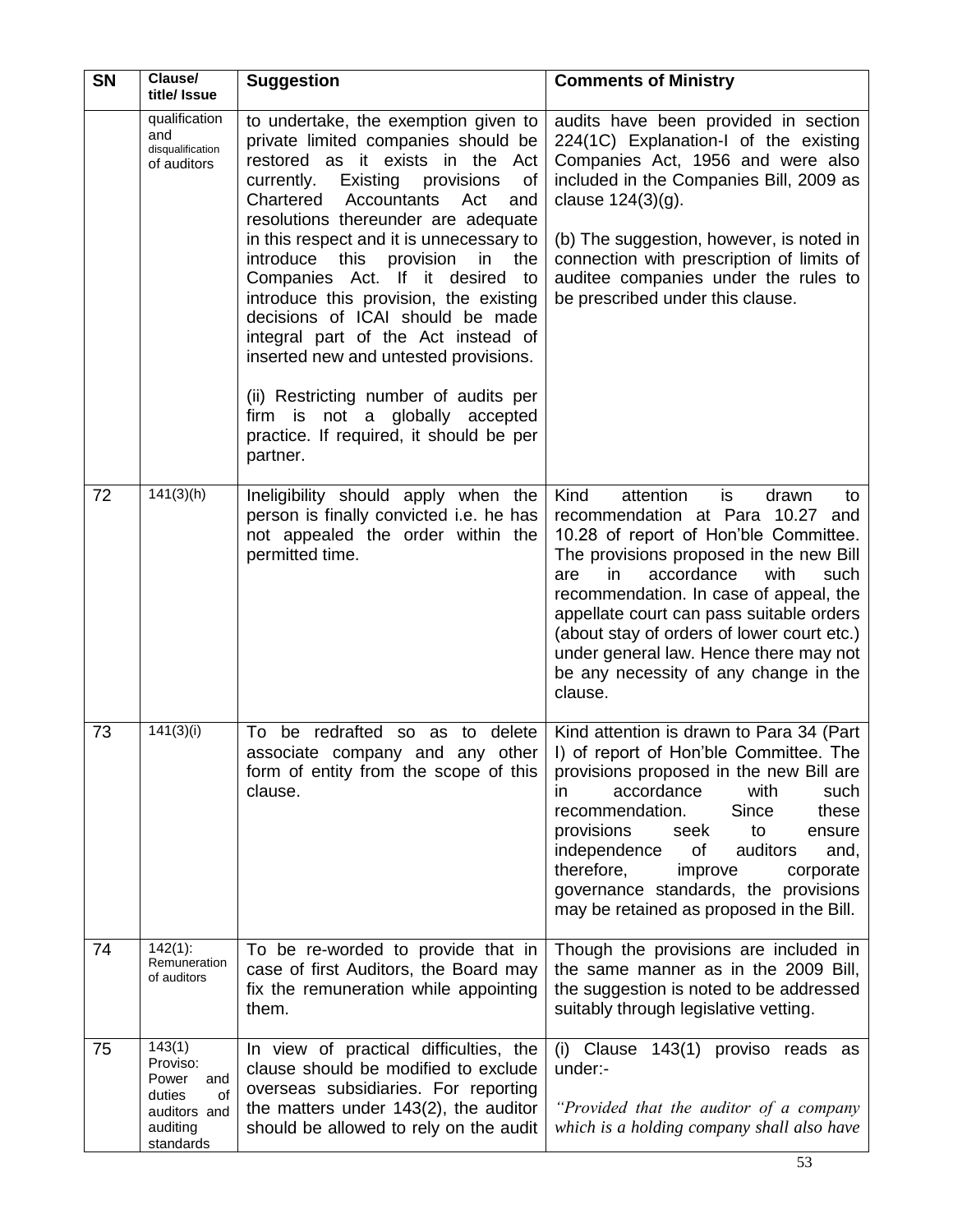| <b>SN</b> | Clause/<br>title/ Issue                                                                     | <b>Suggestion</b>                                                                                                                                                                                                                                                                                                                                                                                                                                                                                                                                                                                                                                                                   | <b>Comments of Ministry</b>                                                                                                                                                                                                                                                                                                                                                                                                                 |
|-----------|---------------------------------------------------------------------------------------------|-------------------------------------------------------------------------------------------------------------------------------------------------------------------------------------------------------------------------------------------------------------------------------------------------------------------------------------------------------------------------------------------------------------------------------------------------------------------------------------------------------------------------------------------------------------------------------------------------------------------------------------------------------------------------------------|---------------------------------------------------------------------------------------------------------------------------------------------------------------------------------------------------------------------------------------------------------------------------------------------------------------------------------------------------------------------------------------------------------------------------------------------|
|           | qualification<br>and<br>disqualification<br>of auditors                                     | to undertake, the exemption given to<br>private limited companies should be<br>restored as it exists in the Act<br>currently.<br>Existing<br>provisions<br>of<br>Chartered<br>Accountants<br>Act<br>and<br>resolutions thereunder are adequate<br>in this respect and it is unnecessary to<br>introduce<br>this<br>provision<br>the<br>in<br>Companies Act. If it desired<br>to<br>introduce this provision, the existing<br>decisions of ICAI should be made<br>integral part of the Act instead of<br>inserted new and untested provisions.<br>(ii) Restricting number of audits per<br>not a globally accepted<br>firm is<br>practice. If required, it should be per<br>partner. | audits have been provided in section<br>224(1C) Explanation-I of the existing<br>Companies Act, 1956 and were also<br>included in the Companies Bill, 2009 as<br>clause $124(3)(g)$ .<br>(b) The suggestion, however, is noted in<br>connection with prescription of limits of<br>auditee companies under the rules to<br>be prescribed under this clause.                                                                                  |
| 72        | 141(3)(h)                                                                                   | Ineligibility should apply when the<br>person is finally convicted i.e. he has<br>not appealed the order within the<br>permitted time.                                                                                                                                                                                                                                                                                                                                                                                                                                                                                                                                              | attention<br>Kind<br>is<br>drawn<br>to<br>recommendation at Para 10.27 and<br>10.28 of report of Hon'ble Committee.<br>The provisions proposed in the new Bill<br>accordance<br>with<br>such<br>in<br>are<br>recommendation. In case of appeal, the<br>appellate court can pass suitable orders<br>(about stay of orders of lower court etc.)<br>under general law. Hence there may not<br>be any necessity of any change in the<br>clause. |
| 73        | 141(3)(i)                                                                                   | redrafted<br>delete<br>To<br>be<br>so as<br>to<br>associate company and any other<br>form of entity from the scope of this<br>clause.                                                                                                                                                                                                                                                                                                                                                                                                                                                                                                                                               | Kind attention is drawn to Para 34 (Part<br>I) of report of Hon'ble Committee. The<br>provisions proposed in the new Bill are<br>accordance<br>with<br>such<br>in.<br>Since<br>recommendation.<br>these<br>provisions<br>seek<br>to<br>ensure<br>independence<br>of<br>auditors<br>and,<br>therefore,<br>improve<br>corporate<br>governance standards, the provisions<br>may be retained as proposed in the Bill.                           |
| 74        | $142(1)$ :<br>Remuneration<br>of auditors                                                   | To be re-worded to provide that in<br>case of first Auditors, the Board may<br>fix the remuneration while appointing<br>them.                                                                                                                                                                                                                                                                                                                                                                                                                                                                                                                                                       | Though the provisions are included in<br>the same manner as in the 2009 Bill,<br>the suggestion is noted to be addressed<br>suitably through legislative vetting.                                                                                                                                                                                                                                                                           |
| 75        | 143(1)<br>Proviso:<br>Power<br>and<br>duties<br>οf<br>auditors and<br>auditing<br>standards | In view of practical difficulties, the<br>clause should be modified to exclude<br>overseas subsidiaries. For reporting<br>the matters under 143(2), the auditor<br>should be allowed to rely on the audit                                                                                                                                                                                                                                                                                                                                                                                                                                                                           | (i) Clause 143(1) proviso reads as<br>under:-<br>"Provided that the auditor of a company<br>which is a holding company shall also have                                                                                                                                                                                                                                                                                                      |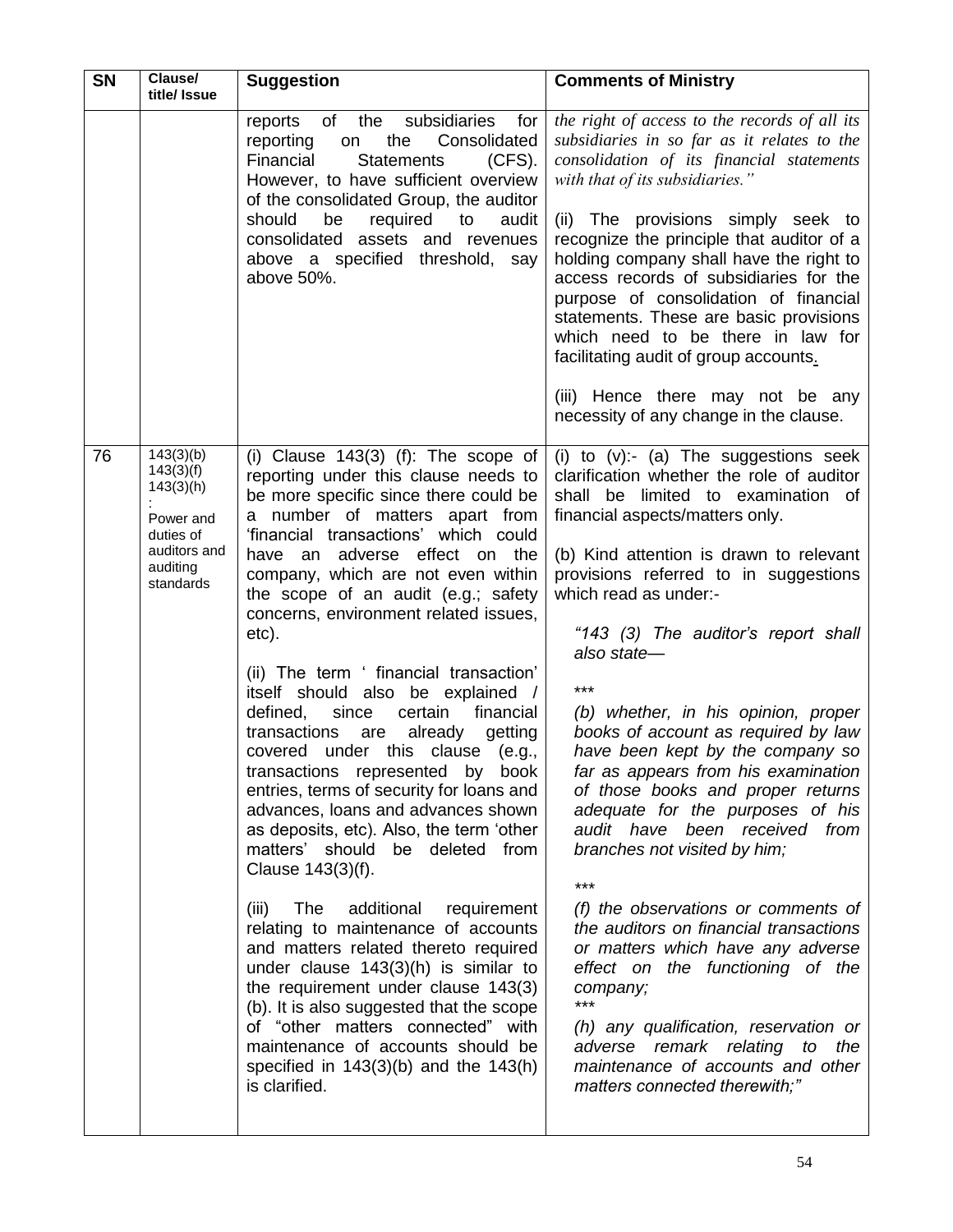| <b>SN</b> | Clause/<br>title/ Issue                                                                                | <b>Suggestion</b>                                                                                                                                                                                                                                                                                                                                                                                                                                                                                                                                                                                                                                                                                                                                                                                                                                                                                                                                                                                                                                                                                                                                                                                               | <b>Comments of Ministry</b>                                                                                                                                                                                                                                                                                                                                                                                                                                                                                                                                                                                                                                                                                                                                                                                                                                                                                                                                                                                                     |
|-----------|--------------------------------------------------------------------------------------------------------|-----------------------------------------------------------------------------------------------------------------------------------------------------------------------------------------------------------------------------------------------------------------------------------------------------------------------------------------------------------------------------------------------------------------------------------------------------------------------------------------------------------------------------------------------------------------------------------------------------------------------------------------------------------------------------------------------------------------------------------------------------------------------------------------------------------------------------------------------------------------------------------------------------------------------------------------------------------------------------------------------------------------------------------------------------------------------------------------------------------------------------------------------------------------------------------------------------------------|---------------------------------------------------------------------------------------------------------------------------------------------------------------------------------------------------------------------------------------------------------------------------------------------------------------------------------------------------------------------------------------------------------------------------------------------------------------------------------------------------------------------------------------------------------------------------------------------------------------------------------------------------------------------------------------------------------------------------------------------------------------------------------------------------------------------------------------------------------------------------------------------------------------------------------------------------------------------------------------------------------------------------------|
|           |                                                                                                        | reports of the subsidiaries for<br>Consolidated<br>reporting<br>on<br>the<br>Financial<br><b>Statements</b><br>$(CFS)$ .<br>However, to have sufficient overview<br>of the consolidated Group, the auditor<br>should<br>be<br>required<br>audit<br>to<br>consolidated assets and revenues<br>above a specified<br>threshold, say<br>above 50%.                                                                                                                                                                                                                                                                                                                                                                                                                                                                                                                                                                                                                                                                                                                                                                                                                                                                  | the right of access to the records of all its<br>subsidiaries in so far as it relates to the<br>consolidation of its financial statements<br>with that of its subsidiaries."<br>(ii) The provisions simply seek to<br>recognize the principle that auditor of a<br>holding company shall have the right to<br>access records of subsidiaries for the<br>purpose of consolidation of financial<br>statements. These are basic provisions<br>which need to be there in law for<br>facilitating audit of group accounts.<br>(iii) Hence there may not be any                                                                                                                                                                                                                                                                                                                                                                                                                                                                       |
| 76        | 143(3)(b)<br>143(3)(f)<br>143(3)(h)<br>Power and<br>duties of<br>auditors and<br>auditing<br>standards | (i) Clause $143(3)$ (f): The scope of<br>reporting under this clause needs to<br>be more specific since there could be<br>a number of matters apart from<br>'financial transactions' which could<br>adverse effect on<br>the<br>have an<br>company, which are not even within<br>the scope of an audit (e.g.; safety<br>concerns, environment related issues,<br>etc).<br>(ii) The term ' financial transaction'<br>itself should also be explained /<br>defined,<br>since<br>certain<br>financial<br>transactions<br>already<br>getting<br>are<br>covered under this clause<br>(e.g.,<br>transactions represented by book<br>entries, terms of security for loans and<br>advances, loans and advances shown<br>as deposits, etc). Also, the term 'other<br>matters' should be deleted from<br>Clause 143(3)(f).<br>additional<br>(iii)<br>The<br>requirement<br>relating to maintenance of accounts<br>and matters related thereto required<br>under clause 143(3)(h) is similar to<br>the requirement under clause 143(3)<br>(b). It is also suggested that the scope<br>of "other matters connected" with<br>maintenance of accounts should be<br>specified in $143(3)(b)$ and the $143(h)$<br>is clarified. | necessity of any change in the clause.<br>(i) to $(v)$ :- (a) The suggestions seek<br>clarification whether the role of auditor<br>shall be limited to examination of<br>financial aspects/matters only.<br>(b) Kind attention is drawn to relevant<br>provisions referred to in suggestions<br>which read as under:-<br>"143 (3) The auditor's report shall<br>also state-<br>***<br>(b) whether, in his opinion, proper<br>books of account as required by law<br>have been kept by the company so<br>far as appears from his examination<br>of those books and proper returns<br>adequate for the purposes of his<br>audit have been received from<br>branches not visited by him;<br>$***$<br>(f) the observations or comments of<br>the auditors on financial transactions<br>or matters which have any adverse<br>effect on the functioning of the<br>company;<br>***<br>(h) any qualification, reservation or<br>adverse remark relating to<br>the<br>maintenance of accounts and other<br>matters connected therewith;" |
|           |                                                                                                        |                                                                                                                                                                                                                                                                                                                                                                                                                                                                                                                                                                                                                                                                                                                                                                                                                                                                                                                                                                                                                                                                                                                                                                                                                 |                                                                                                                                                                                                                                                                                                                                                                                                                                                                                                                                                                                                                                                                                                                                                                                                                                                                                                                                                                                                                                 |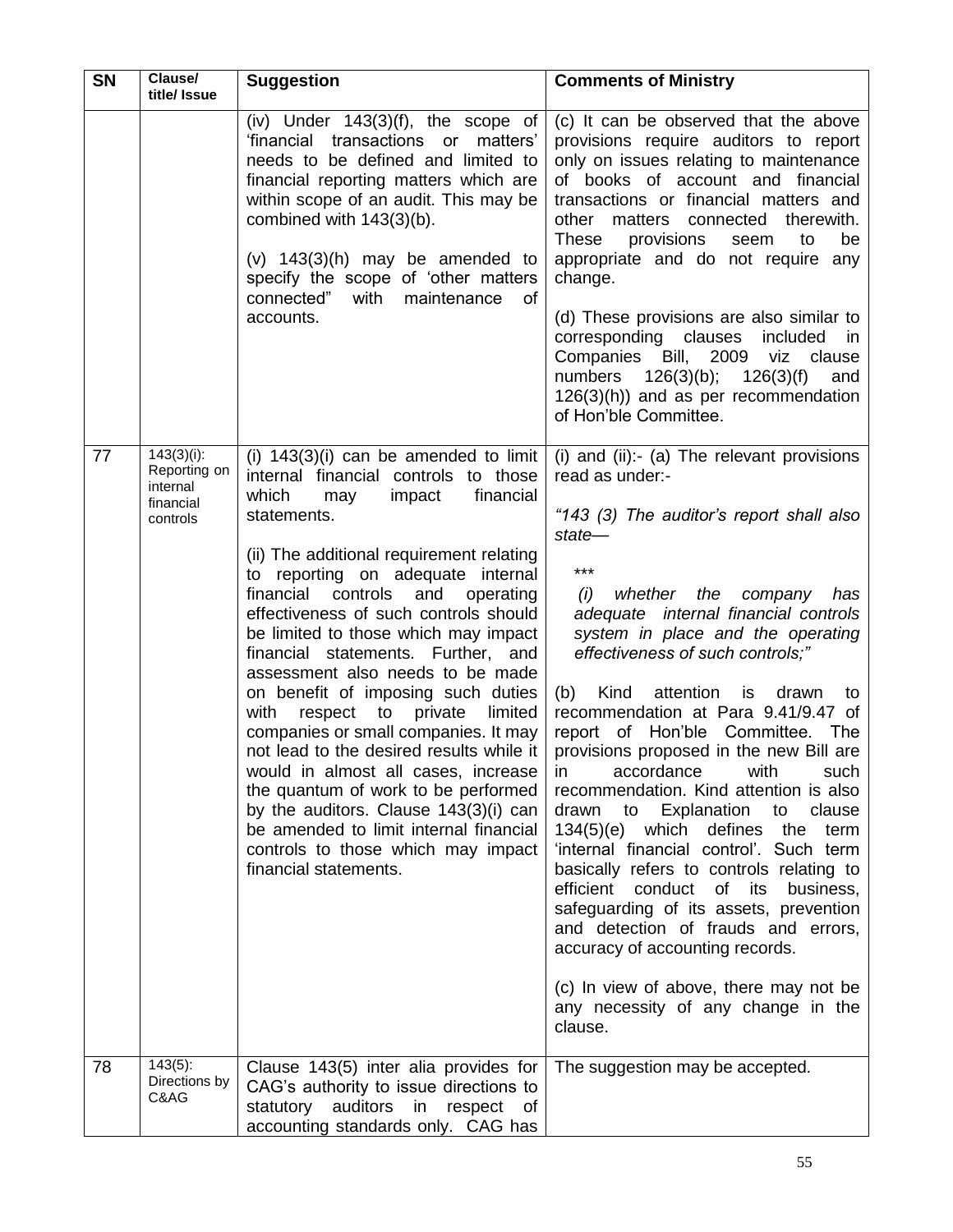| <b>SN</b> | Clause/<br>title/ Issue                                            | <b>Suggestion</b>                                                                                                                                                                                                                                                                                                                                                                                                                                                                                                                                                                                                                                                                                                                                                                                                                 | <b>Comments of Ministry</b>                                                                                                                                                                                                                                                                                                                                                                                                                                                                                                                                                                                                                                                                                                                                                                                                                                                                                                                                            |
|-----------|--------------------------------------------------------------------|-----------------------------------------------------------------------------------------------------------------------------------------------------------------------------------------------------------------------------------------------------------------------------------------------------------------------------------------------------------------------------------------------------------------------------------------------------------------------------------------------------------------------------------------------------------------------------------------------------------------------------------------------------------------------------------------------------------------------------------------------------------------------------------------------------------------------------------|------------------------------------------------------------------------------------------------------------------------------------------------------------------------------------------------------------------------------------------------------------------------------------------------------------------------------------------------------------------------------------------------------------------------------------------------------------------------------------------------------------------------------------------------------------------------------------------------------------------------------------------------------------------------------------------------------------------------------------------------------------------------------------------------------------------------------------------------------------------------------------------------------------------------------------------------------------------------|
|           |                                                                    | (iv) Under $143(3)(f)$ , the scope of<br>financial transactions or<br>matters'<br>needs to be defined and limited to<br>financial reporting matters which are<br>within scope of an audit. This may be<br>combined with 143(3)(b).<br>$(v)$ 143 $(3)(h)$ may be amended to<br>specify the scope of 'other matters<br>connected"<br>with<br>maintenance<br>of<br>accounts.                                                                                                                                                                                                                                                                                                                                                                                                                                                         | (c) It can be observed that the above<br>provisions require auditors to report<br>only on issues relating to maintenance<br>of books of account and financial<br>transactions or financial matters and<br>other<br>matters connected<br>therewith.<br><b>These</b><br>provisions<br>to<br>be<br>seem<br>appropriate and do not require any<br>change.<br>(d) These provisions are also similar to<br>corresponding clauses<br>included<br>in<br>Companies Bill, 2009<br>viz<br>clause<br>$126(3)(b)$ ;<br>numbers<br>126(3)(f)<br>and<br>126(3)(h)) and as per recommendation<br>of Hon'ble Committee.                                                                                                                                                                                                                                                                                                                                                                 |
| 77        | $143(3)(i)$ :<br>Reporting on<br>internal<br>financial<br>controls | (i) $143(3)(i)$ can be amended to limit<br>internal financial controls to those<br>which<br>financial<br>may<br>impact<br>statements.<br>(ii) The additional requirement relating<br>to reporting on adequate internal<br>financial<br>controls<br>and<br>operating<br>effectiveness of such controls should<br>be limited to those which may impact<br>financial statements. Further, and<br>assessment also needs to be made<br>on benefit of imposing such duties<br>respect to private<br>limited<br>with<br>companies or small companies. It may<br>not lead to the desired results while it<br>would in almost all cases, increase<br>the quantum of work to be performed<br>by the auditors. Clause 143(3)(i) can<br>be amended to limit internal financial<br>controls to those which may impact<br>financial statements. | (i) and (ii):- (a) The relevant provisions<br>read as under:-<br>"143 (3) The auditor's report shall also<br>state-<br>***<br>(i)<br>whether the company<br>has<br>adequate internal financial controls<br>system in place and the operating<br>effectiveness of such controls;"<br>Kind<br>attention<br>(b)<br>is<br>drawn<br>to<br>recommendation at Para 9.41/9.47 of<br>report of<br>Hon'ble Committee.<br>The<br>provisions proposed in the new Bill are<br>accordance<br>with<br>such<br>ın<br>recommendation. Kind attention is also<br>drawn to Explanation to<br>clause<br>134(5)(e) which defines the<br>term<br>'internal financial control'. Such term<br>basically refers to controls relating to<br>efficient conduct of its<br>business,<br>safeguarding of its assets, prevention<br>and detection of frauds and errors,<br>accuracy of accounting records.<br>(c) In view of above, there may not be<br>any necessity of any change in the<br>clause. |
| 78        | $143(5)$ :<br>Directions by<br>C&AG                                | Clause 143(5) inter alia provides for<br>CAG's authority to issue directions to<br>statutory auditors in respect<br>of<br>accounting standards only. CAG has                                                                                                                                                                                                                                                                                                                                                                                                                                                                                                                                                                                                                                                                      | The suggestion may be accepted.                                                                                                                                                                                                                                                                                                                                                                                                                                                                                                                                                                                                                                                                                                                                                                                                                                                                                                                                        |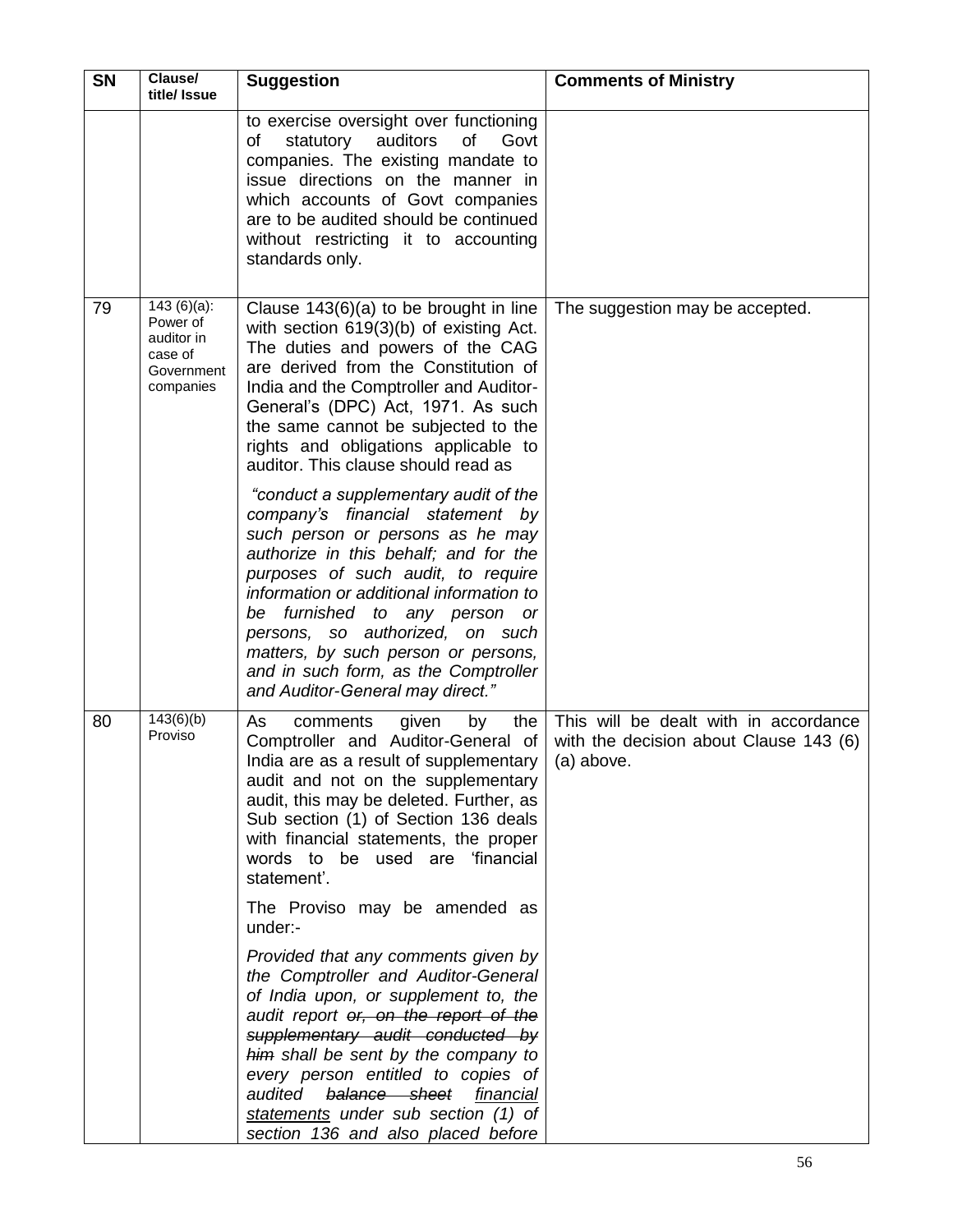| <b>SN</b> | Clause/<br>title/ Issue                                                       | <b>Suggestion</b>                                                                                                                                                                                                                                                                                                                                                                                                                                                                                                                                                                                                                                                                                                                                                                                        | <b>Comments of Ministry</b>                                                                                            |
|-----------|-------------------------------------------------------------------------------|----------------------------------------------------------------------------------------------------------------------------------------------------------------------------------------------------------------------------------------------------------------------------------------------------------------------------------------------------------------------------------------------------------------------------------------------------------------------------------------------------------------------------------------------------------------------------------------------------------------------------------------------------------------------------------------------------------------------------------------------------------------------------------------------------------|------------------------------------------------------------------------------------------------------------------------|
|           |                                                                               | to exercise oversight over functioning<br>statutory<br>auditors<br>Govt<br>οf<br>of<br>companies. The existing mandate to<br>issue directions on the manner in<br>which accounts of Govt companies<br>are to be audited should be continued<br>without restricting it to accounting<br>standards only.                                                                                                                                                                                                                                                                                                                                                                                                                                                                                                   |                                                                                                                        |
| 79        | $143(6)(a)$ :<br>Power of<br>auditor in<br>case of<br>Government<br>companies | Clause $143(6)(a)$ to be brought in line<br>with section 619(3)(b) of existing Act.<br>The duties and powers of the CAG<br>are derived from the Constitution of<br>India and the Comptroller and Auditor-<br>General's (DPC) Act, 1971. As such<br>the same cannot be subjected to the<br>rights and obligations applicable to<br>auditor. This clause should read as<br>"conduct a supplementary audit of the<br>company's financial statement by<br>such person or persons as he may<br>authorize in this behalf; and for the<br>purposes of such audit, to require<br>information or additional information to<br>be furnished to any person or<br>persons, so authorized, on such<br>matters, by such person or persons,<br>and in such form, as the Comptroller<br>and Auditor-General may direct." | The suggestion may be accepted.                                                                                        |
| 80        | 143(6)(b)<br>Proviso                                                          | As<br>given<br>by<br>comments<br>India are as a result of supplementary $\mid$ (a) above.<br>audit and not on the supplementary<br>audit, this may be deleted. Further, as<br>Sub section (1) of Section 136 deals<br>with financial statements, the proper<br>words to be used are 'financial<br>statement'.<br>The Proviso may be amended as<br>under:-<br>Provided that any comments given by<br>the Comptroller and Auditor-General<br>of India upon, or supplement to, the<br>audit report or, on the report of the<br>supplementary audit conducted by<br>him shall be sent by the company to<br>every person entitled to copies of<br>audited<br><del>balance sheet</del><br>financial<br>statements under sub section (1) of<br>section 136 and also placed before                               | the This will be dealt with in accordance<br>Comptroller and Auditor-General of with the decision about Clause 143 (6) |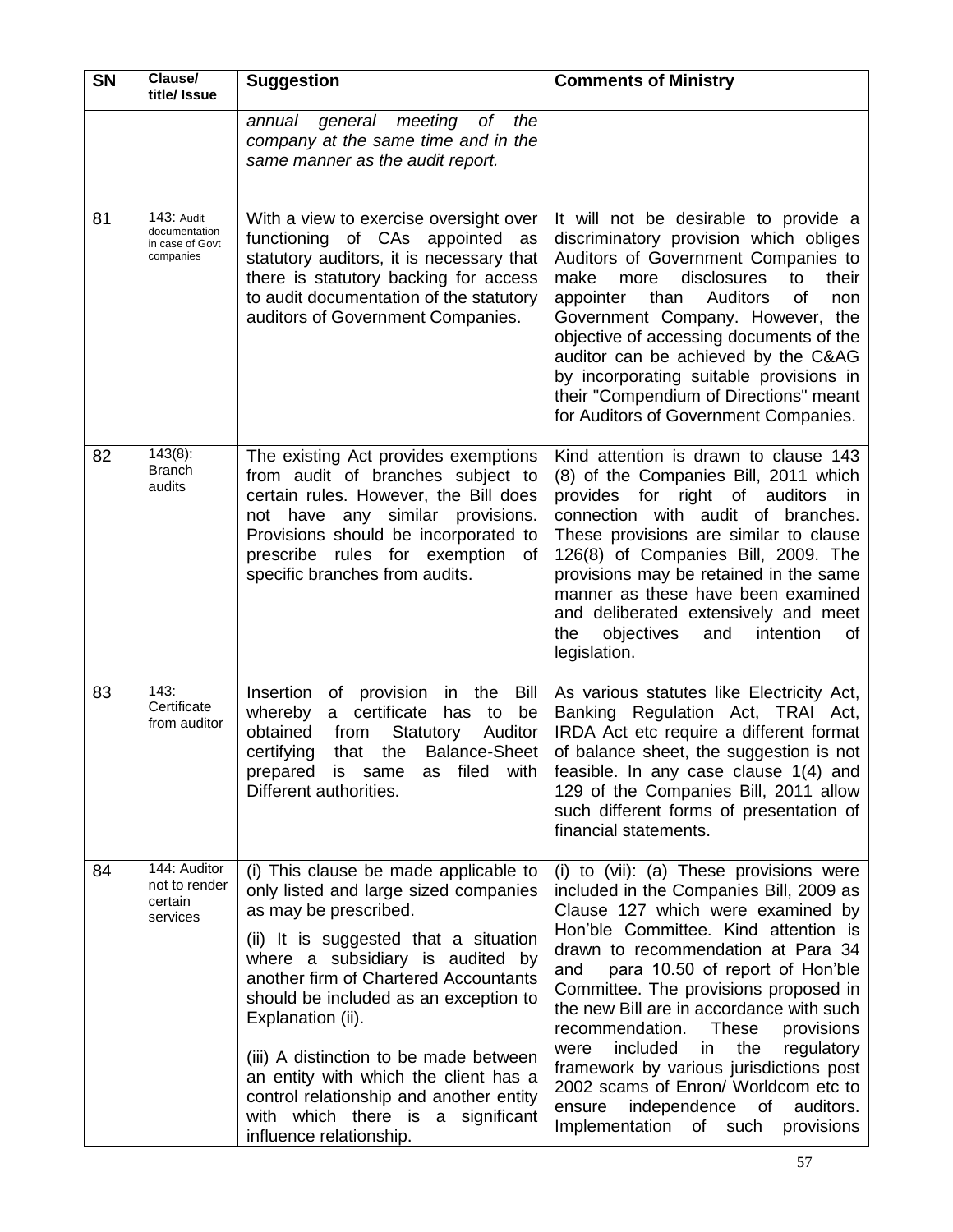| <b>SN</b> | Clause/<br>title/ Issue                                     | <b>Suggestion</b>                                                                                                                                                                                                                                                                                                                                                                                                                                                                         | <b>Comments of Ministry</b>                                                                                                                                                                                                                                                                                                                                                                                                                                                                                                                                                                                |
|-----------|-------------------------------------------------------------|-------------------------------------------------------------------------------------------------------------------------------------------------------------------------------------------------------------------------------------------------------------------------------------------------------------------------------------------------------------------------------------------------------------------------------------------------------------------------------------------|------------------------------------------------------------------------------------------------------------------------------------------------------------------------------------------------------------------------------------------------------------------------------------------------------------------------------------------------------------------------------------------------------------------------------------------------------------------------------------------------------------------------------------------------------------------------------------------------------------|
|           |                                                             | general<br>meeting<br>of<br>annual<br>the<br>company at the same time and in the<br>same manner as the audit report.                                                                                                                                                                                                                                                                                                                                                                      |                                                                                                                                                                                                                                                                                                                                                                                                                                                                                                                                                                                                            |
| 81        | 143: Audit<br>documentation<br>in case of Govt<br>companies | With a view to exercise oversight over<br>functioning of CAs appointed<br>as<br>statutory auditors, it is necessary that<br>there is statutory backing for access<br>to audit documentation of the statutory<br>auditors of Government Companies.                                                                                                                                                                                                                                         | It will not be desirable to provide a<br>discriminatory provision which obliges<br>Auditors of Government Companies to<br>disclosures<br>make<br>to<br>their<br>more<br>of<br>appointer<br>than<br>Auditors<br>non<br>Government Company. However, the<br>objective of accessing documents of the<br>auditor can be achieved by the C&AG<br>by incorporating suitable provisions in<br>their "Compendium of Directions" meant<br>for Auditors of Government Companies.                                                                                                                                     |
| 82        | $143(8)$ :<br><b>Branch</b><br>audits                       | The existing Act provides exemptions<br>from audit of branches subject to<br>certain rules. However, the Bill does<br>any similar provisions.<br>not have<br>Provisions should be incorporated to<br>prescribe rules for exemption<br>of<br>specific branches from audits.                                                                                                                                                                                                                | Kind attention is drawn to clause 143<br>(8) of the Companies Bill, 2011 which<br>provides<br>for<br>right of auditors<br><i>in</i><br>connection with audit of branches.<br>These provisions are similar to clause<br>126(8) of Companies Bill, 2009. The<br>provisions may be retained in the same<br>manner as these have been examined<br>and deliberated extensively and meet<br>intention<br>the<br>objectives<br>and<br>0f<br>legislation.                                                                                                                                                          |
| 83        | 143:<br>Certificate<br>from auditor                         | Insertion<br>provision<br>in the<br>Bill<br>οf<br>whereby<br>certificate<br>has<br>to<br>be<br>a<br>obtained<br>Statutory<br>Auditor<br>from<br><b>Balance-Sheet</b><br>certifying<br>that<br>the<br>as filed<br>prepared is same<br>with<br>Different authorities.                                                                                                                                                                                                                       | As various statutes like Electricity Act,<br>Banking Regulation Act, TRAI Act,<br>IRDA Act etc require a different format<br>of balance sheet, the suggestion is not<br>feasible. In any case clause 1(4) and<br>129 of the Companies Bill, 2011 allow<br>such different forms of presentation of<br>financial statements.                                                                                                                                                                                                                                                                                 |
| 84        | 144: Auditor<br>not to render<br>certain<br>services        | (i) This clause be made applicable to<br>only listed and large sized companies<br>as may be prescribed.<br>(ii) It is suggested that a situation<br>where a subsidiary is audited by<br>another firm of Chartered Accountants<br>should be included as an exception to<br>Explanation (ii).<br>(iii) A distinction to be made between<br>an entity with which the client has a<br>control relationship and another entity<br>with which there is a significant<br>influence relationship. | (i) to (vii): (a) These provisions were<br>included in the Companies Bill, 2009 as<br>Clause 127 which were examined by<br>Hon'ble Committee. Kind attention is<br>drawn to recommendation at Para 34<br>para 10.50 of report of Hon'ble<br>and<br>Committee. The provisions proposed in<br>the new Bill are in accordance with such<br>recommendation.<br><b>These</b><br>provisions<br>included<br>the<br>were<br>regulatory<br>in.<br>framework by various jurisdictions post<br>2002 scams of Enron/ Worldcom etc to<br>independence of<br>auditors.<br>ensure<br>Implementation of such<br>provisions |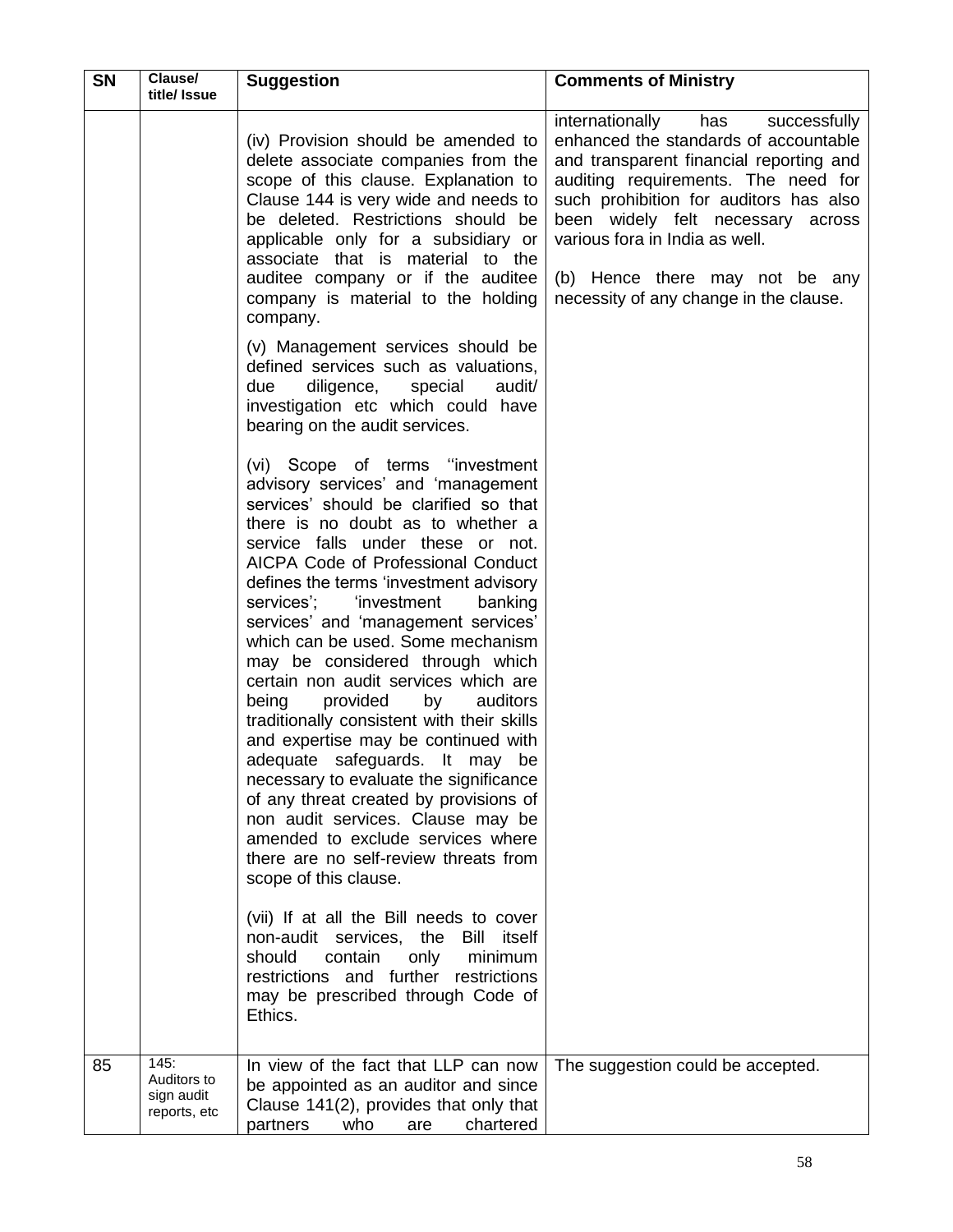| <b>SN</b> | Clause/<br>title/ Issue                           | <b>Suggestion</b>                                                                                                                                                                                                                                                                                                                                                                                                                                                                                                                                                                                                                                                                                                                                                                                                                                                                                                                                                                                                                                                                           | <b>Comments of Ministry</b>                                                                                                                                                                                                                                                                                                                                    |
|-----------|---------------------------------------------------|---------------------------------------------------------------------------------------------------------------------------------------------------------------------------------------------------------------------------------------------------------------------------------------------------------------------------------------------------------------------------------------------------------------------------------------------------------------------------------------------------------------------------------------------------------------------------------------------------------------------------------------------------------------------------------------------------------------------------------------------------------------------------------------------------------------------------------------------------------------------------------------------------------------------------------------------------------------------------------------------------------------------------------------------------------------------------------------------|----------------------------------------------------------------------------------------------------------------------------------------------------------------------------------------------------------------------------------------------------------------------------------------------------------------------------------------------------------------|
|           |                                                   | (iv) Provision should be amended to<br>delete associate companies from the<br>scope of this clause. Explanation to<br>Clause 144 is very wide and needs to<br>be deleted. Restrictions should be<br>applicable only for a subsidiary or<br>associate that is material to the<br>auditee company or if the auditee<br>company is material to the holding<br>company.                                                                                                                                                                                                                                                                                                                                                                                                                                                                                                                                                                                                                                                                                                                         | internationally<br>has<br>successfully<br>enhanced the standards of accountable<br>and transparent financial reporting and<br>auditing requirements. The need for<br>such prohibition for auditors has also<br>been widely felt necessary across<br>various fora in India as well.<br>(b) Hence there may not be any<br>necessity of any change in the clause. |
|           |                                                   | (v) Management services should be<br>defined services such as valuations,<br>due<br>diligence, special<br>audit/<br>investigation etc which could have<br>bearing on the audit services.                                                                                                                                                                                                                                                                                                                                                                                                                                                                                                                                                                                                                                                                                                                                                                                                                                                                                                    |                                                                                                                                                                                                                                                                                                                                                                |
|           |                                                   | (vi) Scope of terms "investment<br>advisory services' and 'management<br>services' should be clarified so that<br>there is no doubt as to whether a<br>service falls under these or not.<br>AICPA Code of Professional Conduct<br>defines the terms 'investment advisory<br>services'; 'investment<br>banking<br>services' and 'management services'<br>which can be used. Some mechanism<br>may be considered through which<br>certain non audit services which are<br>being<br>provided<br>auditors<br>by<br>traditionally consistent with their skills<br>and expertise may be continued with<br>adequate safeguards. It may be<br>necessary to evaluate the significance<br>of any threat created by provisions of<br>non audit services. Clause may be<br>amended to exclude services where<br>there are no self-review threats from<br>scope of this clause.<br>(vii) If at all the Bill needs to cover<br>Bill<br>non-audit services, the<br>itself<br>should<br>contain<br>only<br>minimum<br>restrictions and further restrictions<br>may be prescribed through Code of<br>Ethics. |                                                                                                                                                                                                                                                                                                                                                                |
| 85        | 145:<br>Auditors to<br>sign audit<br>reports, etc | In view of the fact that LLP can now<br>be appointed as an auditor and since<br>Clause 141(2), provides that only that<br>partners<br>who<br>chartered<br>are                                                                                                                                                                                                                                                                                                                                                                                                                                                                                                                                                                                                                                                                                                                                                                                                                                                                                                                               | The suggestion could be accepted.                                                                                                                                                                                                                                                                                                                              |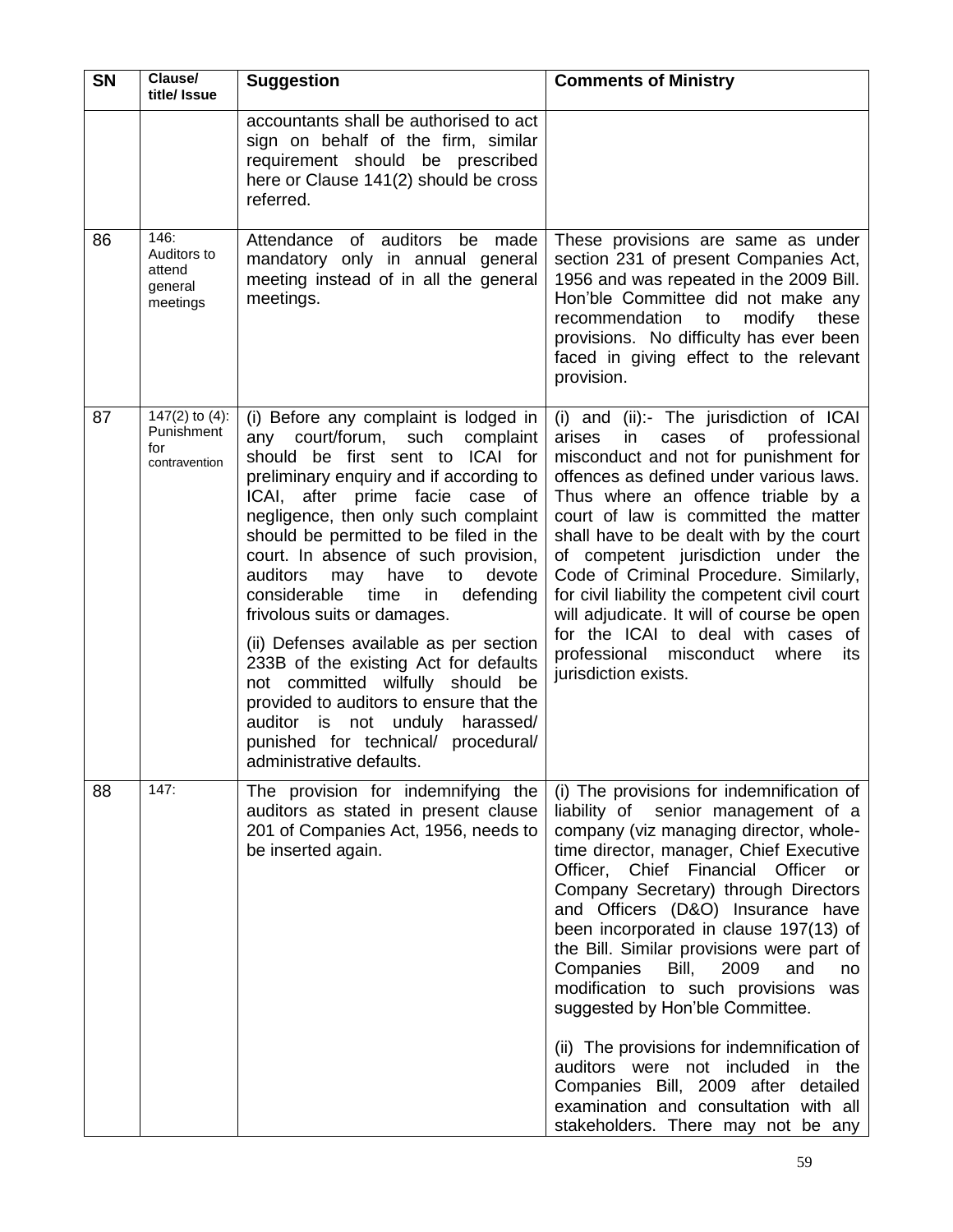| <b>SN</b> | Clause/<br>title/ Issue                                           | <b>Suggestion</b>                                                                                                                                                                                                                                                                                                                                                                                                                                                                                                                                                                                                                                                                                                    | <b>Comments of Ministry</b>                                                                                                                                                                                                                                                                                                                                                                                                                                                                                                                                                                                                                                                                                          |
|-----------|-------------------------------------------------------------------|----------------------------------------------------------------------------------------------------------------------------------------------------------------------------------------------------------------------------------------------------------------------------------------------------------------------------------------------------------------------------------------------------------------------------------------------------------------------------------------------------------------------------------------------------------------------------------------------------------------------------------------------------------------------------------------------------------------------|----------------------------------------------------------------------------------------------------------------------------------------------------------------------------------------------------------------------------------------------------------------------------------------------------------------------------------------------------------------------------------------------------------------------------------------------------------------------------------------------------------------------------------------------------------------------------------------------------------------------------------------------------------------------------------------------------------------------|
|           |                                                                   | accountants shall be authorised to act<br>sign on behalf of the firm, similar<br>requirement should be prescribed<br>here or Clause 141(2) should be cross<br>referred.                                                                                                                                                                                                                                                                                                                                                                                                                                                                                                                                              |                                                                                                                                                                                                                                                                                                                                                                                                                                                                                                                                                                                                                                                                                                                      |
| 86        | 146:<br>Auditors to<br>attend<br>general<br>meetings              | Attendance of auditors be made<br>mandatory only in annual general<br>meeting instead of in all the general<br>meetings.                                                                                                                                                                                                                                                                                                                                                                                                                                                                                                                                                                                             | These provisions are same as under<br>section 231 of present Companies Act,<br>1956 and was repeated in the 2009 Bill.<br>Hon'ble Committee did not make any<br>recommendation<br>modify<br>these<br>to<br>provisions. No difficulty has ever been<br>faced in giving effect to the relevant<br>provision.                                                                                                                                                                                                                                                                                                                                                                                                           |
| 87        | $\overline{147(2)}$ to (4):<br>Punishment<br>for<br>contravention | (i) Before any complaint is lodged in<br>any court/forum, such<br>complaint<br>should be first sent to ICAI for<br>preliminary enquiry and if according to<br>ICAI, after prime facie case of<br>negligence, then only such complaint<br>should be permitted to be filed in the<br>court. In absence of such provision,<br>auditors<br>have<br>to<br>devote<br>may<br>considerable time<br>in<br>defending<br>frivolous suits or damages.<br>(ii) Defenses available as per section<br>233B of the existing Act for defaults<br>not committed wilfully should<br>be<br>provided to auditors to ensure that the<br>auditor is not unduly harassed/<br>punished for technical/ procedural/<br>administrative defaults. | (i) and (ii):- The jurisdiction of ICAI<br>cases<br>of<br>professional<br>arises<br>in<br>misconduct and not for punishment for<br>offences as defined under various laws.<br>Thus where an offence triable by a<br>court of law is committed the matter<br>shall have to be dealt with by the court<br>of competent jurisdiction under the<br>Code of Criminal Procedure. Similarly,<br>for civil liability the competent civil court<br>will adjudicate. It will of course be open<br>for the ICAI to deal with cases of<br>professional misconduct where<br>its<br>jurisdiction exists.                                                                                                                           |
| 88        | 147:                                                              | The provision for indemnifying the<br>auditors as stated in present clause<br>201 of Companies Act, 1956, needs to<br>be inserted again.                                                                                                                                                                                                                                                                                                                                                                                                                                                                                                                                                                             | (i) The provisions for indemnification of<br>liability of senior management of a<br>company (viz managing director, whole-<br>time director, manager, Chief Executive<br>Officer, Chief Financial Officer or<br>Company Secretary) through Directors<br>and Officers (D&O) Insurance have<br>been incorporated in clause 197(13) of<br>the Bill. Similar provisions were part of<br>2009<br>Companies<br>Bill,<br>and<br>no<br>modification to such provisions<br>was<br>suggested by Hon'ble Committee.<br>(ii) The provisions for indemnification of<br>auditors were not included<br>in the<br>Companies Bill, 2009 after detailed<br>examination and consultation with all<br>stakeholders. There may not be any |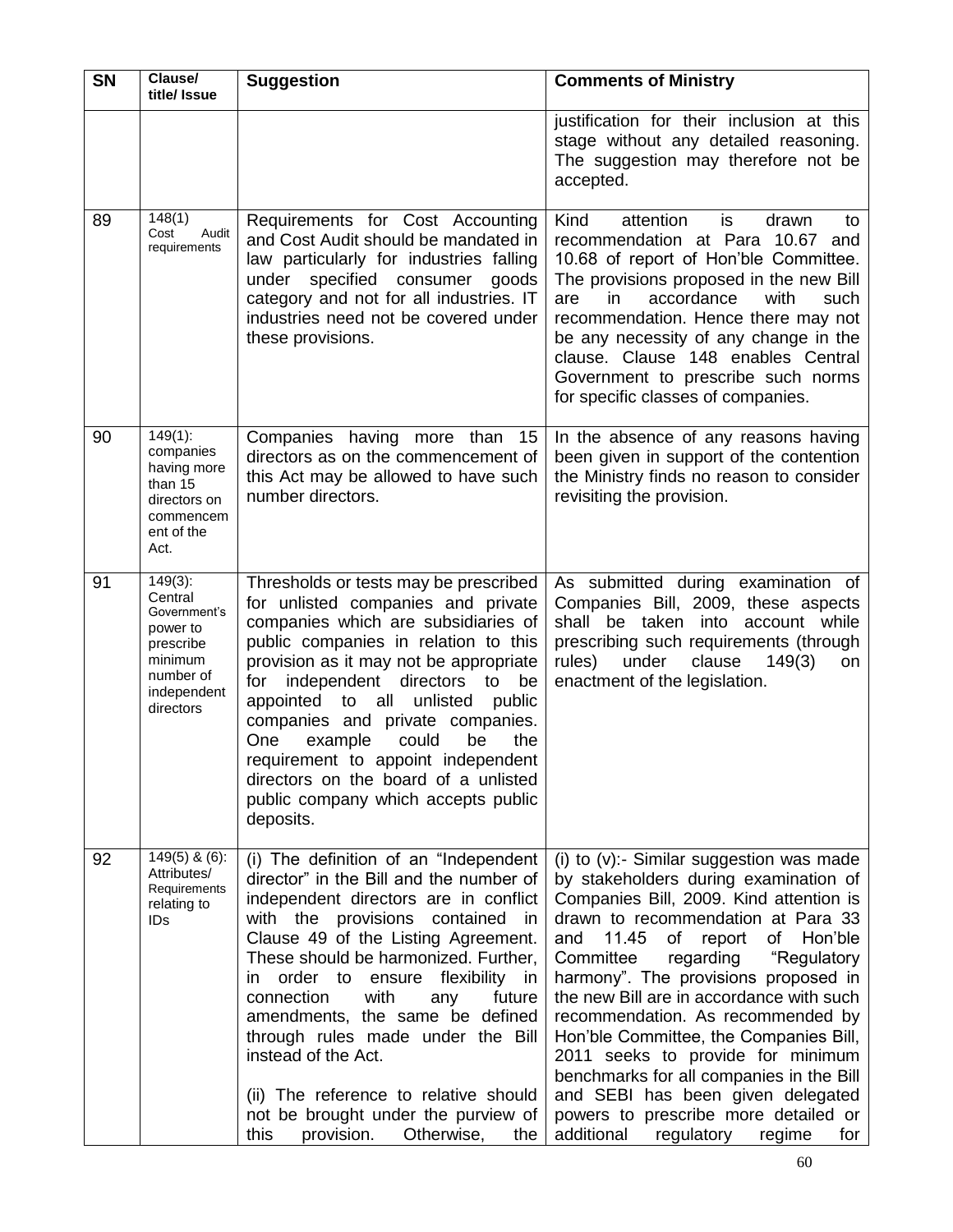| <b>SN</b> | Clause/<br>title/ Issue                                                                                            | <b>Suggestion</b>                                                                                                                                                                                                                                                                                                                                                                                                                                                                                                                                          | <b>Comments of Ministry</b>                                                                                                                                                                                                                                                                                                                                                                                                                                                                                                                                                                                                             |
|-----------|--------------------------------------------------------------------------------------------------------------------|------------------------------------------------------------------------------------------------------------------------------------------------------------------------------------------------------------------------------------------------------------------------------------------------------------------------------------------------------------------------------------------------------------------------------------------------------------------------------------------------------------------------------------------------------------|-----------------------------------------------------------------------------------------------------------------------------------------------------------------------------------------------------------------------------------------------------------------------------------------------------------------------------------------------------------------------------------------------------------------------------------------------------------------------------------------------------------------------------------------------------------------------------------------------------------------------------------------|
|           |                                                                                                                    |                                                                                                                                                                                                                                                                                                                                                                                                                                                                                                                                                            | justification for their inclusion at this<br>stage without any detailed reasoning.<br>The suggestion may therefore not be<br>accepted.                                                                                                                                                                                                                                                                                                                                                                                                                                                                                                  |
| 89        | 148(1)<br>Cost<br>Audit<br>requirements                                                                            | Requirements for Cost Accounting<br>and Cost Audit should be mandated in<br>law particularly for industries falling<br>under specified consumer<br>goods<br>category and not for all industries. IT<br>industries need not be covered under<br>these provisions.                                                                                                                                                                                                                                                                                           | Kind<br>attention<br>is<br>drawn<br>to<br>recommendation at Para 10.67 and<br>10.68 of report of Hon'ble Committee.<br>The provisions proposed in the new Bill<br>in.<br>accordance<br>are<br>with<br>such<br>recommendation. Hence there may not<br>be any necessity of any change in the<br>clause. Clause 148 enables Central<br>Government to prescribe such norms<br>for specific classes of companies.                                                                                                                                                                                                                            |
| 90        | $149(1)$ :<br>companies<br>having more<br>than 15<br>directors on<br>commencem<br>ent of the<br>Act.               | Companies having more than 15<br>directors as on the commencement of<br>this Act may be allowed to have such<br>number directors.                                                                                                                                                                                                                                                                                                                                                                                                                          | In the absence of any reasons having<br>been given in support of the contention<br>the Ministry finds no reason to consider<br>revisiting the provision.                                                                                                                                                                                                                                                                                                                                                                                                                                                                                |
| 91        | $149(3)$ :<br>Central<br>Government's<br>power to<br>prescribe<br>minimum<br>number of<br>independent<br>directors | Thresholds or tests may be prescribed<br>for unlisted companies and private<br>companies which are subsidiaries of<br>public companies in relation to this<br>provision as it may not be appropriate<br>independent directors to<br>for<br>be<br>appointed to<br>all<br>unlisted<br>public<br>companies and private companies.<br>One<br>example<br>could<br>be<br>the<br>requirement to appoint independent<br>directors on the board of a unlisted<br>public company which accepts public<br>deposits.                                                   | As submitted during examination of<br>Companies Bill, 2009, these aspects<br>shall be taken into account while<br>prescribing such requirements (through<br>under<br>clause<br>rules)<br>149(3)<br>on<br>enactment of the legislation.                                                                                                                                                                                                                                                                                                                                                                                                  |
| 92        | $149(5)$ & (6):<br>Attributes/<br>Requirements<br>relating to<br><b>IDs</b>                                        | (i) The definition of an "Independent<br>director" in the Bill and the number of<br>independent directors are in conflict<br>with the provisions contained<br>- in<br>Clause 49 of the Listing Agreement.<br>These should be harmonized. Further,<br>order to ensure flexibility in<br>ın<br>connection<br>with<br>any<br>future<br>amendments, the same be defined<br>through rules made under the Bill<br>instead of the Act.<br>(ii) The reference to relative should<br>not be brought under the purview of<br>this<br>provision.<br>Otherwise,<br>the | (i) to (v):- Similar suggestion was made<br>by stakeholders during examination of<br>Companies Bill, 2009. Kind attention is<br>drawn to recommendation at Para 33<br>Hon'ble<br>11.45<br>of report<br>and<br>of<br>Committee<br>regarding<br>"Regulatory<br>harmony". The provisions proposed in<br>the new Bill are in accordance with such<br>recommendation. As recommended by<br>Hon'ble Committee, the Companies Bill,<br>2011 seeks to provide for minimum<br>benchmarks for all companies in the Bill<br>and SEBI has been given delegated<br>powers to prescribe more detailed or<br>additional<br>regulatory<br>regime<br>for |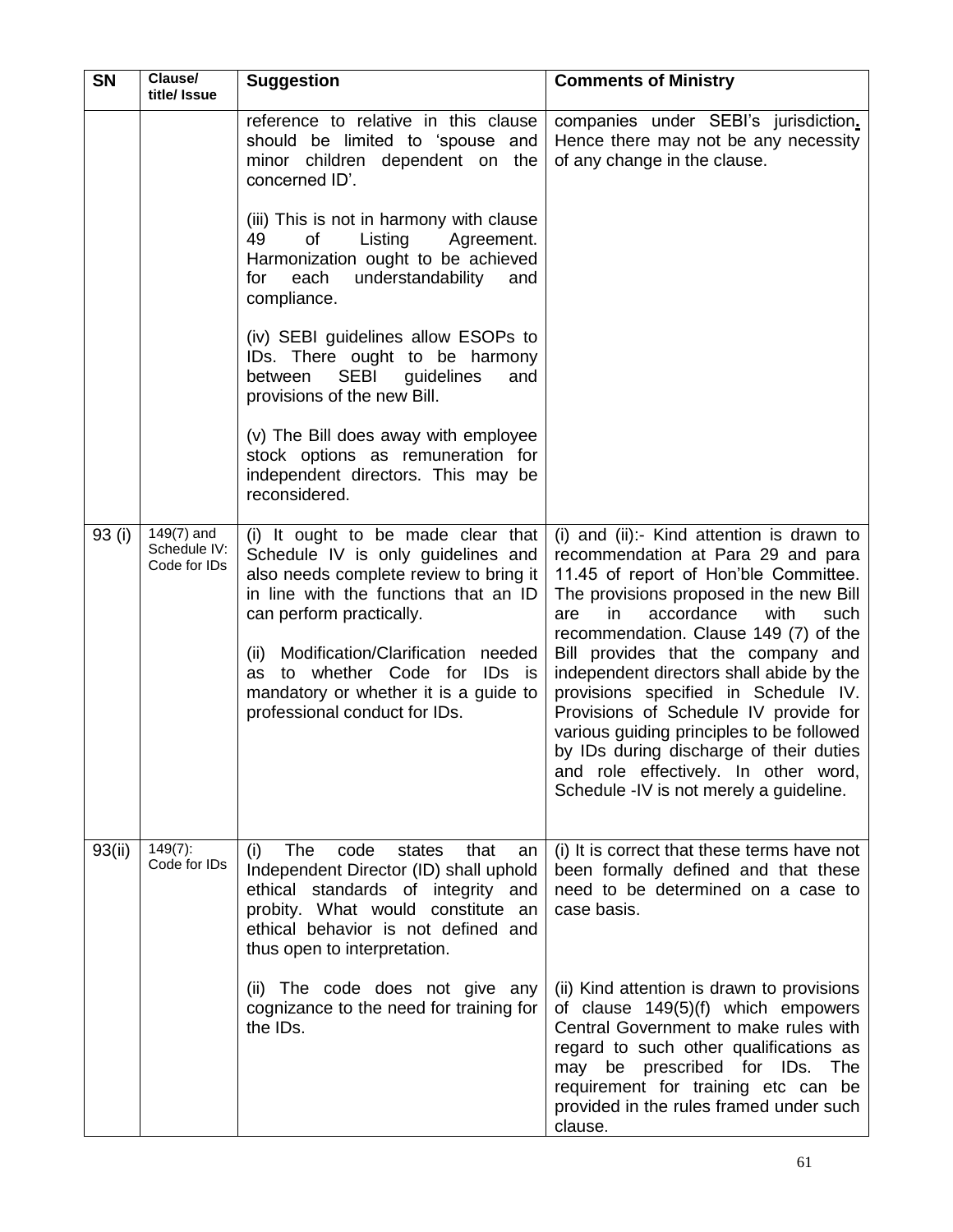| <b>SN</b> | Clause/<br>title/ Issue                    | <b>Suggestion</b>                                                                                                                                                                                                                                                                                                                               | <b>Comments of Ministry</b>                                                                                                                                                                                                                                                                                                                                                                                                                                                                                                                                                                           |
|-----------|--------------------------------------------|-------------------------------------------------------------------------------------------------------------------------------------------------------------------------------------------------------------------------------------------------------------------------------------------------------------------------------------------------|-------------------------------------------------------------------------------------------------------------------------------------------------------------------------------------------------------------------------------------------------------------------------------------------------------------------------------------------------------------------------------------------------------------------------------------------------------------------------------------------------------------------------------------------------------------------------------------------------------|
|           |                                            | reference to relative in this clause<br>should be limited to 'spouse and<br>minor children dependent on the<br>concerned ID'.                                                                                                                                                                                                                   | companies under SEBI's jurisdiction.<br>Hence there may not be any necessity<br>of any change in the clause.                                                                                                                                                                                                                                                                                                                                                                                                                                                                                          |
|           |                                            | (iii) This is not in harmony with clause<br>49<br>of<br>Listing<br>Agreement.<br>Harmonization ought to be achieved<br>understandability<br>for<br>each<br>and<br>compliance.                                                                                                                                                                   |                                                                                                                                                                                                                                                                                                                                                                                                                                                                                                                                                                                                       |
|           |                                            | (iv) SEBI guidelines allow ESOPs to<br>IDs. There ought to be harmony<br><b>SEBI</b><br>between<br>guidelines<br>and<br>provisions of the new Bill.                                                                                                                                                                                             |                                                                                                                                                                                                                                                                                                                                                                                                                                                                                                                                                                                                       |
|           |                                            | (v) The Bill does away with employee<br>stock options as remuneration for<br>independent directors. This may be<br>reconsidered.                                                                                                                                                                                                                |                                                                                                                                                                                                                                                                                                                                                                                                                                                                                                                                                                                                       |
| 93 (i)    | 149(7) and<br>Schedule IV:<br>Code for IDs | (i) It ought to be made clear that<br>Schedule IV is only guidelines and<br>also needs complete review to bring it<br>in line with the functions that an ID<br>can perform practically.<br>(ii) Modification/Clarification<br>needed<br>as to whether Code for IDs is<br>mandatory or whether it is a guide to<br>professional conduct for IDs. | (i) and (ii):- Kind attention is drawn to<br>recommendation at Para 29 and para<br>11.45 of report of Hon'ble Committee.<br>The provisions proposed in the new Bill<br>accordance<br>are<br>in<br>with<br>such<br>recommendation. Clause 149 (7) of the<br>Bill provides that the company and<br>independent directors shall abide by the<br>provisions specified in Schedule IV.<br>Provisions of Schedule IV provide for<br>various guiding principles to be followed<br>by IDs during discharge of their duties<br>and role effectively. In other word,<br>Schedule -IV is not merely a guideline. |
| 93(ii)    | $149(7)$ :<br>Code for IDs                 | The<br>code<br>that<br>(i)<br>states<br>an<br>Independent Director (ID) shall uphold<br>ethical standards of integrity and<br>probity. What would constitute an<br>ethical behavior is not defined and<br>thus open to interpretation.                                                                                                          | (i) It is correct that these terms have not<br>been formally defined and that these<br>need to be determined on a case to<br>case basis.                                                                                                                                                                                                                                                                                                                                                                                                                                                              |
|           |                                            | (ii) The code does not give any<br>cognizance to the need for training for<br>the IDs.                                                                                                                                                                                                                                                          | (ii) Kind attention is drawn to provisions<br>of clause 149(5)(f) which empowers<br>Central Government to make rules with<br>regard to such other qualifications as<br>may be prescribed for IDs. The<br>requirement for training etc can be<br>provided in the rules framed under such<br>clause.                                                                                                                                                                                                                                                                                                    |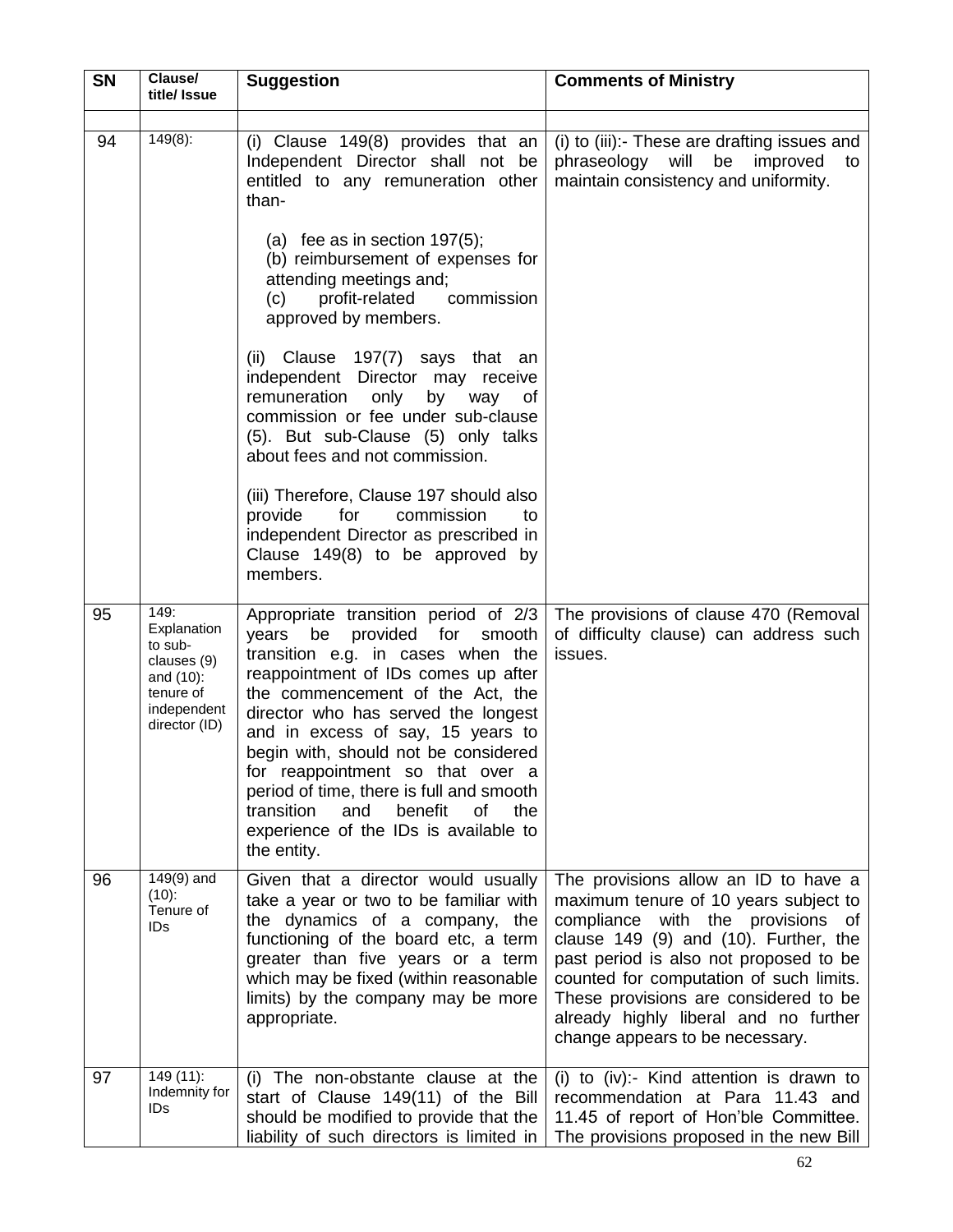| <b>SN</b> | Clause/<br>title/ Issue                                                                                 | <b>Suggestion</b>                                                                                                                                                                                                                                                                                                                                                                                                                                                                                          | <b>Comments of Ministry</b>                                                                                                                                                                                                                                                                                                                                           |
|-----------|---------------------------------------------------------------------------------------------------------|------------------------------------------------------------------------------------------------------------------------------------------------------------------------------------------------------------------------------------------------------------------------------------------------------------------------------------------------------------------------------------------------------------------------------------------------------------------------------------------------------------|-----------------------------------------------------------------------------------------------------------------------------------------------------------------------------------------------------------------------------------------------------------------------------------------------------------------------------------------------------------------------|
| 94        | $149(8)$ :                                                                                              | (i) Clause 149(8) provides that an<br>Independent Director shall not be<br>entitled to any remuneration other<br>than-                                                                                                                                                                                                                                                                                                                                                                                     | (i) to (iii):- These are drafting issues and<br>will<br>be<br>phraseology<br>improved<br>to<br>maintain consistency and uniformity.                                                                                                                                                                                                                                   |
|           |                                                                                                         | (a) fee as in section $197(5)$ ;<br>(b) reimbursement of expenses for<br>attending meetings and;<br>profit-related<br>commission<br>(c)<br>approved by members.                                                                                                                                                                                                                                                                                                                                            |                                                                                                                                                                                                                                                                                                                                                                       |
|           |                                                                                                         | Clause 197(7) says that<br>(ii)<br>an<br>independent Director may receive<br>remuneration<br>only<br>by<br>way<br>of<br>commission or fee under sub-clause<br>(5). But sub-Clause (5) only talks<br>about fees and not commission.                                                                                                                                                                                                                                                                         |                                                                                                                                                                                                                                                                                                                                                                       |
|           |                                                                                                         | (iii) Therefore, Clause 197 should also<br>for<br>provide<br>commission<br>to<br>independent Director as prescribed in<br>Clause 149(8) to be approved by<br>members.                                                                                                                                                                                                                                                                                                                                      |                                                                                                                                                                                                                                                                                                                                                                       |
| 95        | 149:<br>Explanation<br>to sub-<br>clauses (9)<br>and (10):<br>tenure of<br>independent<br>director (ID) | Appropriate transition period of 2/3<br>years be<br>provided for<br>smooth<br>transition e.g. in cases when the<br>reappointment of IDs comes up after<br>the commencement of the Act, the<br>director who has served the longest<br>and in excess of say, 15 years to<br>begin with, should not be considered<br>for reappointment so that over a<br>period of time, there is full and smooth<br>transition<br>benefit<br><b>of</b><br>and<br>the<br>experience of the IDs is available to<br>the entity. | The provisions of clause 470 (Removal<br>of difficulty clause) can address such<br>issues.                                                                                                                                                                                                                                                                            |
| 96        | 149(9) and<br>$(10)$ :<br>Tenure of<br>IDs                                                              | Given that a director would usually<br>take a year or two to be familiar with<br>the dynamics of a company, the<br>functioning of the board etc, a term<br>greater than five years or a term<br>which may be fixed (within reasonable<br>limits) by the company may be more<br>appropriate.                                                                                                                                                                                                                | The provisions allow an ID to have a<br>maximum tenure of 10 years subject to<br>compliance with the provisions of<br>clause 149 (9) and (10). Further, the<br>past period is also not proposed to be<br>counted for computation of such limits.<br>These provisions are considered to be<br>already highly liberal and no further<br>change appears to be necessary. |
| 97        | $149(11)$ :<br>Indemnity for<br>IDs                                                                     | (i) The non-obstante clause at the<br>start of Clause 149(11) of the Bill<br>should be modified to provide that the<br>liability of such directors is limited in                                                                                                                                                                                                                                                                                                                                           | (i) to (iv):- Kind attention is drawn to<br>recommendation at Para 11.43 and<br>11.45 of report of Hon'ble Committee.<br>The provisions proposed in the new Bill                                                                                                                                                                                                      |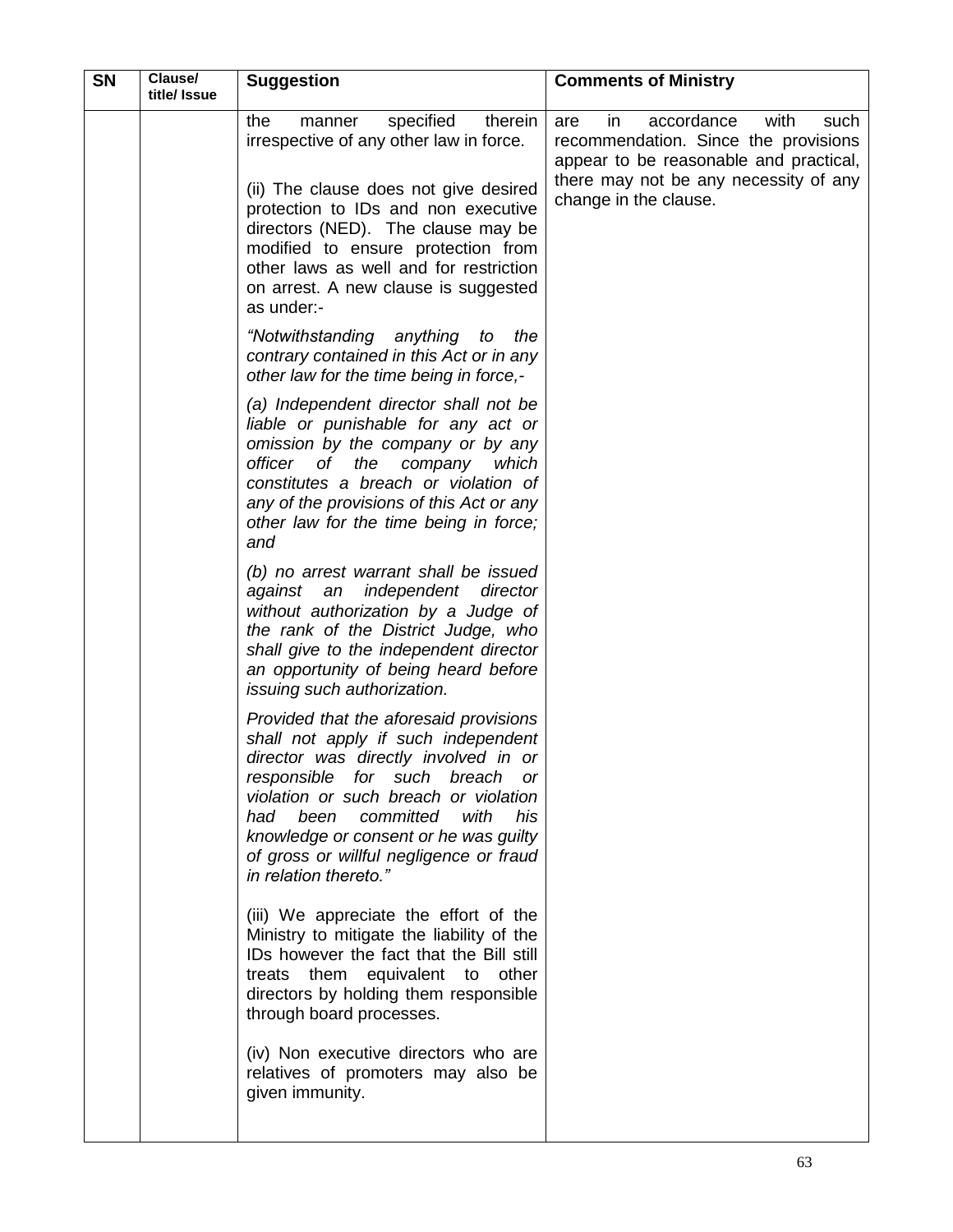| <b>SN</b> | Clause/<br>title/ Issue | <b>Suggestion</b>                                                                                                                                                                                                                                                                                                                                              | <b>Comments of Ministry</b>                                                                                               |
|-----------|-------------------------|----------------------------------------------------------------------------------------------------------------------------------------------------------------------------------------------------------------------------------------------------------------------------------------------------------------------------------------------------------------|---------------------------------------------------------------------------------------------------------------------------|
|           |                         | specified<br>therein<br>the<br>manner<br>irrespective of any other law in force.                                                                                                                                                                                                                                                                               | accordance<br>with<br>are<br>in<br>such<br>recommendation. Since the provisions<br>appear to be reasonable and practical, |
|           |                         | (ii) The clause does not give desired<br>protection to IDs and non executive<br>directors (NED). The clause may be<br>modified to ensure protection from<br>other laws as well and for restriction<br>on arrest. A new clause is suggested<br>as under:-                                                                                                       | there may not be any necessity of any<br>change in the clause.                                                            |
|           |                         | "Notwithstanding anything<br>the<br>to<br>contrary contained in this Act or in any<br>other law for the time being in force,-                                                                                                                                                                                                                                  |                                                                                                                           |
|           |                         | (a) Independent director shall not be<br>liable or punishable for any act or<br>omission by the company or by any<br>officer<br>оf<br>the<br>company<br>which<br>constitutes a breach or violation of<br>any of the provisions of this Act or any<br>other law for the time being in force;<br>and                                                             |                                                                                                                           |
|           |                         | (b) no arrest warrant shall be issued<br>independent<br>against an<br>director<br>without authorization by a Judge of<br>the rank of the District Judge, who<br>shall give to the independent director<br>an opportunity of being heard before<br>issuing such authorization.                                                                                  |                                                                                                                           |
|           |                         | Provided that the aforesaid provisions<br>shall not apply if such independent<br>director was directly involved in or<br>responsible for such<br>breach<br>or<br>violation or such breach or violation<br>been<br>with<br>had<br>committed<br>his<br>knowledge or consent or he was guilty<br>of gross or willful negligence or fraud<br>in relation thereto." |                                                                                                                           |
|           |                         | (iii) We appreciate the effort of the<br>Ministry to mitigate the liability of the<br>IDs however the fact that the Bill still<br>treats them<br>equivalent to<br>other<br>directors by holding them responsible<br>through board processes.                                                                                                                   |                                                                                                                           |
|           |                         | (iv) Non executive directors who are<br>relatives of promoters may also be<br>given immunity.                                                                                                                                                                                                                                                                  |                                                                                                                           |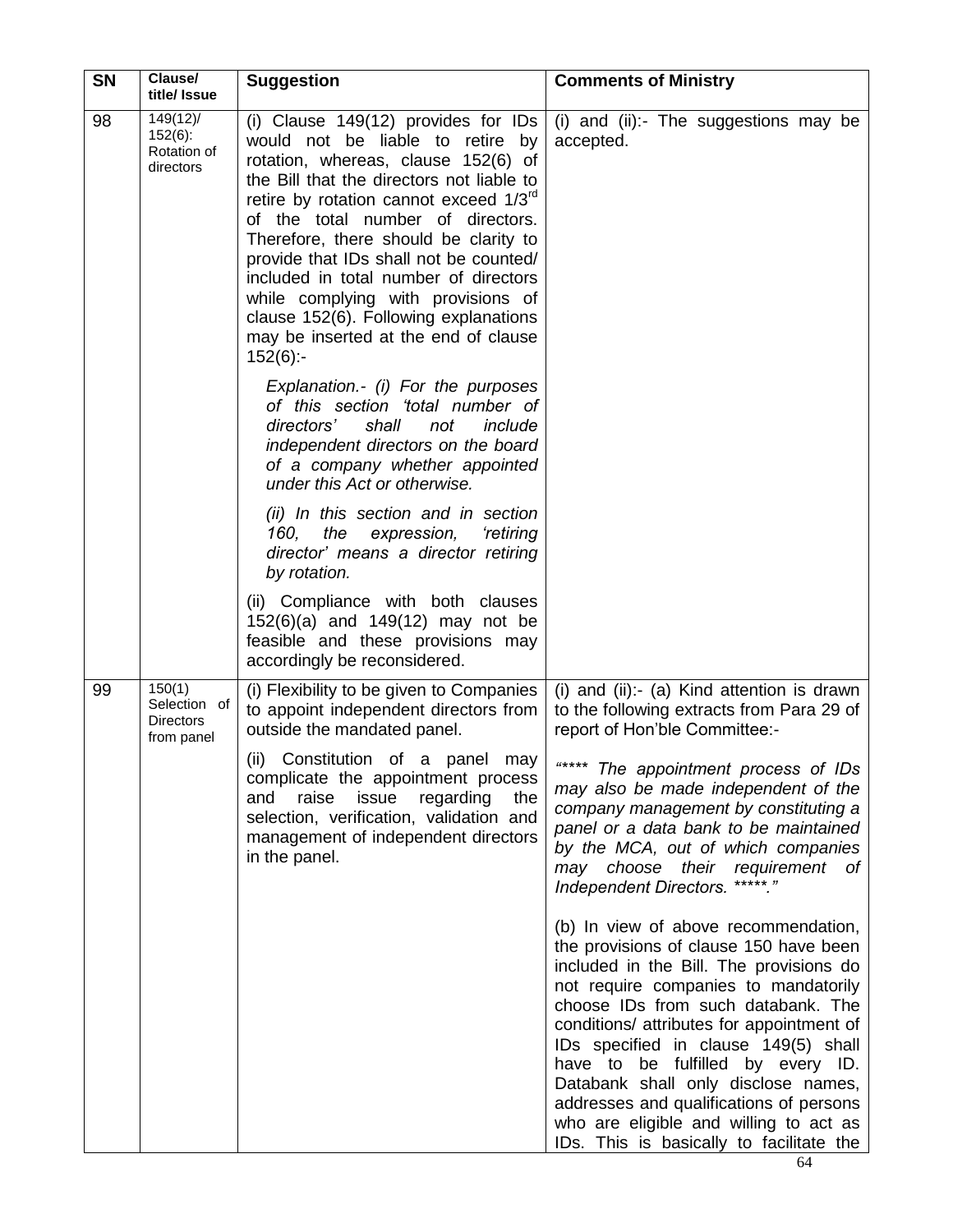| <b>SN</b> | Clause/<br>title/ Issue                                  | <b>Suggestion</b>                                                                                                                                                                                                                                                                                                                                                                                                                                                                                              | <b>Comments of Ministry</b>                                                                                                                                                                                                                                                                                                                                                                                                                                                                               |
|-----------|----------------------------------------------------------|----------------------------------------------------------------------------------------------------------------------------------------------------------------------------------------------------------------------------------------------------------------------------------------------------------------------------------------------------------------------------------------------------------------------------------------------------------------------------------------------------------------|-----------------------------------------------------------------------------------------------------------------------------------------------------------------------------------------------------------------------------------------------------------------------------------------------------------------------------------------------------------------------------------------------------------------------------------------------------------------------------------------------------------|
| 98        | 149(12)<br>$152(6)$ :<br>Rotation of<br>directors        | (i) Clause $149(12)$ provides for IDs<br>would not be liable to retire by<br>rotation, whereas, clause 152(6) of<br>the Bill that the directors not liable to<br>retire by rotation cannot exceed 1/3rd<br>of the total number of directors.<br>Therefore, there should be clarity to<br>provide that IDs shall not be counted/<br>included in total number of directors<br>while complying with provisions of<br>clause 152(6). Following explanations<br>may be inserted at the end of clause<br>$152(6)$ :- | (i) and (ii):- The suggestions may be<br>accepted.                                                                                                                                                                                                                                                                                                                                                                                                                                                        |
|           |                                                          | Explanation.- (i) For the purposes<br>of this section 'total number of<br>shall<br>directors'<br>include<br>not<br>independent directors on the board<br>of a company whether appointed<br>under this Act or otherwise.                                                                                                                                                                                                                                                                                        |                                                                                                                                                                                                                                                                                                                                                                                                                                                                                                           |
|           |                                                          | (ii) In this section and in section<br>160,<br>the expression,<br>'retiring<br>director' means a director retiring<br>by rotation.                                                                                                                                                                                                                                                                                                                                                                             |                                                                                                                                                                                                                                                                                                                                                                                                                                                                                                           |
|           |                                                          | (ii) Compliance with both clauses<br>152(6)(a) and 149(12) may not be<br>feasible and these provisions may<br>accordingly be reconsidered.                                                                                                                                                                                                                                                                                                                                                                     |                                                                                                                                                                                                                                                                                                                                                                                                                                                                                                           |
| 99        | 150(1)<br>Selection of<br><b>Directors</b><br>from panel | (i) Flexibility to be given to Companies<br>to appoint independent directors from<br>outside the mandated panel.                                                                                                                                                                                                                                                                                                                                                                                               | (i) and $(ii): (a)$ Kind attention is drawn<br>to the following extracts from Para 29 of<br>report of Hon'ble Committee:-                                                                                                                                                                                                                                                                                                                                                                                 |
|           |                                                          | (ii)<br>Constitution of a panel<br>may<br>complicate the appointment process<br>and raise<br>issue<br>regarding<br>the<br>selection, verification, validation and<br>management of independent directors<br>in the panel.                                                                                                                                                                                                                                                                                      | "**** The appointment process of IDs<br>may also be made independent of the<br>company management by constituting a<br>panel or a data bank to be maintained<br>by the MCA, out of which companies<br>may choose their requirement of<br>$*****$ "<br><b>Independent Directors.</b>                                                                                                                                                                                                                       |
|           |                                                          |                                                                                                                                                                                                                                                                                                                                                                                                                                                                                                                | (b) In view of above recommendation,<br>the provisions of clause 150 have been<br>included in the Bill. The provisions do<br>not require companies to mandatorily<br>choose IDs from such databank. The<br>conditions/ attributes for appointment of<br>IDs specified in clause 149(5) shall<br>have to be fulfilled by every ID.<br>Databank shall only disclose names,<br>addresses and qualifications of persons<br>who are eligible and willing to act as<br>IDs. This is basically to facilitate the |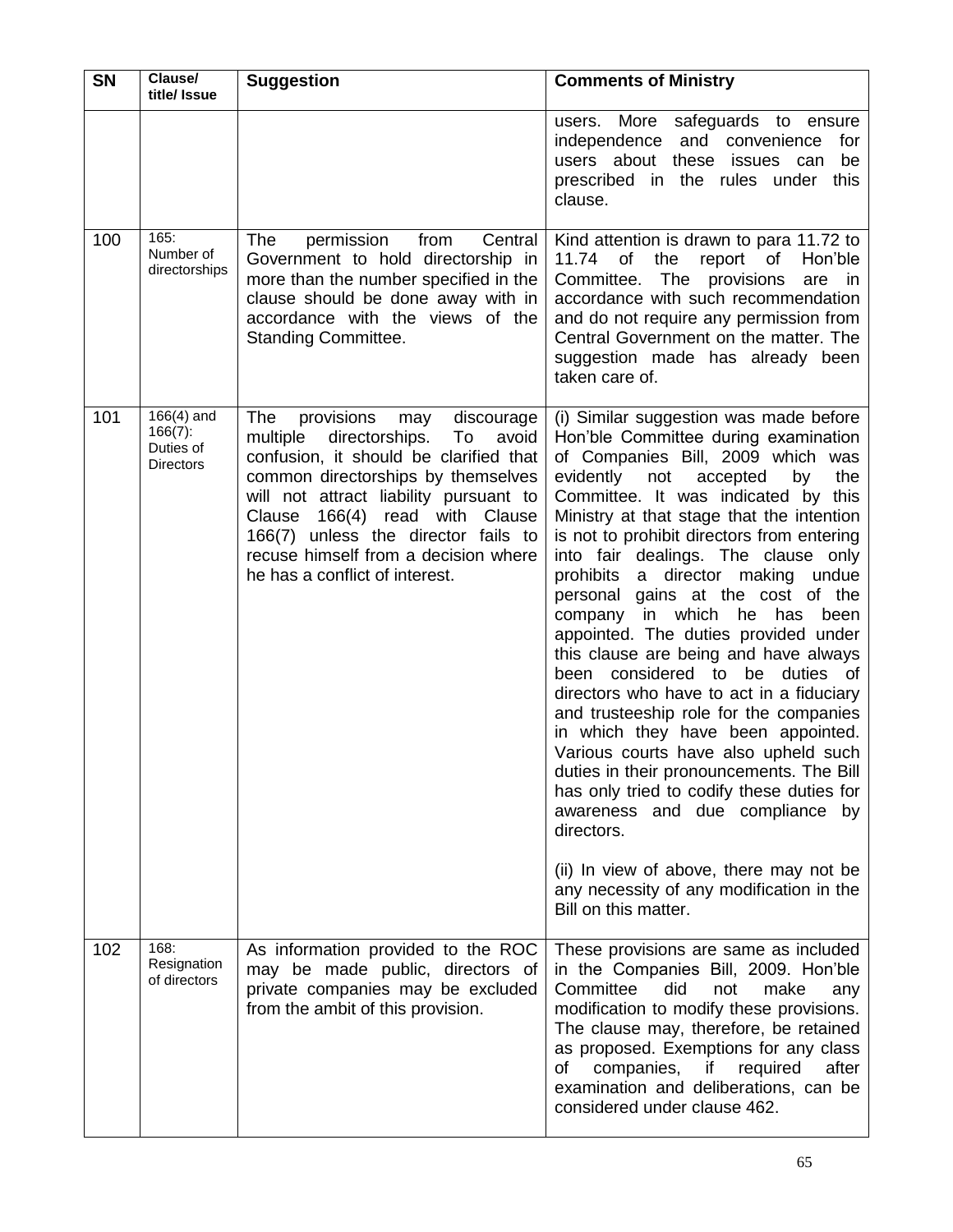| <b>SN</b> | Clause/<br>title/ Issue                                     | <b>Suggestion</b>                                                                                                                                                                                                                                                                                                                                                   | <b>Comments of Ministry</b>                                                                                                                                                                                                                                                                                                                                                                                                                                                                                                                                                                                                                                                                                                                                                                                                                                                                                                                                                                                   |
|-----------|-------------------------------------------------------------|---------------------------------------------------------------------------------------------------------------------------------------------------------------------------------------------------------------------------------------------------------------------------------------------------------------------------------------------------------------------|---------------------------------------------------------------------------------------------------------------------------------------------------------------------------------------------------------------------------------------------------------------------------------------------------------------------------------------------------------------------------------------------------------------------------------------------------------------------------------------------------------------------------------------------------------------------------------------------------------------------------------------------------------------------------------------------------------------------------------------------------------------------------------------------------------------------------------------------------------------------------------------------------------------------------------------------------------------------------------------------------------------|
|           |                                                             |                                                                                                                                                                                                                                                                                                                                                                     | More<br>safeguards to ensure<br>users.<br>independence<br>and convenience<br>for<br>these issues can<br>users about<br>be<br>prescribed in the rules under<br>this<br>clause.                                                                                                                                                                                                                                                                                                                                                                                                                                                                                                                                                                                                                                                                                                                                                                                                                                 |
| 100       | 165:<br>Number of<br>directorships                          | The<br>permission<br>Central<br>from<br>Government to hold directorship in<br>more than the number specified in the<br>clause should be done away with in<br>accordance with the views of the<br><b>Standing Committee.</b>                                                                                                                                         | Kind attention is drawn to para 11.72 to<br>11.74<br>of<br>the<br>report of<br>Hon'ble<br>The provisions<br>Committee.<br>are in<br>accordance with such recommendation<br>and do not require any permission from<br>Central Government on the matter. The<br>suggestion made has already been<br>taken care of.                                                                                                                                                                                                                                                                                                                                                                                                                                                                                                                                                                                                                                                                                              |
| 101       | $166(4)$ and<br>$166(7)$ :<br>Duties of<br><b>Directors</b> | provisions<br>The<br>discourage<br>may<br>directorships.<br>multiple<br>To<br>avoid<br>confusion, it should be clarified that<br>common directorships by themselves<br>will not attract liability pursuant to<br>166(4) read with Clause<br>Clause<br>166(7) unless the director fails to<br>recuse himself from a decision where<br>he has a conflict of interest. | (i) Similar suggestion was made before<br>Hon'ble Committee during examination<br>of Companies Bill, 2009 which was<br>evidently<br>not<br>by<br>the<br>accepted<br>Committee. It was indicated by this<br>Ministry at that stage that the intention<br>is not to prohibit directors from entering<br>into fair dealings. The clause only<br>prohibits a<br>director making<br>undue<br>personal gains at the cost of the<br>company in which he has<br>been<br>appointed. The duties provided under<br>this clause are being and have always<br>been considered to be duties of<br>directors who have to act in a fiduciary<br>and trusteeship role for the companies<br>in which they have been appointed.<br>Various courts have also upheld such<br>duties in their pronouncements. The Bill<br>has only tried to codify these duties for<br>awareness and due compliance by<br>directors.<br>(ii) In view of above, there may not be<br>any necessity of any modification in the<br>Bill on this matter. |
| 102       | 168:<br>Resignation<br>of directors                         | As information provided to the ROC<br>may be made public, directors of<br>private companies may be excluded<br>from the ambit of this provision.                                                                                                                                                                                                                    | These provisions are same as included<br>in the Companies Bill, 2009. Hon'ble<br>Committee<br>did<br>make<br>not<br>any<br>modification to modify these provisions.<br>The clause may, therefore, be retained<br>as proposed. Exemptions for any class<br>companies,<br>required<br>after<br>οf<br>if<br>examination and deliberations, can be<br>considered under clause 462.                                                                                                                                                                                                                                                                                                                                                                                                                                                                                                                                                                                                                                |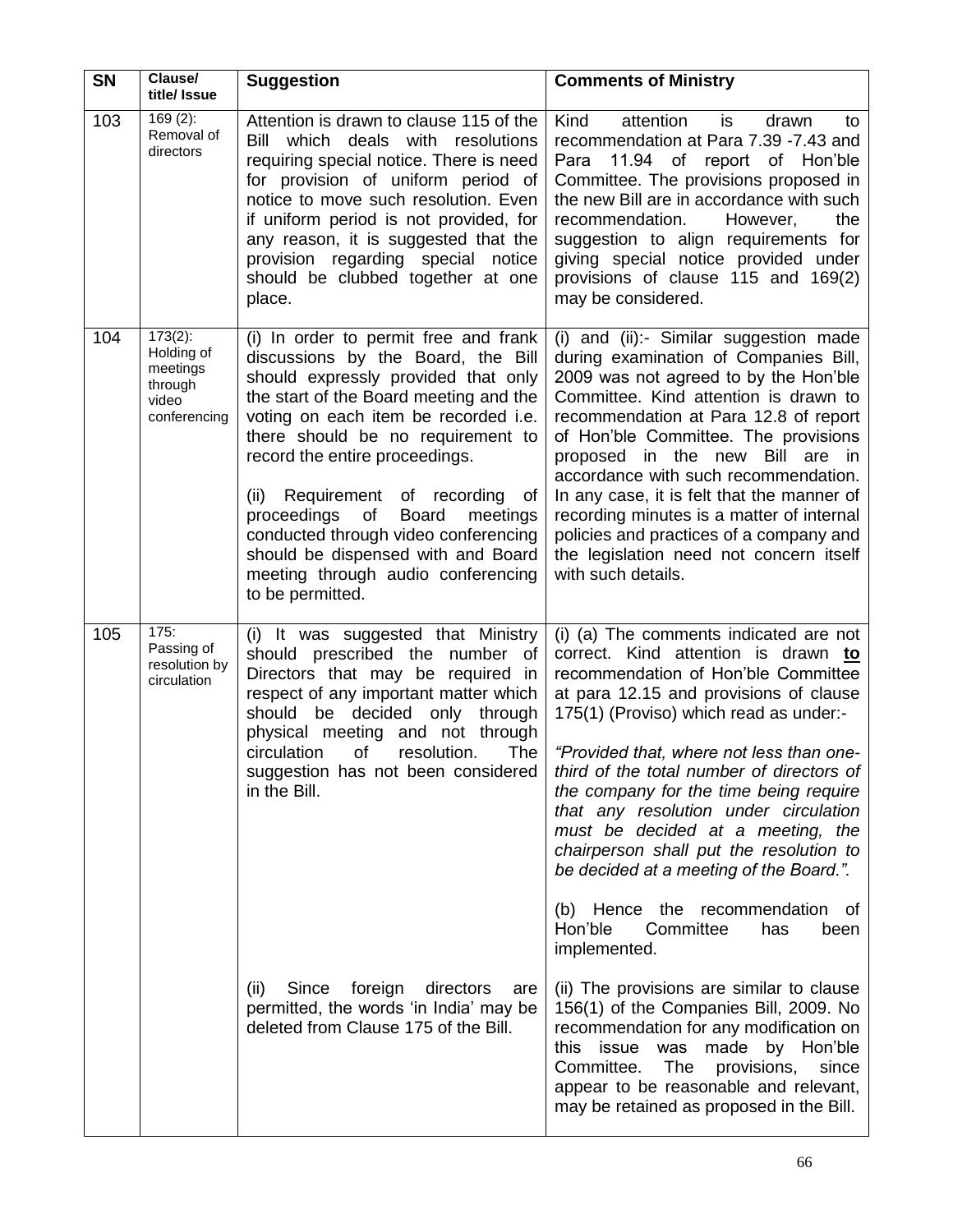| <b>SN</b> | Clause/<br>title/ Issue                                                  | <b>Suggestion</b>                                                                                                                                                                                                                                                                                                                                                                                                                                                                                        | <b>Comments of Ministry</b>                                                                                                                                                                                                                                                                                                                                                                                                                                                                                                          |
|-----------|--------------------------------------------------------------------------|----------------------------------------------------------------------------------------------------------------------------------------------------------------------------------------------------------------------------------------------------------------------------------------------------------------------------------------------------------------------------------------------------------------------------------------------------------------------------------------------------------|--------------------------------------------------------------------------------------------------------------------------------------------------------------------------------------------------------------------------------------------------------------------------------------------------------------------------------------------------------------------------------------------------------------------------------------------------------------------------------------------------------------------------------------|
| 103       | $169(2)$ :<br>Removal of<br>directors                                    | Attention is drawn to clause 115 of the<br>which deals with resolutions<br>Bill<br>requiring special notice. There is need<br>for provision of uniform period of<br>notice to move such resolution. Even<br>if uniform period is not provided, for<br>any reason, it is suggested that the<br>provision regarding special notice<br>should be clubbed together at one<br>place.                                                                                                                          | Kind<br>attention<br>is<br>drawn<br>to<br>recommendation at Para 7.39 -7.43 and<br>11.94 of report of Hon'ble<br>Para<br>Committee. The provisions proposed in<br>the new Bill are in accordance with such<br>recommendation.<br>However,<br>the<br>suggestion to align requirements for<br>giving special notice provided under<br>provisions of clause 115 and 169(2)<br>may be considered.                                                                                                                                        |
| 104       | $173(2)$ :<br>Holding of<br>meetings<br>through<br>video<br>conferencing | (i) In order to permit free and frank<br>discussions by the Board, the Bill<br>should expressly provided that only<br>the start of the Board meeting and the<br>voting on each item be recorded i.e.<br>there should be no requirement to<br>record the entire proceedings.<br>Requirement of recording of<br>(ii)<br>proceedings of<br><b>Board</b><br>meetings<br>conducted through video conferencing<br>should be dispensed with and Board<br>meeting through audio conferencing<br>to be permitted. | (i) and (ii):- Similar suggestion made<br>during examination of Companies Bill,<br>2009 was not agreed to by the Hon'ble<br>Committee. Kind attention is drawn to<br>recommendation at Para 12.8 of report<br>of Hon'ble Committee. The provisions<br>proposed in the new Bill are in<br>accordance with such recommendation.<br>In any case, it is felt that the manner of<br>recording minutes is a matter of internal<br>policies and practices of a company and<br>the legislation need not concern itself<br>with such details. |
| 105       | 175:<br>Passing of<br>resolution by<br>circulation                       | (i) It was suggested that Ministry<br>should prescribed the number of<br>Directors that may be required in<br>respect of any important matter which<br>should be decided only through<br>physical meeting and not through<br>circulation<br>of<br>resolution.<br><b>The</b><br>suggestion has not been considered<br>in the Bill.                                                                                                                                                                        | (i) (a) The comments indicated are not<br>correct. Kind attention is drawn to<br>recommendation of Hon'ble Committee<br>at para 12.15 and provisions of clause<br>175(1) (Proviso) which read as under:-<br>"Provided that, where not less than one-<br>third of the total number of directors of<br>the company for the time being require<br>that any resolution under circulation<br>must be decided at a meeting, the<br>chairperson shall put the resolution to<br>be decided at a meeting of the Board.".                      |
|           |                                                                          | Since<br>foreign<br>directors<br>(ii)<br>are<br>permitted, the words 'in India' may be<br>deleted from Clause 175 of the Bill.                                                                                                                                                                                                                                                                                                                                                                           | (b) Hence the recommendation of<br>Hon'ble<br>Committee<br>has<br>been<br>implemented.<br>(ii) The provisions are similar to clause<br>156(1) of the Companies Bill, 2009. No<br>recommendation for any modification on<br>this<br>issue was made by Hon'ble<br>Committee.<br>The<br>provisions,<br>since<br>appear to be reasonable and relevant,<br>may be retained as proposed in the Bill.                                                                                                                                       |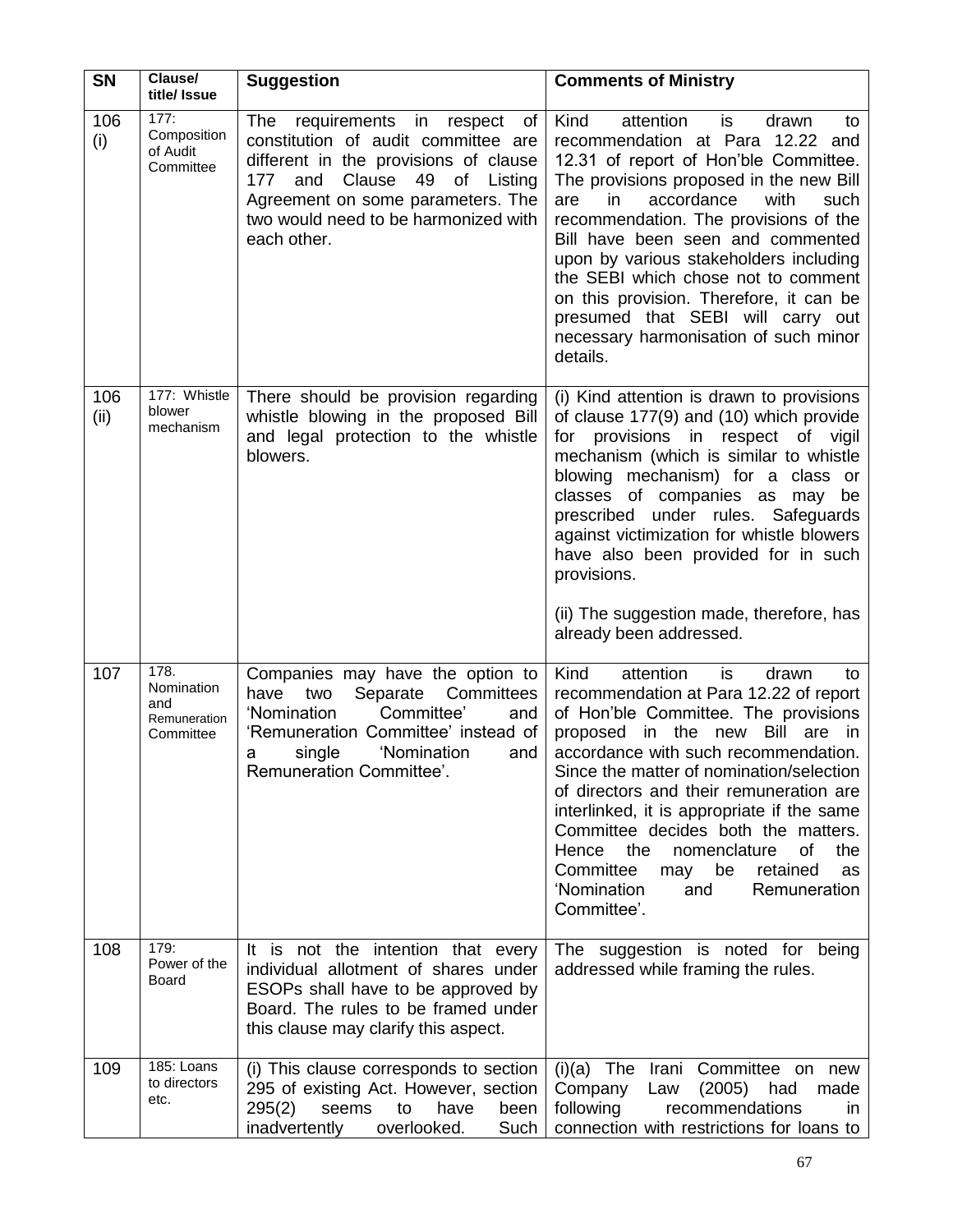| <b>SN</b>   | Clause/<br>title/ Issue                                | <b>Suggestion</b>                                                                                                                                                                                                                                               | <b>Comments of Ministry</b>                                                                                                                                                                                                                                                                                                                                                                                                                                                                                                                          |
|-------------|--------------------------------------------------------|-----------------------------------------------------------------------------------------------------------------------------------------------------------------------------------------------------------------------------------------------------------------|------------------------------------------------------------------------------------------------------------------------------------------------------------------------------------------------------------------------------------------------------------------------------------------------------------------------------------------------------------------------------------------------------------------------------------------------------------------------------------------------------------------------------------------------------|
| 106<br>(i)  | 177:<br>Composition<br>of Audit<br>Committee           | The requirements in<br>οf<br>respect<br>constitution of audit committee are<br>different in the provisions of clause<br>Clause<br>49<br>177<br>and<br>of<br>Listing<br>Agreement on some parameters. The<br>two would need to be harmonized with<br>each other. | Kind<br>attention<br>is<br>drawn<br>to<br>recommendation at Para 12.22 and<br>12.31 of report of Hon'ble Committee.<br>The provisions proposed in the new Bill<br>with<br>accordance<br>such<br>in.<br>are<br>recommendation. The provisions of the<br>Bill have been seen and commented<br>upon by various stakeholders including<br>the SEBI which chose not to comment<br>on this provision. Therefore, it can be<br>presumed that SEBI will carry out<br>necessary harmonisation of such minor<br>details.                                       |
| 106<br>(ii) | 177: Whistle<br>blower<br>mechanism                    | There should be provision regarding<br>whistle blowing in the proposed Bill<br>and legal protection to the whistle<br>blowers.                                                                                                                                  | (i) Kind attention is drawn to provisions<br>of clause 177(9) and (10) which provide<br>for provisions in respect of vigil<br>mechanism (which is similar to whistle<br>blowing mechanism) for a class or<br>classes of companies as may be<br>prescribed under rules. Safeguards<br>against victimization for whistle blowers<br>have also been provided for in such<br>provisions.<br>(ii) The suggestion made, therefore, has<br>already been addressed.                                                                                          |
| 107         | 178.<br>Nomination<br>and<br>Remuneration<br>Committee | Companies may have the option to<br>have<br>two<br>Separate<br>Committees<br>'Nomination<br>Committee'<br>and<br>'Remuneration Committee' instead of<br>'Nomination<br>single<br>and<br>а<br>Remuneration Committee'.                                           | attention<br>Kind<br>drawn<br>is<br>to<br>recommendation at Para 12.22 of report<br>of Hon'ble Committee. The provisions<br>in the<br>proposed<br>new<br>Bill<br>are<br>-in<br>accordance with such recommendation.<br>Since the matter of nomination/selection<br>of directors and their remuneration are<br>interlinked, it is appropriate if the same<br>Committee decides both the matters.<br>the<br><b>of</b><br>Hence<br>nomenclature<br>the<br>Committee<br>be<br>retained<br>may<br>as<br>'Nomination<br>and<br>Remuneration<br>Committee'. |
| 108         | 179:<br>Power of the<br>Board                          | It is not the intention that every<br>individual allotment of shares under<br>ESOPs shall have to be approved by<br>Board. The rules to be framed under<br>this clause may clarify this aspect.                                                                 | The suggestion is noted for being<br>addressed while framing the rules.                                                                                                                                                                                                                                                                                                                                                                                                                                                                              |
| 109         | 185: Loans<br>to directors<br>etc.                     | (i) This clause corresponds to section<br>295 of existing Act. However, section<br>295(2)<br>seems<br>have<br>been<br>to<br>inadvertently<br>overlooked.<br>Such                                                                                                | Irani<br>Committee on new<br>$(i)(a)$ The<br>Company<br>(2005)<br>Law<br>had<br>made<br>recommendations<br>following<br>in.<br>connection with restrictions for loans to                                                                                                                                                                                                                                                                                                                                                                             |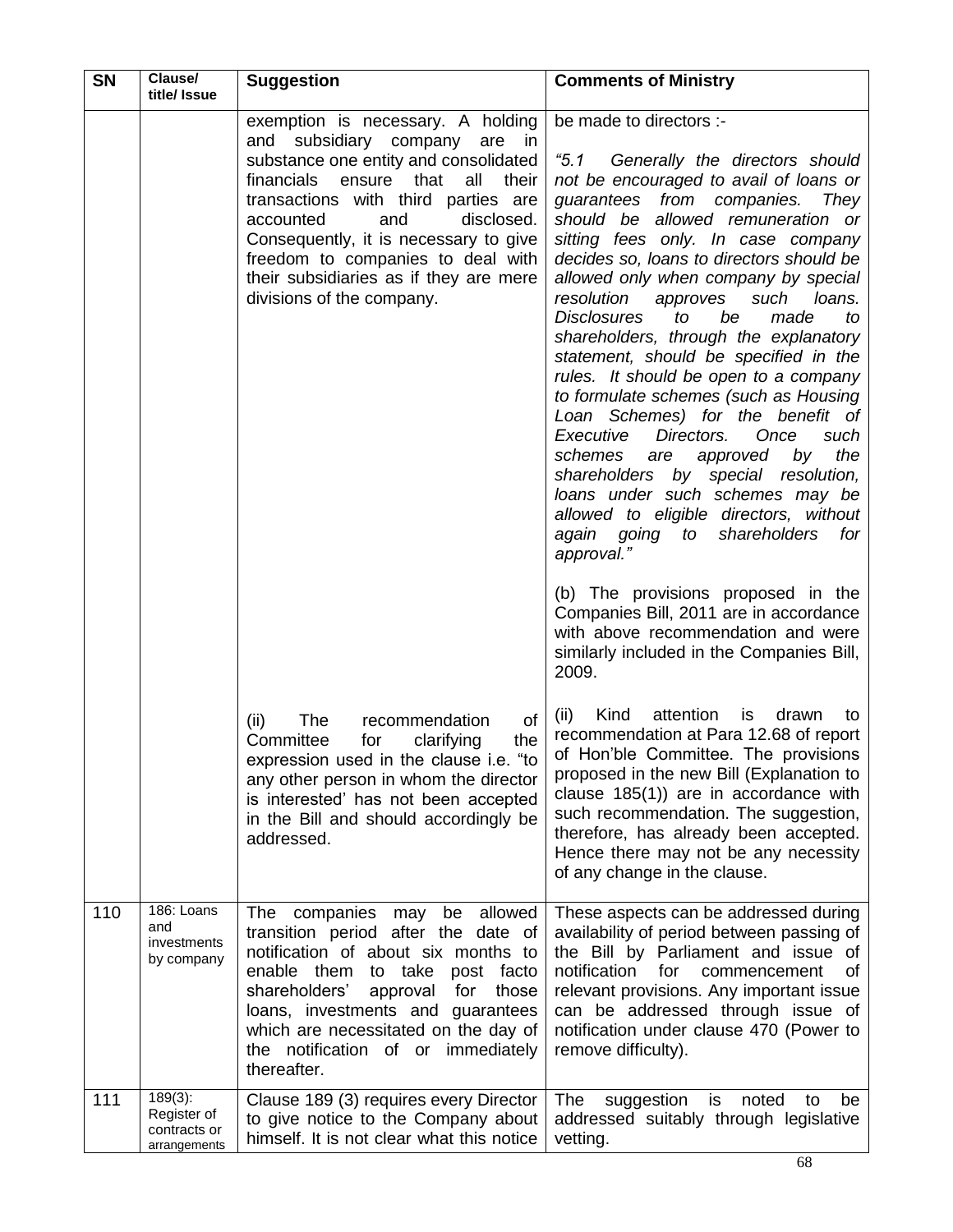| <b>SN</b> | Clause/<br>title/ Issue                                   | <b>Suggestion</b>                                                                                                                                                                                                                                                                                                                                                                              | <b>Comments of Ministry</b>                                                                                                                                                                                                                                                                                                                                                                                                                                                                                                                                                                                                                                                                                                                                                                                                                                                                 |
|-----------|-----------------------------------------------------------|------------------------------------------------------------------------------------------------------------------------------------------------------------------------------------------------------------------------------------------------------------------------------------------------------------------------------------------------------------------------------------------------|---------------------------------------------------------------------------------------------------------------------------------------------------------------------------------------------------------------------------------------------------------------------------------------------------------------------------------------------------------------------------------------------------------------------------------------------------------------------------------------------------------------------------------------------------------------------------------------------------------------------------------------------------------------------------------------------------------------------------------------------------------------------------------------------------------------------------------------------------------------------------------------------|
|           |                                                           | exemption is necessary. A holding<br>and subsidiary company are<br>- in<br>substance one entity and consolidated<br>financials<br>ensure<br>that<br>all<br>their<br>transactions with third parties are<br>accounted<br>disclosed.<br>and<br>Consequently, it is necessary to give<br>freedom to companies to deal with<br>their subsidiaries as if they are mere<br>divisions of the company. | be made to directors :-<br>"5.1 Generally the directors should<br>not be encouraged to avail of loans or<br>guarantees<br>from companies.<br>They<br>should be allowed remuneration or<br>sitting fees only. In case company<br>decides so, loans to directors should be<br>allowed only when company by special<br>resolution<br>such<br>approves<br>loans.<br><b>Disclosures</b><br>be<br>made<br>to<br>to<br>shareholders, through the explanatory<br>statement, should be specified in the<br>rules. It should be open to a company<br>to formulate schemes (such as Housing<br>Loan Schemes) for the benefit of<br>Executive<br>Directors.<br>Once<br>such<br>the<br>schemes<br>are<br>approved<br>by<br>shareholders by special resolution,<br>loans under such schemes may be<br>allowed to eligible directors, without<br>shareholders<br>again<br>going<br>for<br>to<br>approval." |
|           |                                                           |                                                                                                                                                                                                                                                                                                                                                                                                | (b) The provisions proposed in the<br>Companies Bill, 2011 are in accordance<br>with above recommendation and were<br>similarly included in the Companies Bill,<br>2009.                                                                                                                                                                                                                                                                                                                                                                                                                                                                                                                                                                                                                                                                                                                    |
|           |                                                           | of<br>(ii)<br>The<br>recommendation<br>Committee<br>clarifying<br>the<br>for<br>"to<br>expression used in the clause i.e.<br>any other person in whom the director<br>is interested' has not been accepted<br>in the Bill and should accordingly be<br>addressed.                                                                                                                              | attention<br>Kind<br>is<br>drawn<br>(ii)<br>to<br>recommendation at Para 12.68 of report<br>of Hon'ble Committee. The provisions<br>proposed in the new Bill (Explanation to<br>clause $185(1)$ ) are in accordance with<br>such recommendation. The suggestion,<br>therefore, has already been accepted.<br>Hence there may not be any necessity<br>of any change in the clause.                                                                                                                                                                                                                                                                                                                                                                                                                                                                                                           |
| 110       | 186: Loans<br>and<br>investments<br>by company            | The companies may be<br>allowed<br>transition period after the date of<br>notification of about six months to<br>enable them to take post facto<br>shareholders'<br>approval<br>for<br>those<br>loans, investments and guarantees<br>which are necessitated on the day of<br>notification of or immediately<br>the<br>thereafter.                                                              | These aspects can be addressed during<br>availability of period between passing of<br>the Bill by Parliament and issue of<br>notification<br>for<br>commencement<br>οf<br>relevant provisions. Any important issue<br>can be addressed through issue of<br>notification under clause 470 (Power to<br>remove difficulty).                                                                                                                                                                                                                                                                                                                                                                                                                                                                                                                                                                   |
| 111       | $189(3)$ :<br>Register of<br>contracts or<br>arrangements | Clause 189 (3) requires every Director<br>to give notice to the Company about<br>himself. It is not clear what this notice                                                                                                                                                                                                                                                                     | The<br>suggestion<br>is<br>noted<br>be<br>to<br>addressed suitably through legislative<br>vetting.                                                                                                                                                                                                                                                                                                                                                                                                                                                                                                                                                                                                                                                                                                                                                                                          |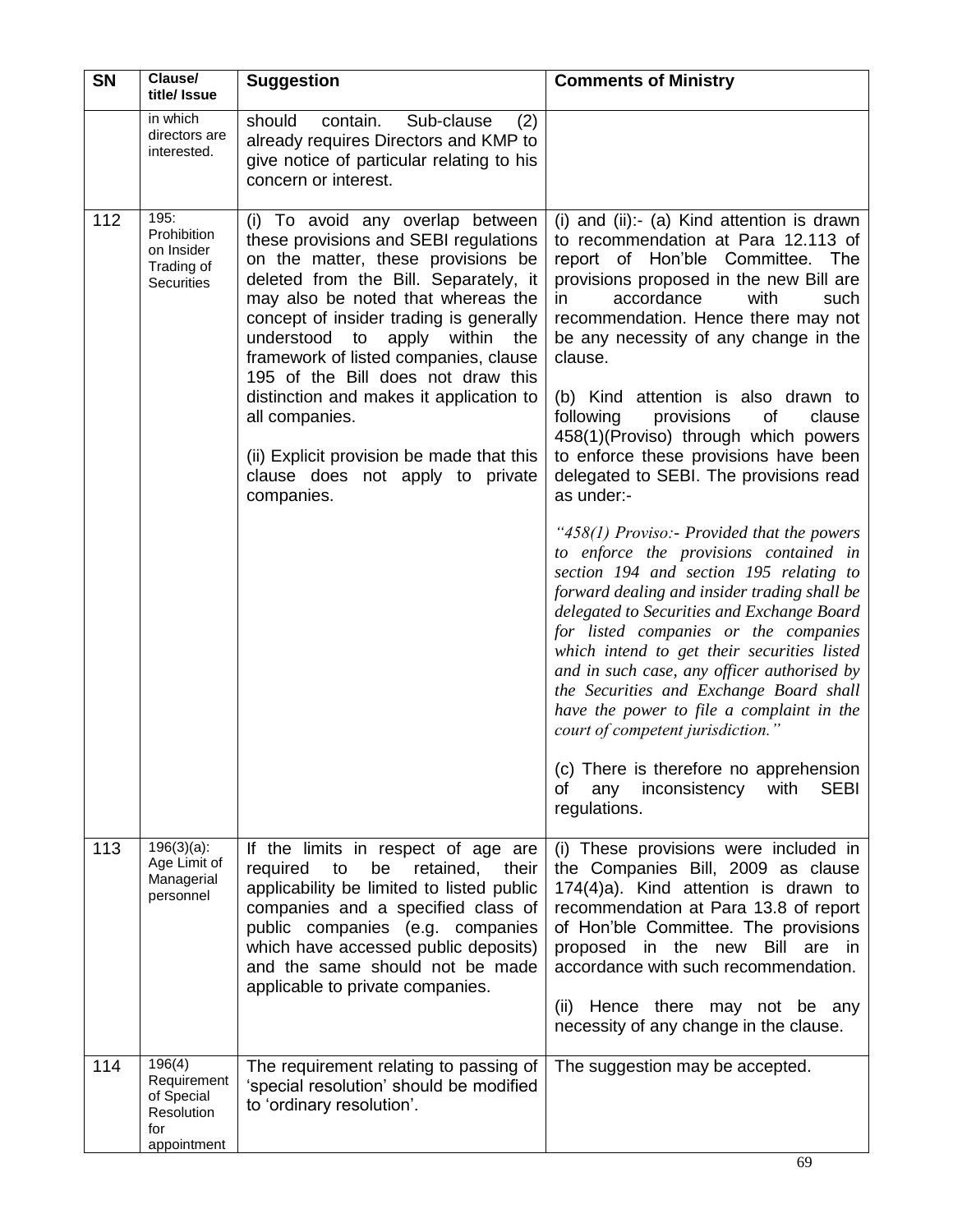| <b>SN</b> | Clause/<br>title/ Issue                                                 | <b>Suggestion</b>                                                                                                                                                                                                                                                                                                                                                                                                                                                                                                 | <b>Comments of Ministry</b>                                                                                                                                                                                                                                                                                                                                                                                                                                                                                                                                                                                                      |
|-----------|-------------------------------------------------------------------------|-------------------------------------------------------------------------------------------------------------------------------------------------------------------------------------------------------------------------------------------------------------------------------------------------------------------------------------------------------------------------------------------------------------------------------------------------------------------------------------------------------------------|----------------------------------------------------------------------------------------------------------------------------------------------------------------------------------------------------------------------------------------------------------------------------------------------------------------------------------------------------------------------------------------------------------------------------------------------------------------------------------------------------------------------------------------------------------------------------------------------------------------------------------|
|           | in which<br>directors are<br>interested.                                | should<br>contain.<br>Sub-clause<br>(2)<br>already requires Directors and KMP to<br>give notice of particular relating to his<br>concern or interest.                                                                                                                                                                                                                                                                                                                                                             |                                                                                                                                                                                                                                                                                                                                                                                                                                                                                                                                                                                                                                  |
| 112       | 195:<br>Prohibition<br>on Insider<br>Trading of<br>Securities           | (i) To avoid any overlap between<br>these provisions and SEBI regulations<br>on the matter, these provisions be<br>deleted from the Bill. Separately, it<br>may also be noted that whereas the<br>concept of insider trading is generally<br>understood to<br>apply<br>within<br>the<br>framework of listed companies, clause<br>195 of the Bill does not draw this<br>distinction and makes it application to<br>all companies.<br>(ii) Explicit provision be made that this<br>clause does not apply to private | (i) and $(ii): (a)$ Kind attention is drawn<br>to recommendation at Para 12.113 of<br>report of Hon'ble Committee. The<br>provisions proposed in the new Bill are<br>accordance<br>with<br>such<br>in.<br>recommendation. Hence there may not<br>be any necessity of any change in the<br>clause.<br>(b) Kind attention is also drawn to<br>following<br>provisions<br>of<br>clause<br>458(1)(Proviso) through which powers<br>to enforce these provisions have been<br>delegated to SEBI. The provisions read                                                                                                                   |
|           |                                                                         | companies.                                                                                                                                                                                                                                                                                                                                                                                                                                                                                                        | as under:-<br>" $458(1)$ Proviso: Provided that the powers<br>to enforce the provisions contained in<br>section 194 and section 195 relating to<br>forward dealing and insider trading shall be<br>delegated to Securities and Exchange Board<br>for listed companies or the companies<br>which intend to get their securities listed<br>and in such case, any officer authorised by<br>the Securities and Exchange Board shall<br>have the power to file a complaint in the<br>court of competent jurisdiction."<br>(c) There is therefore no apprehension<br><b>SEBI</b><br>inconsistency<br>with<br>оf<br>any<br>regulations. |
| 113       | $196(3)(a)$ :<br>Age Limit of<br>Managerial<br>personnel                | If the limits in respect of age are<br>required<br>to<br>be<br>retained,<br>their<br>applicability be limited to listed public<br>companies and a specified class of<br>public companies (e.g. companies<br>which have accessed public deposits)<br>and the same should not be made<br>applicable to private companies.                                                                                                                                                                                           | (i) These provisions were included in<br>the Companies Bill, 2009 as clause<br>174(4)a). Kind attention is drawn to<br>recommendation at Para 13.8 of report<br>of Hon'ble Committee. The provisions<br>proposed in the new<br>Bill are in<br>accordance with such recommendation.<br>(ii) Hence there may not be any<br>necessity of any change in the clause.                                                                                                                                                                                                                                                                  |
| 114       | 196(4)<br>Requirement<br>of Special<br>Resolution<br>for<br>appointment | The requirement relating to passing of<br>'special resolution' should be modified<br>to 'ordinary resolution'.                                                                                                                                                                                                                                                                                                                                                                                                    | The suggestion may be accepted.                                                                                                                                                                                                                                                                                                                                                                                                                                                                                                                                                                                                  |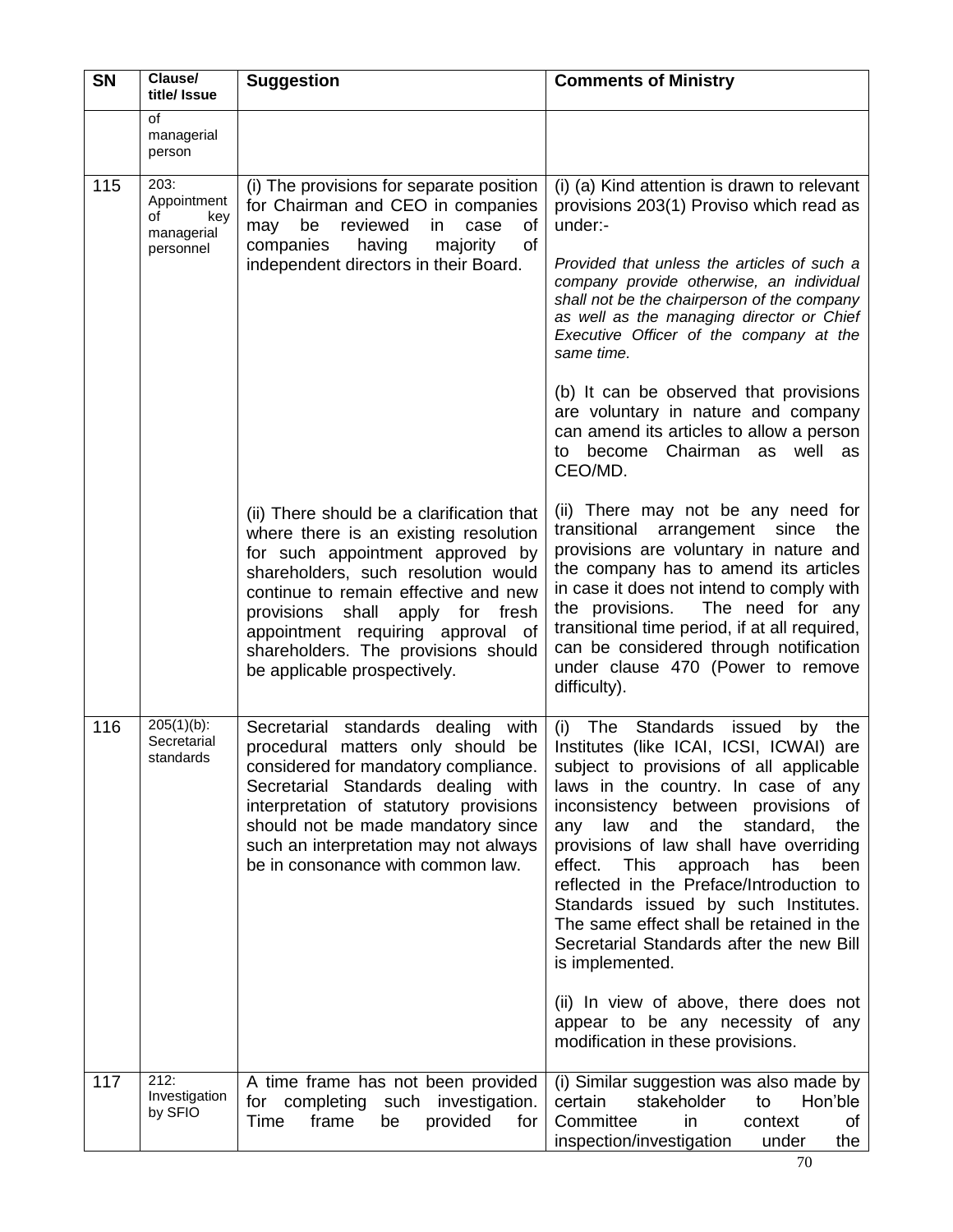| <b>SN</b> | Clause/<br>title/ Issue                                     | <b>Suggestion</b>                                                                                                                                                                                                                                                                                                                                           | <b>Comments of Ministry</b>                                                                                                                                                                                                                                                                                                                                                                                                                                                                                                                                                                                                                                       |
|-----------|-------------------------------------------------------------|-------------------------------------------------------------------------------------------------------------------------------------------------------------------------------------------------------------------------------------------------------------------------------------------------------------------------------------------------------------|-------------------------------------------------------------------------------------------------------------------------------------------------------------------------------------------------------------------------------------------------------------------------------------------------------------------------------------------------------------------------------------------------------------------------------------------------------------------------------------------------------------------------------------------------------------------------------------------------------------------------------------------------------------------|
|           | of<br>managerial<br>person                                  |                                                                                                                                                                                                                                                                                                                                                             |                                                                                                                                                                                                                                                                                                                                                                                                                                                                                                                                                                                                                                                                   |
| 115       | 203:<br>Appointment<br>οf<br>key<br>managerial<br>personnel | (i) The provisions for separate position<br>for Chairman and CEO in companies<br>be<br>reviewed<br>0f<br>may<br>in<br>case<br>of<br>majority<br>companies<br>having<br>independent directors in their Board.                                                                                                                                                | (i) (a) Kind attention is drawn to relevant<br>provisions 203(1) Proviso which read as<br>under:-<br>Provided that unless the articles of such a<br>company provide otherwise, an individual<br>shall not be the chairperson of the company<br>as well as the managing director or Chief<br>Executive Officer of the company at the<br>same time.<br>(b) It can be observed that provisions<br>are voluntary in nature and company<br>can amend its articles to allow a person<br>become Chairman as well as<br>to<br>CEO/MD.                                                                                                                                     |
|           |                                                             | (ii) There should be a clarification that<br>where there is an existing resolution<br>for such appointment approved by<br>shareholders, such resolution would<br>continue to remain effective and new<br>provisions<br>shall<br>apply for fresh<br>appointment requiring approval of<br>shareholders. The provisions should<br>be applicable prospectively. | (ii) There may not be any need for<br>transitional arrangement since<br>the<br>provisions are voluntary in nature and<br>the company has to amend its articles<br>in case it does not intend to comply with<br>The need for any<br>the provisions.<br>transitional time period, if at all required,<br>can be considered through notification<br>under clause 470 (Power to remove<br>difficulty).                                                                                                                                                                                                                                                                |
| 116       | $205(1)(b)$ :<br>Secretarial<br>standards                   | Secretarial standards dealing with<br>procedural matters only should be<br>considered for mandatory compliance.<br>Secretarial Standards dealing with<br>interpretation of statutory provisions<br>should not be made mandatory since<br>such an interpretation may not always<br>be in consonance with common law.                                         | (i) The Standards issued<br>by the<br>Institutes (like ICAI, ICSI, ICWAI) are<br>subject to provisions of all applicable<br>laws in the country. In case of any<br>inconsistency between provisions of<br>and<br>the<br>any<br>law<br>standard,<br>the<br>provisions of law shall have overriding<br>effect.<br>This<br>approach<br>has<br>been<br>reflected in the Preface/Introduction to<br>Standards issued by such Institutes.<br>The same effect shall be retained in the<br>Secretarial Standards after the new Bill<br>is implemented.<br>(ii) In view of above, there does not<br>appear to be any necessity of any<br>modification in these provisions. |
| 117       | 212:<br>Investigation<br>by SFIO                            | A time frame has not been provided<br>for completing<br>such investigation.<br>Time<br>frame<br>provided<br>be<br>for                                                                                                                                                                                                                                       | (i) Similar suggestion was also made by<br>stakeholder<br>certain<br>to<br>Hon'ble<br>Committee<br>context<br>in<br>of<br>inspection/investigation<br>the<br>under                                                                                                                                                                                                                                                                                                                                                                                                                                                                                                |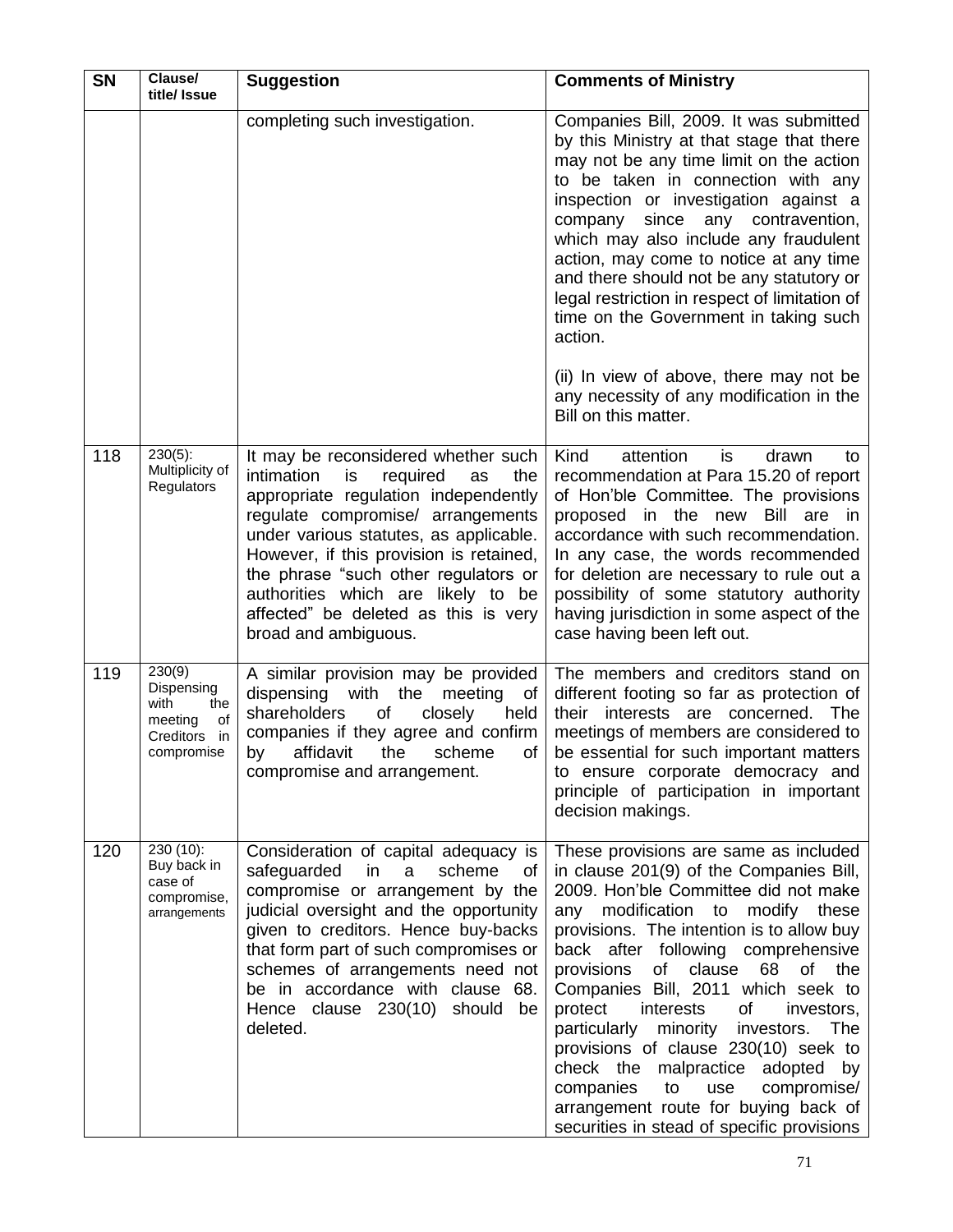| <b>SN</b> | Clause/<br>title/ Issue                                                            | <b>Suggestion</b>                                                                                                                                                                                                                                                                                                                                                                                | <b>Comments of Ministry</b>                                                                                                                                                                                                                                                                                                                                                                                                                                                                                                                                                                                                           |
|-----------|------------------------------------------------------------------------------------|--------------------------------------------------------------------------------------------------------------------------------------------------------------------------------------------------------------------------------------------------------------------------------------------------------------------------------------------------------------------------------------------------|---------------------------------------------------------------------------------------------------------------------------------------------------------------------------------------------------------------------------------------------------------------------------------------------------------------------------------------------------------------------------------------------------------------------------------------------------------------------------------------------------------------------------------------------------------------------------------------------------------------------------------------|
|           |                                                                                    | completing such investigation.                                                                                                                                                                                                                                                                                                                                                                   | Companies Bill, 2009. It was submitted<br>by this Ministry at that stage that there<br>may not be any time limit on the action<br>to be taken in connection with any<br>inspection or investigation against a<br>company<br>since<br>any<br>contravention,<br>which may also include any fraudulent<br>action, may come to notice at any time<br>and there should not be any statutory or<br>legal restriction in respect of limitation of<br>time on the Government in taking such<br>action.<br>(ii) In view of above, there may not be<br>any necessity of any modification in the<br>Bill on this matter.                         |
| 118       | $230(5)$ :<br>Multiplicity of<br>Regulators                                        | It may be reconsidered whether such<br>intimation<br>is<br>required<br>the<br>as<br>appropriate regulation independently<br>regulate compromise/ arrangements<br>under various statutes, as applicable.<br>However, if this provision is retained,<br>the phrase "such other regulators or<br>authorities which are likely to be<br>affected" be deleted as this is very<br>broad and ambiguous. | attention<br>Kind<br>is<br>drawn<br>to<br>recommendation at Para 15.20 of report<br>of Hon'ble Committee. The provisions<br>proposed in the new Bill are in<br>accordance with such recommendation.<br>In any case, the words recommended<br>for deletion are necessary to rule out a<br>possibility of some statutory authority<br>having jurisdiction in some aspect of the<br>case having been left out.                                                                                                                                                                                                                           |
| 119       | 230(9)<br>Dispensing<br>the<br>with<br>of<br>meeting<br>Creditors in<br>compromise | A similar provision may be provided<br>dispensing<br>with<br>the<br>meeting<br>0f<br>shareholders<br>of<br>closely<br>held<br>companies if they agree and confirm<br>affidavit<br>scheme<br>the<br>οf<br>by<br>compromise and arrangement.                                                                                                                                                       | The members and creditors stand on<br>different footing so far as protection of<br>interests are concerned. The<br>their<br>meetings of members are considered to<br>be essential for such important matters<br>to ensure corporate democracy and<br>principle of participation in important<br>decision makings.                                                                                                                                                                                                                                                                                                                     |
| 120       | $230(10)$ :<br>Buy back in<br>case of<br>compromise,<br>arrangements               | Consideration of capital adequacy is<br>safeguarded<br>in<br>scheme<br>a<br>οf<br>compromise or arrangement by the<br>judicial oversight and the opportunity<br>given to creditors. Hence buy-backs<br>that form part of such compromises or<br>schemes of arrangements need not<br>be in accordance with clause 68.<br>Hence clause 230(10) should<br>be<br>deleted.                            | These provisions are same as included<br>in clause 201(9) of the Companies Bill,<br>2009. Hon'ble Committee did not make<br>any modification to modify these<br>provisions. The intention is to allow buy<br>back after following comprehensive<br>of clause 68 of the<br>provisions<br>Companies Bill, 2011 which seek to<br>protect<br>interests<br>of<br>investors,<br>particularly<br>minority<br>The<br>investors.<br>provisions of clause 230(10) seek to<br>check the malpractice adopted<br>by<br>companies<br>use<br>compromise/<br>to<br>arrangement route for buying back of<br>securities in stead of specific provisions |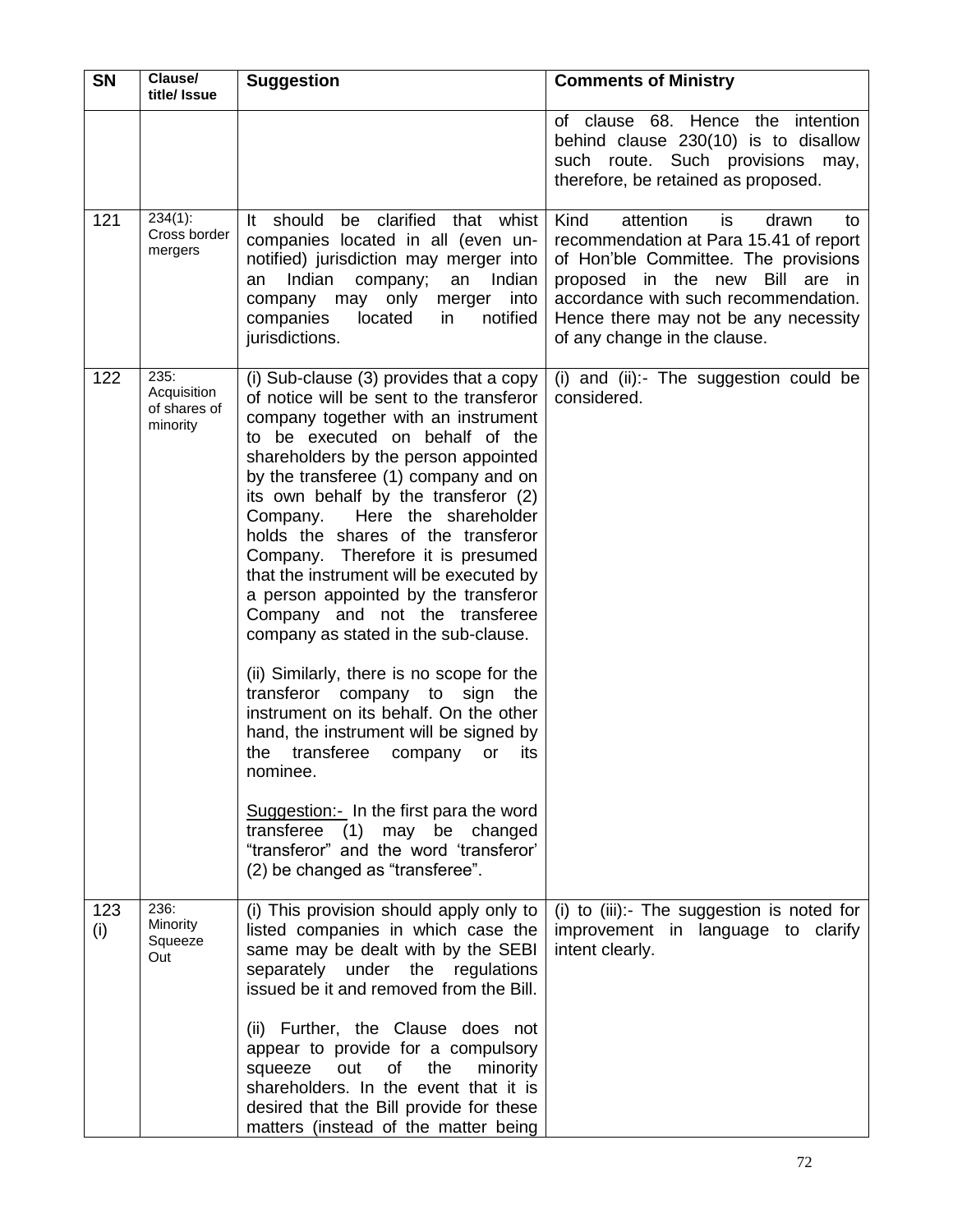| <b>SN</b>  | Clause/<br>title/ Issue                         | <b>Suggestion</b>                                                                                                                                                                                                                                                                                                                                                                                                                                                                                                                                                                                                                                                                                                                                                                                                                                                                                                                                         | <b>Comments of Ministry</b>                                                                                                                                                                                                                                                 |
|------------|-------------------------------------------------|-----------------------------------------------------------------------------------------------------------------------------------------------------------------------------------------------------------------------------------------------------------------------------------------------------------------------------------------------------------------------------------------------------------------------------------------------------------------------------------------------------------------------------------------------------------------------------------------------------------------------------------------------------------------------------------------------------------------------------------------------------------------------------------------------------------------------------------------------------------------------------------------------------------------------------------------------------------|-----------------------------------------------------------------------------------------------------------------------------------------------------------------------------------------------------------------------------------------------------------------------------|
|            |                                                 |                                                                                                                                                                                                                                                                                                                                                                                                                                                                                                                                                                                                                                                                                                                                                                                                                                                                                                                                                           | of clause 68. Hence the intention<br>behind clause 230(10) is to disallow<br>such route. Such provisions<br>may,<br>therefore, be retained as proposed.                                                                                                                     |
| 121        | $234(1)$ :<br>Cross border<br>mergers           | should<br>clarified that whist<br>be<br>lt.<br>companies located in all (even un-<br>notified) jurisdiction may merger into<br>Indian<br>Indian<br>company;<br>an<br>an<br>company may only<br>into<br>merger<br>notified<br>companies<br>located<br>in<br>jurisdictions.                                                                                                                                                                                                                                                                                                                                                                                                                                                                                                                                                                                                                                                                                 | Kind<br>attention<br>drawn<br>is<br>to<br>recommendation at Para 15.41 of report<br>of Hon'ble Committee. The provisions<br>proposed in the new Bill are in<br>accordance with such recommendation.<br>Hence there may not be any necessity<br>of any change in the clause. |
| 122        | 235:<br>Acquisition<br>of shares of<br>minority | (i) Sub-clause (3) provides that a copy<br>of notice will be sent to the transferor<br>company together with an instrument<br>to be executed on behalf of the<br>shareholders by the person appointed<br>by the transferee (1) company and on<br>its own behalf by the transferor (2)<br>Here the shareholder<br>Company.<br>holds the shares of the transferor<br>Company. Therefore it is presumed<br>that the instrument will be executed by<br>a person appointed by the transferor<br>Company and not the transferee<br>company as stated in the sub-clause.<br>(ii) Similarly, there is no scope for the<br>transferor company to sign<br>the<br>instrument on its behalf. On the other<br>hand, the instrument will be signed by<br>transferee<br>the<br>company<br>its<br>or<br>nominee.<br>Suggestion:- In the first para the word<br>transferee (1) may be changed<br>"transferor" and the word 'transferor'<br>(2) be changed as "transferee". | (i) and (ii):- The suggestion could be<br>considered.                                                                                                                                                                                                                       |
| 123<br>(i) | 236:<br>Minority<br>Squeeze<br>Out              | (i) This provision should apply only to<br>listed companies in which case the<br>same may be dealt with by the SEBI<br>separately under the regulations<br>issued be it and removed from the Bill.<br>(ii) Further, the Clause does not<br>appear to provide for a compulsory<br>squeeze<br>out<br>of<br>the<br>minority<br>shareholders. In the event that it is<br>desired that the Bill provide for these<br>matters (instead of the matter being                                                                                                                                                                                                                                                                                                                                                                                                                                                                                                      | (i) to (iii):- The suggestion is noted for<br>improvement in language to clarify<br>intent clearly.                                                                                                                                                                         |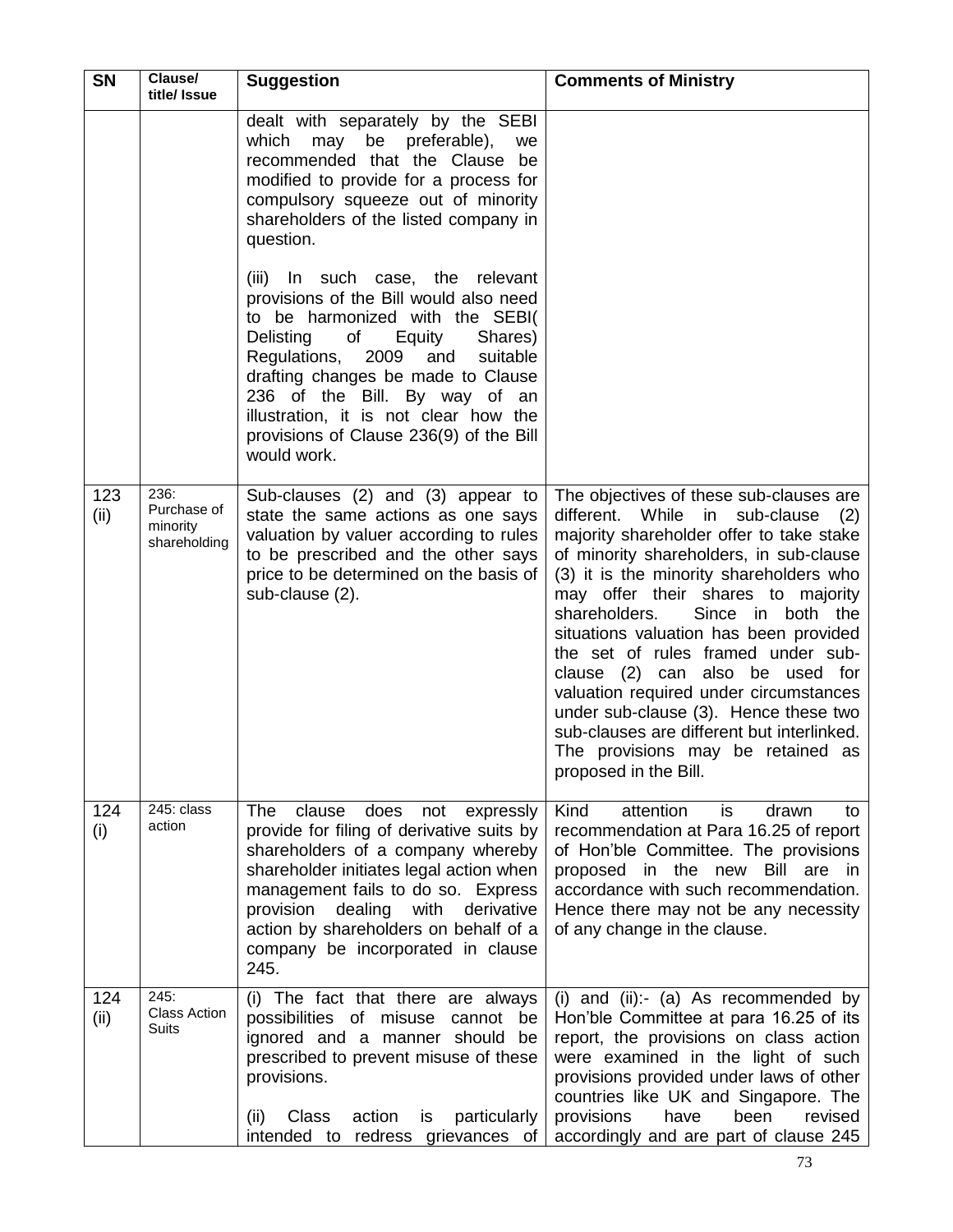| <b>SN</b>   | Clause/<br>title/ Issue                         | <b>Suggestion</b>                                                                                                                                                                                                                                                                                                                       | <b>Comments of Ministry</b>                                                                                                                                                                                                                                                                                                                                                                                                                                                                                                                                                                                         |
|-------------|-------------------------------------------------|-----------------------------------------------------------------------------------------------------------------------------------------------------------------------------------------------------------------------------------------------------------------------------------------------------------------------------------------|---------------------------------------------------------------------------------------------------------------------------------------------------------------------------------------------------------------------------------------------------------------------------------------------------------------------------------------------------------------------------------------------------------------------------------------------------------------------------------------------------------------------------------------------------------------------------------------------------------------------|
|             |                                                 | dealt with separately by the SEBI<br>which<br>may<br>be<br>preferable),<br>we<br>recommended that the Clause be<br>modified to provide for a process for<br>compulsory squeeze out of minority<br>shareholders of the listed company in<br>question.<br>(iii) In such case, the relevant<br>provisions of the Bill would also need      |                                                                                                                                                                                                                                                                                                                                                                                                                                                                                                                                                                                                                     |
|             |                                                 | to be harmonized with the SEBI(<br>Delisting<br>of<br>Equity<br>Shares)<br>Regulations, 2009 and<br>suitable<br>drafting changes be made to Clause<br>236 of the Bill. By way of an<br>illustration, it is not clear how the<br>provisions of Clause 236(9) of the Bill<br>would work.                                                  |                                                                                                                                                                                                                                                                                                                                                                                                                                                                                                                                                                                                                     |
| 123<br>(ii) | 236:<br>Purchase of<br>minority<br>shareholding | Sub-clauses (2) and (3) appear to<br>state the same actions as one says<br>valuation by valuer according to rules<br>to be prescribed and the other says<br>price to be determined on the basis of<br>sub-clause (2).                                                                                                                   | The objectives of these sub-clauses are<br>different. While<br>in sub-clause<br>(2)<br>majority shareholder offer to take stake<br>of minority shareholders, in sub-clause<br>(3) it is the minority shareholders who<br>may offer their shares to majority<br>shareholders.<br>Since in both the<br>situations valuation has been provided<br>the set of rules framed under sub-<br>clause (2) can also be used for<br>valuation required under circumstances<br>under sub-clause (3). Hence these two<br>sub-clauses are different but interlinked.<br>The provisions may be retained as<br>proposed in the Bill. |
| 124<br>(i)  | 245: class<br>action                            | clause does not<br>The<br>expressly<br>provide for filing of derivative suits by<br>shareholders of a company whereby<br>shareholder initiates legal action when<br>management fails to do so. Express<br>dealing with<br>provision<br>derivative<br>action by shareholders on behalf of a<br>company be incorporated in clause<br>245. | Kind<br>attention<br>is<br>drawn<br>to<br>recommendation at Para 16.25 of report<br>of Hon'ble Committee. The provisions<br>proposed in the new<br>Bill are in<br>accordance with such recommendation.<br>Hence there may not be any necessity<br>of any change in the clause.                                                                                                                                                                                                                                                                                                                                      |
| 124<br>(ii) | 245:<br><b>Class Action</b><br>Suits            | (i) The fact that there are always<br>possibilities of misuse cannot be<br>ignored and a manner should be<br>prescribed to prevent misuse of these<br>provisions.<br>action<br>particularly<br>Class<br>(ii)<br>is<br>intended to redress grievances of                                                                                 | (i) and $(ii): (a)$ As recommended by<br>Hon'ble Committee at para 16.25 of its<br>report, the provisions on class action<br>were examined in the light of such<br>provisions provided under laws of other<br>countries like UK and Singapore. The<br>provisions<br>have<br>been<br>revised<br>accordingly and are part of clause 245                                                                                                                                                                                                                                                                               |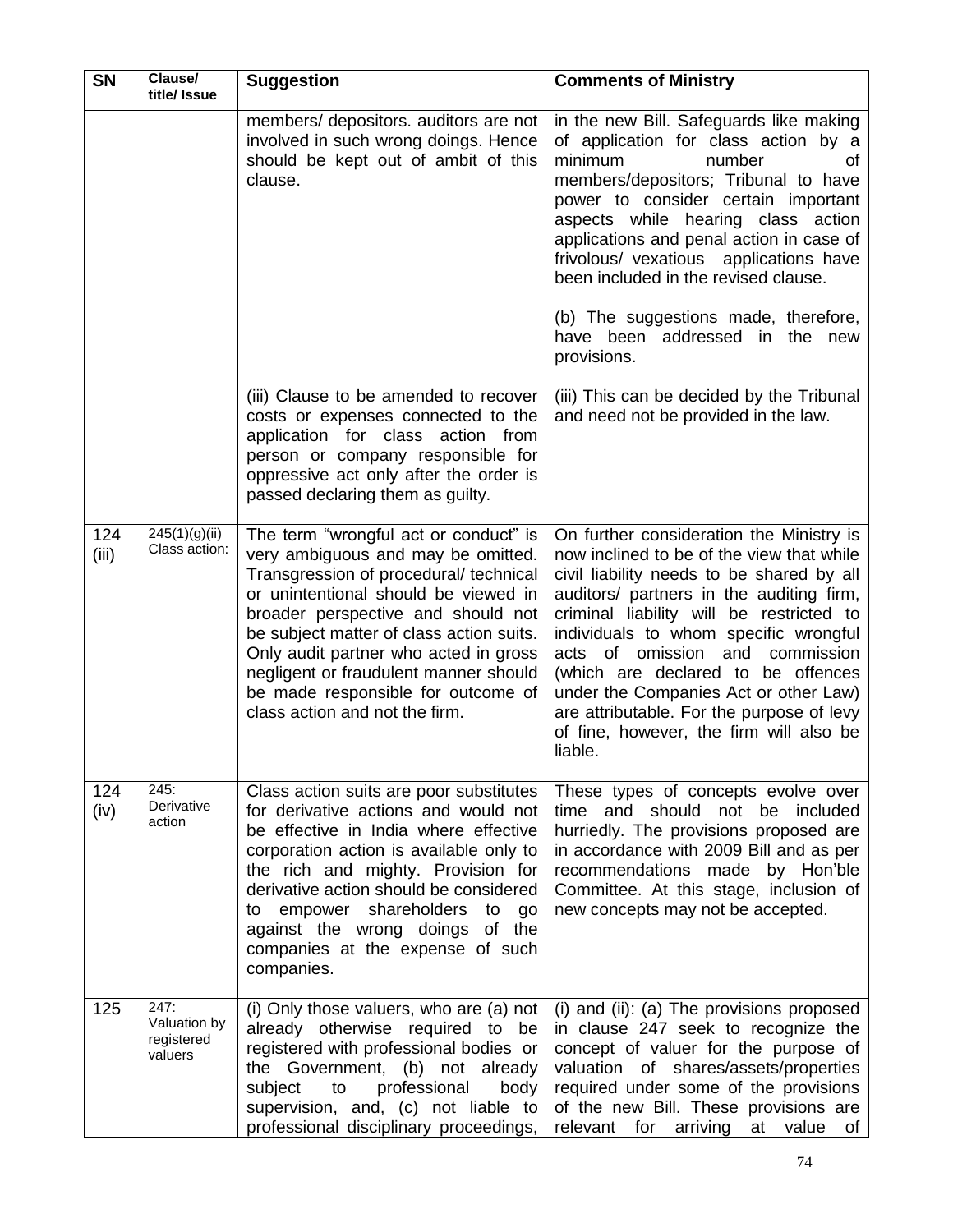| <b>SN</b>    | Clause/<br>title/ Issue                       | <b>Suggestion</b>                                                                                                                                                                                                                                                                                                                                                                                         | <b>Comments of Ministry</b>                                                                                                                                                                                                                                                                                                                                                                                                                                                              |
|--------------|-----------------------------------------------|-----------------------------------------------------------------------------------------------------------------------------------------------------------------------------------------------------------------------------------------------------------------------------------------------------------------------------------------------------------------------------------------------------------|------------------------------------------------------------------------------------------------------------------------------------------------------------------------------------------------------------------------------------------------------------------------------------------------------------------------------------------------------------------------------------------------------------------------------------------------------------------------------------------|
|              |                                               | members/ depositors. auditors are not<br>involved in such wrong doings. Hence<br>should be kept out of ambit of this<br>clause.                                                                                                                                                                                                                                                                           | in the new Bill. Safeguards like making<br>of application for class action by a<br>minimum<br>number<br>οf<br>members/depositors; Tribunal to have<br>power to consider certain important<br>aspects while hearing class action<br>applications and penal action in case of<br>frivolous/ vexatious applications have<br>been included in the revised clause.<br>(b) The suggestions made, therefore,<br>have been addressed in the new<br>provisions.                                   |
|              |                                               | (iii) Clause to be amended to recover<br>costs or expenses connected to the<br>application for class action from<br>person or company responsible for<br>oppressive act only after the order is<br>passed declaring them as guilty.                                                                                                                                                                       | (iii) This can be decided by the Tribunal<br>and need not be provided in the law.                                                                                                                                                                                                                                                                                                                                                                                                        |
| 124<br>(iii) | 245(1)(g)(ii)<br>Class action:                | The term "wrongful act or conduct" is<br>very ambiguous and may be omitted.<br>Transgression of procedural/ technical<br>or unintentional should be viewed in<br>broader perspective and should not<br>be subject matter of class action suits.<br>Only audit partner who acted in gross<br>negligent or fraudulent manner should<br>be made responsible for outcome of<br>class action and not the firm. | On further consideration the Ministry is<br>now inclined to be of the view that while<br>civil liability needs to be shared by all<br>auditors/ partners in the auditing firm,<br>criminal liability will be restricted to<br>individuals to whom specific wrongful<br>acts of omission and commission<br>(which are declared to be offences<br>under the Companies Act or other Law)<br>are attributable. For the purpose of levy<br>of fine, however, the firm will also be<br>liable. |
| 124<br>(iv)  | 245:<br>Derivative<br>action                  | Class action suits are poor substitutes<br>for derivative actions and would not<br>be effective in India where effective<br>corporation action is available only to<br>the rich and mighty. Provision for<br>derivative action should be considered<br>to empower shareholders<br>to<br>go<br>against the wrong doings of the<br>companies at the expense of such<br>companies.                           | These types of concepts evolve over<br>time and should not be included<br>hurriedly. The provisions proposed are<br>in accordance with 2009 Bill and as per<br>recommendations made by Hon'ble<br>Committee. At this stage, inclusion of<br>new concepts may not be accepted.                                                                                                                                                                                                            |
| 125          | 247:<br>Valuation by<br>registered<br>valuers | (i) Only those valuers, who are (a) not<br>already otherwise required to be<br>registered with professional bodies or<br>the Government, (b) not<br>already<br>professional<br>subject<br>to<br>body<br>supervision, and, (c) not liable to<br>professional disciplinary proceedings,                                                                                                                     | (i) and (ii): (a) The provisions proposed<br>in clause 247 seek to recognize the<br>concept of valuer for the purpose of<br>valuation of shares/assets/properties<br>required under some of the provisions<br>of the new Bill. These provisions are<br>relevant for arriving<br>at value of                                                                                                                                                                                              |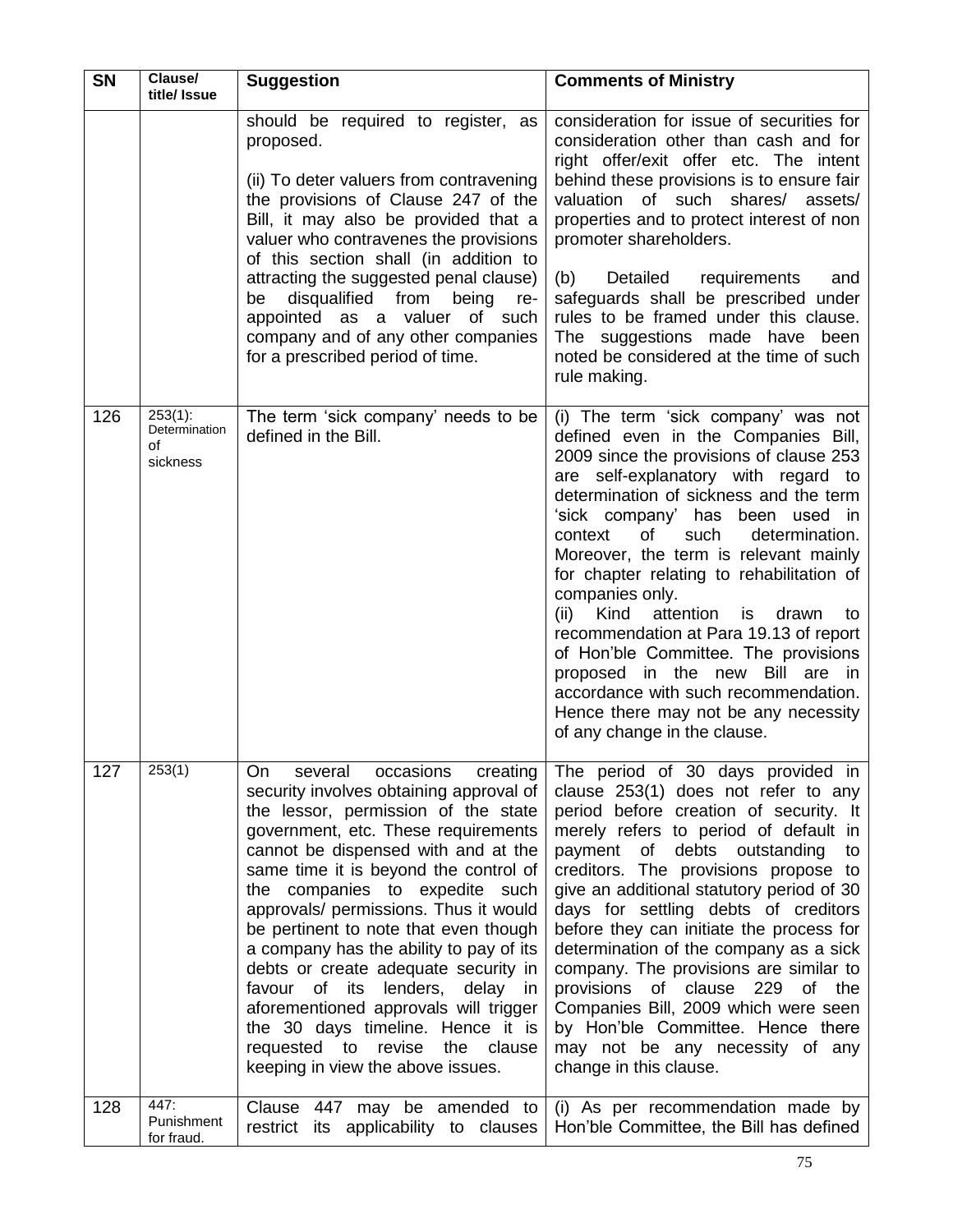| <b>SN</b> | Clause/<br>title/ Issue                       | <b>Suggestion</b>                                                                                                                                                                                                                                                                                                                                                                                                                                                                                                                                                                                                                                  | <b>Comments of Ministry</b>                                                                                                                                                                                                                                                                                                                                                                                                                                                                                                                                                                                                                                                                 |
|-----------|-----------------------------------------------|----------------------------------------------------------------------------------------------------------------------------------------------------------------------------------------------------------------------------------------------------------------------------------------------------------------------------------------------------------------------------------------------------------------------------------------------------------------------------------------------------------------------------------------------------------------------------------------------------------------------------------------------------|---------------------------------------------------------------------------------------------------------------------------------------------------------------------------------------------------------------------------------------------------------------------------------------------------------------------------------------------------------------------------------------------------------------------------------------------------------------------------------------------------------------------------------------------------------------------------------------------------------------------------------------------------------------------------------------------|
|           |                                               | should be required to register, as<br>proposed.<br>(ii) To deter valuers from contravening<br>the provisions of Clause 247 of the<br>Bill, it may also be provided that a<br>valuer who contravenes the provisions<br>of this section shall (in addition to<br>attracting the suggested penal clause)<br>disqualified from<br>being<br>be<br>re-<br>appointed as a valuer of such<br>company and of any other companies<br>for a prescribed period of time.                                                                                                                                                                                        | consideration for issue of securities for<br>consideration other than cash and for<br>right offer/exit offer etc. The intent<br>behind these provisions is to ensure fair<br>valuation of such shares/<br>assets/<br>properties and to protect interest of non<br>promoter shareholders.<br>Detailed<br>(b)<br>requirements<br>and<br>safeguards shall be prescribed under<br>rules to be framed under this clause.<br>The suggestions made have been<br>noted be considered at the time of such<br>rule making.                                                                                                                                                                            |
| 126       | $253(1)$ :<br>Determination<br>of<br>sickness | The term 'sick company' needs to be<br>defined in the Bill.                                                                                                                                                                                                                                                                                                                                                                                                                                                                                                                                                                                        | (i) The term 'sick company' was not<br>defined even in the Companies Bill,<br>2009 since the provisions of clause 253<br>are self-explanatory with regard to<br>determination of sickness and the term<br>'sick company' has been used in<br><b>of</b><br>such<br>determination.<br>context<br>Moreover, the term is relevant mainly<br>for chapter relating to rehabilitation of<br>companies only.<br>attention<br>Kind<br>is<br>drawn<br>(ii)<br>to<br>recommendation at Para 19.13 of report<br>of Hon'ble Committee. The provisions<br>proposed in the new Bill are in<br>accordance with such recommendation.<br>Hence there may not be any necessity<br>of any change in the clause. |
| 127       | 253(1)                                        | several<br>occasions<br>creating<br>On.<br>security involves obtaining approval of<br>the lessor, permission of the state<br>government, etc. These requirements<br>cannot be dispensed with and at the<br>same time it is beyond the control of<br>the companies to expedite such<br>approvals/ permissions. Thus it would<br>be pertinent to note that even though<br>a company has the ability to pay of its<br>debts or create adequate security in<br>favour of its lenders, delay in<br>aforementioned approvals will trigger<br>the 30 days timeline. Hence it is<br>requested to revise the<br>clause<br>keeping in view the above issues. | The period of 30 days provided in<br>clause 253(1) does not refer to any<br>period before creation of security. It<br>merely refers to period of default in<br>payment of debts outstanding<br>to<br>creditors. The provisions propose to<br>give an additional statutory period of 30<br>days for settling debts of creditors<br>before they can initiate the process for<br>determination of the company as a sick<br>company. The provisions are similar to<br>provisions of clause 229 of the<br>Companies Bill, 2009 which were seen<br>by Hon'ble Committee. Hence there<br>may not be any necessity of any<br>change in this clause.                                                 |
| 128       | 447:<br>Punishment<br>for fraud.              | Clause 447 may be amended to<br>restrict its applicability to clauses                                                                                                                                                                                                                                                                                                                                                                                                                                                                                                                                                                              | (i) As per recommendation made by<br>Hon'ble Committee, the Bill has defined                                                                                                                                                                                                                                                                                                                                                                                                                                                                                                                                                                                                                |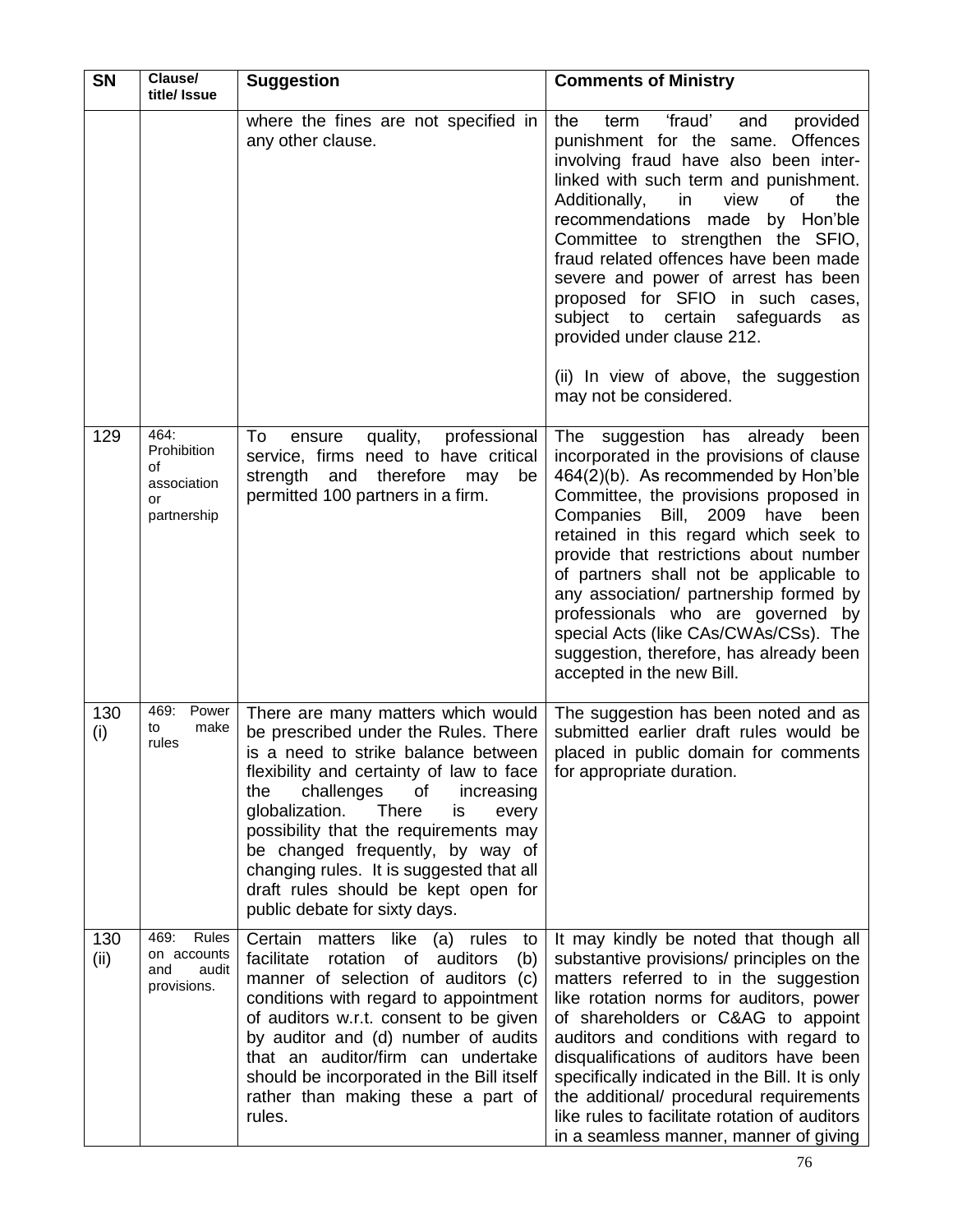| <b>SN</b>   | Clause/<br>title/ Issue                                            | <b>Suggestion</b>                                                                                                                                                                                                                                                                                                                                                                                                                                        | <b>Comments of Ministry</b>                                                                                                                                                                                                                                                                                                                                                                                                                                                                                                                               |
|-------------|--------------------------------------------------------------------|----------------------------------------------------------------------------------------------------------------------------------------------------------------------------------------------------------------------------------------------------------------------------------------------------------------------------------------------------------------------------------------------------------------------------------------------------------|-----------------------------------------------------------------------------------------------------------------------------------------------------------------------------------------------------------------------------------------------------------------------------------------------------------------------------------------------------------------------------------------------------------------------------------------------------------------------------------------------------------------------------------------------------------|
|             |                                                                    | where the fines are not specified in<br>any other clause.                                                                                                                                                                                                                                                                                                                                                                                                | 'fraud'<br>the<br>provided<br>term<br>and<br>punishment for the same. Offences<br>involving fraud have also been inter-<br>linked with such term and punishment.<br>view<br>Additionally,<br>in<br>οf<br>the<br>recommendations<br>made<br>by Hon'ble<br>Committee to strengthen the SFIO,<br>fraud related offences have been made<br>severe and power of arrest has been<br>proposed for SFIO in such cases,<br>subject to certain<br>safeguards<br>as<br>provided under clause 212.<br>(ii) In view of above, the suggestion<br>may not be considered. |
| 129         | 464:<br>Prohibition<br>οf<br>association<br>or<br>partnership      | quality, professional<br>To<br>ensure<br>service, firms need to have critical<br>and<br>therefore<br>strength<br>may<br>be<br>permitted 100 partners in a firm.                                                                                                                                                                                                                                                                                          | The suggestion has already been<br>incorporated in the provisions of clause<br>464(2)(b). As recommended by Hon'ble<br>Committee, the provisions proposed in<br>Bill, 2009<br>Companies<br>have<br>been<br>retained in this regard which seek to<br>provide that restrictions about number<br>of partners shall not be applicable to<br>any association/ partnership formed by<br>professionals who are governed by<br>special Acts (like CAs/CWAs/CSs). The<br>suggestion, therefore, has already been<br>accepted in the new Bill.                      |
| 130<br>(i)  | 469:<br>Power<br>to<br>make<br>rules                               | There are many matters which would<br>be prescribed under the Rules. There<br>is a need to strike balance between<br>flexibility and certainty of law to face<br>challenges<br>the<br>of<br>increasing<br>globalization.<br><b>There</b><br>is<br>every<br>possibility that the requirements may<br>be changed frequently, by way of<br>changing rules. It is suggested that all<br>draft rules should be kept open for<br>public debate for sixty days. | The suggestion has been noted and as<br>submitted earlier draft rules would be<br>placed in public domain for comments<br>for appropriate duration.                                                                                                                                                                                                                                                                                                                                                                                                       |
| 130<br>(ii) | 469:<br><b>Rules</b><br>on accounts<br>and<br>audit<br>provisions. | Certain matters like<br>(a) rules<br>to<br>rotation of<br>facilitate<br>auditors<br>(b)<br>manner of selection of auditors (c)<br>conditions with regard to appointment<br>of auditors w.r.t. consent to be given<br>by auditor and (d) number of audits<br>that an auditor/firm can undertake<br>should be incorporated in the Bill itself<br>rather than making these a part of<br>rules.                                                              | It may kindly be noted that though all<br>substantive provisions/ principles on the<br>matters referred to in the suggestion<br>like rotation norms for auditors, power<br>of shareholders or C&AG to appoint<br>auditors and conditions with regard to<br>disqualifications of auditors have been<br>specifically indicated in the Bill. It is only<br>the additional/ procedural requirements<br>like rules to facilitate rotation of auditors<br>in a seamless manner, manner of giving                                                                |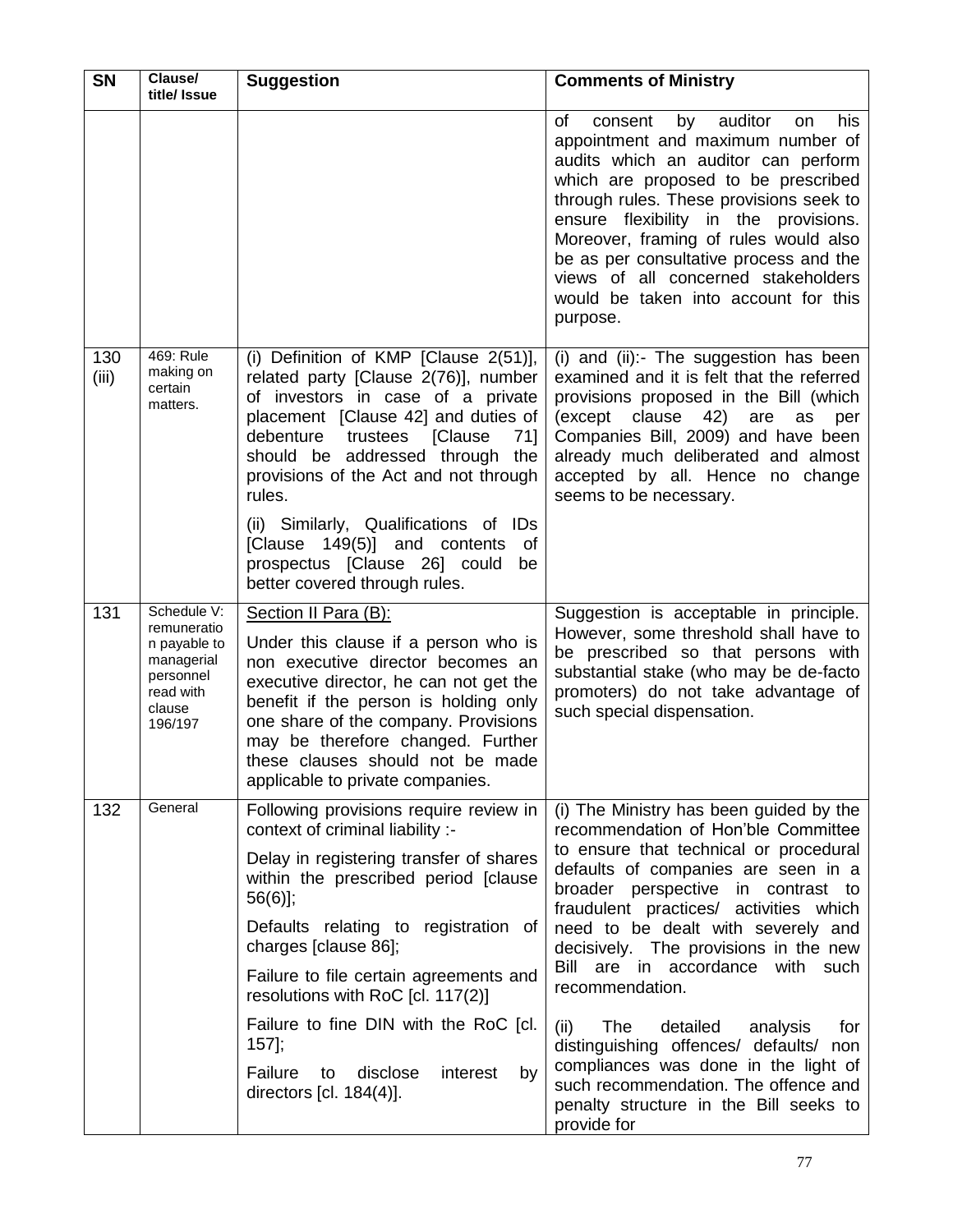| <b>SN</b>    | Clause/<br>title/ Issue                                                                                 | <b>Suggestion</b>                                                                                                                                                                                                                                                                                                                                                                                                                                     | <b>Comments of Ministry</b>                                                                                                                                                                                                                                                                                                                                                                                                                                                                                                                                                                                            |
|--------------|---------------------------------------------------------------------------------------------------------|-------------------------------------------------------------------------------------------------------------------------------------------------------------------------------------------------------------------------------------------------------------------------------------------------------------------------------------------------------------------------------------------------------------------------------------------------------|------------------------------------------------------------------------------------------------------------------------------------------------------------------------------------------------------------------------------------------------------------------------------------------------------------------------------------------------------------------------------------------------------------------------------------------------------------------------------------------------------------------------------------------------------------------------------------------------------------------------|
|              |                                                                                                         |                                                                                                                                                                                                                                                                                                                                                                                                                                                       | auditor<br>of<br>by<br>his<br>consent<br><b>on</b><br>appointment and maximum number of<br>audits which an auditor can perform<br>which are proposed to be prescribed<br>through rules. These provisions seek to<br>ensure flexibility in the provisions.<br>Moreover, framing of rules would also<br>be as per consultative process and the<br>views of all concerned stakeholders<br>would be taken into account for this<br>purpose.                                                                                                                                                                                |
| 130<br>(iii) | 469: Rule<br>making on<br>certain<br>matters.                                                           | (i) Definition of KMP [Clause 2(51)],<br>related party [Clause 2(76)], number<br>of investors in case of a private<br>placement [Clause 42] and duties of<br>[Clause<br>debenture<br>trustees<br>71]<br>should be addressed through the<br>provisions of the Act and not through<br>rules.<br>(ii) Similarly, Qualifications of IDs<br>[Clause 149(5)] and contents<br>of<br>prospectus [Clause 26] could<br>be<br>better covered through rules.      | (i) and (ii):- The suggestion has been<br>examined and it is felt that the referred<br>provisions proposed in the Bill (which<br>clause<br>42)<br>(except<br>are<br>as<br>per<br>Companies Bill, 2009) and have been<br>already much deliberated and almost<br>accepted by all. Hence no change<br>seems to be necessary.                                                                                                                                                                                                                                                                                              |
| 131          | Schedule V:<br>remuneratio<br>n payable to<br>managerial<br>personnel<br>read with<br>clause<br>196/197 | Section II Para (B):<br>Under this clause if a person who is<br>non executive director becomes an<br>executive director, he can not get the<br>benefit if the person is holding only<br>one share of the company. Provisions<br>may be therefore changed. Further<br>these clauses should not be made<br>applicable to private companies.                                                                                                             | Suggestion is acceptable in principle.<br>However, some threshold shall have to<br>be prescribed so that persons with<br>substantial stake (who may be de-facto<br>promoters) do not take advantage of<br>such special dispensation.                                                                                                                                                                                                                                                                                                                                                                                   |
| 132          | General                                                                                                 | Following provisions require review in<br>context of criminal liability :-<br>Delay in registering transfer of shares<br>within the prescribed period [clause<br>$56(6)$ ;<br>Defaults relating to registration of<br>charges [clause 86];<br>Failure to file certain agreements and<br>resolutions with RoC [cl. 117(2)]<br>Failure to fine DIN with the RoC [cl.<br>$157$ ];<br>Failure to disclose<br>by<br>interest<br>directors [cl. $184(4)$ ]. | (i) The Ministry has been guided by the<br>recommendation of Hon'ble Committee<br>to ensure that technical or procedural<br>defaults of companies are seen in a<br>broader perspective in contrast to<br>fraudulent practices/ activities which<br>need to be dealt with severely and<br>decisively. The provisions in the new<br>Bill are in accordance with such<br>recommendation.<br>The<br>detailed<br>(ii)<br>analysis<br>for<br>distinguishing offences/ defaults/ non<br>compliances was done in the light of<br>such recommendation. The offence and<br>penalty structure in the Bill seeks to<br>provide for |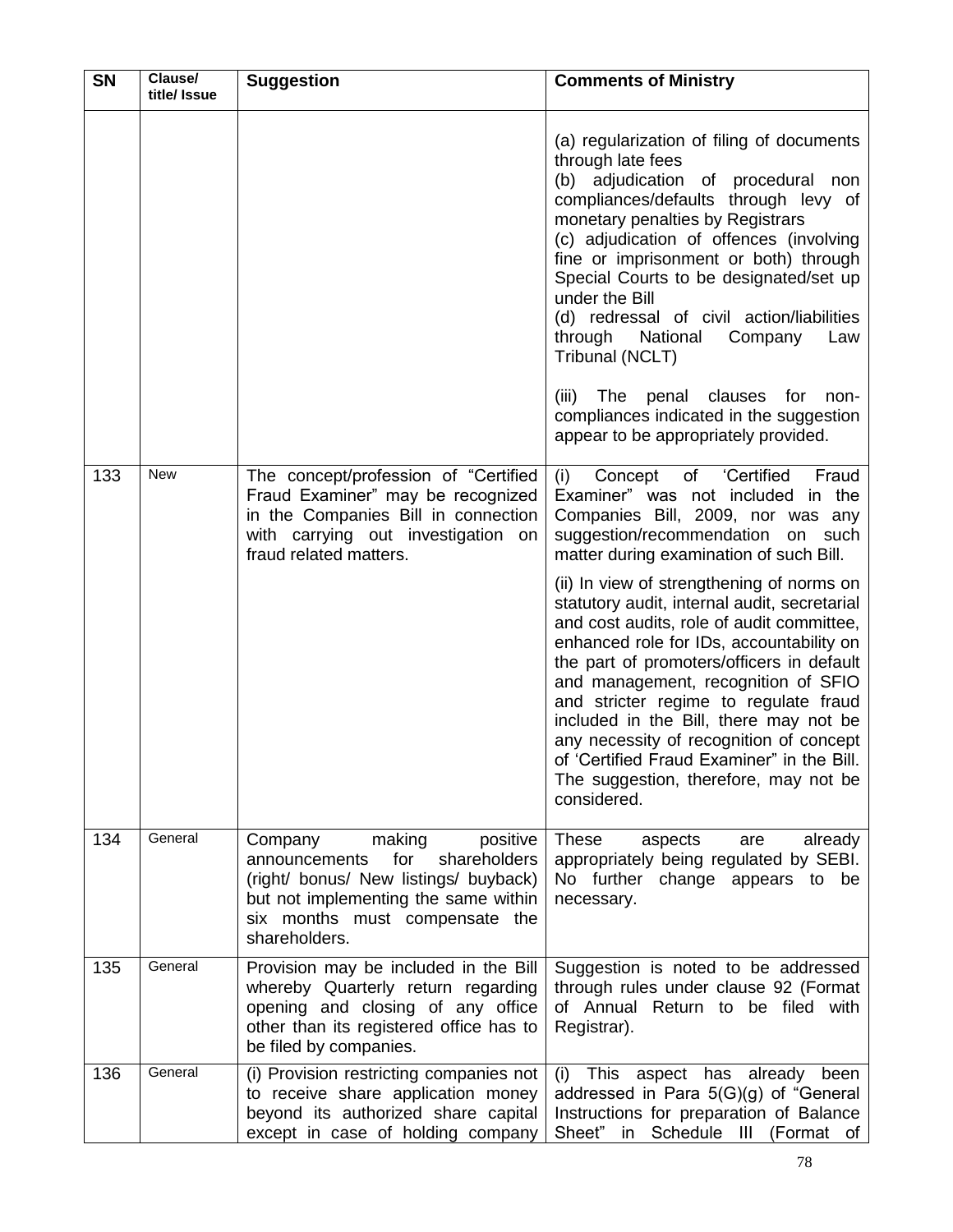| <b>SN</b> | Clause/<br>title/ Issue | <b>Suggestion</b>                                                                                                                                                                                         | <b>Comments of Ministry</b>                                                                                                                                                                                                                                                                                                                                                                                                                                                                                |
|-----------|-------------------------|-----------------------------------------------------------------------------------------------------------------------------------------------------------------------------------------------------------|------------------------------------------------------------------------------------------------------------------------------------------------------------------------------------------------------------------------------------------------------------------------------------------------------------------------------------------------------------------------------------------------------------------------------------------------------------------------------------------------------------|
|           |                         |                                                                                                                                                                                                           | (a) regularization of filing of documents<br>through late fees<br>(b) adjudication of procedural non<br>compliances/defaults through levy of<br>monetary penalties by Registrars<br>(c) adjudication of offences (involving<br>fine or imprisonment or both) through<br>Special Courts to be designated/set up<br>under the Bill<br>(d) redressal of civil action/liabilities<br>National<br>through<br>Company<br>Law<br>Tribunal (NCLT)                                                                  |
|           |                         |                                                                                                                                                                                                           | (iii)<br>The<br>penal clauses for<br>non-<br>compliances indicated in the suggestion<br>appear to be appropriately provided.                                                                                                                                                                                                                                                                                                                                                                               |
| 133       | <b>New</b>              | The concept/profession of "Certified<br>Fraud Examiner" may be recognized<br>in the Companies Bill in connection<br>with carrying out investigation on<br>fraud related matters.                          | 'Certified<br>(i)<br>Concept<br>of<br>Fraud<br>Examiner" was not included in the<br>Companies Bill, 2009, nor was any<br>suggestion/recommendation on such<br>matter during examination of such Bill.                                                                                                                                                                                                                                                                                                      |
|           |                         |                                                                                                                                                                                                           | (ii) In view of strengthening of norms on<br>statutory audit, internal audit, secretarial<br>and cost audits, role of audit committee,<br>enhanced role for IDs, accountability on<br>the part of promoters/officers in default<br>and management, recognition of SFIO<br>and stricter regime to regulate fraud<br>included in the Bill, there may not be<br>any necessity of recognition of concept<br>of 'Certified Fraud Examiner" in the Bill.<br>The suggestion, therefore, may not be<br>considered. |
| 134       | General                 | making<br>Company<br>positive<br>for<br>shareholders<br>announcements<br>(right/ bonus/ New listings/ buyback)<br>but not implementing the same within<br>six months must compensate the<br>shareholders. | <b>These</b><br>aspects<br>already<br>are<br>appropriately being regulated by SEBI.<br>No further change appears to be<br>necessary.                                                                                                                                                                                                                                                                                                                                                                       |
| 135       | General                 | Provision may be included in the Bill<br>whereby Quarterly return regarding<br>opening and closing of any office<br>other than its registered office has to<br>be filed by companies.                     | Suggestion is noted to be addressed<br>through rules under clause 92 (Format<br>of Annual Return to be filed with<br>Registrar).                                                                                                                                                                                                                                                                                                                                                                           |
| 136       | General                 | (i) Provision restricting companies not<br>to receive share application money<br>beyond its authorized share capital<br>except in case of holding company                                                 | (i) This aspect has already been<br>addressed in Para $5(G)(g)$ of "General<br>Instructions for preparation of Balance<br>Sheet" in Schedule III (Format of                                                                                                                                                                                                                                                                                                                                                |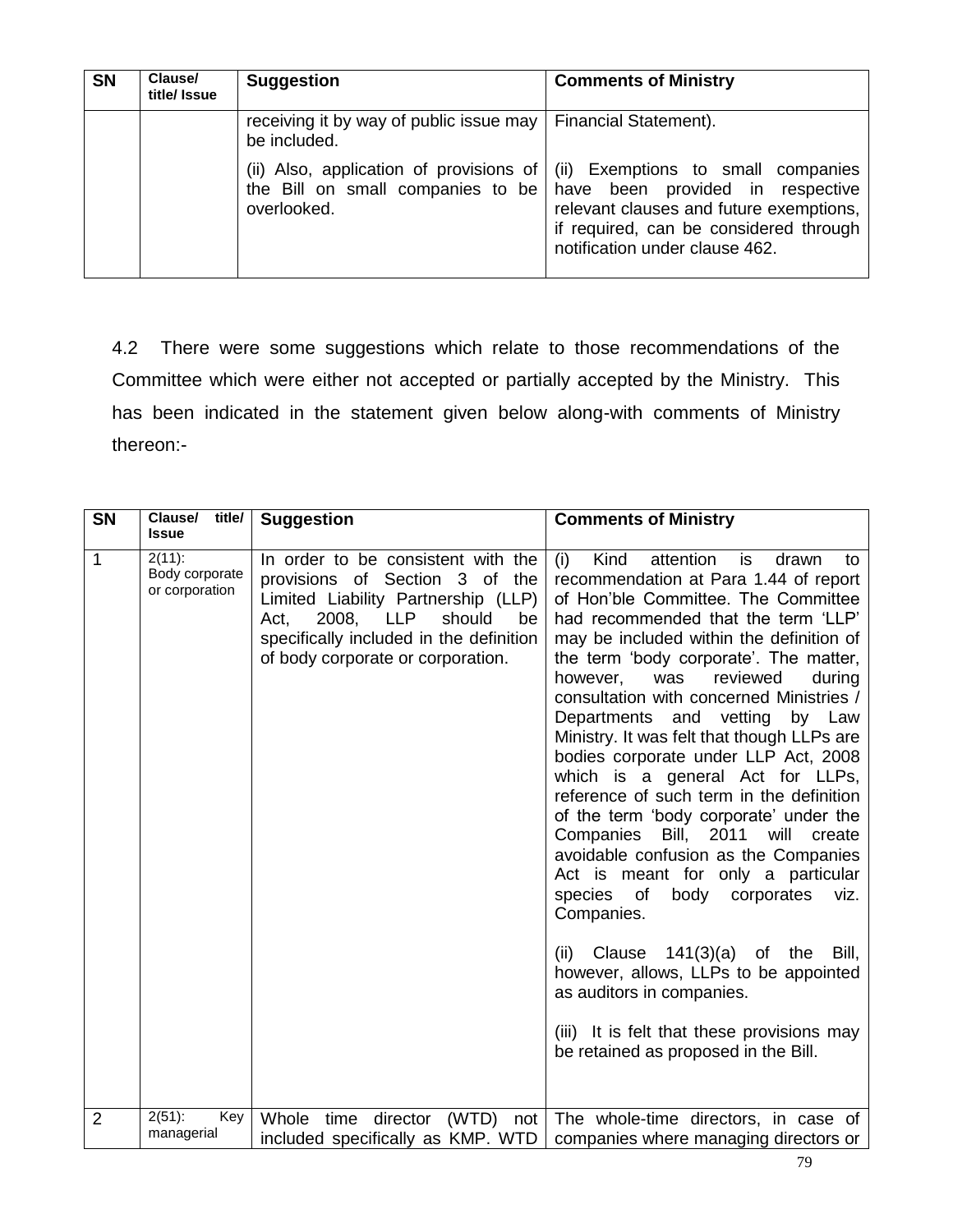| <b>SN</b> | Clause/<br>title/ Issue | <b>Suggestion</b>                                                                           | <b>Comments of Ministry</b>                                                                                                                                                                   |
|-----------|-------------------------|---------------------------------------------------------------------------------------------|-----------------------------------------------------------------------------------------------------------------------------------------------------------------------------------------------|
|           |                         | receiving it by way of public issue may<br>be included.                                     | <b>Financial Statement).</b>                                                                                                                                                                  |
|           |                         | (ii) Also, application of provisions of<br>the Bill on small companies to be<br>overlooked. | (ii) Exemptions to small companies<br>have been provided in respective<br>relevant clauses and future exemptions,<br>if required, can be considered through<br>notification under clause 462. |

4.2 There were some suggestions which relate to those recommendations of the Committee which were either not accepted or partially accepted by the Ministry. This has been indicated in the statement given below along-with comments of Ministry thereon:-

| <b>SN</b>      | Clause/ title/                                                | <b>Suggestion</b>                                                                                                                                                                                                                | <b>Comments of Ministry</b>                                                                                                                                                                                                                                                                                                                                                                                                                                                                                                                                                                                                                                                                                                                                                                                                                                                                                          |
|----------------|---------------------------------------------------------------|----------------------------------------------------------------------------------------------------------------------------------------------------------------------------------------------------------------------------------|----------------------------------------------------------------------------------------------------------------------------------------------------------------------------------------------------------------------------------------------------------------------------------------------------------------------------------------------------------------------------------------------------------------------------------------------------------------------------------------------------------------------------------------------------------------------------------------------------------------------------------------------------------------------------------------------------------------------------------------------------------------------------------------------------------------------------------------------------------------------------------------------------------------------|
| $\mathbf{1}$   | <b>Issue</b><br>$2(11)$ :<br>Body corporate<br>or corporation | In order to be consistent with the<br>provisions of Section 3 of the<br>Limited Liability Partnership (LLP)<br>2008, LLP<br>should<br>be<br>Act,<br>specifically included in the definition<br>of body corporate or corporation. | Kind<br>attention<br>(i)<br>is<br>drawn<br>to<br>recommendation at Para 1.44 of report<br>of Hon'ble Committee. The Committee<br>had recommended that the term 'LLP'<br>may be included within the definition of<br>the term 'body corporate'. The matter,<br>was<br>reviewed<br>however,<br>during<br>consultation with concerned Ministries /<br>Departments and vetting<br>by Law<br>Ministry. It was felt that though LLPs are<br>bodies corporate under LLP Act, 2008<br>which is a general Act for LLPs,<br>reference of such term in the definition<br>of the term 'body corporate' under the<br>Companies<br>Bill, 2011<br>will<br>create<br>avoidable confusion as the Companies<br>Act is meant for only a particular<br>of<br>body<br>species<br>corporates<br>viz.<br>Companies.<br>141(3)(a)<br>Clause<br>of the<br>Bill,<br>(ii)<br>however, allows, LLPs to be appointed<br>as auditors in companies. |
|                |                                                               |                                                                                                                                                                                                                                  | (iii) It is felt that these provisions may<br>be retained as proposed in the Bill.                                                                                                                                                                                                                                                                                                                                                                                                                                                                                                                                                                                                                                                                                                                                                                                                                                   |
| $\overline{2}$ | $2(51)$ :<br>Key<br>managerial                                | (WTD)<br>Whole<br>director<br>time<br>not<br>included specifically as KMP. WTD                                                                                                                                                   | The whole-time directors, in case of<br>companies where managing directors or                                                                                                                                                                                                                                                                                                                                                                                                                                                                                                                                                                                                                                                                                                                                                                                                                                        |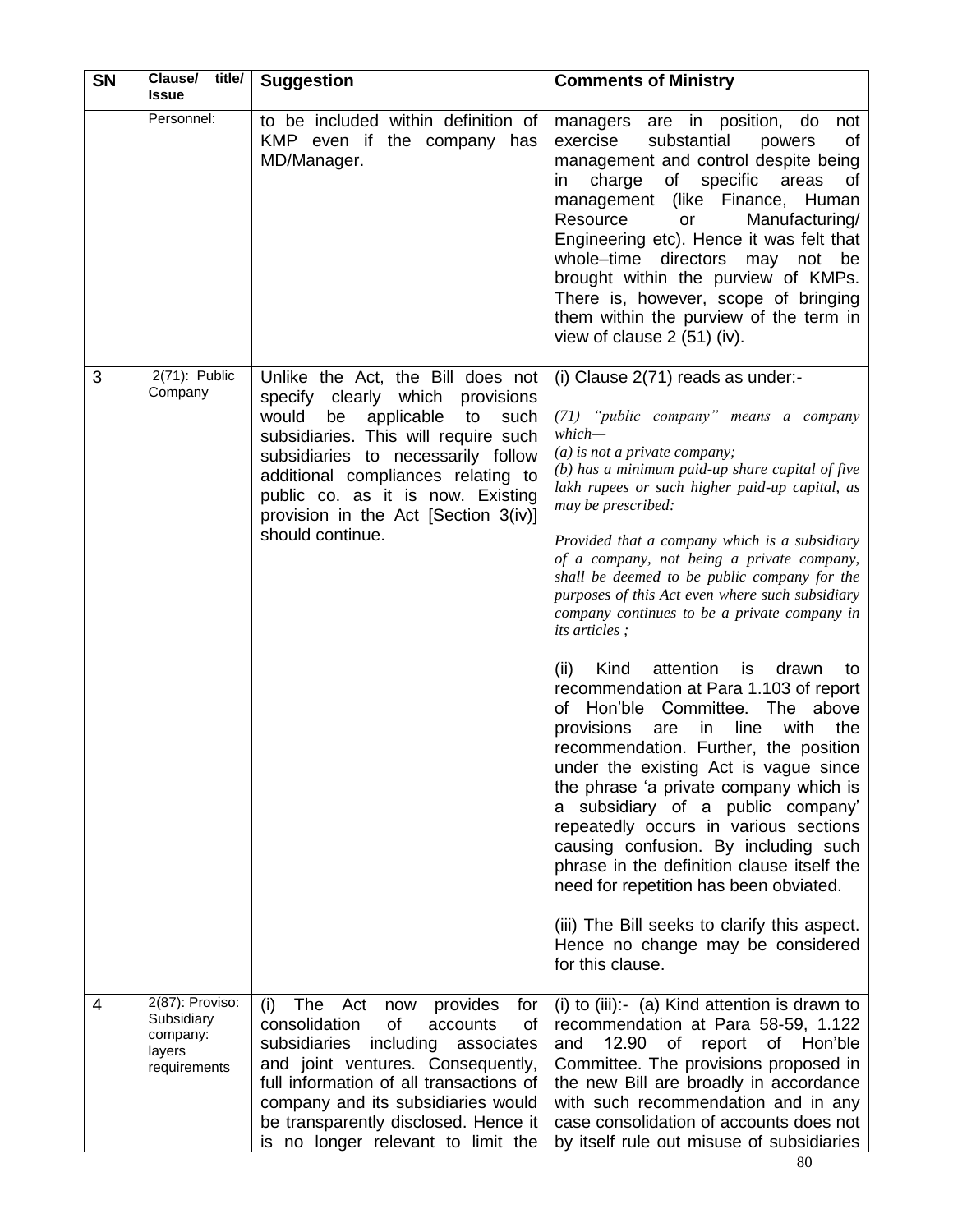| <b>SN</b> | Clause/ title/<br><b>Issue</b>                                      | <b>Suggestion</b>                                                                                                                                                                                                                                                                                                                     | <b>Comments of Ministry</b>                                                                                                                                                                                                                                                                                                                                                                                                                                                                                                                                                                                                                                                                                                                                                                                                                                                                                                                                                                                                                                                                                                                                         |
|-----------|---------------------------------------------------------------------|---------------------------------------------------------------------------------------------------------------------------------------------------------------------------------------------------------------------------------------------------------------------------------------------------------------------------------------|---------------------------------------------------------------------------------------------------------------------------------------------------------------------------------------------------------------------------------------------------------------------------------------------------------------------------------------------------------------------------------------------------------------------------------------------------------------------------------------------------------------------------------------------------------------------------------------------------------------------------------------------------------------------------------------------------------------------------------------------------------------------------------------------------------------------------------------------------------------------------------------------------------------------------------------------------------------------------------------------------------------------------------------------------------------------------------------------------------------------------------------------------------------------|
|           | Personnel:                                                          | to be included within definition of<br>KMP even if the company has<br>MD/Manager.                                                                                                                                                                                                                                                     | managers are in position, do<br>not<br>exercise<br>substantial<br>powers<br>0f<br>management and control despite being<br>specific<br>charge<br>of<br>areas<br>in<br>0f<br>management (like Finance, Human<br>Resource<br>Manufacturing/<br>or<br>Engineering etc). Hence it was felt that<br>whole-time directors may<br>not be<br>brought within the purview of KMPs.<br>There is, however, scope of bringing<br>them within the purview of the term in<br>view of clause $2(51)(iv)$ .                                                                                                                                                                                                                                                                                                                                                                                                                                                                                                                                                                                                                                                                           |
| 3         | 2(71): Public<br>Company                                            | Unlike the Act, the Bill does not<br>specify clearly which<br>provisions<br>would<br>be applicable<br>to<br>such<br>subsidiaries. This will require such<br>subsidiaries to necessarily follow<br>additional compliances relating to<br>public co. as it is now. Existing<br>provision in the Act [Section 3(iv)]<br>should continue. | (i) Clause 2(71) reads as under:-<br>(71) "public company" means a company<br>which—<br>$(a)$ is not a private company;<br>$(b)$ has a minimum paid-up share capital of five<br>lakh rupees or such higher paid-up capital, as<br>may be prescribed:<br>Provided that a company which is a subsidiary<br>of a company, not being a private company,<br>shall be deemed to be public company for the<br>purposes of this Act even where such subsidiary<br>company continues to be a private company in<br><i>its articles</i> ;<br>attention<br>(ii)<br>Kind<br>is<br>drawn<br>to<br>recommendation at Para 1.103 of report<br>of Hon'ble Committee. The above<br>line<br>with<br>the<br>provisions<br>in<br>are<br>recommendation. Further, the position<br>under the existing Act is vague since<br>the phrase 'a private company which is<br>a subsidiary of a public company'<br>repeatedly occurs in various sections<br>causing confusion. By including such<br>phrase in the definition clause itself the<br>need for repetition has been obviated.<br>(iii) The Bill seeks to clarify this aspect.<br>Hence no change may be considered<br>for this clause. |
| 4         | 2(87): Proviso:<br>Subsidiary<br>company:<br>layers<br>requirements | The Act<br>provides<br>(i)<br>now<br>for<br>of<br>consolidation<br>of<br>accounts<br>subsidiaries<br>including<br>associates<br>and joint ventures. Consequently,<br>full information of all transactions of<br>company and its subsidiaries would<br>be transparently disclosed. Hence it<br>is no longer relevant to limit the      | (i) to $(iii)$ :- (a) Kind attention is drawn to<br>recommendation at Para 58-59, 1.122<br>and<br>12.90 of<br>report<br>of<br>Hon'ble<br>Committee. The provisions proposed in<br>the new Bill are broadly in accordance<br>with such recommendation and in any<br>case consolidation of accounts does not<br>by itself rule out misuse of subsidiaries                                                                                                                                                                                                                                                                                                                                                                                                                                                                                                                                                                                                                                                                                                                                                                                                             |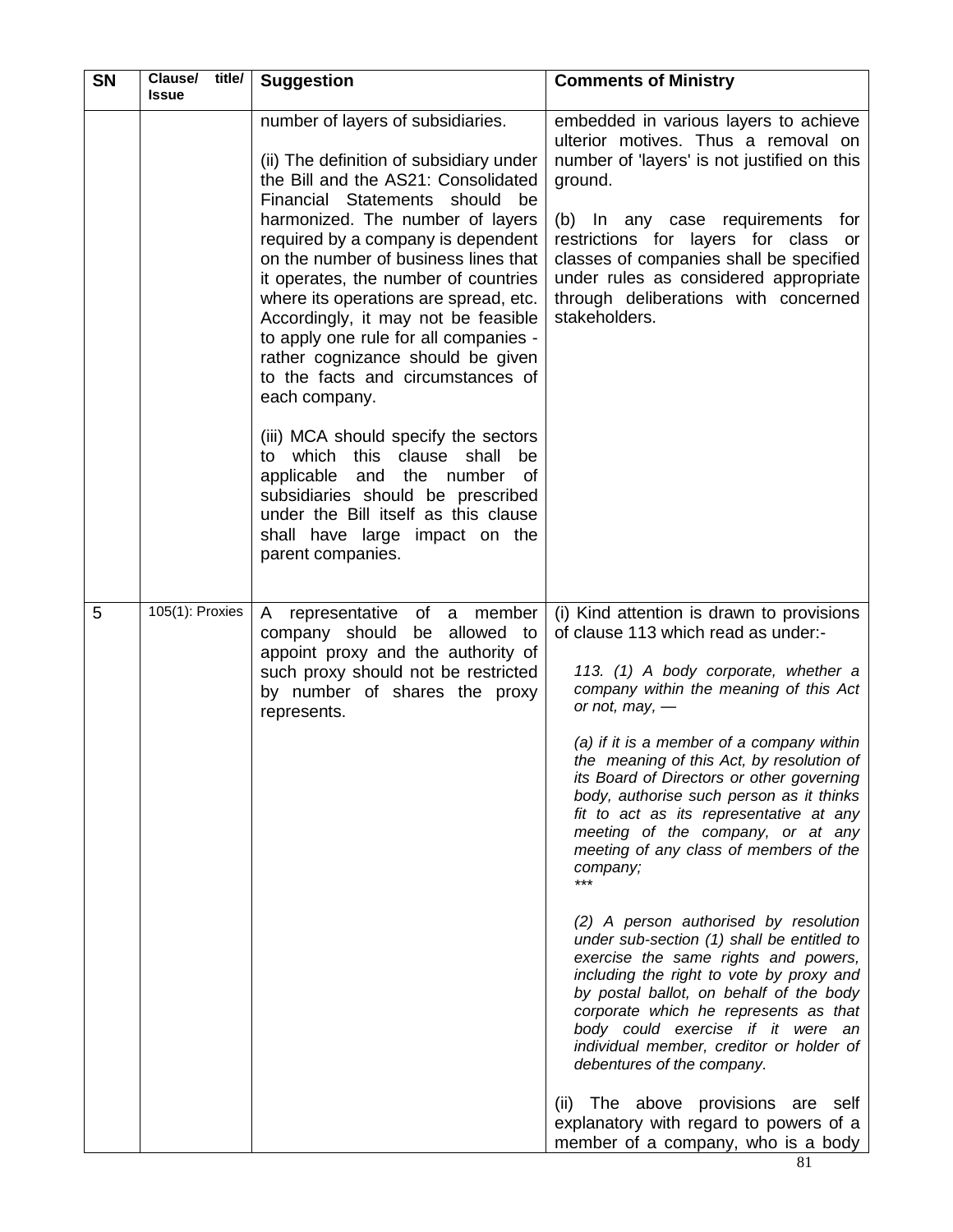| <b>SN</b> | Clause/<br><b>Issue</b> | title/ | <b>Suggestion</b>                                                                                                                                                                                                                                                                                                                                                                                                                                                                                                                                                                                                                                                                                                                                                                            | <b>Comments of Ministry</b>                                                                                                                                                                                                                                                                                                                                                                                                                                                                                                                                                                                                                                                                                                                                                                                                                                                                                                                                                                                                |
|-----------|-------------------------|--------|----------------------------------------------------------------------------------------------------------------------------------------------------------------------------------------------------------------------------------------------------------------------------------------------------------------------------------------------------------------------------------------------------------------------------------------------------------------------------------------------------------------------------------------------------------------------------------------------------------------------------------------------------------------------------------------------------------------------------------------------------------------------------------------------|----------------------------------------------------------------------------------------------------------------------------------------------------------------------------------------------------------------------------------------------------------------------------------------------------------------------------------------------------------------------------------------------------------------------------------------------------------------------------------------------------------------------------------------------------------------------------------------------------------------------------------------------------------------------------------------------------------------------------------------------------------------------------------------------------------------------------------------------------------------------------------------------------------------------------------------------------------------------------------------------------------------------------|
|           |                         |        | number of layers of subsidiaries.<br>(ii) The definition of subsidiary under<br>the Bill and the AS21: Consolidated<br>Financial Statements should<br>be<br>harmonized. The number of layers<br>required by a company is dependent<br>on the number of business lines that<br>it operates, the number of countries<br>where its operations are spread, etc.<br>Accordingly, it may not be feasible<br>to apply one rule for all companies -<br>rather cognizance should be given<br>to the facts and circumstances of<br>each company.<br>(iii) MCA should specify the sectors<br>which this clause shall<br>be<br>to<br>applicable and the number<br>of<br>subsidiaries should be prescribed<br>under the Bill itself as this clause<br>shall have large impact on the<br>parent companies. | embedded in various layers to achieve<br>ulterior motives. Thus a removal on<br>number of 'layers' is not justified on this<br>ground.<br>(b) In any case requirements for<br>restrictions for layers for class or<br>classes of companies shall be specified<br>under rules as considered appropriate<br>through deliberations with concerned<br>stakeholders.                                                                                                                                                                                                                                                                                                                                                                                                                                                                                                                                                                                                                                                            |
| 5         | 105(1): Proxies         |        | representative of a member<br>A<br>company should<br>be allowed to<br>appoint proxy and the authority of<br>such proxy should not be restricted<br>by number of shares the proxy<br>represents.                                                                                                                                                                                                                                                                                                                                                                                                                                                                                                                                                                                              | (i) Kind attention is drawn to provisions<br>of clause 113 which read as under:-<br>113. (1) A body corporate, whether a<br>company within the meaning of this Act<br>or not, may, $-$<br>(a) if it is a member of a company within<br>the meaning of this Act, by resolution of<br>its Board of Directors or other governing<br>body, authorise such person as it thinks<br>fit to act as its representative at any<br>meeting of the company, or at any<br>meeting of any class of members of the<br>company;<br>***<br>(2) A person authorised by resolution<br>under sub-section (1) shall be entitled to<br>exercise the same rights and powers,<br>including the right to vote by proxy and<br>by postal ballot, on behalf of the body<br>corporate which he represents as that<br>body could exercise if it were an<br>individual member, creditor or holder of<br>debentures of the company.<br>(ii) The above provisions are self<br>explanatory with regard to powers of a<br>member of a company, who is a body |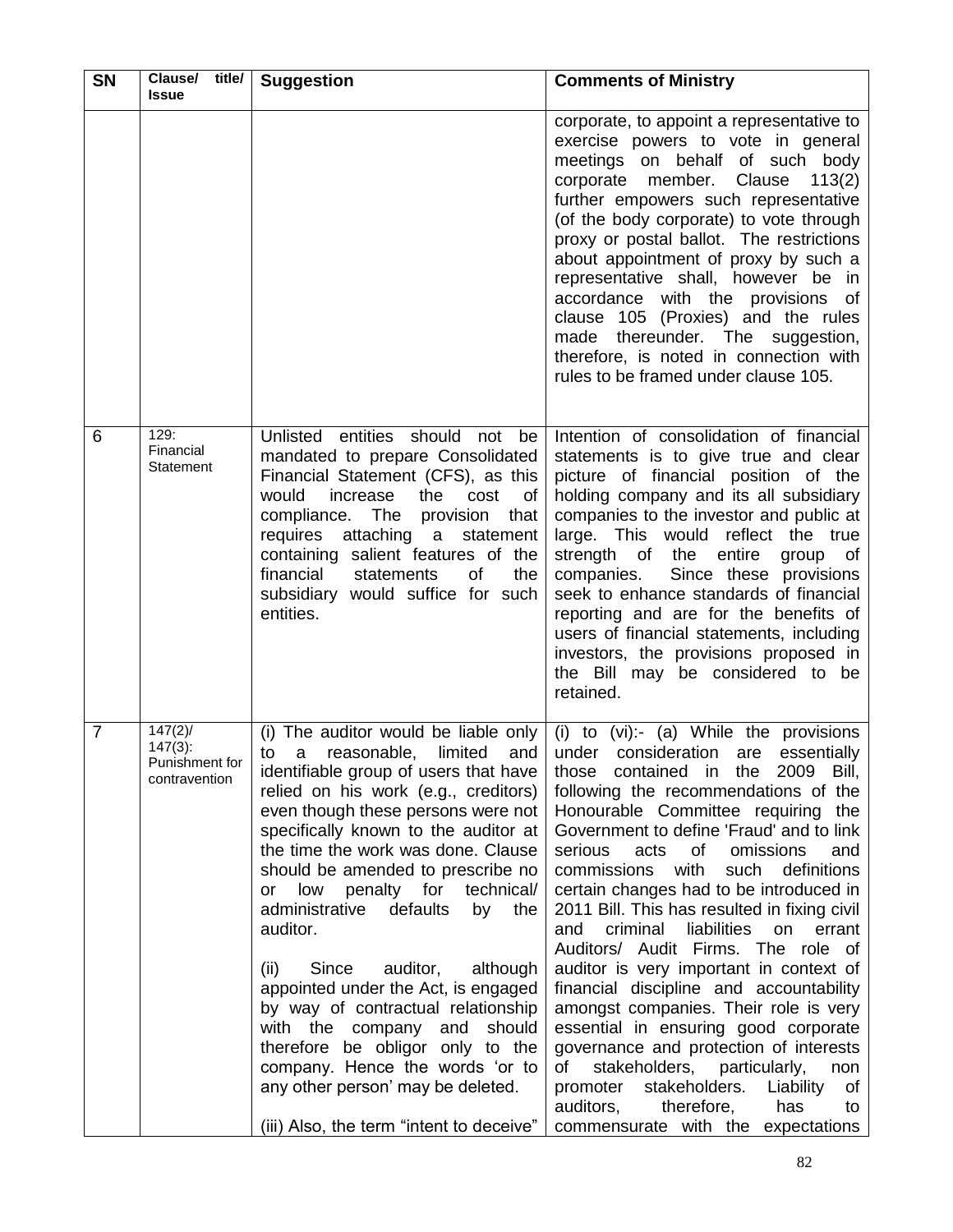| <b>SN</b>      | Clause/<br>title/<br><b>Issue</b>                           | <b>Suggestion</b>                                                                                                                                                                                                                                                                                                                                                                                                                                                                                                                                                                                                                                                                                                                               | <b>Comments of Ministry</b>                                                                                                                                                                                                                                                                                                                                                                                                                                                                                                                                                                                                                                                                                                                                                                                                                                                                                           |
|----------------|-------------------------------------------------------------|-------------------------------------------------------------------------------------------------------------------------------------------------------------------------------------------------------------------------------------------------------------------------------------------------------------------------------------------------------------------------------------------------------------------------------------------------------------------------------------------------------------------------------------------------------------------------------------------------------------------------------------------------------------------------------------------------------------------------------------------------|-----------------------------------------------------------------------------------------------------------------------------------------------------------------------------------------------------------------------------------------------------------------------------------------------------------------------------------------------------------------------------------------------------------------------------------------------------------------------------------------------------------------------------------------------------------------------------------------------------------------------------------------------------------------------------------------------------------------------------------------------------------------------------------------------------------------------------------------------------------------------------------------------------------------------|
|                |                                                             |                                                                                                                                                                                                                                                                                                                                                                                                                                                                                                                                                                                                                                                                                                                                                 | corporate, to appoint a representative to<br>exercise powers to vote in general<br>meetings on behalf of such body<br>member.<br>Clause<br>113(2)<br>corporate<br>further empowers such representative<br>(of the body corporate) to vote through<br>proxy or postal ballot. The restrictions<br>about appointment of proxy by such a<br>representative shall, however be in<br>accordance with the provisions of<br>clause 105 (Proxies) and the rules<br>made thereunder. The suggestion,<br>therefore, is noted in connection with<br>rules to be framed under clause 105.                                                                                                                                                                                                                                                                                                                                         |
| 6              | 129.<br>Financial<br>Statement                              | Unlisted entities should not<br>be<br>mandated to prepare Consolidated<br>Financial Statement (CFS), as this<br>would<br>increase<br>the<br>cost<br>0f<br>compliance. The provision<br>that<br>requires<br>attaching<br>statement<br>$\mathsf{a}$<br>containing salient features of the<br>financial<br>statements<br>0f<br>the<br>subsidiary would suffice for such<br>entities.                                                                                                                                                                                                                                                                                                                                                               | Intention of consolidation of financial<br>statements is to give true and clear<br>picture of financial position of the<br>holding company and its all subsidiary<br>companies to the investor and public at<br>large. This would reflect the true<br>strength<br>the<br>entire<br>of<br>group<br>0f<br>Since these provisions<br>companies.<br>seek to enhance standards of financial<br>reporting and are for the benefits of<br>users of financial statements, including<br>investors, the provisions proposed in<br>the Bill may be considered to be<br>retained.                                                                                                                                                                                                                                                                                                                                                 |
| $\overline{7}$ | $147(2)$ /<br>$147(3)$ :<br>Punishment for<br>contravention | (i) The auditor would be liable only  <br>reasonable,<br>limited<br>and  <br>to<br>a<br>identifiable group of users that have<br>relied on his work (e.g., creditors)<br>even though these persons were not<br>specifically known to the auditor at<br>the time the work was done. Clause<br>should be amended to prescribe no<br>penalty for<br>low<br>technical/<br>or<br>administrative<br>defaults<br>by<br>the<br>auditor.<br>auditor,<br>Since<br>although<br>(ii)<br>appointed under the Act, is engaged<br>by way of contractual relationship<br>with the company and<br>should<br>therefore be obligor only to the<br>company. Hence the words 'or to<br>any other person' may be deleted.<br>(iii) Also, the term "intent to deceive" | (i) to (vi):- (a) While the provisions<br>under consideration are<br>essentially<br>those contained in the 2009 Bill,<br>following the recommendations of the<br>Honourable Committee requiring the<br>Government to define 'Fraud' and to link<br>serious<br>acts of<br>omissions<br>and<br>commissions<br>with<br>such<br>definitions<br>certain changes had to be introduced in<br>2011 Bill. This has resulted in fixing civil<br>criminal<br>liabilities<br>on<br>errant<br>and<br>Auditors/ Audit Firms. The role of<br>auditor is very important in context of<br>financial discipline and accountability<br>amongst companies. Their role is very<br>essential in ensuring good corporate<br>governance and protection of interests<br>stakeholders, particularly,<br>of<br>non<br>stakeholders.<br>promoter<br>Liability<br>0f<br>therefore,<br>auditors,<br>has<br>to<br>commensurate with the expectations |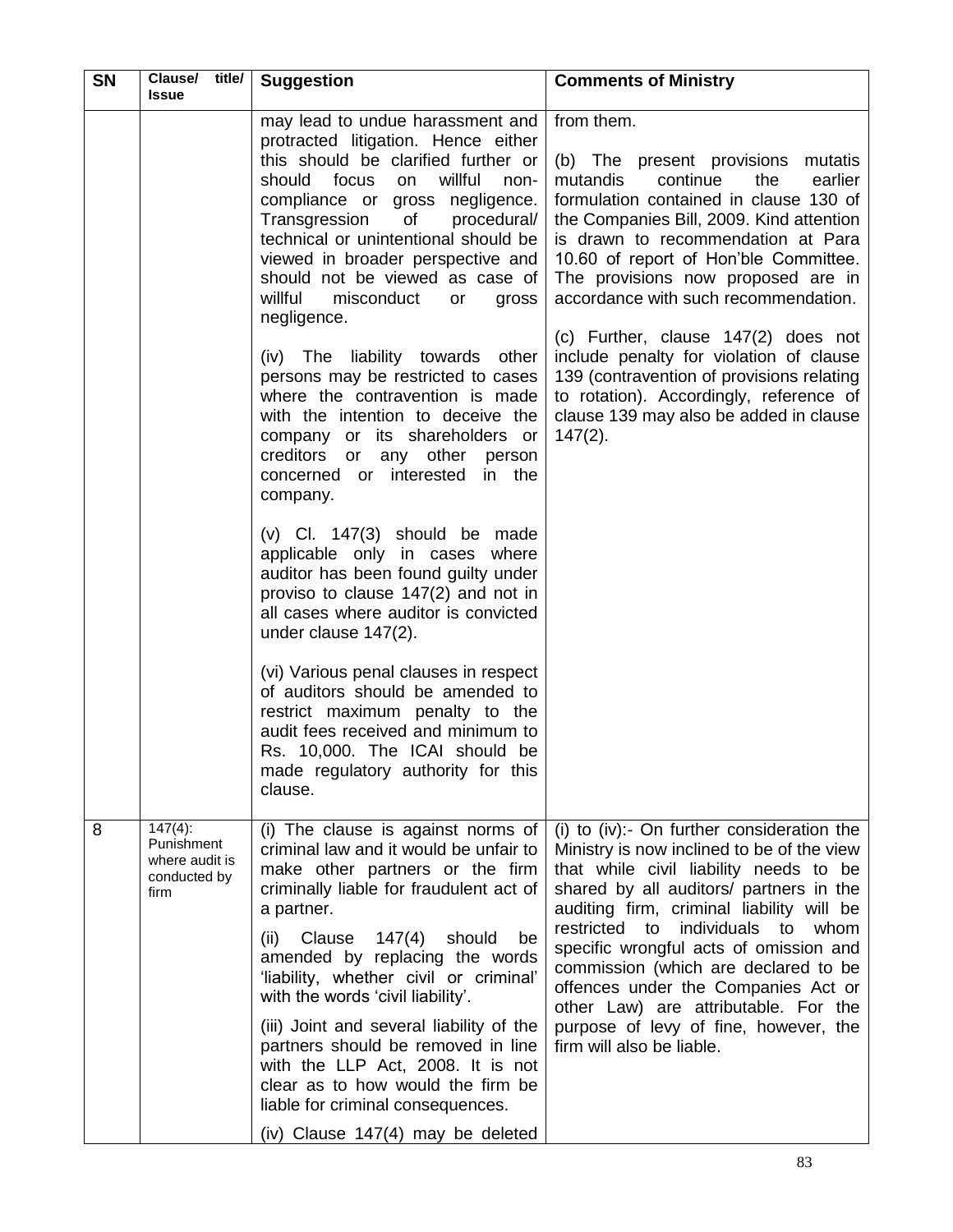| <b>SN</b> | Clause/<br>title/<br><b>Issue</b>                                  | <b>Suggestion</b>                                                                                                                                                                                                                                                                                                                                                                                          | <b>Comments of Ministry</b>                                                                                                                                                                                                                                                                                                                                                                                                            |
|-----------|--------------------------------------------------------------------|------------------------------------------------------------------------------------------------------------------------------------------------------------------------------------------------------------------------------------------------------------------------------------------------------------------------------------------------------------------------------------------------------------|----------------------------------------------------------------------------------------------------------------------------------------------------------------------------------------------------------------------------------------------------------------------------------------------------------------------------------------------------------------------------------------------------------------------------------------|
|           |                                                                    | may lead to undue harassment and<br>protracted litigation. Hence either<br>this should be clarified further or<br>should<br>focus<br>willful<br>on<br>non-<br>compliance or gross negligence.<br>of<br>Transgression<br>procedural/<br>technical or unintentional should be<br>viewed in broader perspective and<br>should not be viewed as case of<br>willful<br>misconduct<br>or<br>gross<br>negligence. | from them.<br>(b) The present provisions mutatis<br>continue<br>the<br>earlier<br>mutandis<br>formulation contained in clause 130 of<br>the Companies Bill, 2009. Kind attention<br>is drawn to recommendation at Para<br>10.60 of report of Hon'ble Committee.<br>The provisions now proposed are in<br>accordance with such recommendation.                                                                                          |
|           |                                                                    | (iv) The liability towards other<br>persons may be restricted to cases<br>where the contravention is made<br>with the intention to deceive the<br>company or its shareholders or<br>creditors or any other person<br>concerned or interested<br>in the<br>company.                                                                                                                                         | (c) Further, clause 147(2) does not<br>include penalty for violation of clause<br>139 (contravention of provisions relating<br>to rotation). Accordingly, reference of<br>clause 139 may also be added in clause<br>$147(2)$ .                                                                                                                                                                                                         |
|           |                                                                    | $(v)$ Cl. 147 $(3)$ should be made<br>applicable only in cases where<br>auditor has been found guilty under<br>proviso to clause 147(2) and not in<br>all cases where auditor is convicted<br>under clause 147(2).                                                                                                                                                                                         |                                                                                                                                                                                                                                                                                                                                                                                                                                        |
|           |                                                                    | (vi) Various penal clauses in respect<br>of auditors should be amended to<br>restrict maximum penalty to the<br>audit fees received and minimum to<br>Rs. 10,000. The ICAI should be<br>made regulatory authority for this<br>clause.                                                                                                                                                                      |                                                                                                                                                                                                                                                                                                                                                                                                                                        |
| 8         | $147(4)$ :<br>Punishment<br>where audit is<br>conducted by<br>firm | (i) The clause is against norms of<br>criminal law and it would be unfair to<br>make other partners or the firm<br>criminally liable for fraudulent act of<br>a partner.<br>Clause<br>147(4)<br>should<br>(ii)<br>be<br>amended by replacing the words<br>'liability, whether civil or criminal'<br>with the words 'civil liability'.                                                                      | (i) to (iv):- On further consideration the<br>Ministry is now inclined to be of the view<br>that while civil liability needs to be<br>shared by all auditors/ partners in the<br>auditing firm, criminal liability will be<br>restricted to<br>individuals to<br>whom<br>specific wrongful acts of omission and<br>commission (which are declared to be<br>offences under the Companies Act or<br>other Law) are attributable. For the |
|           |                                                                    | (iii) Joint and several liability of the<br>partners should be removed in line<br>with the LLP Act, 2008. It is not<br>clear as to how would the firm be<br>liable for criminal consequences.<br>(iv) Clause 147(4) may be deleted                                                                                                                                                                         | purpose of levy of fine, however, the<br>firm will also be liable.                                                                                                                                                                                                                                                                                                                                                                     |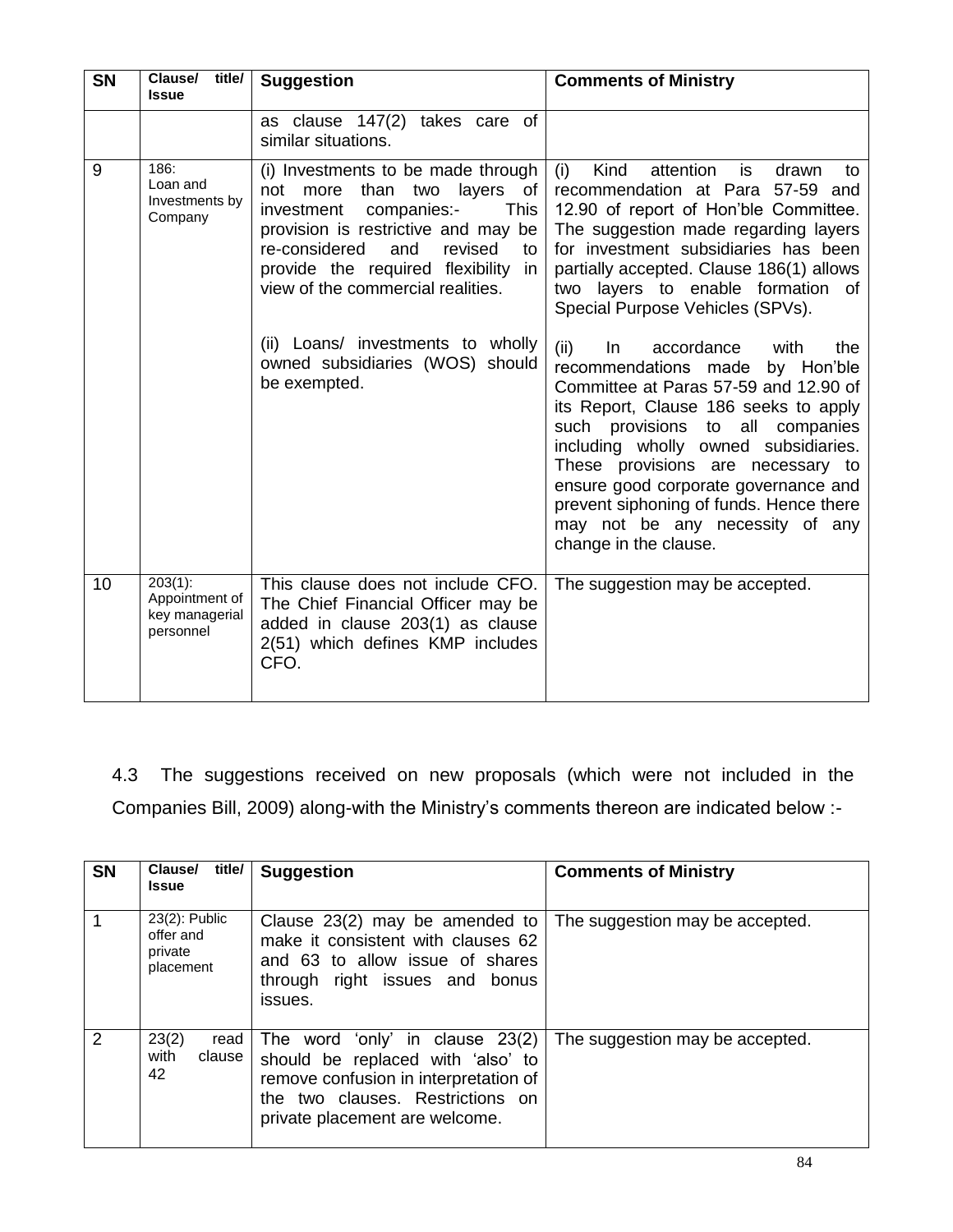| <b>SN</b> | Clause/<br>title/<br><b>Issue</b>                           | <b>Suggestion</b>                                                                                                                                                                                                                                                                                                                                              | <b>Comments of Ministry</b>                                                                                                                                                                                                                                                                                                                                                                                                                                                                                                                                                  |
|-----------|-------------------------------------------------------------|----------------------------------------------------------------------------------------------------------------------------------------------------------------------------------------------------------------------------------------------------------------------------------------------------------------------------------------------------------------|------------------------------------------------------------------------------------------------------------------------------------------------------------------------------------------------------------------------------------------------------------------------------------------------------------------------------------------------------------------------------------------------------------------------------------------------------------------------------------------------------------------------------------------------------------------------------|
|           |                                                             | as clause 147(2) takes care of<br>similar situations.                                                                                                                                                                                                                                                                                                          |                                                                                                                                                                                                                                                                                                                                                                                                                                                                                                                                                                              |
| 9         | 186:<br>Loan and<br>Investments by<br>Company               | (i) Investments to be made through<br>not more than two layers of<br>This<br>companies:-<br>investment<br>provision is restrictive and may be<br>and<br>revised<br>re-considered<br>to<br>provide the required flexibility<br>in.<br>view of the commercial realities.<br>(ii) Loans/ investments to wholly<br>owned subsidiaries (WOS) should<br>be exempted. | Kind<br>attention<br>(i)<br>is<br>drawn<br>to<br>recommendation at Para 57-59 and<br>12.90 of report of Hon'ble Committee.<br>The suggestion made regarding layers<br>for investment subsidiaries has been<br>partially accepted. Clause 186(1) allows<br>two layers to enable formation of<br>Special Purpose Vehicles (SPVs).<br>accordance<br>(ii)<br>with<br>the<br>In.<br>recommendations made by Hon'ble<br>Committee at Paras 57-59 and 12.90 of<br>its Report, Clause 186 seeks to apply<br>such provisions to all companies<br>including wholly owned subsidiaries. |
|           |                                                             |                                                                                                                                                                                                                                                                                                                                                                | These provisions are necessary to<br>ensure good corporate governance and<br>prevent siphoning of funds. Hence there<br>may not be any necessity of any<br>change in the clause.                                                                                                                                                                                                                                                                                                                                                                                             |
| 10        | $203(1)$ :<br>Appointment of<br>key managerial<br>personnel | This clause does not include CFO.<br>The Chief Financial Officer may be<br>added in clause 203(1) as clause<br>2(51) which defines KMP includes<br>CFO.                                                                                                                                                                                                        | The suggestion may be accepted.                                                                                                                                                                                                                                                                                                                                                                                                                                                                                                                                              |

4.3 The suggestions received on new proposals (which were not included in the Companies Bill, 2009) along-with the Ministry's comments thereon are indicated below :-

| <b>SN</b> | title/<br>Clause/<br><b>Issue</b>                  | <b>Suggestion</b>                                                                                                                                                                     | <b>Comments of Ministry</b>     |
|-----------|----------------------------------------------------|---------------------------------------------------------------------------------------------------------------------------------------------------------------------------------------|---------------------------------|
|           | 23(2): Public<br>offer and<br>private<br>placement | Clause $23(2)$ may be amended to<br>make it consistent with clauses 62<br>and 63 to allow issue of shares<br>through right issues and bonus<br>issues.                                | The suggestion may be accepted. |
| 2         | 23(2)<br>read<br>with<br>clause<br>42              | The word 'only' in clause $23(2)$<br>should be replaced with 'also' to<br>remove confusion in interpretation of<br>the two clauses. Restrictions on<br>private placement are welcome. | The suggestion may be accepted. |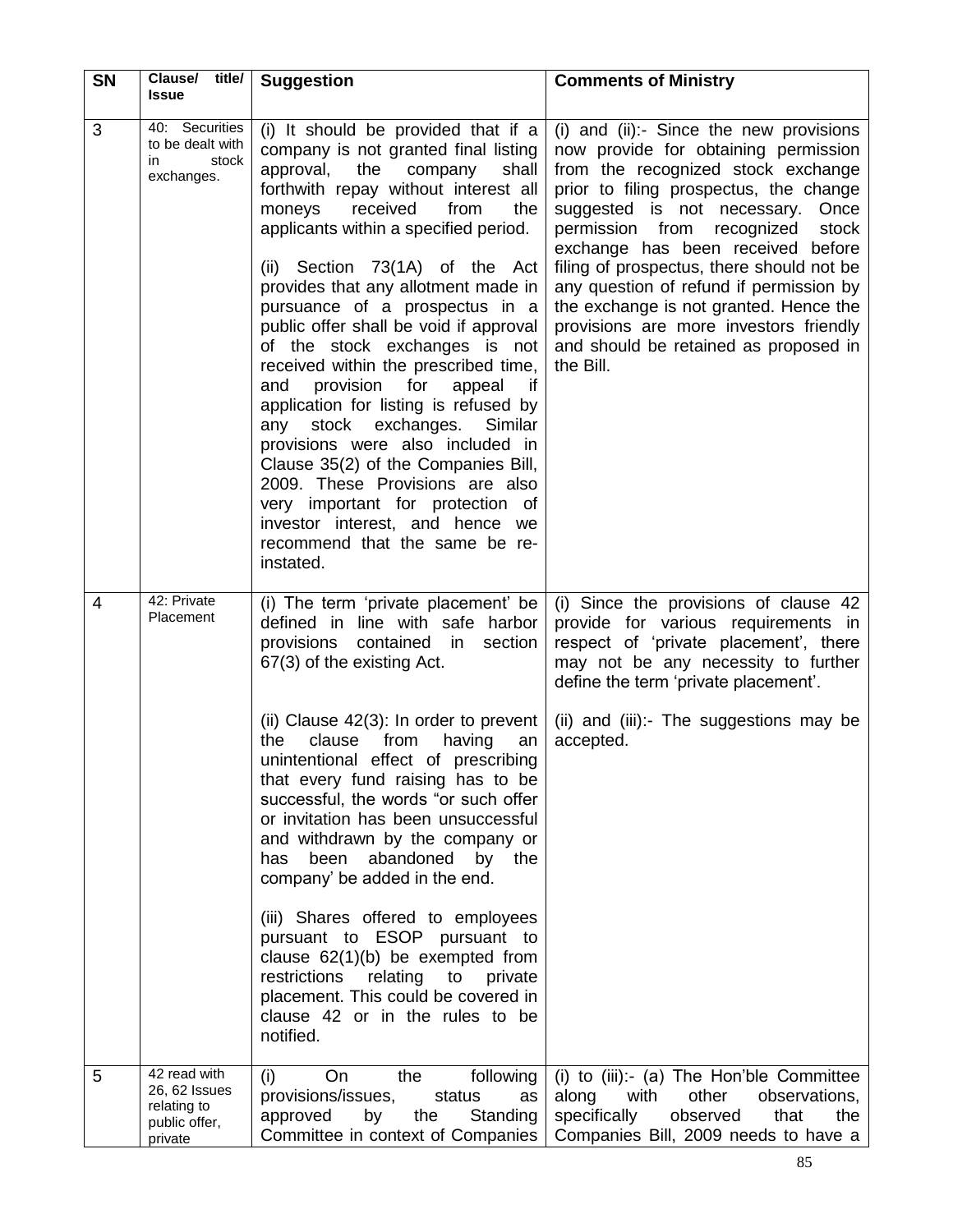| <b>SN</b> | Clause/ title/<br><b>Issue</b>                                           | <b>Suggestion</b>                                                                                                                                                                                                                                                                                                                                                                                                                                                                                                                                                                                                                                                                                                                                                                                                                     | <b>Comments of Ministry</b>                                                                                                                                                                                                                                                                                                                                                                                                                                                                                             |
|-----------|--------------------------------------------------------------------------|---------------------------------------------------------------------------------------------------------------------------------------------------------------------------------------------------------------------------------------------------------------------------------------------------------------------------------------------------------------------------------------------------------------------------------------------------------------------------------------------------------------------------------------------------------------------------------------------------------------------------------------------------------------------------------------------------------------------------------------------------------------------------------------------------------------------------------------|-------------------------------------------------------------------------------------------------------------------------------------------------------------------------------------------------------------------------------------------------------------------------------------------------------------------------------------------------------------------------------------------------------------------------------------------------------------------------------------------------------------------------|
| 3         | 40: Securities<br>to be dealt with<br>stock<br>in<br>exchanges.          | (i) It should be provided that if a<br>company is not granted final listing<br>approval,<br>the<br>company<br>shall<br>forthwith repay without interest all<br>received<br>from<br>moneys<br>the<br>applicants within a specified period.<br>(ii) Section 73(1A) of the Act<br>provides that any allotment made in<br>pursuance of a prospectus in a<br>public offer shall be void if approval<br>of the stock exchanges is not<br>received within the prescribed time,<br>provision for<br>and<br>appeal<br>if<br>application for listing is refused by<br>exchanges.<br>stock<br>Similar<br>any<br>provisions were also included in<br>Clause 35(2) of the Companies Bill,<br>2009. These Provisions are also<br>very important for protection of<br>investor interest, and hence we<br>recommend that the same be re-<br>instated. | (i) and (ii):- Since the new provisions<br>now provide for obtaining permission<br>from the recognized stock exchange<br>prior to filing prospectus, the change<br>suggested is not necessary.<br>Once<br>permission from<br>recognized<br>stock<br>exchange has been received before<br>filing of prospectus, there should not be<br>any question of refund if permission by<br>the exchange is not granted. Hence the<br>provisions are more investors friendly<br>and should be retained as proposed in<br>the Bill. |
| 4         | 42: Private<br>Placement                                                 | (i) The term 'private placement' be<br>defined in line with safe harbor<br>provisions contained<br>section<br>in<br>67(3) of the existing Act.<br>(ii) Clause $42(3)$ : In order to prevent  <br>from<br>clause<br>having<br>the<br>an<br>unintentional effect of prescribing<br>that every fund raising has to be<br>successful, the words "or such offer<br>or invitation has been unsuccessful<br>and withdrawn by the company or<br>abandoned by<br>been<br>the<br>has<br>company' be added in the end.<br>(iii) Shares offered to employees<br>pursuant to ESOP pursuant to<br>clause $62(1)(b)$ be exempted from<br>restrictions<br>relating<br>to<br>private<br>placement. This could be covered in<br>clause 42 or in the rules to be<br>notified.                                                                            | (i) Since the provisions of clause 42<br>provide for various requirements in<br>respect of 'private placement', there<br>may not be any necessity to further<br>define the term 'private placement'.<br>(ii) and (iii):- The suggestions may be<br>accepted.                                                                                                                                                                                                                                                            |
| 5         | 42 read with<br>26, 62 Issues<br>relating to<br>public offer,<br>private | following<br>(i)<br>the<br>On<br>provisions/issues,<br>status<br>as<br>the<br>Standing<br>approved<br>by<br>Committee in context of Companies                                                                                                                                                                                                                                                                                                                                                                                                                                                                                                                                                                                                                                                                                         | (i) to (iii):- (a) The Hon'ble Committee<br>other<br>along<br>with<br>observations,<br>specifically<br>observed<br>that<br>the<br>Companies Bill, 2009 needs to have a                                                                                                                                                                                                                                                                                                                                                  |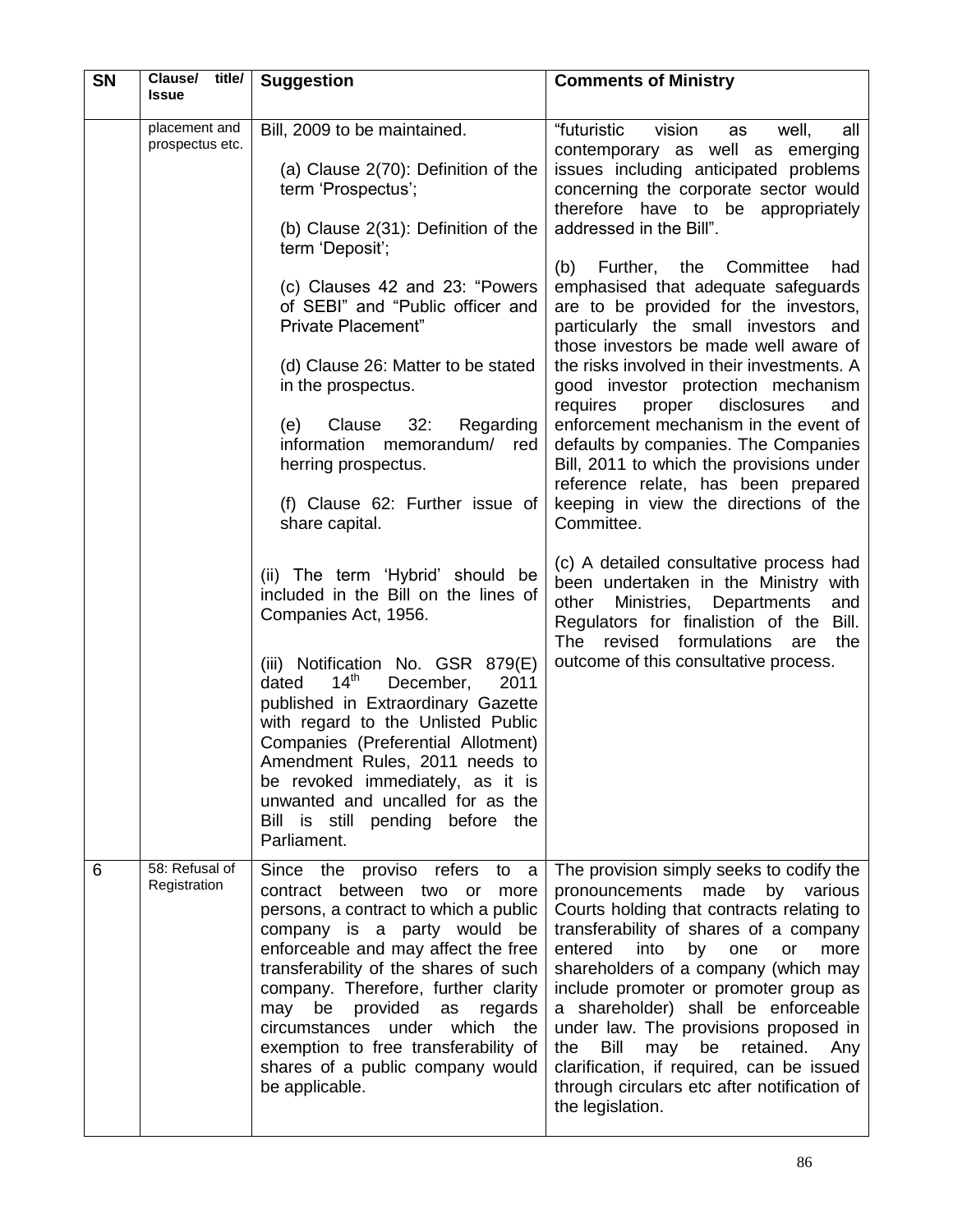| <b>SN</b> | Clause/ title/<br><b>Issue</b>   | <b>Suggestion</b>                                                                                                                                                                                                                                                                                                                                                                                                                          | <b>Comments of Ministry</b>                                                                                                                                                                                                                                                                                                                                                                                                                                                                                                                      |
|-----------|----------------------------------|--------------------------------------------------------------------------------------------------------------------------------------------------------------------------------------------------------------------------------------------------------------------------------------------------------------------------------------------------------------------------------------------------------------------------------------------|--------------------------------------------------------------------------------------------------------------------------------------------------------------------------------------------------------------------------------------------------------------------------------------------------------------------------------------------------------------------------------------------------------------------------------------------------------------------------------------------------------------------------------------------------|
|           | placement and<br>prospectus etc. | Bill, 2009 to be maintained.<br>(a) Clause 2(70): Definition of the<br>term 'Prospectus';                                                                                                                                                                                                                                                                                                                                                  | "futuristic<br>vision<br>all<br>well,<br>as<br>contemporary as well as emerging<br>issues including anticipated problems<br>concerning the corporate sector would                                                                                                                                                                                                                                                                                                                                                                                |
|           |                                  | (b) Clause 2(31): Definition of the<br>term 'Deposit';                                                                                                                                                                                                                                                                                                                                                                                     | therefore have to be appropriately<br>addressed in the Bill".                                                                                                                                                                                                                                                                                                                                                                                                                                                                                    |
|           |                                  | (c) Clauses 42 and 23: "Powers<br>of SEBI" and "Public officer and<br>Private Placement"                                                                                                                                                                                                                                                                                                                                                   | the Committee<br>(b)<br>Further,<br>had<br>emphasised that adequate safeguards<br>are to be provided for the investors,<br>particularly the small investors and<br>those investors be made well aware of                                                                                                                                                                                                                                                                                                                                         |
|           |                                  | (d) Clause 26: Matter to be stated<br>in the prospectus.                                                                                                                                                                                                                                                                                                                                                                                   | the risks involved in their investments. A<br>good investor protection mechanism<br>disclosures<br>requires<br>proper<br>and                                                                                                                                                                                                                                                                                                                                                                                                                     |
|           |                                  | Regarding<br>Clause<br>32:<br>(e)<br>information<br>memorandum/<br>red<br>herring prospectus.                                                                                                                                                                                                                                                                                                                                              | enforcement mechanism in the event of<br>defaults by companies. The Companies<br>Bill, 2011 to which the provisions under<br>reference relate, has been prepared                                                                                                                                                                                                                                                                                                                                                                                 |
|           |                                  | (f) Clause 62: Further issue of<br>share capital.                                                                                                                                                                                                                                                                                                                                                                                          | keeping in view the directions of the<br>Committee.                                                                                                                                                                                                                                                                                                                                                                                                                                                                                              |
|           |                                  | (ii) The term 'Hybrid' should be<br>included in the Bill on the lines of<br>Companies Act, 1956.                                                                                                                                                                                                                                                                                                                                           | (c) A detailed consultative process had<br>been undertaken in the Ministry with<br>other<br>Ministries,<br>Departments<br>and<br>Regulators for finalistion of the Bill.<br>revised formulations<br>The<br>the<br>are                                                                                                                                                                                                                                                                                                                            |
|           |                                  | (iii) Notification No. GSR 879(E)<br>14 <sup>th</sup><br>2011<br>dated<br>December,<br>published in Extraordinary Gazette<br>with regard to the Unlisted Public<br>Companies (Preferential Allotment)<br>Amendment Rules, 2011 needs to<br>be revoked immediately, as it is<br>unwanted and uncalled for as the<br>Bill is still pending before the<br>Parliament.                                                                         | outcome of this consultative process.                                                                                                                                                                                                                                                                                                                                                                                                                                                                                                            |
| 6         | 58: Refusal of<br>Registration   | Since the proviso refers to<br>a a<br>contract between two or more<br>persons, a contract to which a public<br>company is a party would be<br>enforceable and may affect the free<br>transferability of the shares of such<br>company. Therefore, further clarity<br>be provided<br>may<br>as regards<br>circumstances<br>under which<br>the<br>exemption to free transferability of<br>shares of a public company would<br>be applicable. | The provision simply seeks to codify the<br>pronouncements made<br>by various<br>Courts holding that contracts relating to<br>transferability of shares of a company<br>entered<br>into<br>by one<br>more<br>or<br>shareholders of a company (which may<br>include promoter or promoter group as<br>a shareholder) shall be enforceable<br>under law. The provisions proposed in<br>the<br>Bill<br>retained.<br>may<br>be<br>Any<br>clarification, if required, can be issued<br>through circulars etc after notification of<br>the legislation. |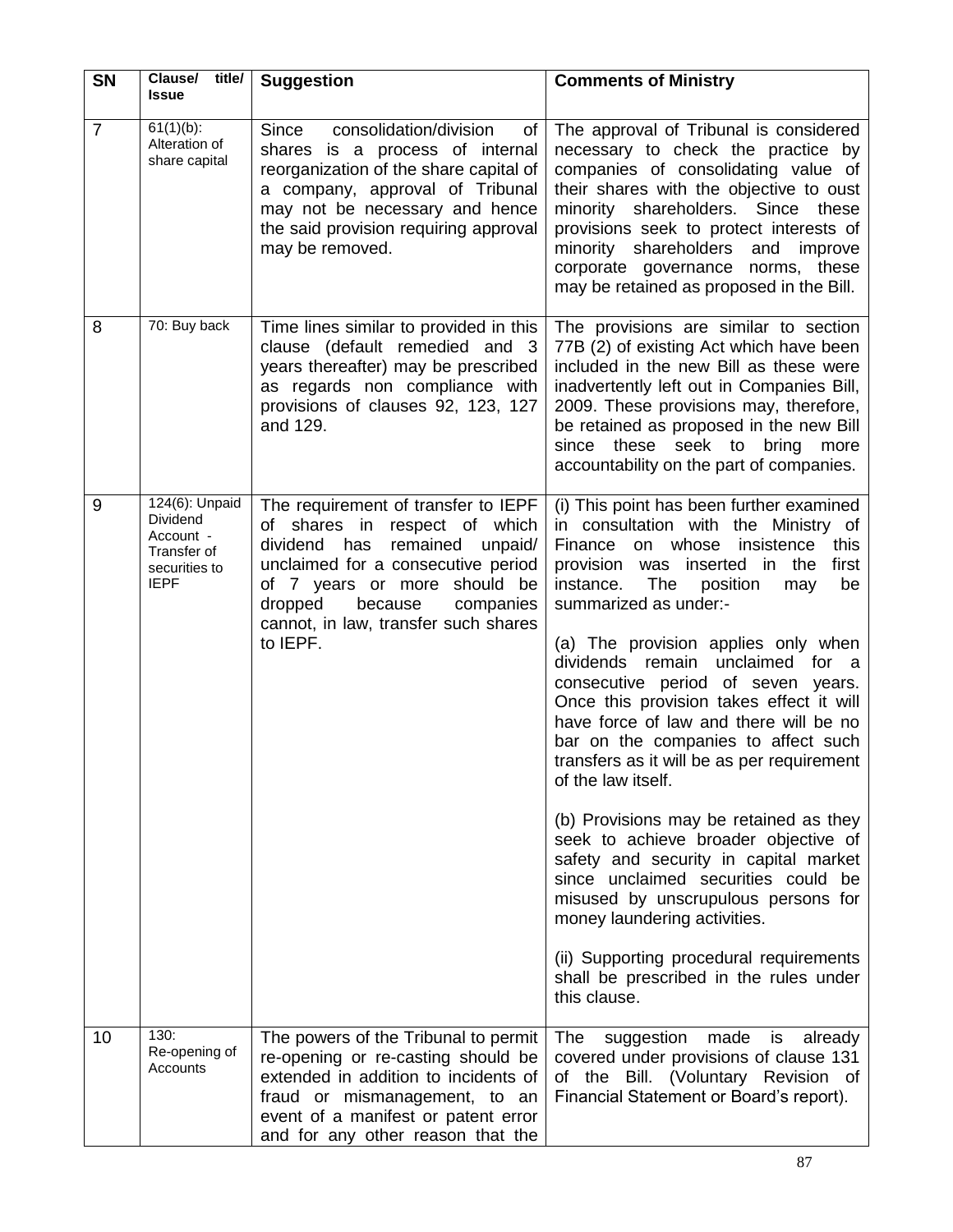| <b>SN</b>      | Clause/<br>title/<br><b>Issue</b>                                                      | <b>Suggestion</b>                                                                                                                                                                                                                                                        | <b>Comments of Ministry</b>                                                                                                                                                                                                                                                                                                                                                                                                                                                                                                                                                                                                                                                                                                                                                                                                                                                                                   |
|----------------|----------------------------------------------------------------------------------------|--------------------------------------------------------------------------------------------------------------------------------------------------------------------------------------------------------------------------------------------------------------------------|---------------------------------------------------------------------------------------------------------------------------------------------------------------------------------------------------------------------------------------------------------------------------------------------------------------------------------------------------------------------------------------------------------------------------------------------------------------------------------------------------------------------------------------------------------------------------------------------------------------------------------------------------------------------------------------------------------------------------------------------------------------------------------------------------------------------------------------------------------------------------------------------------------------|
| $\overline{7}$ | $61(1)(b)$ :<br>Alteration of<br>share capital                                         | consolidation/division<br>Since<br>οf<br>shares is a process of internal<br>reorganization of the share capital of<br>a company, approval of Tribunal<br>may not be necessary and hence<br>the said provision requiring approval<br>may be removed.                      | The approval of Tribunal is considered<br>necessary to check the practice by<br>companies of consolidating value of<br>their shares with the objective to oust<br>minority shareholders. Since these<br>provisions seek to protect interests of<br>minority shareholders and<br>improve<br>corporate governance norms, these<br>may be retained as proposed in the Bill.                                                                                                                                                                                                                                                                                                                                                                                                                                                                                                                                      |
| 8              | 70: Buy back                                                                           | Time lines similar to provided in this<br>clause (default remedied and 3<br>years thereafter) may be prescribed<br>as regards non compliance with<br>provisions of clauses 92, 123, 127<br>and 129.                                                                      | The provisions are similar to section<br>77B (2) of existing Act which have been<br>included in the new Bill as these were<br>inadvertently left out in Companies Bill,<br>2009. These provisions may, therefore,<br>be retained as proposed in the new Bill<br>since these seek to<br>bring<br>more<br>accountability on the part of companies.                                                                                                                                                                                                                                                                                                                                                                                                                                                                                                                                                              |
| 9              | 124(6): Unpaid<br>Dividend<br>Account -<br>Transfer of<br>securities to<br><b>IEPF</b> | The requirement of transfer to IEPF<br>of shares in respect of which<br>dividend has<br>remained<br>unpaid/<br>unclaimed for a consecutive period<br>of 7 years or more should be<br>dropped<br>because<br>companies<br>cannot, in law, transfer such shares<br>to IEPF. | (i) This point has been further examined<br>in consultation with the Ministry of<br>Finance<br>on whose<br>insistence<br>this<br>provision was inserted in the<br>first<br>The<br>position<br>instance.<br>be<br>may<br>summarized as under:-<br>(a) The provision applies only when<br>dividends remain unclaimed for a<br>consecutive period of seven years.<br>Once this provision takes effect it will<br>have force of law and there will be no<br>bar on the companies to affect such<br>transfers as it will be as per requirement<br>of the law itself.<br>(b) Provisions may be retained as they<br>seek to achieve broader objective of<br>safety and security in capital market<br>since unclaimed securities could be<br>misused by unscrupulous persons for<br>money laundering activities.<br>(ii) Supporting procedural requirements<br>shall be prescribed in the rules under<br>this clause. |
| 10             | 130:<br>Re-opening of<br>Accounts                                                      | The powers of the Tribunal to permit<br>re-opening or re-casting should be<br>extended in addition to incidents of<br>fraud or mismanagement, to an<br>event of a manifest or patent error<br>and for any other reason that the                                          | The<br>suggestion made<br>is<br>already<br>covered under provisions of clause 131<br>of the Bill. (Voluntary Revision of<br>Financial Statement or Board's report).                                                                                                                                                                                                                                                                                                                                                                                                                                                                                                                                                                                                                                                                                                                                           |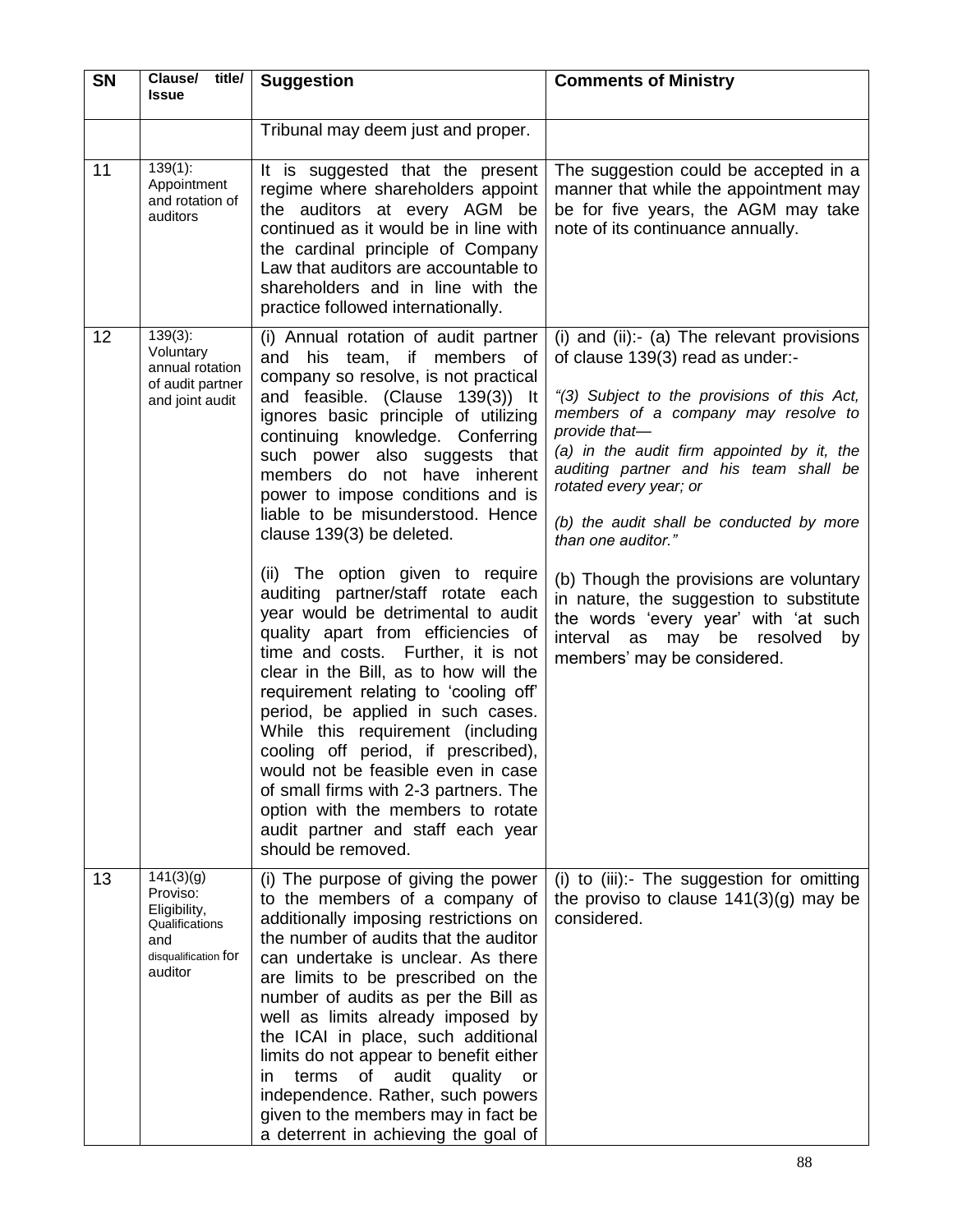| <b>SN</b> | Clause/<br>title/<br><b>Issue</b>                                                                 | <b>Suggestion</b>                                                                                                                                                                                                                                                                                                                                                                                                                                                                                                                                                                                                                                                                                                                                                                                                                                                                                                                                                                 | <b>Comments of Ministry</b>                                                                                                                                                                                                                                                                                                                                                                                                                                                                                                                                                  |
|-----------|---------------------------------------------------------------------------------------------------|-----------------------------------------------------------------------------------------------------------------------------------------------------------------------------------------------------------------------------------------------------------------------------------------------------------------------------------------------------------------------------------------------------------------------------------------------------------------------------------------------------------------------------------------------------------------------------------------------------------------------------------------------------------------------------------------------------------------------------------------------------------------------------------------------------------------------------------------------------------------------------------------------------------------------------------------------------------------------------------|------------------------------------------------------------------------------------------------------------------------------------------------------------------------------------------------------------------------------------------------------------------------------------------------------------------------------------------------------------------------------------------------------------------------------------------------------------------------------------------------------------------------------------------------------------------------------|
|           |                                                                                                   | Tribunal may deem just and proper.                                                                                                                                                                                                                                                                                                                                                                                                                                                                                                                                                                                                                                                                                                                                                                                                                                                                                                                                                |                                                                                                                                                                                                                                                                                                                                                                                                                                                                                                                                                                              |
| 11        | $139(1)$ :<br>Appointment<br>and rotation of<br>auditors                                          | It is suggested that the present<br>regime where shareholders appoint<br>the auditors at every AGM be<br>continued as it would be in line with<br>the cardinal principle of Company<br>Law that auditors are accountable to<br>shareholders and in line with the<br>practice followed internationally.                                                                                                                                                                                                                                                                                                                                                                                                                                                                                                                                                                                                                                                                            | The suggestion could be accepted in a<br>manner that while the appointment may<br>be for five years, the AGM may take<br>note of its continuance annually.                                                                                                                                                                                                                                                                                                                                                                                                                   |
| 12        | $139(3)$ :<br>Voluntary<br>annual rotation<br>of audit partner<br>and joint audit                 | (i) Annual rotation of audit partner<br>and his team, if members of<br>company so resolve, is not practical<br>and feasible. (Clause 139(3)) It<br>ignores basic principle of utilizing<br>continuing knowledge. Conferring<br>such power also suggests that<br>members do not have inherent<br>power to impose conditions and is<br>liable to be misunderstood. Hence<br>clause 139(3) be deleted.<br>(ii) The option given to require<br>auditing partner/staff rotate each<br>year would be detrimental to audit<br>quality apart from efficiencies of<br>time and costs. Further, it is not<br>clear in the Bill, as to how will the<br>requirement relating to 'cooling off'<br>period, be applied in such cases.<br>While this requirement (including<br>cooling off period, if prescribed),<br>would not be feasible even in case<br>of small firms with 2-3 partners. The<br>option with the members to rotate<br>audit partner and staff each year<br>should be removed. | (i) and $(ii): (a)$ The relevant provisions<br>of clause 139(3) read as under:-<br>"(3) Subject to the provisions of this Act,<br>members of a company may resolve to<br>provide that-<br>(a) in the audit firm appointed by it, the<br>auditing partner and his team shall be<br>rotated every year; or<br>(b) the audit shall be conducted by more<br>than one auditor."<br>(b) Though the provisions are voluntary<br>in nature, the suggestion to substitute<br>the words 'every year' with 'at such<br>interval as may be resolved<br>by<br>members' may be considered. |
| 13        | 141(3)(g)<br>Proviso:<br>Eligibility,<br>Qualifications<br>and<br>disqualification for<br>auditor | (i) The purpose of giving the power<br>to the members of a company of<br>additionally imposing restrictions on<br>the number of audits that the auditor<br>can undertake is unclear. As there<br>are limits to be prescribed on the<br>number of audits as per the Bill as<br>well as limits already imposed by<br>the ICAI in place, such additional<br>limits do not appear to benefit either<br>of audit<br>terms<br>quality<br>ın<br>or<br>independence. Rather, such powers<br>given to the members may in fact be<br>a deterrent in achieving the goal of                                                                                                                                                                                                                                                                                                                                                                                                                   | (i) to (iii):- The suggestion for omitting<br>the proviso to clause $141(3)(g)$ may be<br>considered.                                                                                                                                                                                                                                                                                                                                                                                                                                                                        |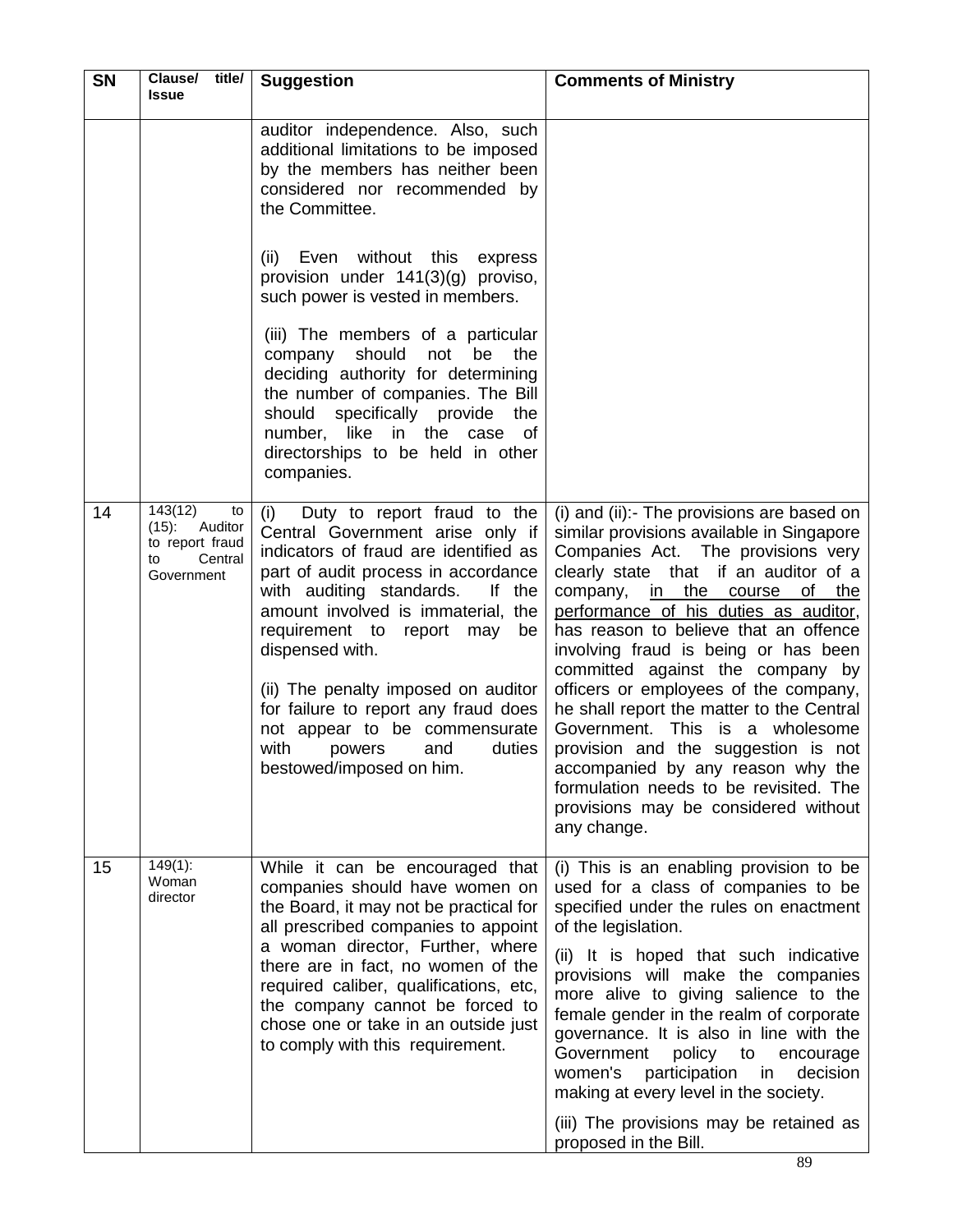| <b>SN</b> | title/<br>Clause/<br><b>Issue</b>                                                      | <b>Suggestion</b>                                                                                                                                                                                                                                                                                                                                                                                                                                                             | <b>Comments of Ministry</b>                                                                                                                                                                                                                                                                                                                                                                                                                                                                                                                                                                                                                                                                                                  |
|-----------|----------------------------------------------------------------------------------------|-------------------------------------------------------------------------------------------------------------------------------------------------------------------------------------------------------------------------------------------------------------------------------------------------------------------------------------------------------------------------------------------------------------------------------------------------------------------------------|------------------------------------------------------------------------------------------------------------------------------------------------------------------------------------------------------------------------------------------------------------------------------------------------------------------------------------------------------------------------------------------------------------------------------------------------------------------------------------------------------------------------------------------------------------------------------------------------------------------------------------------------------------------------------------------------------------------------------|
|           |                                                                                        | auditor independence. Also, such<br>additional limitations to be imposed<br>by the members has neither been<br>considered nor recommended by<br>the Committee.<br>(ii) Even without this<br>express                                                                                                                                                                                                                                                                           |                                                                                                                                                                                                                                                                                                                                                                                                                                                                                                                                                                                                                                                                                                                              |
|           |                                                                                        | provision under 141(3)(g) proviso,<br>such power is vested in members.<br>(iii) The members of a particular<br>should<br>not<br>be<br>company<br>the<br>deciding authority for determining<br>the number of companies. The Bill<br>should<br>specifically provide<br>the<br>number, like in the case<br>of<br>directorships to be held in other                                                                                                                               |                                                                                                                                                                                                                                                                                                                                                                                                                                                                                                                                                                                                                                                                                                                              |
|           |                                                                                        | companies.                                                                                                                                                                                                                                                                                                                                                                                                                                                                    |                                                                                                                                                                                                                                                                                                                                                                                                                                                                                                                                                                                                                                                                                                                              |
| 14        | 143(12)<br>to<br>$(15)$ :<br>Auditor<br>to report fraud<br>Central<br>to<br>Government | Duty to report fraud to the<br>(i)<br>Central Government arise only if<br>indicators of fraud are identified as<br>part of audit process in accordance<br>with auditing standards.<br>lf<br>the<br>amount involved is immaterial, the<br>requirement to<br>report may<br>be<br>dispensed with.<br>(ii) The penalty imposed on auditor<br>for failure to report any fraud does<br>not appear to be commensurate<br>with<br>duties<br>powers<br>and<br>bestowed/imposed on him. | (i) and (ii):- The provisions are based on<br>similar provisions available in Singapore<br>Companies Act. The provisions very<br>clearly state that if an auditor of a<br>company,<br><u>the</u><br><u>in</u><br>course<br>$\overline{\text{of}}$<br>the<br>performance of his duties as auditor,<br>has reason to believe that an offence<br>involving fraud is being or has been<br>committed against the company by<br>officers or employees of the company,<br>he shall report the matter to the Central<br>Government. This is a wholesome<br>provision and the suggestion is not<br>accompanied by any reason why the<br>formulation needs to be revisited. The<br>provisions may be considered without<br>any change. |
| 15        | $149(1)$ :<br>Woman<br>director                                                        | While it can be encouraged that<br>companies should have women on<br>the Board, it may not be practical for<br>all prescribed companies to appoint<br>a woman director, Further, where<br>there are in fact, no women of the<br>required caliber, qualifications, etc,<br>the company cannot be forced to<br>chose one or take in an outside just<br>to comply with this requirement.                                                                                         | (i) This is an enabling provision to be<br>used for a class of companies to be<br>specified under the rules on enactment<br>of the legislation.<br>(ii) It is hoped that such indicative<br>provisions will make the companies<br>more alive to giving salience to the<br>female gender in the realm of corporate<br>governance. It is also in line with the<br>Government<br>policy<br>to<br>encourage<br>participation<br>women's<br>in<br>decision<br>making at every level in the society.<br>(iii) The provisions may be retained as<br>proposed in the Bill.                                                                                                                                                           |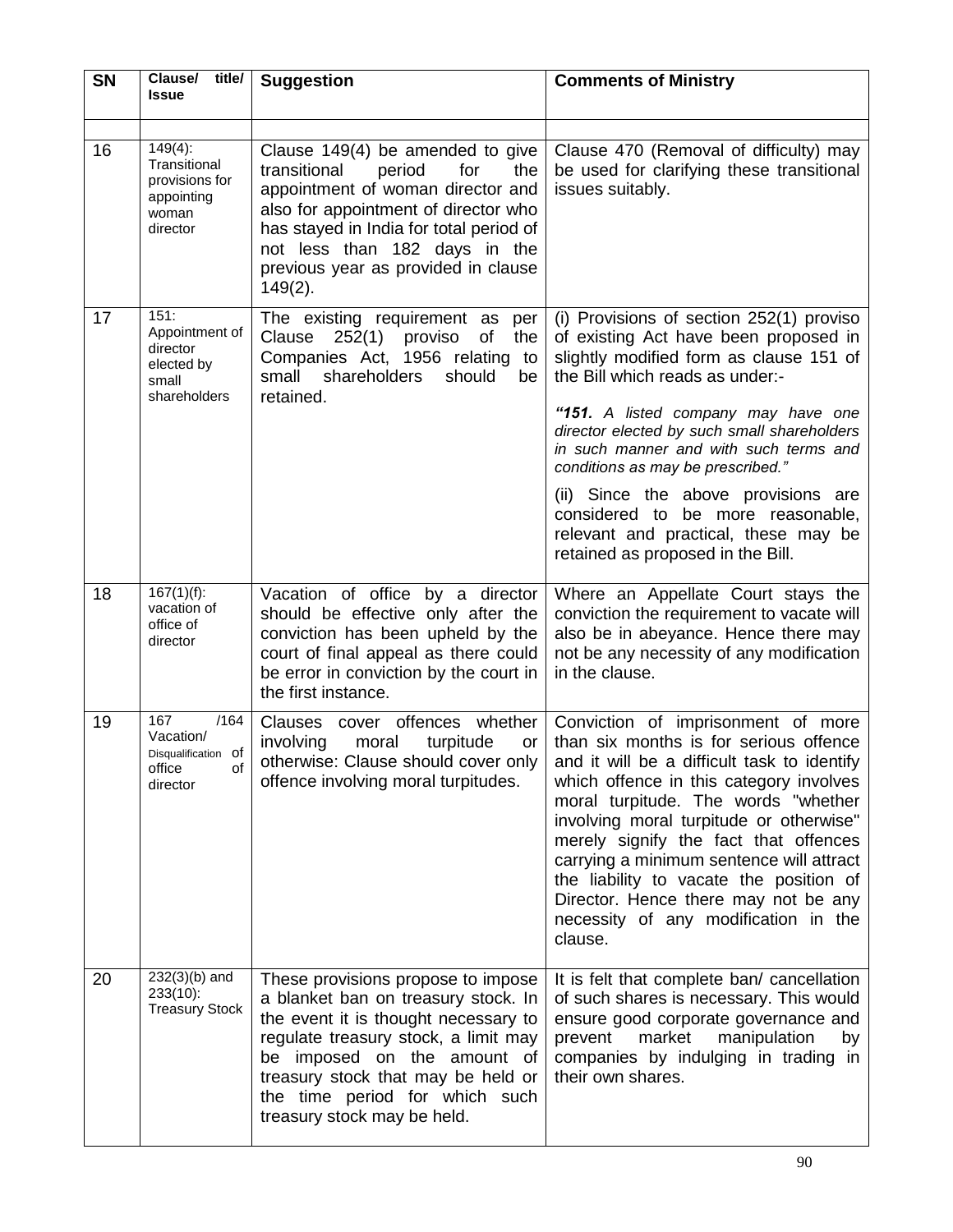| <b>SN</b> | Clause/<br>title/<br><b>Issue</b>                                               | <b>Suggestion</b>                                                                                                                                                                                                                                                                               | <b>Comments of Ministry</b>                                                                                                                                                                                                                                                                                                                                                                                                                                                                   |
|-----------|---------------------------------------------------------------------------------|-------------------------------------------------------------------------------------------------------------------------------------------------------------------------------------------------------------------------------------------------------------------------------------------------|-----------------------------------------------------------------------------------------------------------------------------------------------------------------------------------------------------------------------------------------------------------------------------------------------------------------------------------------------------------------------------------------------------------------------------------------------------------------------------------------------|
| 16        | $149(4)$ :<br>Transitional<br>provisions for<br>appointing<br>woman<br>director | Clause 149(4) be amended to give<br>transitional<br>for<br>period<br>the<br>appointment of woman director and<br>also for appointment of director who<br>has stayed in India for total period of<br>not less than 182 days in the<br>previous year as provided in clause<br>$149(2)$ .          | Clause 470 (Removal of difficulty) may<br>be used for clarifying these transitional<br>issues suitably.                                                                                                                                                                                                                                                                                                                                                                                       |
| 17        | 151:<br>Appointment of<br>director<br>elected by<br>small<br>shareholders       | The existing requirement as<br>per<br>Clause<br>252(1) proviso<br>of<br>the<br>Companies Act, 1956 relating<br>to<br>small<br>shareholders<br>should<br>be<br>retained.                                                                                                                         | (i) Provisions of section 252(1) proviso<br>of existing Act have been proposed in<br>slightly modified form as clause 151 of<br>the Bill which reads as under:-<br>"151. A listed company may have one<br>director elected by such small shareholders<br>in such manner and with such terms and<br>conditions as may be prescribed."<br>(ii) Since the above provisions are<br>considered to be more reasonable,<br>relevant and practical, these may be<br>retained as proposed in the Bill. |
| 18        | $\overline{167(1)}(f)$ :<br>vacation of<br>office of<br>director                | Vacation of office by a director<br>should be effective only after the<br>conviction has been upheld by the<br>court of final appeal as there could<br>be error in conviction by the court in<br>the first instance.                                                                            | Where an Appellate Court stays the<br>conviction the requirement to vacate will<br>also be in abeyance. Hence there may<br>not be any necessity of any modification<br>in the clause.                                                                                                                                                                                                                                                                                                         |
| 19        | 167<br>/164<br>Vacation/<br>Disqualification Of<br>office<br>οf<br>director     | Clauses<br>cover offences whether<br>involving<br>moral<br>turpitude<br>or<br>otherwise: Clause should cover only  <br>offence involving moral turpitudes.                                                                                                                                      | Conviction of imprisonment of more<br>than six months is for serious offence<br>and it will be a difficult task to identify<br>which offence in this category involves<br>moral turpitude. The words "whether<br>involving moral turpitude or otherwise"<br>merely signify the fact that offences<br>carrying a minimum sentence will attract<br>the liability to vacate the position of<br>Director. Hence there may not be any<br>necessity of any modification in the<br>clause.           |
| 20        | $232(3)(b)$ and<br>$233(10)$ :<br><b>Treasury Stock</b>                         | These provisions propose to impose<br>a blanket ban on treasury stock. In<br>the event it is thought necessary to<br>regulate treasury stock, a limit may<br>be imposed on the amount of<br>treasury stock that may be held or<br>the time period for which such<br>treasury stock may be held. | It is felt that complete ban/ cancellation<br>of such shares is necessary. This would<br>ensure good corporate governance and<br>market<br>prevent<br>manipulation<br>by<br>companies by indulging in trading in<br>their own shares.                                                                                                                                                                                                                                                         |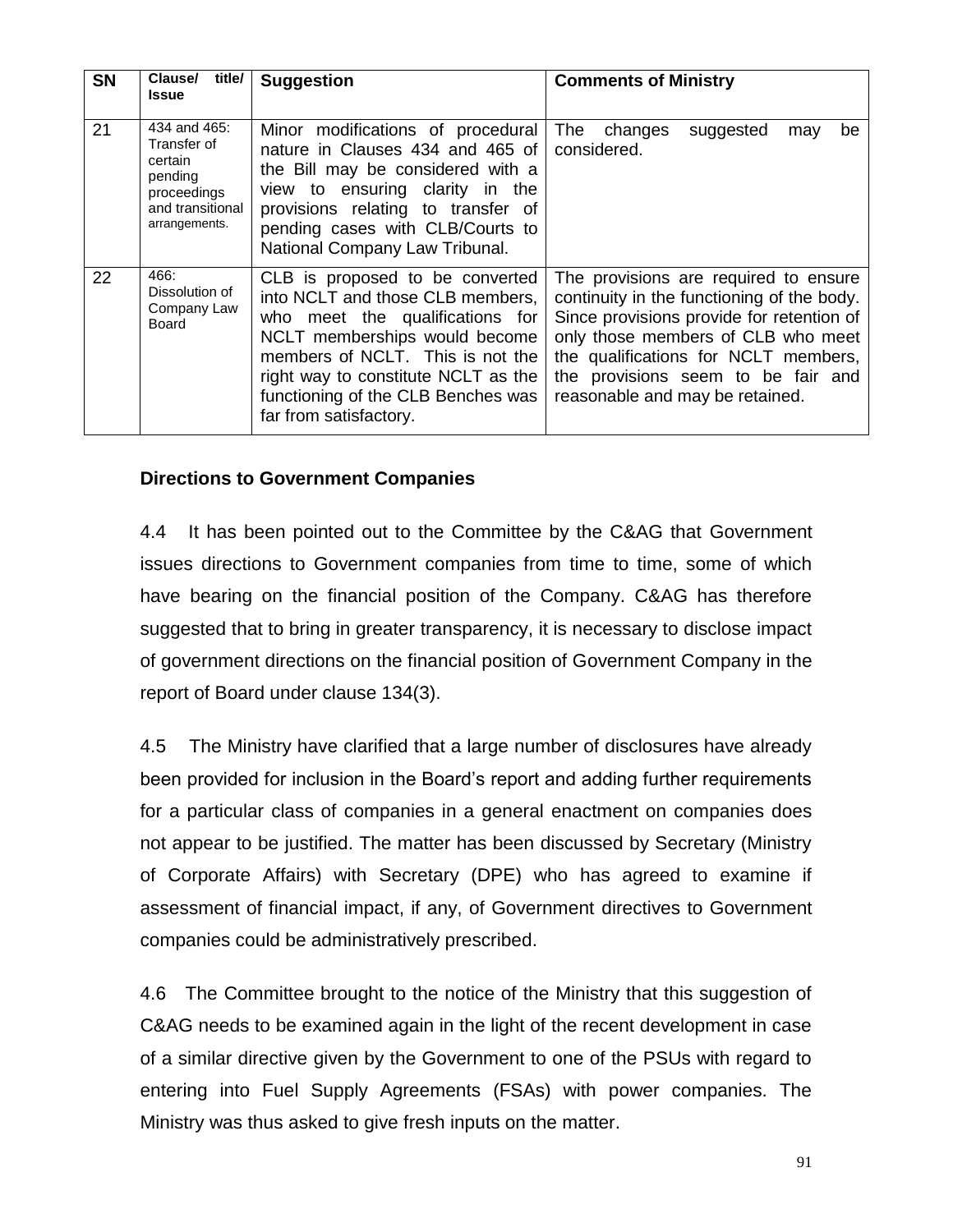| <b>SN</b> | title/<br><b>Clause/</b><br><b>Issue</b>                                                              | <b>Suggestion</b>                                                                                                                                                                                                                                                                  | <b>Comments of Ministry</b>                                                                                                                                                                                                                                                             |
|-----------|-------------------------------------------------------------------------------------------------------|------------------------------------------------------------------------------------------------------------------------------------------------------------------------------------------------------------------------------------------------------------------------------------|-----------------------------------------------------------------------------------------------------------------------------------------------------------------------------------------------------------------------------------------------------------------------------------------|
| 21        | 434 and 465:<br>Transfer of<br>certain<br>pending<br>proceedings<br>and transitional<br>arrangements. | Minor modifications of procedural<br>nature in Clauses 434 and 465 of<br>the Bill may be considered with a<br>view to ensuring clarity in the<br>provisions relating to transfer of<br>pending cases with CLB/Courts to<br>National Company Law Tribunal.                          | The<br>changes<br>suggested<br>be<br>may<br>considered.                                                                                                                                                                                                                                 |
| 22        | 466:<br>Dissolution of<br>Company Law<br>Board                                                        | CLB is proposed to be converted<br>into NCLT and those CLB members,<br>who meet the qualifications for<br>NCLT memberships would become<br>members of NCLT. This is not the<br>right way to constitute NCLT as the<br>functioning of the CLB Benches was<br>far from satisfactory. | The provisions are required to ensure<br>continuity in the functioning of the body.<br>Since provisions provide for retention of<br>only those members of CLB who meet<br>the qualifications for NCLT members,<br>the provisions seem to be fair and<br>reasonable and may be retained. |

## **Directions to Government Companies**

4.4 It has been pointed out to the Committee by the C&AG that Government issues directions to Government companies from time to time, some of which have bearing on the financial position of the Company. C&AG has therefore suggested that to bring in greater transparency, it is necessary to disclose impact of government directions on the financial position of Government Company in the report of Board under clause 134(3).

4.5 The Ministry have clarified that a large number of disclosures have already been provided for inclusion in the Board's report and adding further requirements for a particular class of companies in a general enactment on companies does not appear to be justified. The matter has been discussed by Secretary (Ministry of Corporate Affairs) with Secretary (DPE) who has agreed to examine if assessment of financial impact, if any, of Government directives to Government companies could be administratively prescribed.

4.6 The Committee brought to the notice of the Ministry that this suggestion of C&AG needs to be examined again in the light of the recent development in case of a similar directive given by the Government to one of the PSUs with regard to entering into Fuel Supply Agreements (FSAs) with power companies. The Ministry was thus asked to give fresh inputs on the matter.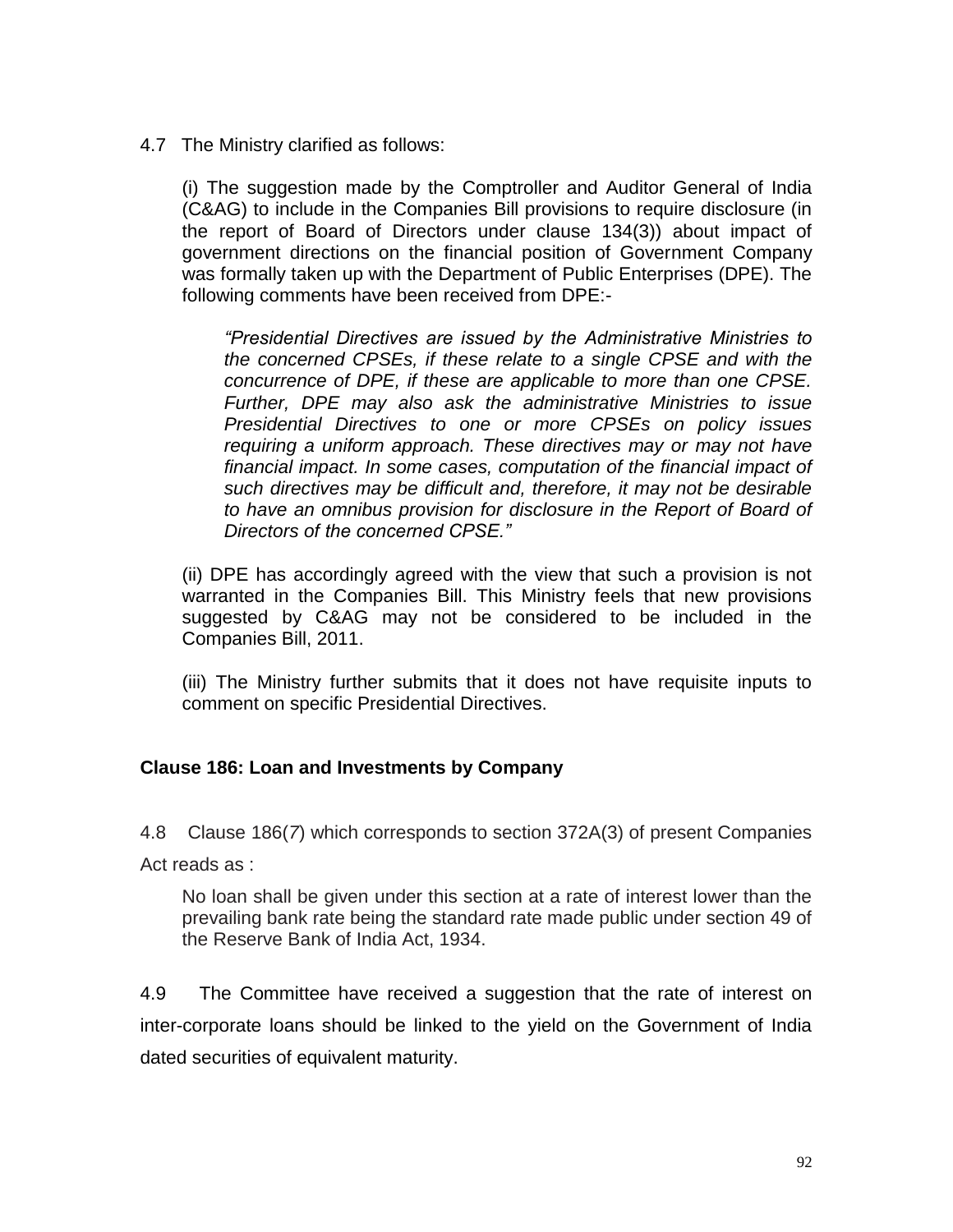4.7 The Ministry clarified as follows:

(i) The suggestion made by the Comptroller and Auditor General of India (C&AG) to include in the Companies Bill provisions to require disclosure (in the report of Board of Directors under clause 134(3)) about impact of government directions on the financial position of Government Company was formally taken up with the Department of Public Enterprises (DPE). The following comments have been received from DPE:-

*―Presidential Directives are issued by the Administrative Ministries to the concerned CPSEs, if these relate to a single CPSE and with the concurrence of DPE, if these are applicable to more than one CPSE. Further, DPE may also ask the administrative Ministries to issue Presidential Directives to one or more CPSEs on policy issues requiring a uniform approach. These directives may or may not have financial impact. In some cases, computation of the financial impact of such directives may be difficult and, therefore, it may not be desirable to have an omnibus provision for disclosure in the Report of Board of Directors of the concerned CPSE.‖* 

(ii) DPE has accordingly agreed with the view that such a provision is not warranted in the Companies Bill. This Ministry feels that new provisions suggested by C&AG may not be considered to be included in the Companies Bill, 2011.

(iii) The Ministry further submits that it does not have requisite inputs to comment on specific Presidential Directives.

## **Clause 186: Loan and Investments by Company**

4.8 Clause 186(*7*) which corresponds to section 372A(3) of present Companies Act reads as :

No loan shall be given under this section at a rate of interest lower than the prevailing bank rate being the standard rate made public under section 49 of the Reserve Bank of India Act, 1934.

4.9 The Committee have received a suggestion that the rate of interest on inter-corporate loans should be linked to the yield on the Government of India dated securities of equivalent maturity.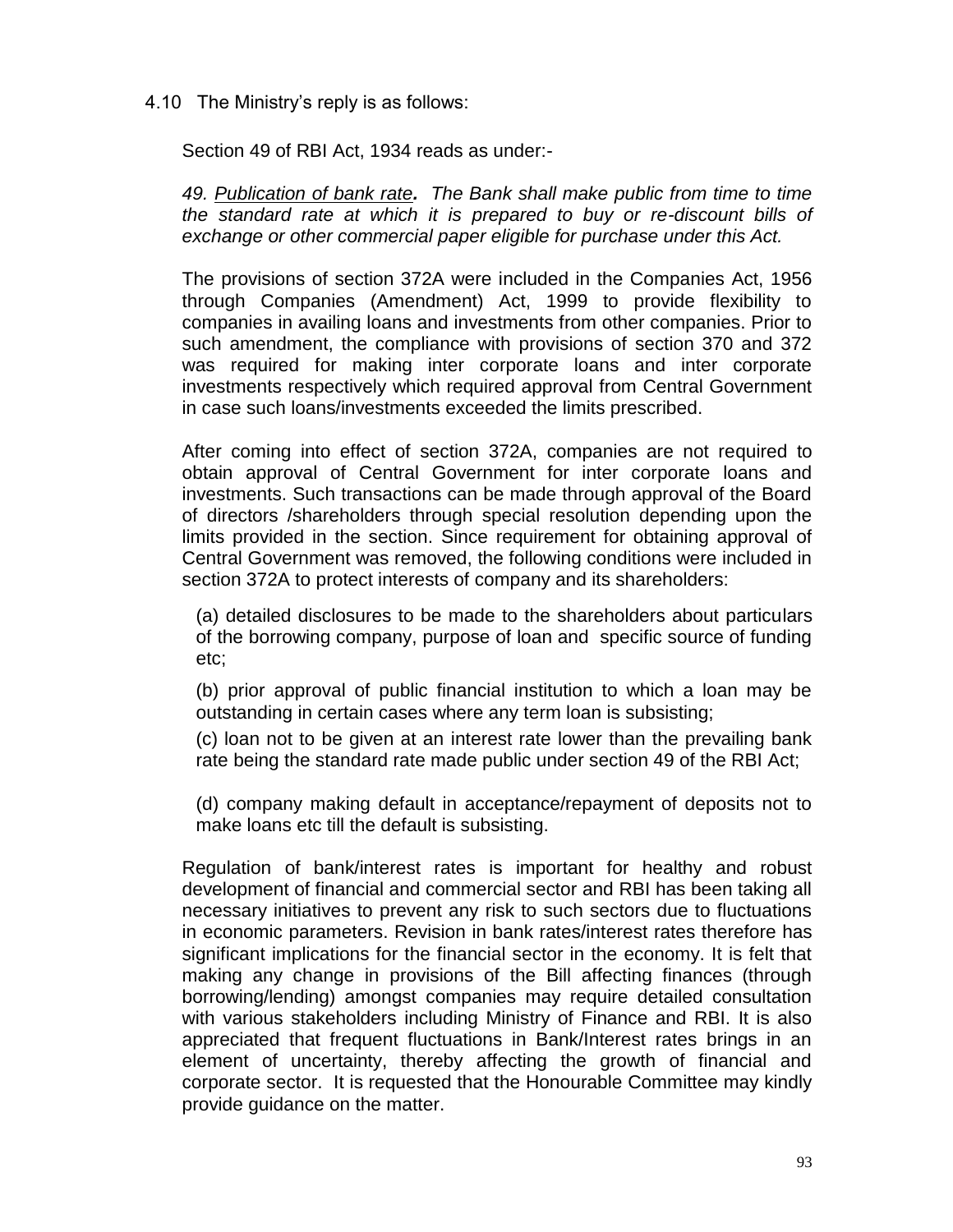4.10 The Ministry's reply is as follows:

Section 49 of RBI Act, 1934 reads as under:-

*49. Publication of bank rate. The Bank shall make public from time to time the standard rate at which it is prepared to buy or re-discount bills of exchange or other commercial paper eligible for purchase under this Act.* 

The provisions of section 372A were included in the Companies Act, 1956 through Companies (Amendment) Act, 1999 to provide flexibility to companies in availing loans and investments from other companies. Prior to such amendment, the compliance with provisions of section 370 and 372 was required for making inter corporate loans and inter corporate investments respectively which required approval from Central Government in case such loans/investments exceeded the limits prescribed.

After coming into effect of section 372A, companies are not required to obtain approval of Central Government for inter corporate loans and investments. Such transactions can be made through approval of the Board of directors /shareholders through special resolution depending upon the limits provided in the section. Since requirement for obtaining approval of Central Government was removed, the following conditions were included in section 372A to protect interests of company and its shareholders:

(a) detailed disclosures to be made to the shareholders about particulars of the borrowing company, purpose of loan and specific source of funding etc;

(b) prior approval of public financial institution to which a loan may be outstanding in certain cases where any term loan is subsisting;

(c) loan not to be given at an interest rate lower than the prevailing bank rate being the standard rate made public under section 49 of the RBI Act;

(d) company making default in acceptance/repayment of deposits not to make loans etc till the default is subsisting.

Regulation of bank/interest rates is important for healthy and robust development of financial and commercial sector and RBI has been taking all necessary initiatives to prevent any risk to such sectors due to fluctuations in economic parameters. Revision in bank rates/interest rates therefore has significant implications for the financial sector in the economy. It is felt that making any change in provisions of the Bill affecting finances (through borrowing/lending) amongst companies may require detailed consultation with various stakeholders including Ministry of Finance and RBI. It is also appreciated that frequent fluctuations in Bank/Interest rates brings in an element of uncertainty, thereby affecting the growth of financial and corporate sector. It is requested that the Honourable Committee may kindly provide guidance on the matter.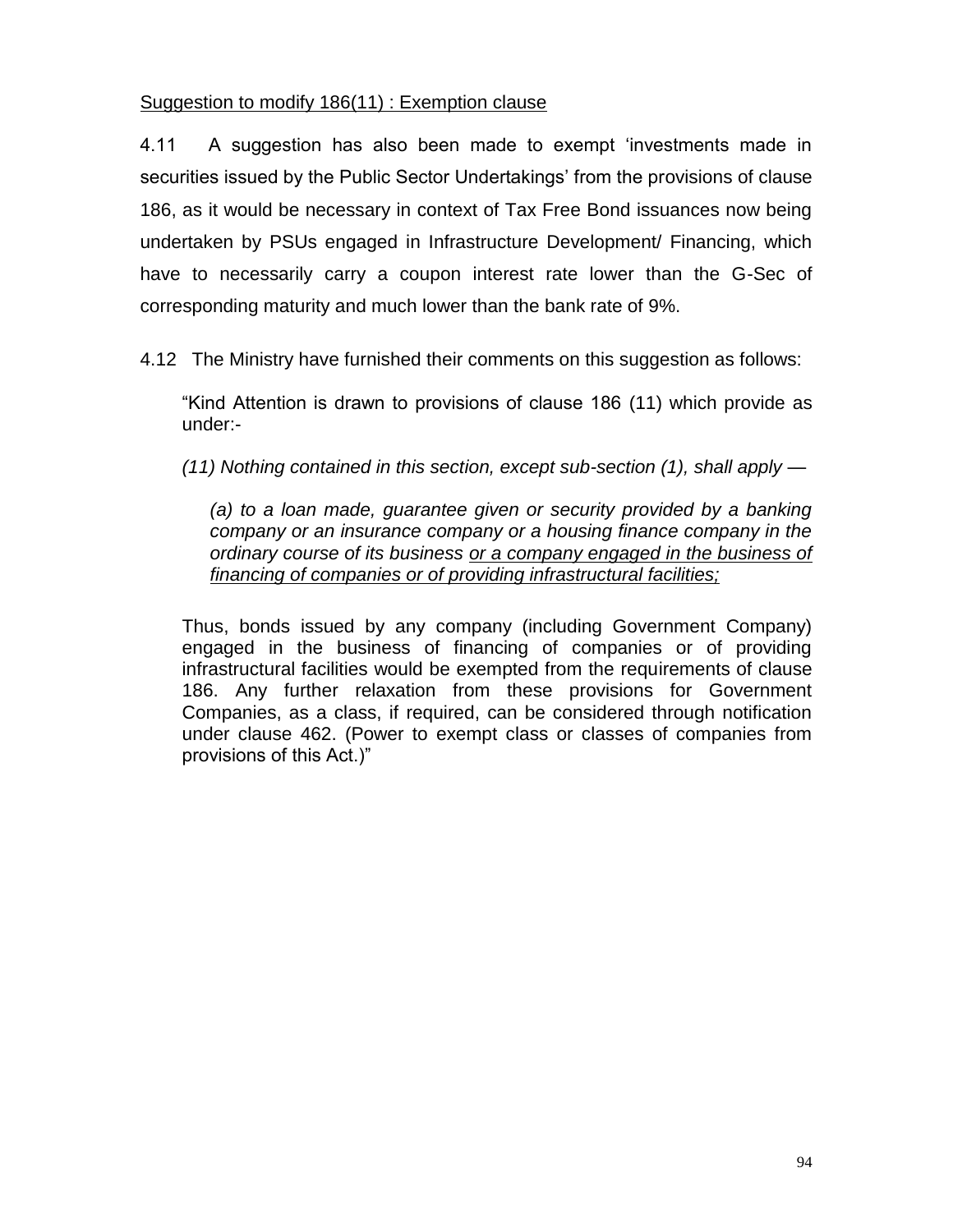Suggestion to modify 186(11) : Exemption clause

4.11 A suggestion has also been made to exempt 'investments made in securities issued by the Public Sector Undertakings' from the provisions of clause 186, as it would be necessary in context of Tax Free Bond issuances now being undertaken by PSUs engaged in Infrastructure Development/ Financing, which have to necessarily carry a coupon interest rate lower than the G-Sec of corresponding maturity and much lower than the bank rate of 9%.

4.12 The Ministry have furnished their comments on this suggestion as follows:

―Kind Attention is drawn to provisions of clause 186 (11) which provide as under:-

*(11) Nothing contained in this section, except sub-section (1), shall apply —*

*(a) to a loan made, guarantee given or security provided by a banking company or an insurance company or a housing finance company in the ordinary course of its business or a company engaged in the business of financing of companies or of providing infrastructural facilities;*

Thus, bonds issued by any company (including Government Company) engaged in the business of financing of companies or of providing infrastructural facilities would be exempted from the requirements of clause 186. Any further relaxation from these provisions for Government Companies, as a class, if required, can be considered through notification under clause 462. (Power to exempt class or classes of companies from provisions of this Act.)"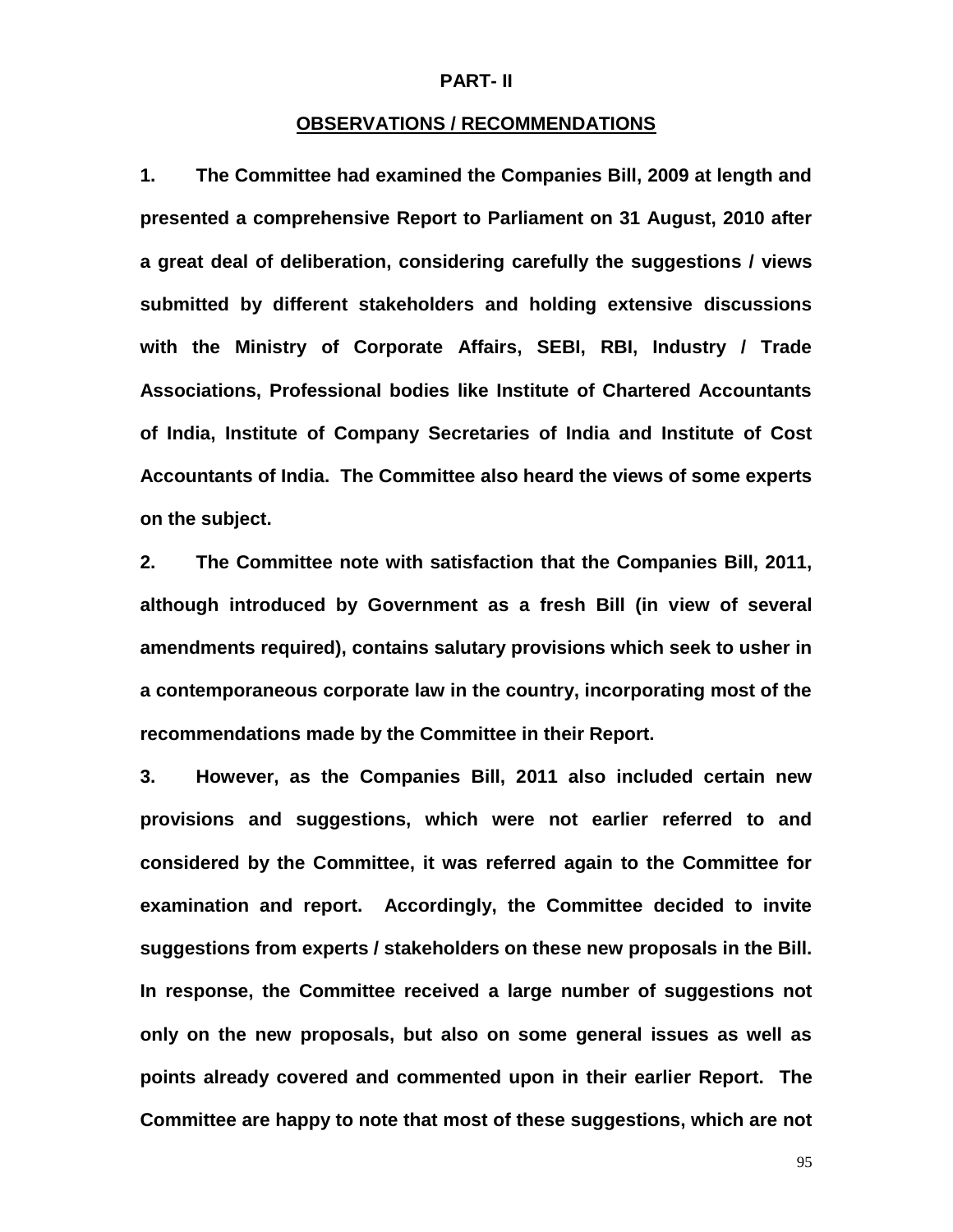#### **PART- II**

#### **OBSERVATIONS / RECOMMENDATIONS**

**1. The Committee had examined the Companies Bill, 2009 at length and presented a comprehensive Report to Parliament on 31 August, 2010 after a great deal of deliberation, considering carefully the suggestions / views submitted by different stakeholders and holding extensive discussions with the Ministry of Corporate Affairs, SEBI, RBI, Industry / Trade Associations, Professional bodies like Institute of Chartered Accountants of India, Institute of Company Secretaries of India and Institute of Cost Accountants of India. The Committee also heard the views of some experts on the subject.**

**2. The Committee note with satisfaction that the Companies Bill, 2011, although introduced by Government as a fresh Bill (in view of several amendments required), contains salutary provisions which seek to usher in a contemporaneous corporate law in the country, incorporating most of the recommendations made by the Committee in their Report.** 

**3. However, as the Companies Bill, 2011 also included certain new provisions and suggestions, which were not earlier referred to and considered by the Committee, it was referred again to the Committee for examination and report. Accordingly, the Committee decided to invite suggestions from experts / stakeholders on these new proposals in the Bill. In response, the Committee received a large number of suggestions not only on the new proposals, but also on some general issues as well as points already covered and commented upon in their earlier Report. The Committee are happy to note that most of these suggestions, which are not**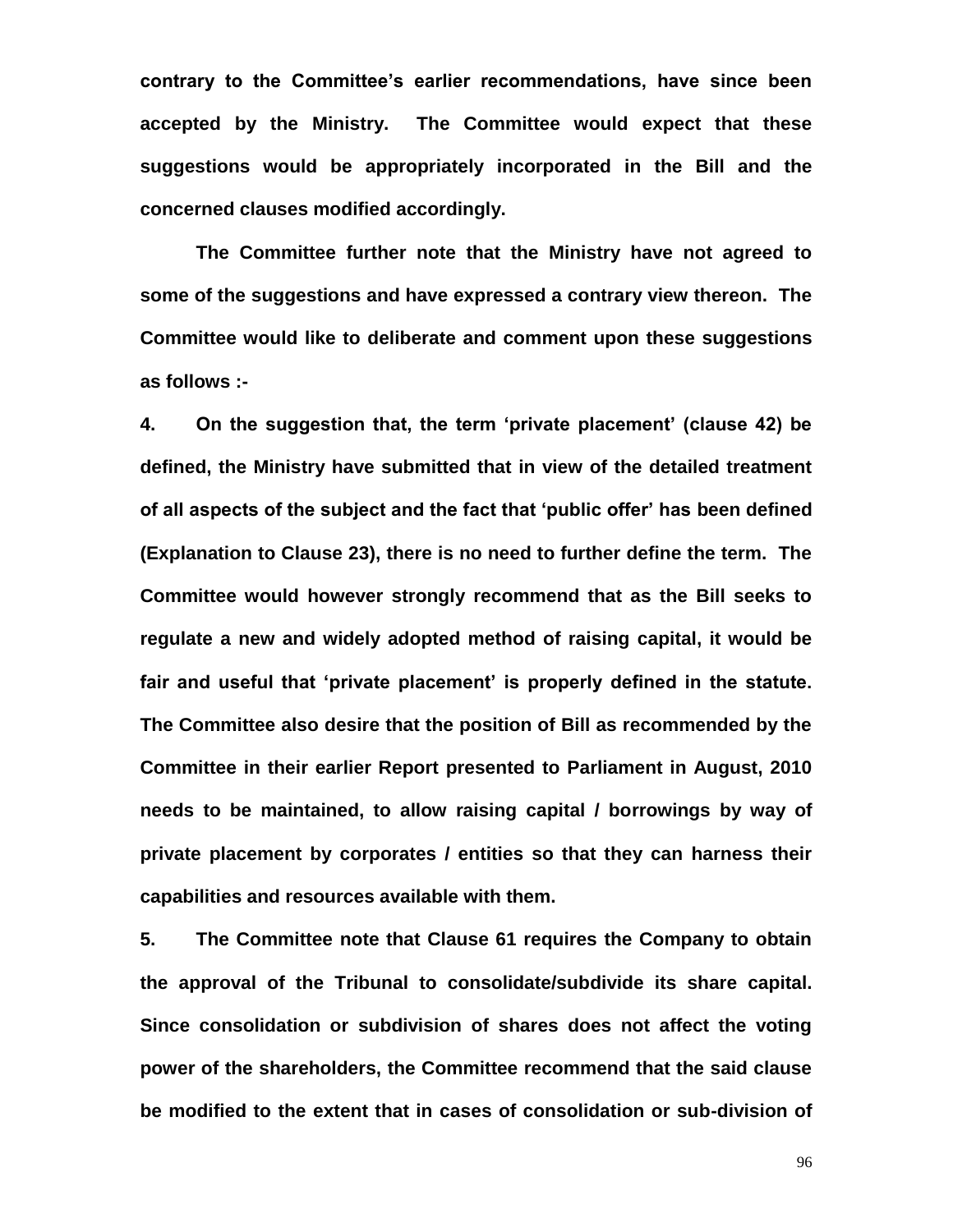**contrary to the Committee"s earlier recommendations, have since been accepted by the Ministry. The Committee would expect that these suggestions would be appropriately incorporated in the Bill and the concerned clauses modified accordingly.**

**The Committee further note that the Ministry have not agreed to some of the suggestions and have expressed a contrary view thereon. The Committee would like to deliberate and comment upon these suggestions as follows :-**

**4. On the suggestion that, the term "private placement" (clause 42) be defined, the Ministry have submitted that in view of the detailed treatment of all aspects of the subject and the fact that "public offer" has been defined (Explanation to Clause 23), there is no need to further define the term. The Committee would however strongly recommend that as the Bill seeks to regulate a new and widely adopted method of raising capital, it would be fair and useful that "private placement" is properly defined in the statute. The Committee also desire that the position of Bill as recommended by the Committee in their earlier Report presented to Parliament in August, 2010 needs to be maintained, to allow raising capital / borrowings by way of private placement by corporates / entities so that they can harness their capabilities and resources available with them.**

**5. The Committee note that Clause 61 requires the Company to obtain the approval of the Tribunal to consolidate/subdivide its share capital. Since consolidation or subdivision of shares does not affect the voting power of the shareholders, the Committee recommend that the said clause be modified to the extent that in cases of consolidation or sub-division of**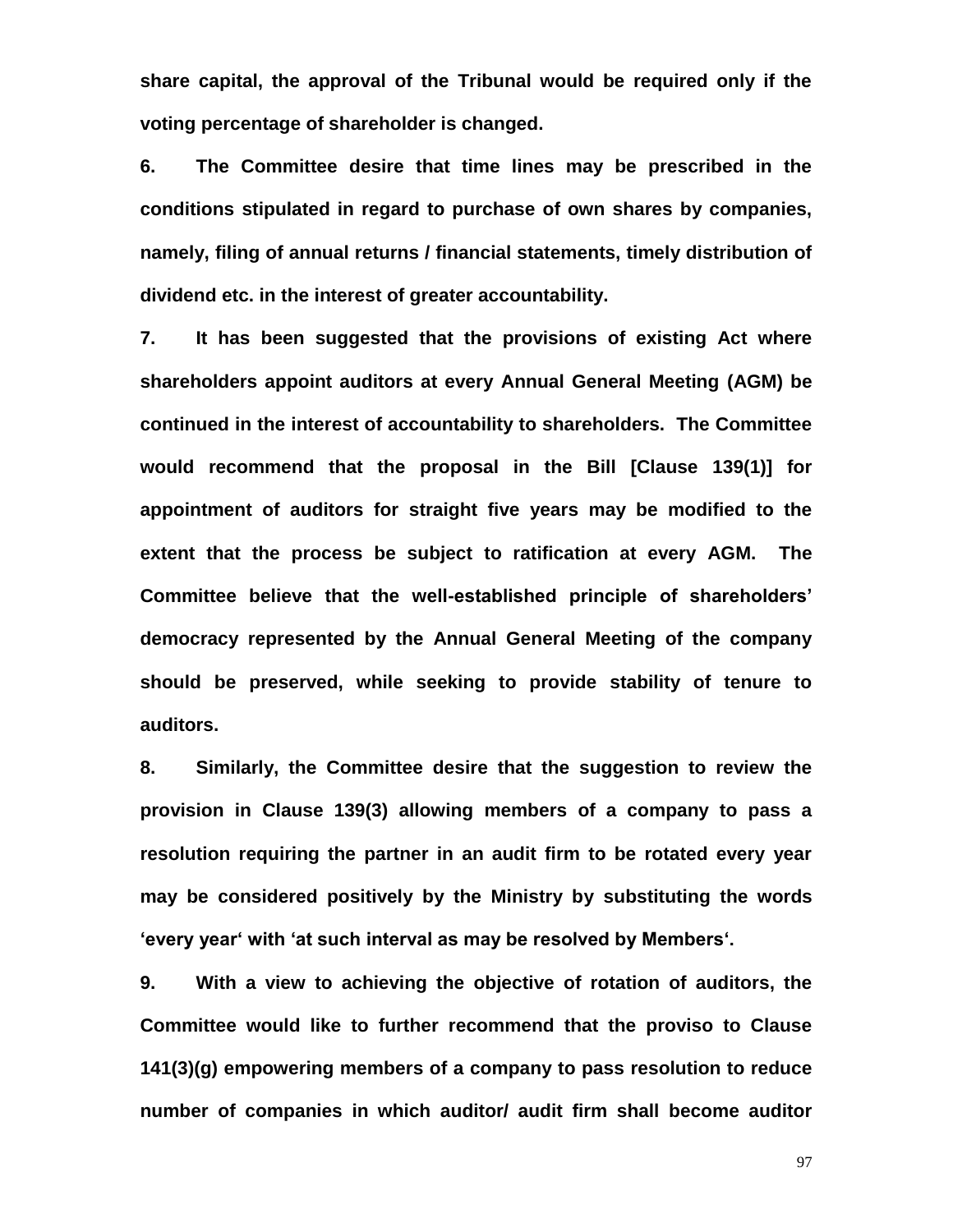**share capital, the approval of the Tribunal would be required only if the voting percentage of shareholder is changed.**

**6. The Committee desire that time lines may be prescribed in the conditions stipulated in regard to purchase of own shares by companies, namely, filing of annual returns / financial statements, timely distribution of dividend etc. in the interest of greater accountability.**

**7. It has been suggested that the provisions of existing Act where shareholders appoint auditors at every Annual General Meeting (AGM) be continued in the interest of accountability to shareholders. The Committee would recommend that the proposal in the Bill [Clause 139(1)] for appointment of auditors for straight five years may be modified to the extent that the process be subject to ratification at every AGM. The Committee believe that the well-established principle of shareholders" democracy represented by the Annual General Meeting of the company should be preserved, while seeking to provide stability of tenure to auditors.**

**8. Similarly, the Committee desire that the suggestion to review the provision in Clause 139(3) allowing members of a company to pass a resolution requiring the partner in an audit firm to be rotated every year may be considered positively by the Ministry by substituting the words "every year" with "at such interval as may be resolved by Members".**

**9. With a view to achieving the objective of rotation of auditors, the Committee would like to further recommend that the proviso to Clause 141(3)(g) empowering members of a company to pass resolution to reduce number of companies in which auditor/ audit firm shall become auditor**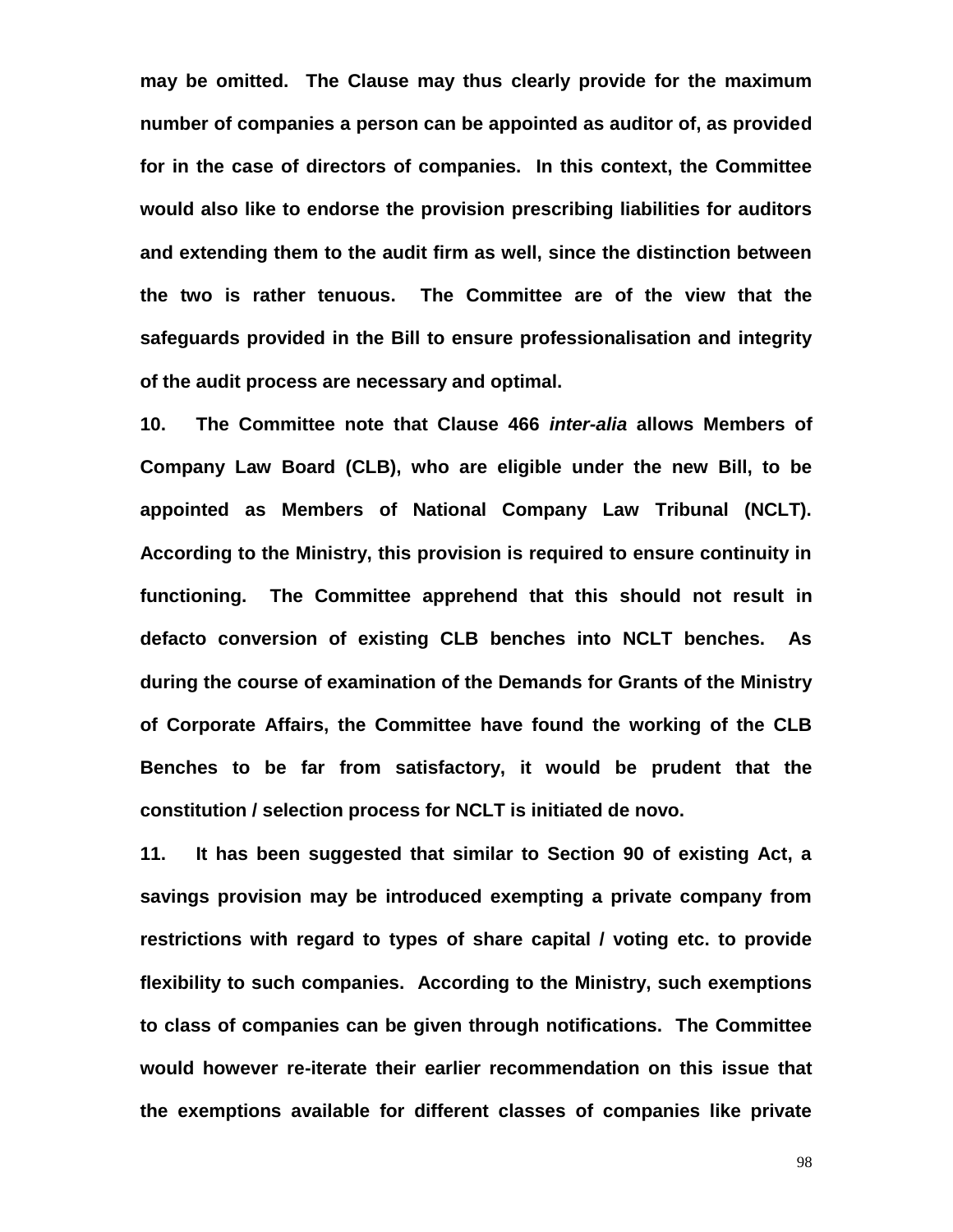**may be omitted. The Clause may thus clearly provide for the maximum number of companies a person can be appointed as auditor of, as provided for in the case of directors of companies. In this context, the Committee would also like to endorse the provision prescribing liabilities for auditors and extending them to the audit firm as well, since the distinction between the two is rather tenuous. The Committee are of the view that the safeguards provided in the Bill to ensure professionalisation and integrity of the audit process are necessary and optimal.** 

**10. The Committee note that Clause 466** *inter-alia* **allows Members of Company Law Board (CLB), who are eligible under the new Bill, to be appointed as Members of National Company Law Tribunal (NCLT). According to the Ministry, this provision is required to ensure continuity in functioning. The Committee apprehend that this should not result in defacto conversion of existing CLB benches into NCLT benches. As during the course of examination of the Demands for Grants of the Ministry of Corporate Affairs, the Committee have found the working of the CLB Benches to be far from satisfactory, it would be prudent that the constitution / selection process for NCLT is initiated de novo.**

**11. It has been suggested that similar to Section 90 of existing Act, a savings provision may be introduced exempting a private company from restrictions with regard to types of share capital / voting etc. to provide flexibility to such companies. According to the Ministry, such exemptions to class of companies can be given through notifications. The Committee would however re-iterate their earlier recommendation on this issue that the exemptions available for different classes of companies like private**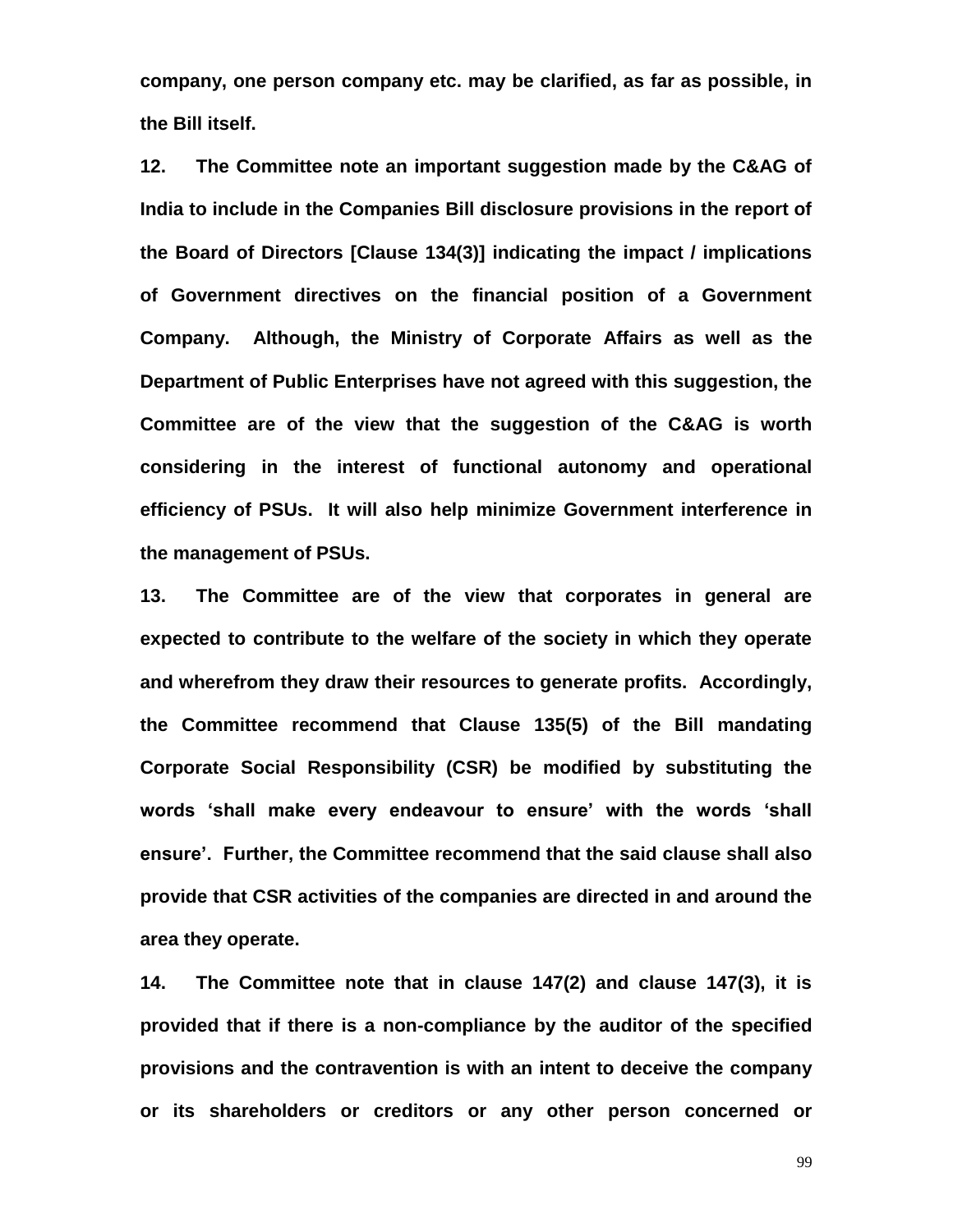**company, one person company etc. may be clarified, as far as possible, in the Bill itself.**

**12. The Committee note an important suggestion made by the C&AG of India to include in the Companies Bill disclosure provisions in the report of the Board of Directors [Clause 134(3)] indicating the impact / implications of Government directives on the financial position of a Government Company. Although, the Ministry of Corporate Affairs as well as the Department of Public Enterprises have not agreed with this suggestion, the Committee are of the view that the suggestion of the C&AG is worth considering in the interest of functional autonomy and operational efficiency of PSUs. It will also help minimize Government interference in the management of PSUs.**

**13. The Committee are of the view that corporates in general are expected to contribute to the welfare of the society in which they operate and wherefrom they draw their resources to generate profits. Accordingly, the Committee recommend that Clause 135(5) of the Bill mandating Corporate Social Responsibility (CSR) be modified by substituting the words "shall make every endeavour to ensure" with the words "shall ensure". Further, the Committee recommend that the said clause shall also provide that CSR activities of the companies are directed in and around the area they operate.** 

**14. The Committee note that in clause 147(2) and clause 147(3), it is provided that if there is a non-compliance by the auditor of the specified provisions and the contravention is with an intent to deceive the company or its shareholders or creditors or any other person concerned or**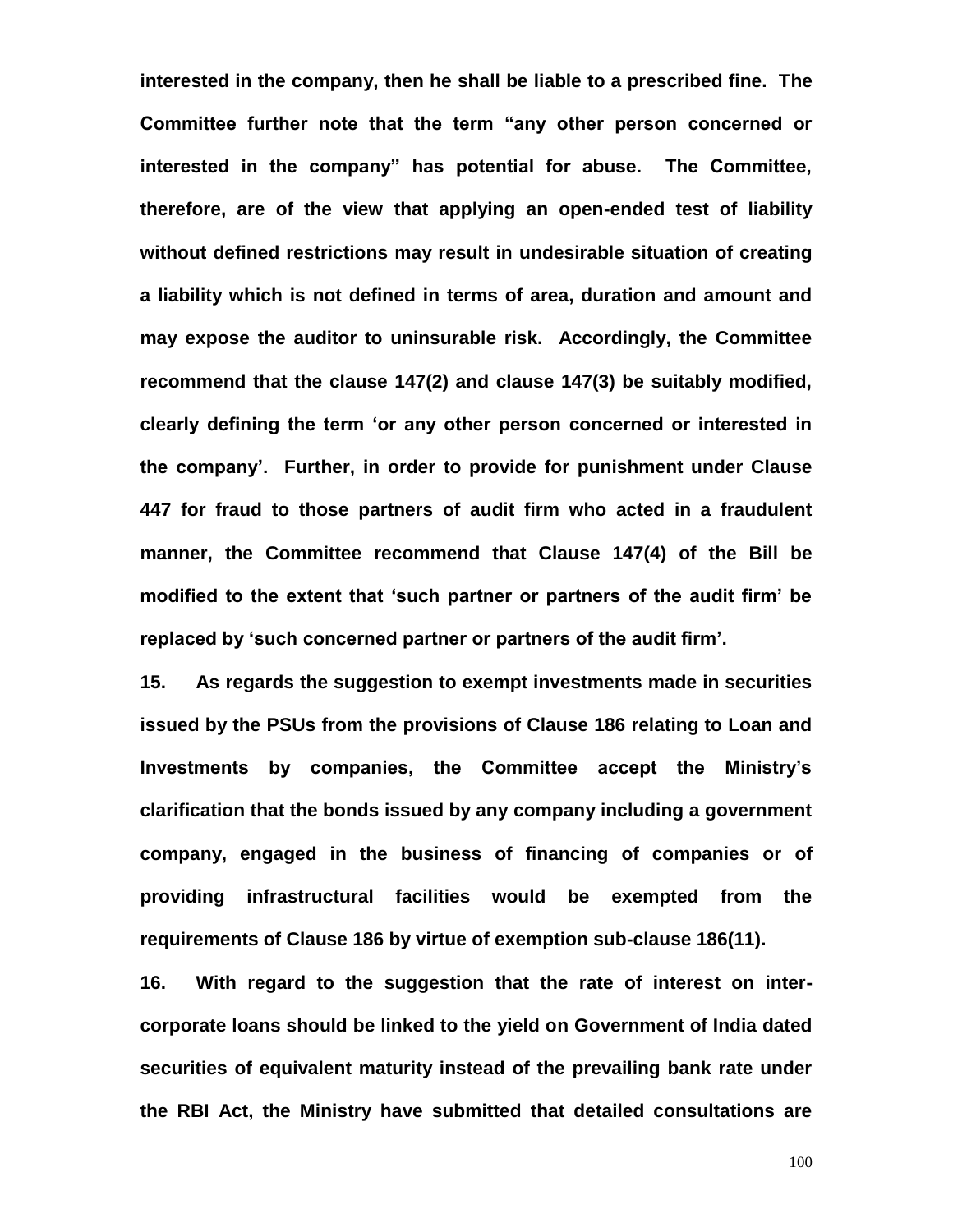**interested in the company, then he shall be liable to a prescribed fine. The Committee further note that the term "any other person concerned or interested in the company" has potential for abuse. The Committee, therefore, are of the view that applying an open-ended test of liability without defined restrictions may result in undesirable situation of creating a liability which is not defined in terms of area, duration and amount and may expose the auditor to uninsurable risk. Accordingly, the Committee recommend that the clause 147(2) and clause 147(3) be suitably modified, clearly defining the term "or any other person concerned or interested in the company". Further, in order to provide for punishment under Clause 447 for fraud to those partners of audit firm who acted in a fraudulent manner, the Committee recommend that Clause 147(4) of the Bill be modified to the extent that "such partner or partners of the audit firm" be replaced by "such concerned partner or partners of the audit firm".**

**15. As regards the suggestion to exempt investments made in securities issued by the PSUs from the provisions of Clause 186 relating to Loan and Investments by companies, the Committee accept the Ministry"s clarification that the bonds issued by any company including a government company, engaged in the business of financing of companies or of providing infrastructural facilities would be exempted from the requirements of Clause 186 by virtue of exemption sub-clause 186(11).** 

**16. With regard to the suggestion that the rate of interest on intercorporate loans should be linked to the yield on Government of India dated securities of equivalent maturity instead of the prevailing bank rate under the RBI Act, the Ministry have submitted that detailed consultations are**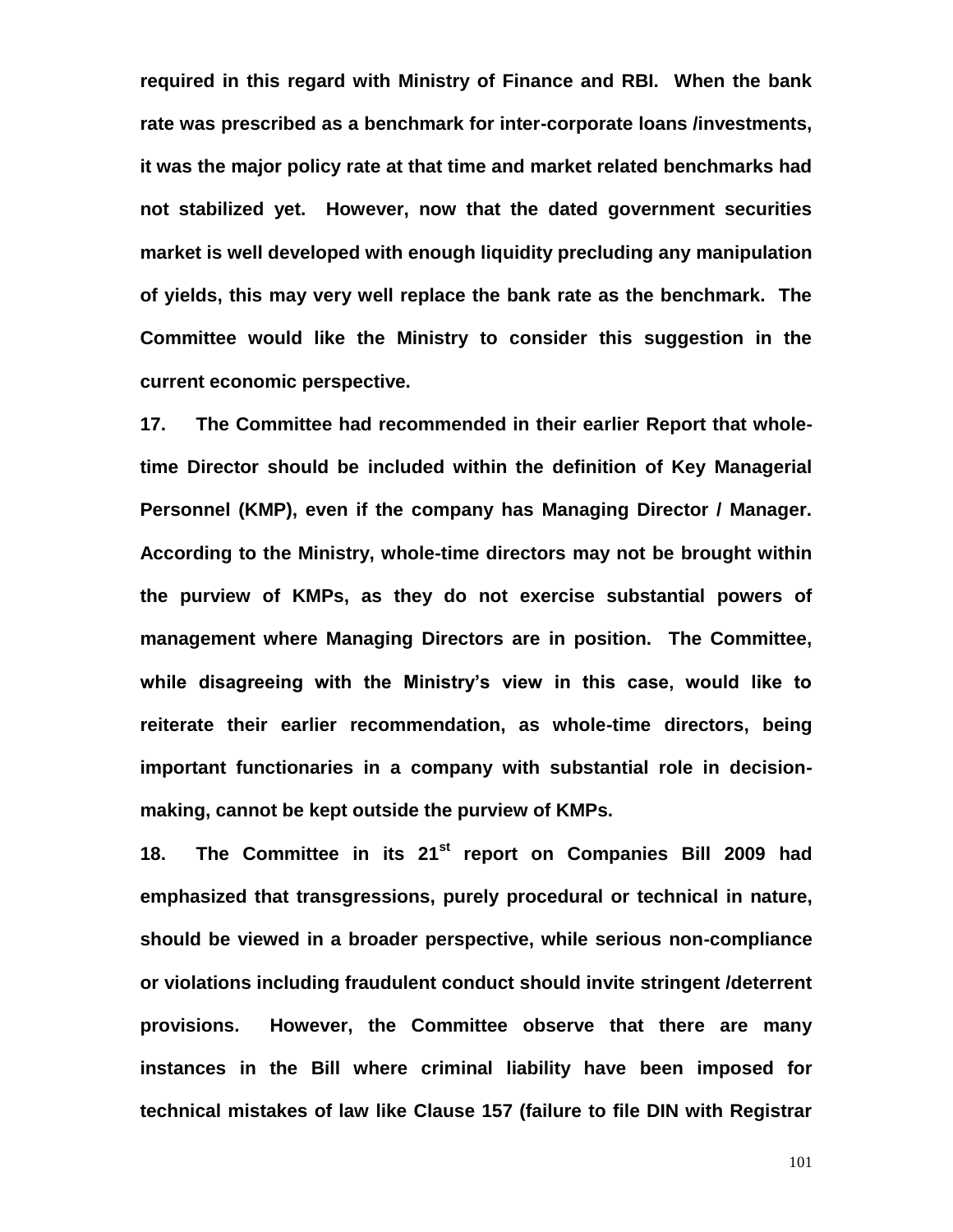**required in this regard with Ministry of Finance and RBI. When the bank rate was prescribed as a benchmark for inter-corporate loans /investments, it was the major policy rate at that time and market related benchmarks had not stabilized yet. However, now that the dated government securities market is well developed with enough liquidity precluding any manipulation of yields, this may very well replace the bank rate as the benchmark. The Committee would like the Ministry to consider this suggestion in the current economic perspective.** 

**17. The Committee had recommended in their earlier Report that wholetime Director should be included within the definition of Key Managerial Personnel (KMP), even if the company has Managing Director / Manager. According to the Ministry, whole-time directors may not be brought within the purview of KMPs, as they do not exercise substantial powers of management where Managing Directors are in position. The Committee, while disagreeing with the Ministry"s view in this case, would like to reiterate their earlier recommendation, as whole-time directors, being important functionaries in a company with substantial role in decisionmaking, cannot be kept outside the purview of KMPs.**

**18. The Committee in its 21st report on Companies Bill 2009 had emphasized that transgressions, purely procedural or technical in nature, should be viewed in a broader perspective, while serious non-compliance or violations including fraudulent conduct should invite stringent /deterrent provisions. However, the Committee observe that there are many instances in the Bill where criminal liability have been imposed for technical mistakes of law like Clause 157 (failure to file DIN with Registrar**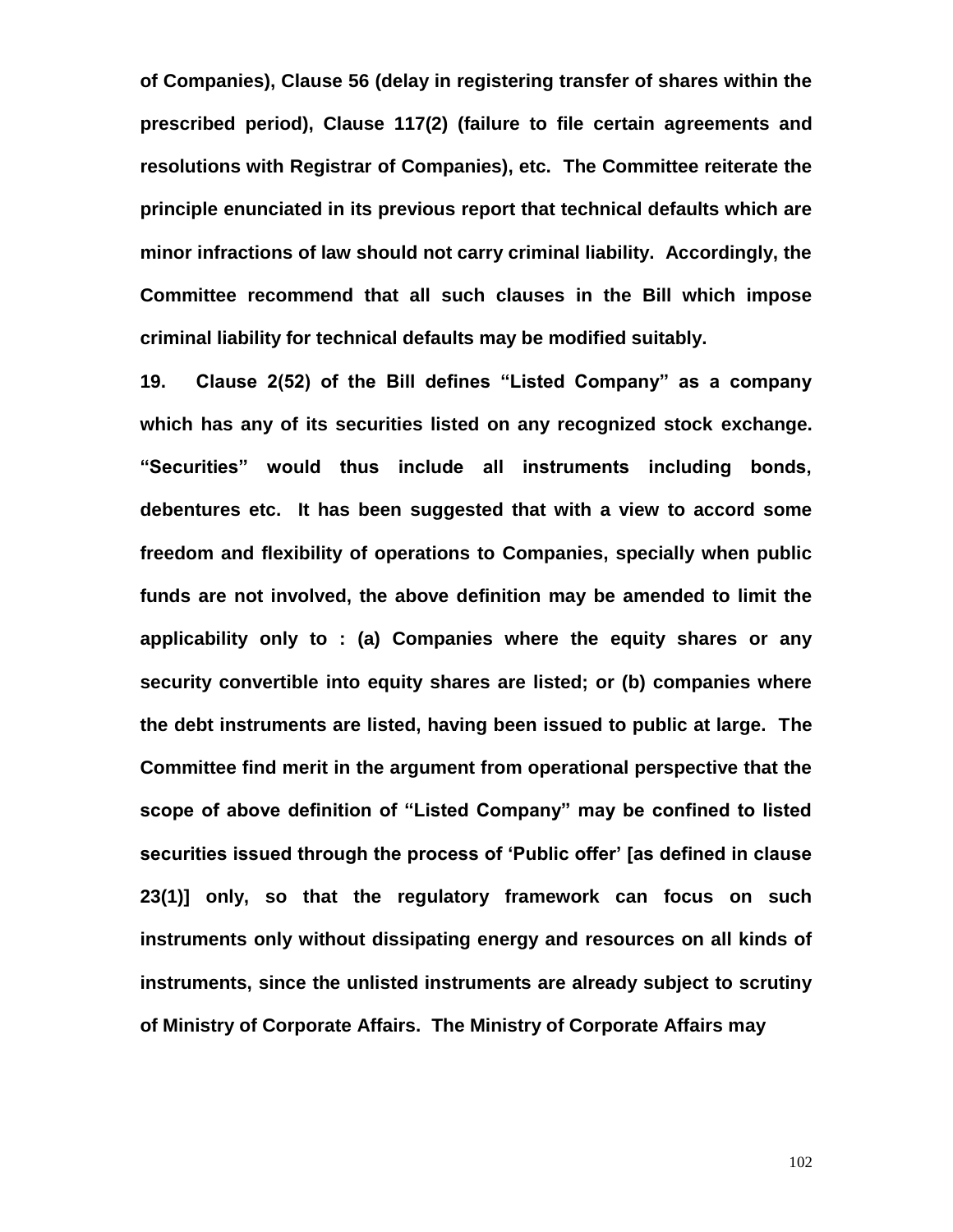**of Companies), Clause 56 (delay in registering transfer of shares within the prescribed period), Clause 117(2) (failure to file certain agreements and resolutions with Registrar of Companies), etc. The Committee reiterate the principle enunciated in its previous report that technical defaults which are minor infractions of law should not carry criminal liability. Accordingly, the Committee recommend that all such clauses in the Bill which impose criminal liability for technical defaults may be modified suitably.**

**19. Clause 2(52) of the Bill defines "Listed Company" as a company which has any of its securities listed on any recognized stock exchange. "Securities" would thus include all instruments including bonds, debentures etc. It has been suggested that with a view to accord some freedom and flexibility of operations to Companies, specially when public funds are not involved, the above definition may be amended to limit the applicability only to : (a) Companies where the equity shares or any security convertible into equity shares are listed; or (b) companies where the debt instruments are listed, having been issued to public at large. The Committee find merit in the argument from operational perspective that the scope of above definition of "Listed Company" may be confined to listed securities issued through the process of "Public offer" [as defined in clause 23(1)] only, so that the regulatory framework can focus on such instruments only without dissipating energy and resources on all kinds of instruments, since the unlisted instruments are already subject to scrutiny of Ministry of Corporate Affairs. The Ministry of Corporate Affairs may**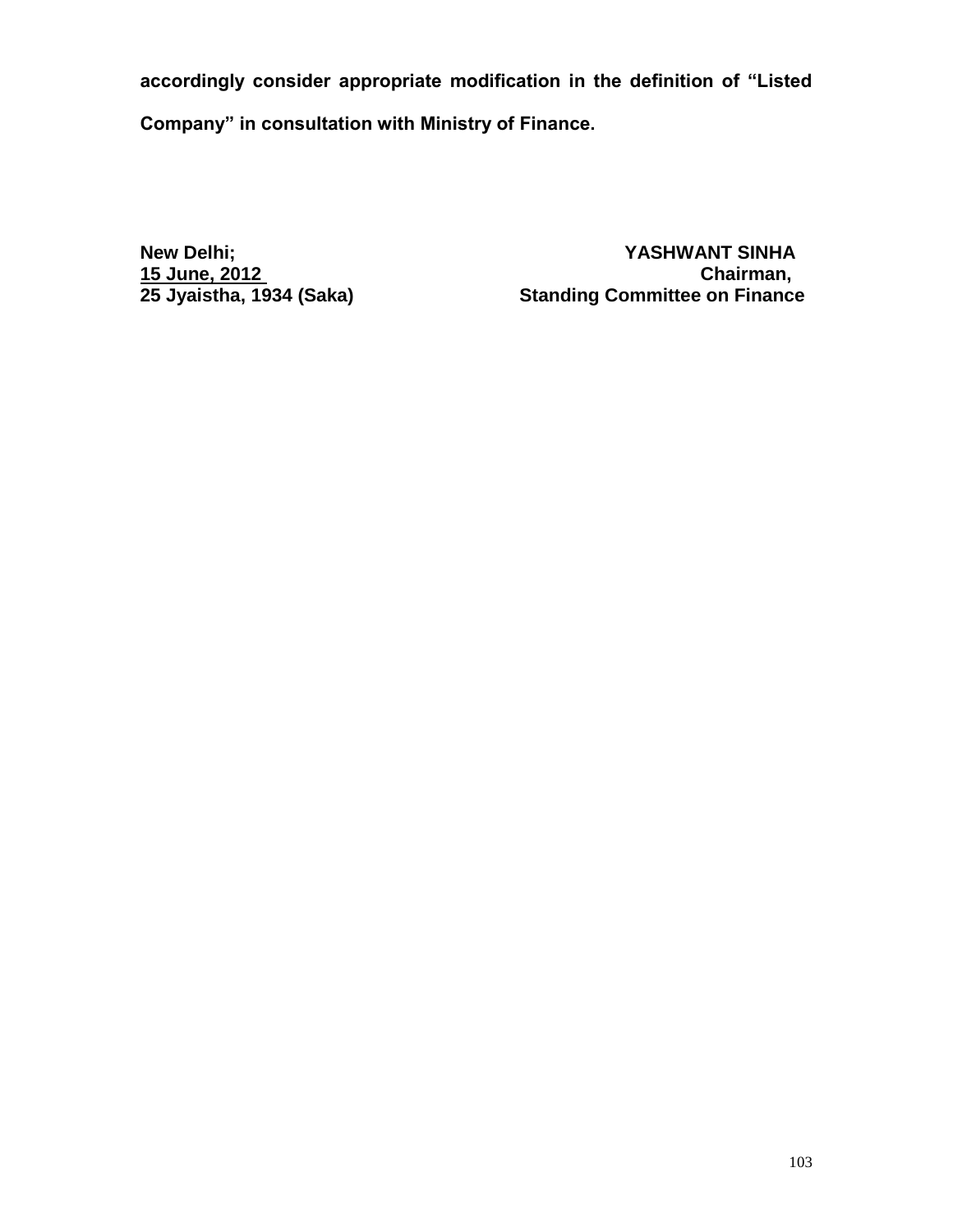**accordingly consider appropriate modification in the definition of "Listed** 

**Company" in consultation with Ministry of Finance.**

**New Delhi; YASHWANT SINHA 15 June, 2012 Chairman, 25 Standing Committee on Finance**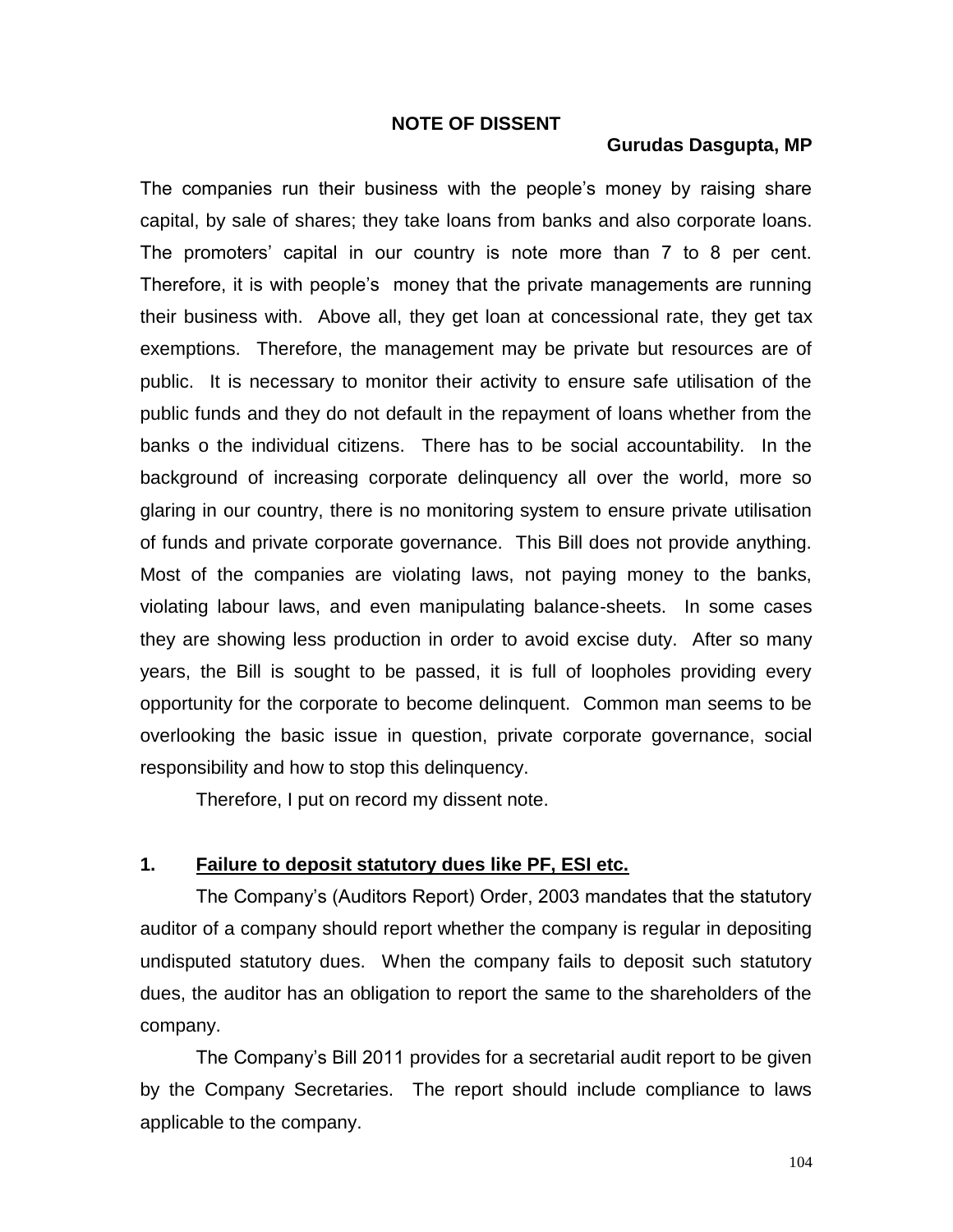#### **NOTE OF DISSENT**

#### **Gurudas Dasgupta, MP**

The companies run their business with the people's money by raising share capital, by sale of shares; they take loans from banks and also corporate loans. The promoters' capital in our country is note more than 7 to 8 per cent. Therefore, it is with people's money that the private managements are running their business with. Above all, they get loan at concessional rate, they get tax exemptions. Therefore, the management may be private but resources are of public. It is necessary to monitor their activity to ensure safe utilisation of the public funds and they do not default in the repayment of loans whether from the banks o the individual citizens. There has to be social accountability. In the background of increasing corporate delinquency all over the world, more so glaring in our country, there is no monitoring system to ensure private utilisation of funds and private corporate governance. This Bill does not provide anything. Most of the companies are violating laws, not paying money to the banks, violating labour laws, and even manipulating balance-sheets. In some cases they are showing less production in order to avoid excise duty. After so many years, the Bill is sought to be passed, it is full of loopholes providing every opportunity for the corporate to become delinquent. Common man seems to be overlooking the basic issue in question, private corporate governance, social responsibility and how to stop this delinquency.

Therefore, I put on record my dissent note.

#### **1. Failure to deposit statutory dues like PF, ESI etc.**

The Company's (Auditors Report) Order, 2003 mandates that the statutory auditor of a company should report whether the company is regular in depositing undisputed statutory dues. When the company fails to deposit such statutory dues, the auditor has an obligation to report the same to the shareholders of the company.

The Company's Bill 2011 provides for a secretarial audit report to be given by the Company Secretaries. The report should include compliance to laws applicable to the company.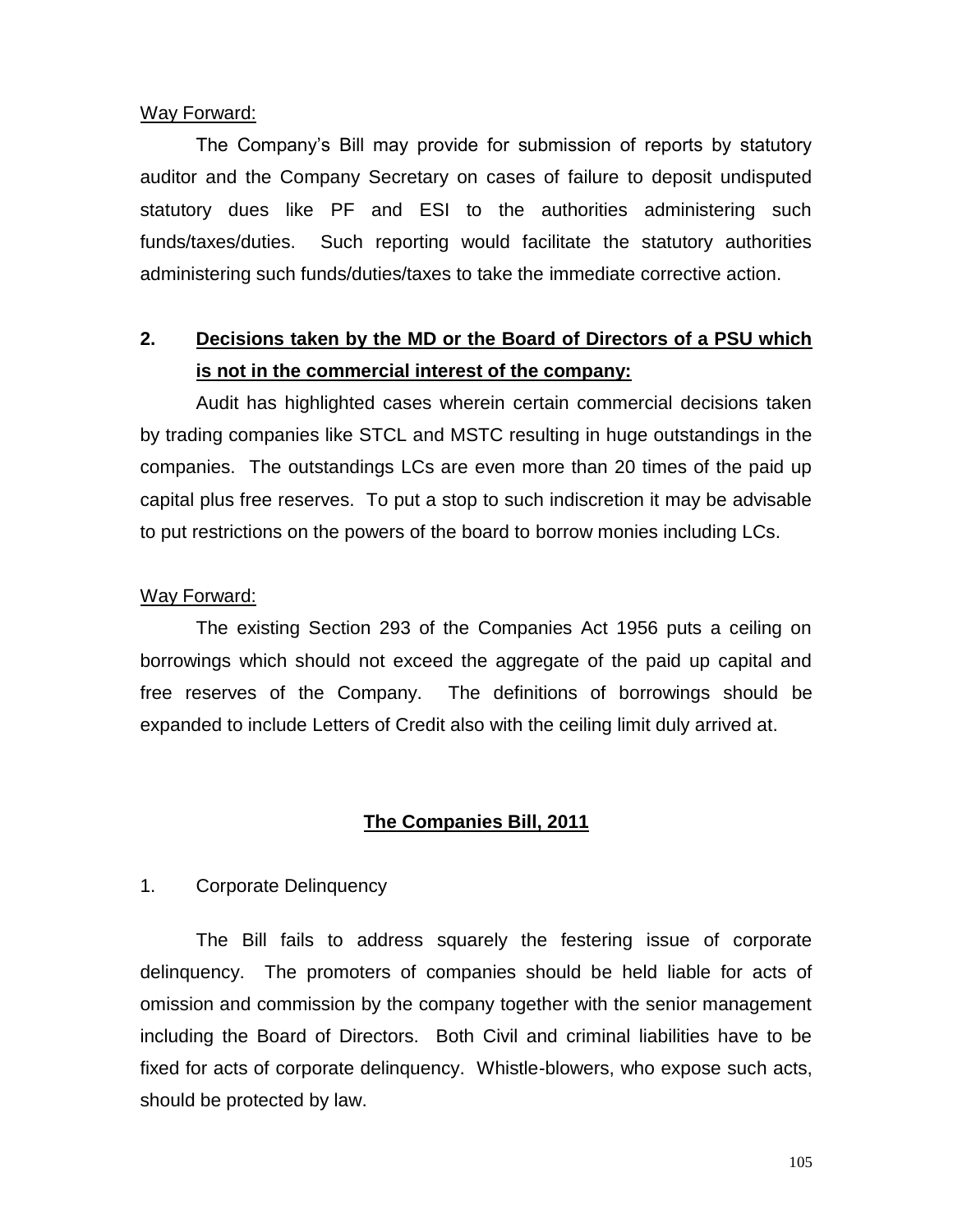#### Way Forward:

The Company's Bill may provide for submission of reports by statutory auditor and the Company Secretary on cases of failure to deposit undisputed statutory dues like PF and ESI to the authorities administering such funds/taxes/duties. Such reporting would facilitate the statutory authorities administering such funds/duties/taxes to take the immediate corrective action.

# **2. Decisions taken by the MD or the Board of Directors of a PSU which is not in the commercial interest of the company:**

Audit has highlighted cases wherein certain commercial decisions taken by trading companies like STCL and MSTC resulting in huge outstandings in the companies. The outstandings LCs are even more than 20 times of the paid up capital plus free reserves. To put a stop to such indiscretion it may be advisable to put restrictions on the powers of the board to borrow monies including LCs.

#### Way Forward:

The existing Section 293 of the Companies Act 1956 puts a ceiling on borrowings which should not exceed the aggregate of the paid up capital and free reserves of the Company. The definitions of borrowings should be expanded to include Letters of Credit also with the ceiling limit duly arrived at.

#### **The Companies Bill, 2011**

#### 1. Corporate Delinquency

The Bill fails to address squarely the festering issue of corporate delinquency. The promoters of companies should be held liable for acts of omission and commission by the company together with the senior management including the Board of Directors. Both Civil and criminal liabilities have to be fixed for acts of corporate delinquency. Whistle-blowers, who expose such acts, should be protected by law.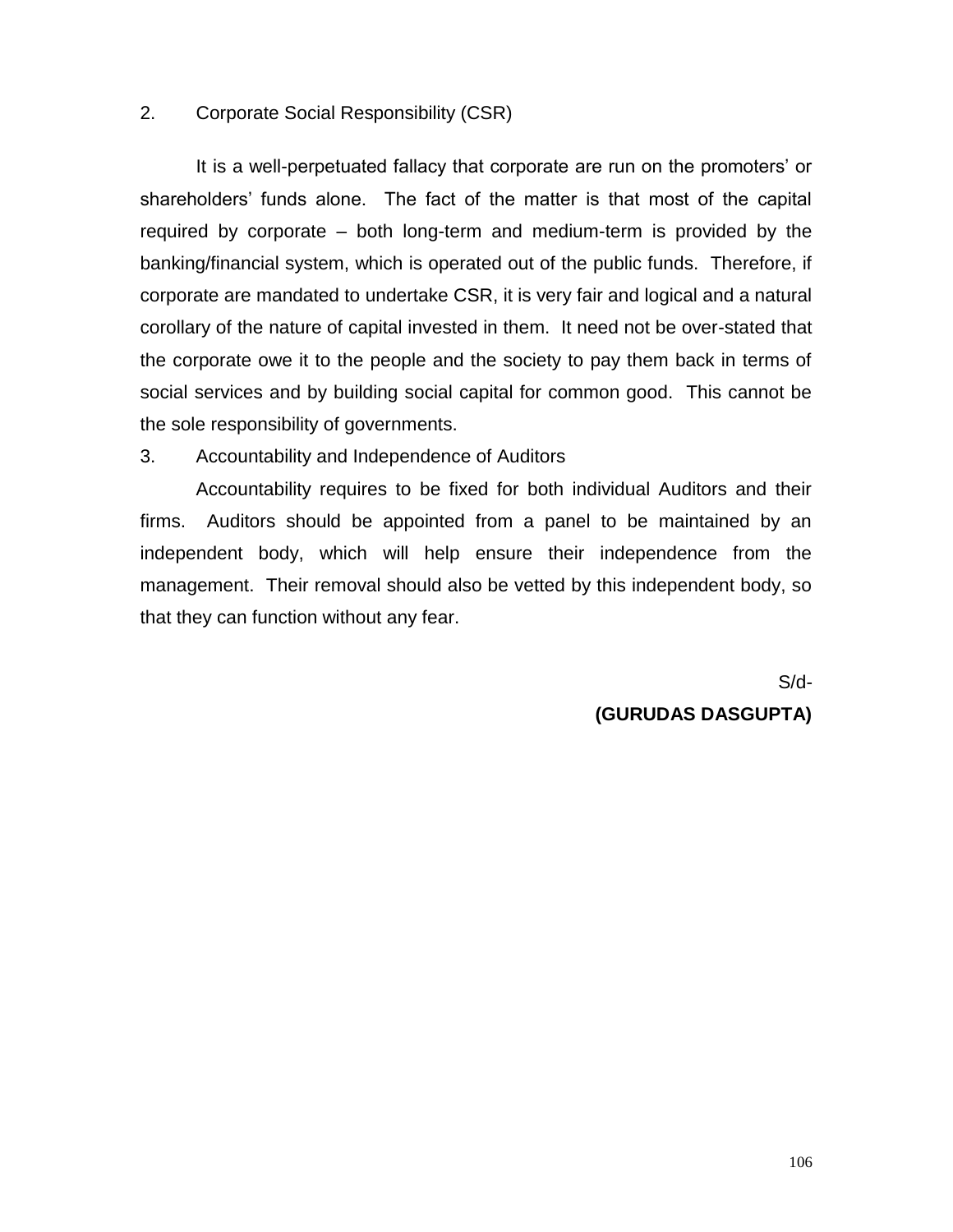## 2. Corporate Social Responsibility (CSR)

It is a well-perpetuated fallacy that corporate are run on the promoters' or shareholders' funds alone. The fact of the matter is that most of the capital required by corporate – both long-term and medium-term is provided by the banking/financial system, which is operated out of the public funds. Therefore, if corporate are mandated to undertake CSR, it is very fair and logical and a natural corollary of the nature of capital invested in them. It need not be over-stated that the corporate owe it to the people and the society to pay them back in terms of social services and by building social capital for common good. This cannot be the sole responsibility of governments.

## 3. Accountability and Independence of Auditors

Accountability requires to be fixed for both individual Auditors and their firms. Auditors should be appointed from a panel to be maintained by an independent body, which will help ensure their independence from the management. Their removal should also be vetted by this independent body, so that they can function without any fear.

> S/d- **(GURUDAS DASGUPTA)**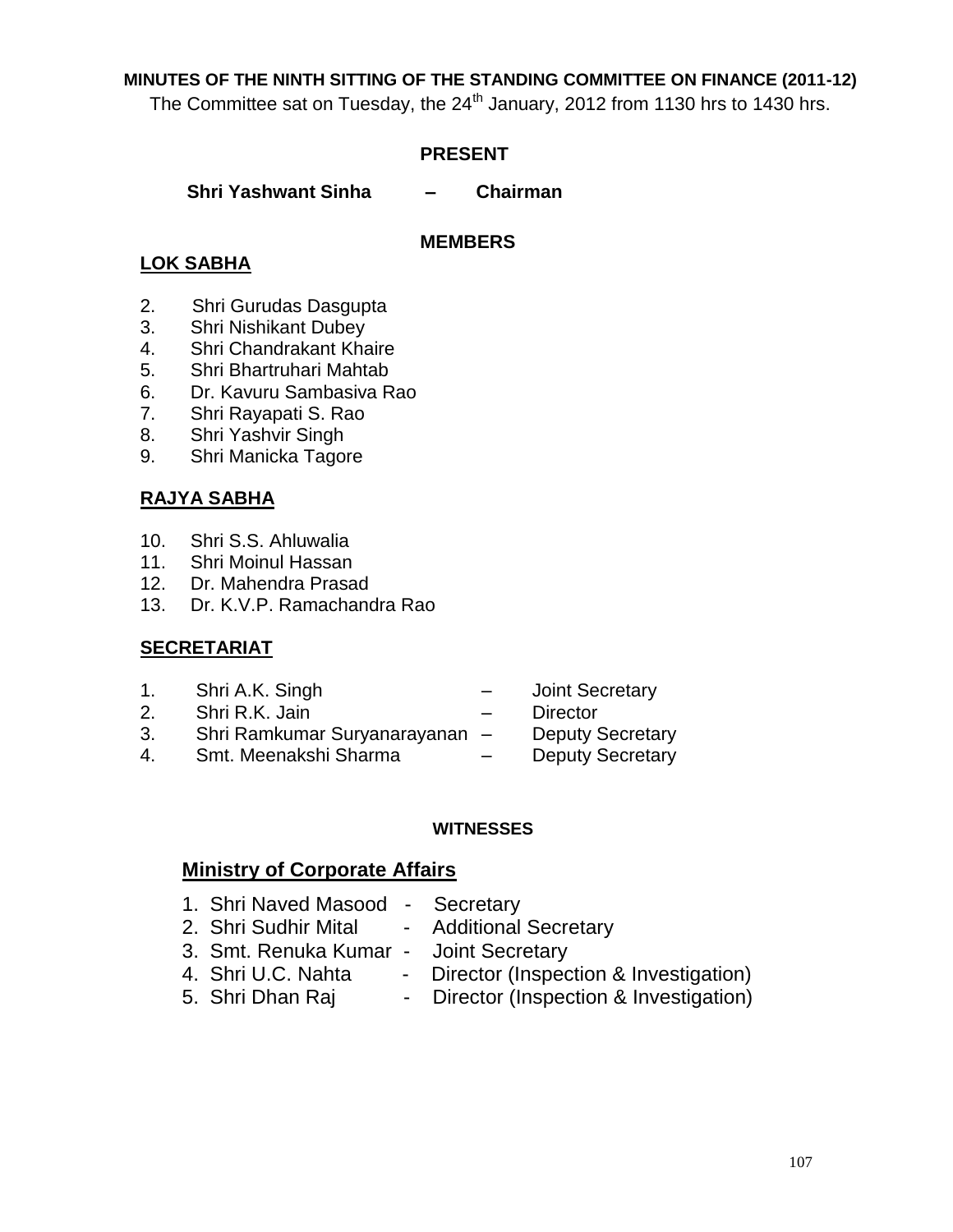#### **MINUTES OF THE NINTH SITTING OF THE STANDING COMMITTEE ON FINANCE (2011-12)**

The Committee sat on Tuesday, the  $24<sup>th</sup>$  January, 2012 from 1130 hrs to 1430 hrs.

## **PRESENT**

 **Shri Yashwant Sinha – Chairman** 

## **MEMBERS**

# **LOK SABHA**

- 2. Shri Gurudas Dasgupta
- 3. Shri Nishikant Dubey
- 4. Shri Chandrakant Khaire
- 5. Shri Bhartruhari Mahtab
- 6. Dr. Kavuru Sambasiva Rao
- 7. Shri Rayapati S. Rao
- 8. Shri Yashvir Singh
- 9. Shri Manicka Tagore

# **RAJYA SABHA**

- 10. Shri S.S. Ahluwalia
- 11. Shri Moinul Hassan
- 12. Dr. Mahendra Prasad
- 13. Dr. K.V.P. Ramachandra Rao

# **SECRETARIAT**

- 1. Shri A.K. Singh **example 1.** Shri A.K. Singh
- 2. Shri R.K. Jain Director
- -
- 3. Shri Ramkumar Suryanarayanan Deputy Secretary
- 4. Smt. Meenakshi Sharma Deputy Secretary

# **WITNESSES**

# **Ministry of Corporate Affairs**

- 1. Shri Naved Masood Secretary
- 2. Shri Sudhir Mital Additional Secretary
- 3. Smt. Renuka Kumar Joint Secretary
	-
- 
- 4. Shri U.C. Nahta Director (Inspection & Investigation)
- 
- 5. Shri Dhan Raj Director (Inspection & Investigation)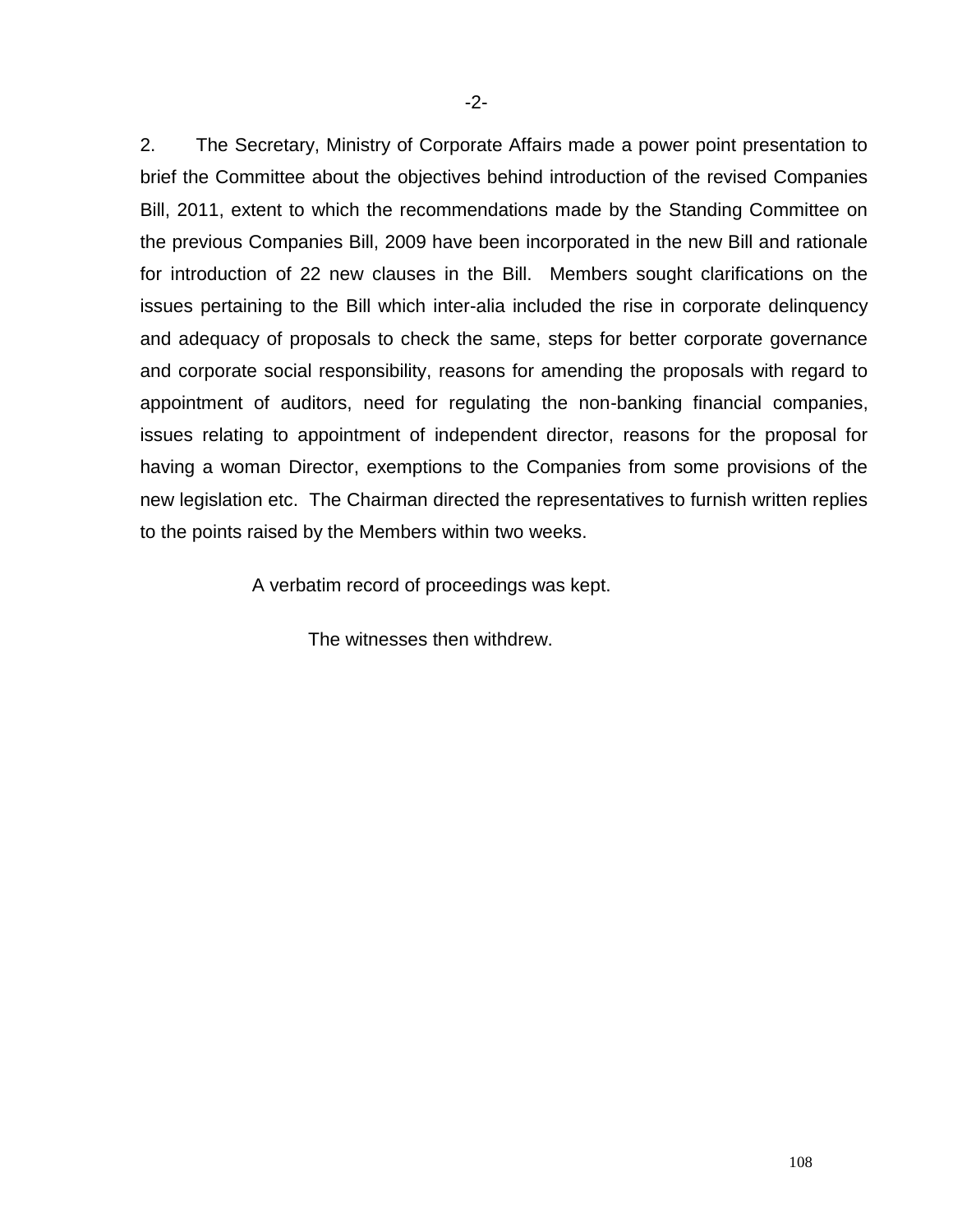2. The Secretary, Ministry of Corporate Affairs made a power point presentation to brief the Committee about the objectives behind introduction of the revised Companies Bill, 2011, extent to which the recommendations made by the Standing Committee on the previous Companies Bill, 2009 have been incorporated in the new Bill and rationale for introduction of 22 new clauses in the Bill. Members sought clarifications on the issues pertaining to the Bill which inter-alia included the rise in corporate delinquency and adequacy of proposals to check the same, steps for better corporate governance and corporate social responsibility, reasons for amending the proposals with regard to appointment of auditors, need for regulating the non-banking financial companies, issues relating to appointment of independent director, reasons for the proposal for having a woman Director, exemptions to the Companies from some provisions of the new legislation etc. The Chairman directed the representatives to furnish written replies to the points raised by the Members within two weeks.

A verbatim record of proceedings was kept.

The witnesses then withdrew.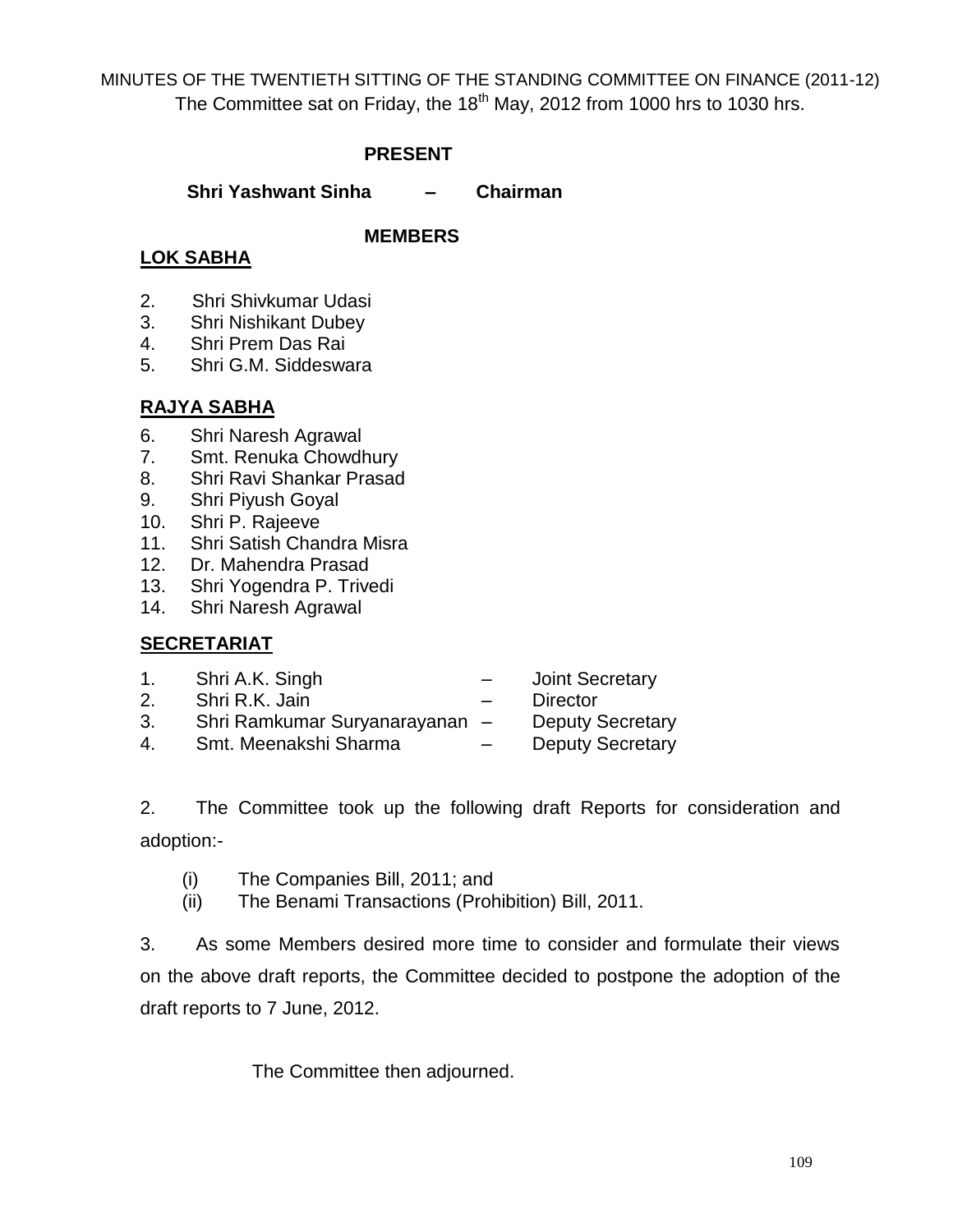MINUTES OF THE TWENTIETH SITTING OF THE STANDING COMMITTEE ON FINANCE (2011-12) The Committee sat on Friday, the  $18<sup>th</sup>$  May, 2012 from 1000 hrs to 1030 hrs.

# **PRESENT**

 **Shri Yashwant Sinha – Chairman** 

### **MEMBERS**

# **LOK SABHA**

- 2. Shri Shivkumar Udasi
- 3. Shri Nishikant Dubey
- 4. Shri Prem Das Rai
- 5. Shri G.M. Siddeswara

# **RAJYA SABHA**

- 6. Shri Naresh Agrawal
- 7. Smt. Renuka Chowdhury
- 8. Shri Ravi Shankar Prasad
- 9. Shri Piyush Goyal
- 10. Shri P. Rajeeve
- 11. Shri Satish Chandra Misra
- 12. Dr. Mahendra Prasad
- 13. Shri Yogendra P. Trivedi
- 14. Shri Naresh Agrawal

## **SECRETARIAT**

- 1. Shri A.K. Singh Joint Secretary
- 2. Shri R.K. Jain Director
- 3. Shri Ramkumar Suryanarayanan Deputy Secretary
- 4. Smt. Meenakshi Sharma Deputy Secretary

2. The Committee took up the following draft Reports for consideration and adoption:-

- (i) The Companies Bill, 2011; and
- (ii) The Benami Transactions (Prohibition) Bill, 2011.

3. As some Members desired more time to consider and formulate their views on the above draft reports, the Committee decided to postpone the adoption of the draft reports to 7 June, 2012.

The Committee then adjourned.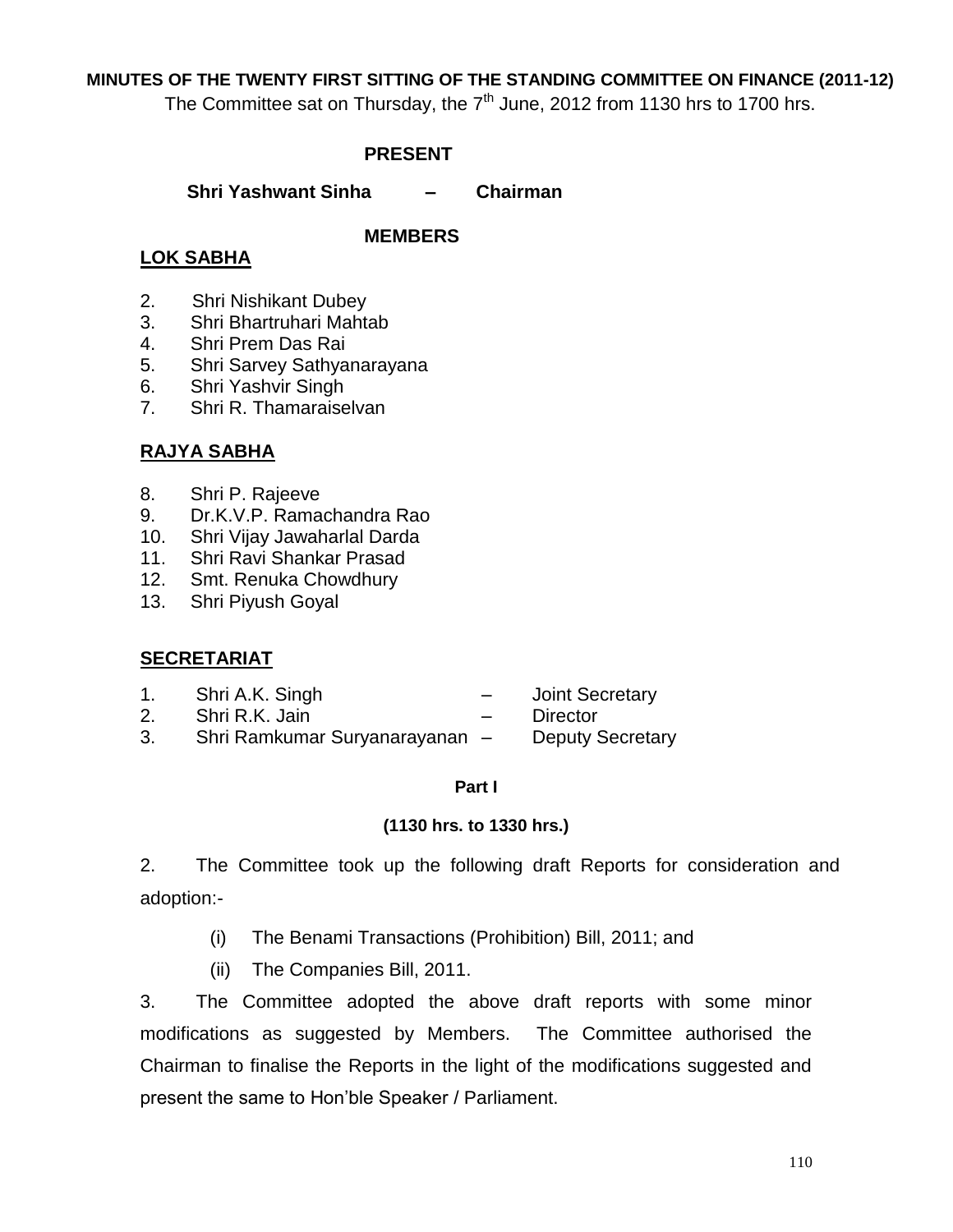#### **MINUTES OF THE TWENTY FIRST SITTING OF THE STANDING COMMITTEE ON FINANCE (2011-12)**

The Committee sat on Thursday, the  $7<sup>th</sup>$  June, 2012 from 1130 hrs to 1700 hrs.

### **PRESENT**

 **Shri Yashwant Sinha – Chairman** 

#### **MEMBERS**

### **LOK SABHA**

- 2. Shri Nishikant Dubey
- 3. Shri Bhartruhari Mahtab
- 4. Shri Prem Das Rai
- 5. Shri Sarvey Sathyanarayana
- 6. Shri Yashvir Singh
- 7. Shri R. Thamaraiselvan

## **RAJYA SABHA**

- 8. Shri P. Rajeeve
- 9. Dr.K.V.P. Ramachandra Rao
- 10. Shri Vijay Jawaharlal Darda
- 11. Shri Ravi Shankar Prasad
- 12. Smt. Renuka Chowdhury
- 13. Shri Piyush Goyal

### **SECRETARIAT**

- 1. Shri A.K. Singh Joint Secretary 2. Shri R.K. Jain – Director
- 3. Shri Ramkumar Suryanarayanan Deputy Secretary

#### **Part I**

### **(1130 hrs. to 1330 hrs.)**

2. The Committee took up the following draft Reports for consideration and adoption:-

- (i) The Benami Transactions (Prohibition) Bill, 2011; and
- (ii) The Companies Bill, 2011.

3. The Committee adopted the above draft reports with some minor modifications as suggested by Members. The Committee authorised the Chairman to finalise the Reports in the light of the modifications suggested and present the same to Hon'ble Speaker / Parliament.